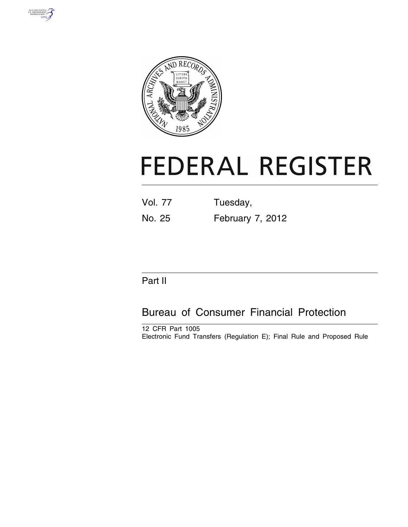



# **FEDERAL REGISTER**

| <b>Vol. 77</b> | Tuesday,         |
|----------------|------------------|
| No. 25         | February 7, 2012 |

# Part II

# Bureau of Consumer Financial Protection

12 CFR Part 1005 Electronic Fund Transfers (Regulation E); Final Rule and Proposed Rule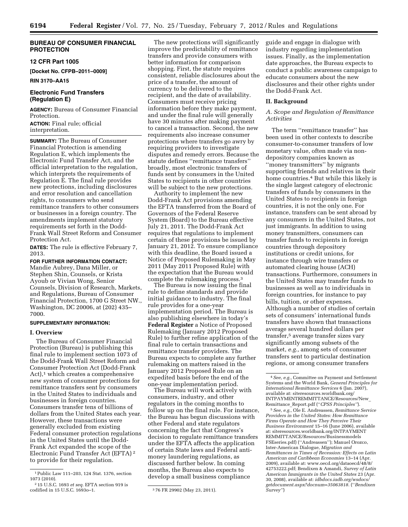# **BUREAU OF CONSUMER FINANCIAL PROTECTION**

# **12 CFR Part 1005**

**[Docket No. CFPB–2011–0009]** 

**RIN 3170–AA15** 

# **Electronic Fund Transfers (Regulation E)**

**AGENCY:** Bureau of Consumer Financial **Protection** 

**ACTION:** Final rule; official interpretation.

**SUMMARY:** The Bureau of Consumer Financial Protection is amending Regulation E, which implements the Electronic Fund Transfer Act, and the official interpretation to the regulation, which interprets the requirements of Regulation E. The final rule provides new protections, including disclosures and error resolution and cancellation rights, to consumers who send remittance transfers to other consumers or businesses in a foreign country. The amendments implement statutory requirements set forth in the Dodd-Frank Wall Street Reform and Consumer Protection Act.

**DATES:** The rule is effective February 7, 2013.

#### **FOR FURTHER INFORMATION CONTACT:**

Mandie Aubrey, Dana Miller, or Stephen Shin, Counsels, or Krista Ayoub or Vivian Wong, Senior Counsels, Division of Research, Markets, and Regulations, Bureau of Consumer Financial Protection, 1700 G Street NW., Washington, DC 20006, at (202) 435– 7000.

# **SUPPLEMENTARY INFORMATION:**

# **I. Overview**

The Bureau of Consumer Financial Protection (Bureau) is publishing this final rule to implement section 1073 of the Dodd-Frank Wall Street Reform and Consumer Protection Act (Dodd-Frank Act),<sup>1</sup> which creates a comprehensive new system of consumer protections for remittance transfers sent by consumers in the United States to individuals and businesses in foreign countries. Consumers transfer tens of billions of dollars from the United States each year. However, these transactions were generally excluded from existing Federal consumer protection regulations in the United States until the Dodd-Frank Act expanded the scope of the Electronic Fund Transfer Act (EFTA) 2 to provide for their regulation.

The new protections will significantly improve the predictability of remittance transfers and provide consumers with better information for comparison shopping. First, the statute requires consistent, reliable disclosures about the price of a transfer, the amount of currency to be delivered to the recipient, and the date of availability. Consumers must receive pricing information before they make payment, and under the final rule will generally have 30 minutes after making payment to cancel a transaction. Second, the new requirements also increase consumer protections where transfers go awry by requiring providers to investigate disputes and remedy errors. Because the statute defines ''remittance transfers'' broadly, most electronic transfers of funds sent by consumers in the United States to recipients in other countries will be subject to the new protections.

Authority to implement the new Dodd-Frank Act provisions amending the EFTA transferred from the Board of Governors of the Federal Reserve System (Board) to the Bureau effective July 21, 2011. The Dodd-Frank Act requires that regulations to implement certain of these provisions be issued by January 21, 2012. To ensure compliance with this deadline, the Board issued a Notice of Proposed Rulemaking in May 2011 (May 2011 Proposed Rule) with the expectation that the Bureau would complete the rulemaking process.3

The Bureau is now issuing the final rule to define standards and provide initial guidance to industry. The final rule provides for a one-year implementation period. The Bureau is also publishing elsewhere in today's **Federal Register** a Notice of Proposed Rulemaking (January 2012 Proposed Rule) to further refine application of the final rule to certain transactions and remittance transfer providers. The Bureau expects to complete any further rulemaking on matters raised in the January 2012 Proposed Rule on an expedited basis before the end of the one-year implementation period.

The Bureau will work actively with consumers, industry, and other regulators in the coming months to follow up on the final rule. For instance, the Bureau has begun discussions with other Federal and state regulators concerning the fact that Congress's decision to regulate remittance transfers under the EFTA affects the application of certain State laws and Federal antimoney laundering regulations, as discussed further below. In coming months, the Bureau also expects to develop a small business compliance

guide and engage in dialogue with industry regarding implementation issues. Finally, as the implementation date approaches, the Bureau expects to conduct a public awareness campaign to educate consumers about the new disclosures and their other rights under the Dodd-Frank Act.

#### **II. Background**

# *A. Scope and Regulation of Remittance Activities*

The term ''remittance transfer'' has been used in other contexts to describe consumer-to-consumer transfers of low monetary value, often made via nondepository companies known as ''money transmitters'' by migrants supporting friends and relatives in their home countries.4 But while this likely is the single largest category of electronic transfers of funds by consumers in the United States to recipients in foreign countries, it is not the only one. For instance, transfers can be sent abroad by any consumers in the United States, not just immigrants. In addition to using money transmitters, consumers can transfer funds to recipients in foreign countries through depository institutions or credit unions, for instance through wire transfers or automated clearing house (ACH) transactions. Furthermore, consumers in the United States may transfer funds to businesses as well as to individuals in foreign countries, for instance to pay bills, tuition, or other expenses. Although a number of studies of certain sets of consumers' international funds transfers have shown that transactions average several hundred dollars per transfer,5 average transfer sizes vary significantly among subsets of the market, *e.g.,* among sets of consumer transfers sent to particular destination regions, or among consumer transfers

5*See, e.g.,* Ole E. Andreassen, *Remittance Service Providers in the United States: How Remittance Firms Operate and How They Perceive Their Business Environment* 15–16 (June 2006), available at: siteresources.worldbank.org/INTPAYMENT REMMITTANCE/Resources/Businessmodels FSEseries.pdf) (''Andreassen''); Manuel Orozco, Inter-American Dialogue, *Migration and Remittances in Times of Recession: Effects on Latin American and Caribbean Economies* 13–14 (Apr. 2009), available at: www.oecd.org/dataoecd/48/8/ 42753222.pdf; Bendixen & Amandi, *Survey of Latin American Immigrants in the United States* 23 (Apr. 30, 2008), available at: *idbdocs.iadb.org/wsdocs/ getdocument.aspx?docnum=35063818.* (''*Bendixen Survey''*)

<sup>1</sup>Public Law 111–203, 124 Stat. 1376, section 1073 (2010).

<sup>2</sup> 15 U.S.C. 1693 *et seq.* EFTA section 919 is codified in 15 U.S.C. 1693o-1. 376 FR 29902 (May 23, 2011).

<sup>4</sup>*See, e.g.,* Committee on Payment and Settlement Systems and the World Bank, *General Principles for International Remittance Services* 6 (Jan. 2007), available at: siteresources.worldbank.org/ INTPAYMENTREMMITTANCE/Resources/New\_ Remittance\_Report.pdf (''*CPSS Principles''*).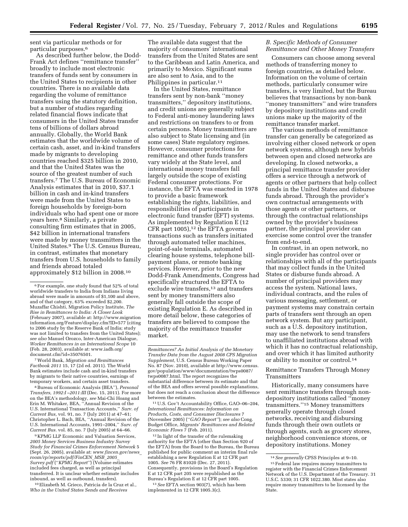sent via particular methods or for particular purposes.6

As described further below, the Dodd-Frank Act defines ''remittance transfer'' broadly to include most electronic transfers of funds sent by consumers in the United States to recipients in other countries. There is no available data regarding the volume of remittance transfers using the statutory definition, but a number of studies regarding related financial flows indicate that consumers in the United States transfer tens of billions of dollars abroad annually. Globally, the World Bank estimates that the worldwide volume of certain cash, asset, and in-kind transfers made by migrants to developing countries reached \$325 billion in 2010, and that the United States was the source of the greatest number of such transfers.7 The U.S. Bureau of Economic Analysis estimates that in 2010, \$37.1 billion in cash and in-kind transfers were made from the United States to foreign households by foreign-born individuals who had spent one or more years here.<sup>8</sup> Similarly, a private consulting firm estimates that in 2005, \$42 billion in international transfers were made by money transmitters in the United States.9 The U.S. Census Bureau, in contrast, estimates that monetary transfers from U.S. households to family and friends abroad totaled approximately \$12 billion in 2008.10

7World Bank, *Migration and Remittances Factbook 2011* 15, 17 (2d ed. 2011). The World Bank estimates include cash and in-kind transfers by migrants to their native countries, earnings of temporary workers, and certain asset transfers.

8Bureau of Economic Analysis (BEA''), *Personal Transfers, 1992:I –2011:III* (Dec. 15, 2011). For more on the BEA's methodology, *see* Mai-Chi Hoang and Erin M. Whitaker, BEA, ''Annual Revision of the U.S. International Transaction Accounts,'' *Surv. of Current Bus,* vol. 91, no. 7 (July 2011) at 47–61; Christopher L. Bach, BEA, ''Annual Revision of the U.S. International Accounts, 1991–2004,'' *Surv. of Current Bus.* vol. 85, no. 7 (July 2005) at 64–66.

9 KPMG LLP Economic and Valuation Services, *2005 Money Services Business Industry Survey Study for Financial Crimes Enforcement Network* 5 (Sept. 26, 2005), available at: *[www.fincen.gov/news](http://www.fincen.gov/news_room/rp/reports/pdf/FinCEN_MSB_2005_Survey.pdf)*\_ *[room/rp/reports/pdf/FinCEN](http://www.fincen.gov/news_room/rp/reports/pdf/FinCEN_MSB_2005_Survey.pdf)*\_*MSB*\_*2005*\_ *[Survey.pdf](http://www.fincen.gov/news_room/rp/reports/pdf/FinCEN_MSB_2005_Survey.pdf)* (''*KPMG Report''*) (Volume estimates included fees charged, as well as principal transferred. It is unclear whether estimate includes inbound, as well as outbound, transfers).

10Elizabeth M. Grieco, Patricia de la Cruz et al., *Who in the United States Sends and Receives* 

The available data suggest that the majority of consumers' international transfers from the United States are sent to the Caribbean and Latin America, and primarily to Mexico. Significant sums are also sent to Asia, and to the Philippines in particular.<sup>11</sup>

In the United States, remittance transfers sent by non-bank ''money transmitters,'' depository institutions, and credit unions are generally subject to Federal anti-money laundering laws and restrictions on transfers to or from certain persons. Money transmitters are also subject to State licensing and (in some cases) State regulatory regimes. However, consumer protections for remittance and other funds transfers vary widely at the State level, and international money transfers fall largely outside the scope of existing Federal consumer protections. For instance, the EFTA was enacted in 1978 to provide a basic framework establishing the rights, liabilities, and responsibilities of participants in electronic fund transfer (EFT) systems. As implemented by Regulation E (12 CFR part 1005),12 the EFTA governs transactions such as transfers initiated through automated teller machines, point-of-sale terminals, automated clearing house systems, telephone billpayment plans, or remote banking services. However, prior to the new Dodd-Frank Amendments, Congress had specifically structured the EFTA to exclude wire transfers,<sup>13</sup> and transfers sent by money transmitters also generally fall outside the scope of existing Regulation E. As described in more detail below, these categories of transfers are believed to compose the majority of the remittance transfer market.

11U.S. Gov't Accountability Office, GAO–06–204, *International Remittances: Information on Products, Costs, and Consumer Disclosures* 7 (November 2005) (''*GAO Report''*); *see also* Cong. Budget Office, *Migrants' Remittances and Related Economic Flows* 7 (Feb. 2011).

12 In light of the transfer of the rulemaking authority for the EFTA (other than Section 920 of the EFTA) from the Board to the Bureau, the Bureau published for public comment an interim final rule establishing a new Regulation E at 12 CFR part 1005. *See* 76 FR 81020 (Dec. 27, 2011). Consequently, provisions in the Board's Regulation E at 12 CFR part 205 were republished as the Bureau's Regulation E at 12 CFR part 1005.

13*See* EFTA section 903(7), which has been implemented in 12 CFR 1005.3(c).

# *B. Specific Methods of Consumer Remittance and Other Money Transfers*

Consumers can choose among several methods of transferring money to foreign countries, as detailed below. Information on the volume of certain methods, particularly consumer wire transfers, is very limited, but the Bureau believes that transactions by non-bank ''money transmitters'' and wire transfers by depository institutions and credit unions make up the majority of the remittance transfer market.

The various methods of remittance transfer can generally be categorized as involving either closed network or open network systems, although new hybrids between open and closed networks are developing. In closed networks, a principal remittance transfer provider offers a service through a network of agents or other partners that help collect funds in the United States and disburse funds abroad. Through the provider's own contractual arrangements with those agents or other partners, or through the contractual relationships owned by the provider's business partner, the principal provider can exercise some control over the transfer from end-to-end.

In contrast, in an open network, no single provider has control over or relationships with all of the participants that may collect funds in the United States or disburse funds abroad. A number of principal providers may access the system. National laws, individual contracts, and the rules of various messaging, settlement, or payment systems may constrain certain parts of transfers sent through an open network system. But any participant, such as a U.S. depository institution, may use the network to send transfers to unaffiliated institutions abroad with which it has no contractual relationship, and over which it has limited authority or ability to monitor or control.14

Remittance Transfers Through Money **Transmitters** 

Historically, many consumers have sent remittance transfers through nondepository institutions called ''money transmitters.''15 Money transmitters generally operate through closed networks, receiving and disbursing funds through their own outlets or through agents, such as grocery stores, neighborhood convenience stores, or depository institutions. Money

<sup>6</sup>For example, one study found that 52% of total worldwide transfers to India from Indians living abroad were made in amounts of \$1,100 and above, and of that category, 63% exceeded \$2,200. Muzaffar Chishti, Migration Policy Institute, *The Rise in Remittances to India: A Closer Look*  (February 2007), available at: http://www.migration information.org/Feature/display.cfm?ID=577 (citing to 2006 study by the Reserve Bank of India; study was not limited to transfers from the United States); *see also* Manuel Orozco, Inter-American Dialogue, *Worker Remittances in an International Scope* 10 (Feb. 28, 2003), available at: www.iadb.org/ document.cfm?id=35076501.

*Remittances? An Initial Analysis of the Monetary Transfer Data from the August 2008 CPS Migration Supplement,* U.S. Census Bureau Working Paper No. 87 (Nov. 2010), available at http://www.census. gov/population/www/documentation/twps0087/ twps0087.html. The report recognizes the substantial difference between its estimate and that of the BEA and offers several possible explanations, but does not reach a conclusion about the difference between the estimates.

<sup>14</sup>*See generally* CPSS Principles at 9–10.

<sup>15</sup>Federal law requires money transmitters to register with the Financial Crimes Enforcement Network of the U.S. Department of the Treasury. 31 U.S.C. 5330; 31 CFR 1022.380. Most states also require money transmitters to be licensed by the State.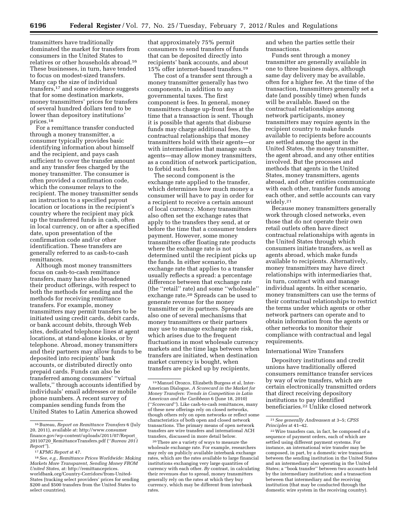transmitters have traditionally dominated the market for transfers from consumers in the United States to relatives or other households abroad.16 These businesses, in turn, have tended to focus on modest-sized transfers. Many cap the size of individual transfers,17 and some evidence suggests that for some destination markets, money transmitters' prices for transfers of several hundred dollars tend to be lower than depository institutions' prices.18

For a remittance transfer conducted through a money transmitter, a consumer typically provides basic identifying information about himself and the recipient, and pays cash sufficient to cover the transfer amount and any transfer fees charged by the money transmitter. The consumer is often provided a confirmation code, which the consumer relays to the recipient. The money transmitter sends an instruction to a specified payout location or locations in the recipient's country where the recipient may pick up the transferred funds in cash, often in local currency, on or after a specified date, upon presentation of the confirmation code and/or other identification. These transfers are generally referred to as cash-to-cash remittances.

Although most money transmitters focus on cash-to-cash remittance transfers, many have also broadened their product offerings, with respect to both the methods for sending and the methods for receiving remittance transfers. For example, money transmitters may permit transfers to be initiated using credit cards, debit cards, or bank account debits, through Web sites, dedicated telephone lines at agent locations, at stand-alone kiosks, or by telephone. Abroad, money transmitters and their partners may allow funds to be deposited into recipients' bank accounts, or distributed directly onto prepaid cards. Funds can also be transferred among consumers' ''virtual wallets,'' through accounts identified by individuals' email addresses or mobile phone numbers. A recent survey of companies sending funds from the United States to Latin America showed

that approximately 75% permit consumers to send transfers of funds that can be deposited directly into recipients' bank accounts, and about 15% offer internet-based transfers.19

The cost of a transfer sent through a money transmitter generally has two components, in addition to any governmental taxes. The first component is fees. In general, money transmitters charge up-front fees at the time that a transaction is sent. Though it is possible that agents that disburse funds may charge additional fees, the contractual relationships that money transmitters hold with their agents—or with intermediaries that manage such agents—may allow money transmitters, as a condition of network participation, to forbid such fees.

The second component is the exchange rate applied to the transfer, which determines how much money a consumer will have to pay in order for a recipient to receive a certain amount of local currency. Money transmitters also often set the exchange rates that apply to the transfers they send, at or before the time that a consumer tenders payment. However, some money transmitters offer floating rate products where the exchange rate is not determined until the recipient picks up the funds. In either scenario, the exchange rate that applies to a transfer usually reflects a spread: a percentage difference between that exchange rate (the ''retail'' rate) and some ''wholesale'' exchange rate.20 Spreads can be used to generate revenue for the money transmitter or its partners. Spreads are also one of several mechanisms that money transmitters or their partners may use to manage exchange rate risk, which arises due to the frequent fluctuations in most wholesale currency markets and the time lags between when transfers are initiated, when destination market currency is bought, when transfers are picked up by recipients,

20There are a variety of ways to measure the wholesale exchange rate. For example, researchers may rely on publicly available interbank exchange rates, which are the rates available to large financial institutions exchanging very large quantities of currency with each other. *By* contrast, in calculating their revenues due to spread, money transmitters generally rely on the rates at which they buy currency, which may be different from interbank rates.

and when the parties settle their transactions.

Funds sent through a money transmitter are generally available in one to three business days, although same day delivery may be available, often for a higher fee. At the time of the transaction, transmitters generally set a date (and possibly time) when funds will be available. Based on the contractual relationships among network participants, money transmitters may require agents in the recipient country to make funds available to recipients before accounts are settled among the agent in the United States, the money transmitter, the agent abroad, and any other entities involved. But the processes and methods that agents in the United States, money transmitters, agents abroad, and other entities communicate with each other, transfer funds among each other, and settle accounts can vary widely.21

Because money transmitters generally work through closed networks, even those that do not operate their own retail outlets often have direct contractual relationships with agents in the United States through which consumers initiate transfers, as well as agents abroad, which make funds available to recipients. Alternatively, money transmitters may have direct relationships with intermediaries that, in turn, contract with and manage individual agents. In either scenario, money transmitters can use the terms of their contractual relationships to restrict the terms under which agents or other network partners can operate and to obtain information from the agents or other networks to monitor their compliance with contractual and legal requirements.

#### International Wire Transfers

Depository institutions and credit unions have traditionally offered consumers remittance transfer services by way of wire transfers, which are certain electronically transmitted orders that direct receiving depository institutions to pay identified beneficiaries.<sup>22</sup> Unlike closed network

<sup>16</sup>Bureau, *Report on Remittance Transfers* 6 (July 20, 2011), available at: http://www.consumer finance.gov/wp-content/uploads/2011/07/Report\_ 20110720\_RemittanceTransfers.pdf (''*Bureau 2011 Report''*).

<sup>17</sup>*KPMG Report* at 47.

<sup>18</sup>*See, e.g., Remittance Prices Worldwide: Making Markets More Transparent, Sending Money FROM United States,* at: http://remittanceprices. worldbank.org/Country-Corridors/from-United-States (tracking select providers' prices for sending \$200 and \$500 transfers from the United States to select countries).

<sup>19</sup>Manuel Orozco, Elizabeth Burgess et al, Inter-American Dialogue, *A Scorecard in the Market for Money Transfers: Trends in Competition in Latin American and the Caribbean* 6 (June 18, 2010) (''*Scorecard''*). Like cash-to-cash remittances, many of these new offerings rely on closed networks, though others rely on open networks or reflect some characteristics of both open and closed network transactions. The primary means of open network transfers are wire transfers and international ACH transfers, discussed in more detail below.

<sup>21</sup>*See generally Andreassen* at 3–5; *CPSS Principles* at 41–42.

<sup>22</sup>Wire transfers can, in fact, be composed of a sequence of payment orders, each of which are settled using different payment systems. For instance, an international wire transfer may be composed, in part, by a domestic wire transaction between the sending institution in the United States and an intermediary also operating in the United States; a ''book transfer'' between two accounts held by the intermediary institution; and a transaction between that intermediary and the receiving institution (that may be conducted through the domestic wire system in the receiving country).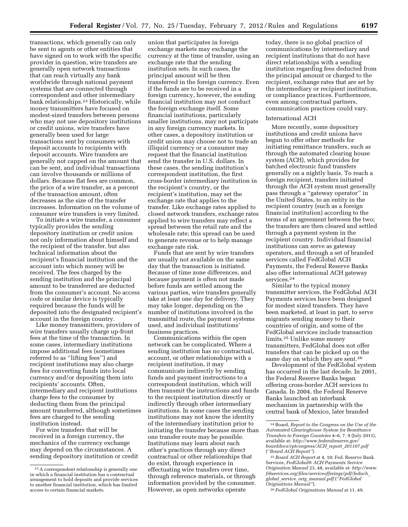transactions, which generally can only be sent to agents or other entities that have signed on to work with the specific provider in question, wire transfers are generally open network transactions that can reach virtually any bank worldwide through national payment systems that are connected through correspondent and other intermediary bank relationships.23 Historically, while money transmitters have focused on modest-sized transfers between persons who may not use depository institutions or credit unions, wire transfers have generally been used for large transactions sent by consumers with deposit accounts to recipients with deposit accounts. Wire transfers are generally not capped on the amount that can be sent, and individual transactions can involve thousands or millions of dollars. Because flat fees are common, the price of a wire transfer, as a percent of the transaction amount, often decreases as the size of the transfer increases. Information on the volume of consumer wire transfers is very limited.

To initiate a wire transfer, a consumer typically provides the sending depository institution or credit union not only information about himself and the recipient of the transfer, but also technical information about the recipient's financial institution and the account into which money will be received. The fees charged by the sending institution and the principal amount to be transferred are deducted from the consumer's account. No access code or similar device is typically required because the funds will be deposited into the designated recipient's account in the foreign country.

Like money transmitters, providers of wire transfers usually charge up-front fees at the time of the transaction. In some cases, intermediary institutions impose additional fees (sometimes referred to as ''lifting fees'') and recipient institutions may also charge fees for converting funds into local currency and/or depositing them into recipients' accounts. Often, intermediary and recipient institutions charge fees to the consumer by deducting them from the principal amount transferred, although sometimes fees are charged to the sending institution instead.

For wire transfers that will be received in a foreign currency, the mechanics of the currency exchange may depend on the circumstances. A sending depository institution or credit

union that participates in foreign exchange markets may exchange the currency at the time of transfer, using an exchange rate that the sending institution sets. In such cases, the principal amount will be then transferred in the foreign currency. Even if the funds are to be received in a foreign currency, however, the sending financial institution may not conduct the foreign exchange itself. Some financial institutions, particularly smaller institutions, may not participate in any foreign currency markets. In other cases, a depository institution or credit union may choose not to trade an illiquid currency or a consumer may request that the financial institution send the transfer in U.S. dollars. In these cases, the sending institution's correspondent institution, the first cross-border intermediary institution in the recipient's country, or the recipient's institution, may set the exchange rate that applies to the transfer. Like exchange rates applied to closed network transfers, exchange rates applied to wire transfers may reflect a spread between the retail rate and the wholesale rate; this spread can be used to generate revenue or to help manage exchange rate risk.

Funds that are sent by wire transfers are usually not available on the same day that the transaction is initiated. Because of time zone differences, and because payment is often not made before funds are settled among the various parties, wire transfers generally take at least one day for delivery. They may take longer, depending on the number of institutions involved in the transmittal route, the payment systems used, and individual institutions' business practices.

Communications within the open network can be complicated. Where a sending institution has no contractual, account, or other relationships with a recipient institution, it may communicate indirectly by sending funds and payment instructions to a correspondent institution, which will then transmit the instructions and funds to the recipient institution directly or indirectly through other intermediary institutions. In some cases the sending institutions may not know the identity of the intermediary institution prior to initiating the transfer because more than one transfer route may be possible. Institutions may learn about each other's practices through any direct contractual or other relationships that do exist, through experience in effectuating wire transfers over time, through reference materials, or through information provided by the consumer. However, as open networks operate

today, there is no global practice of communications by intermediary and recipient institutions that do not have direct relationships with a sending institution regarding fees deducted from the principal amount or charged to the recipient, exchange rates that are set by the intermediary or recipient institution, or compliance practices. Furthermore, even among contractual partners, communication practices could vary.

# International ACH

More recently, some depository institutions and credit unions have begun to offer other methods for initiating remittance transfers, such as through the automated clearing house system (ACH), which provides for batched electronic fund transfers generally on a nightly basis. To reach a foreign recipient, transfers initiated through the ACH system must generally pass through a ''gateway operator'' in the United States, to an entity in the recipient country (such as a foreign financial institution) according to the terms of an agreement between the two; the transfers are then cleared and settled through a payment system in the recipient country. Individual financial institutions can serve as gateway operators, and through a set of branded services called FedGlobal ACH Payments, the Federal Reserve Banks also offer international ACH gateway services.24

Similar to the typical money transmitter services, the FedGlobal ACH Payments services have been designed for modest sized transfers. They have been marketed, at least in part, to serve migrants sending money to their countries of origin, and some of the FedGlobal services include transaction limits.25 Unlike some money transmitters, FedGlobal does not offer transfers that can be picked up on the same day on which they are sent.<sup>26</sup>

Development of the FedGlobal system has occurred in the last decade. In 2001, the Federal Reserve Banks began offering cross-border ACH services to Canada. In 2004, the Federal Reserve Banks launched an interbank mechanism in partnership with the central bank of Mexico, later branded

26*FedGlobal Originations Manual* at 11, 49.

<sup>23</sup>A correspondent relationship is generally one in which a financial institution has a contractual arrangement to hold deposits and provide services to another financial institution, which has limited access to certain financial markets.

<sup>24</sup>Board, *Report to the Congress on the Use of the Automated Clearinghouse System for Remittance Transfers to Foreign Countries* 4–6, 7, 9 (July 2011), available at: *[http://www.federalreserve.gov/](http://www.federalreserve.gov/boarddocs/rptcongress/ACH_report_201107.pdf) [boarddocs/rptcongress/ACH](http://www.federalreserve.gov/boarddocs/rptcongress/ACH_report_201107.pdf)*\_*report*\_*201107.pdf*  (''*Board ACH Report''*).

<sup>25</sup>*Board ACH Report* at 4, 10; Fed. Reserve Bank Services, *FedGlobal*® *ACH Payments Service Origination Manual* 23, 48, available at: *[http://www.](http://www.frbservices.org/files/serviceofferings/pdf/fedach_global_service_orig_manual.pdf) [frbservices.org/files/serviceofferings/pdf/fedach](http://www.frbservices.org/files/serviceofferings/pdf/fedach_global_service_orig_manual.pdf)*\_ *global*\_*service*\_*orig*\_*[manual.pdf](http://www.frbservices.org/files/serviceofferings/pdf/fedach_global_service_orig_manual.pdf)* (''*FedGlobal Originations Manual''*).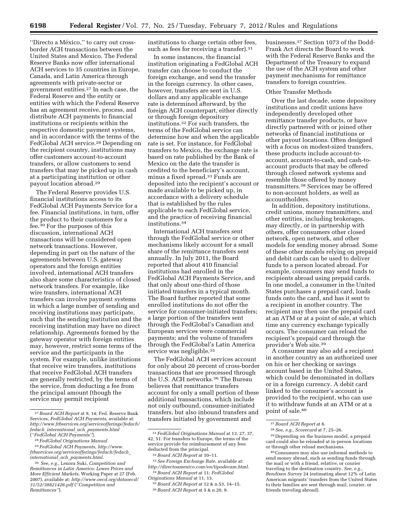"Directo a México," to carry out crossborder ACH transactions between the United States and Mexico. The Federal Reserve Banks now offer international ACH services to 35 countries in Europe, Canada, and Latin America through agreements with private-sector or government entities.27 In each case, the Federal Reserve and the entity or entities with which the Federal Reserve has an agreement receive, process, and distribute ACH payments to financial institutions or recipients within the respective domestic payment systems, and in accordance with the terms of the FedGlobal ACH service.<sup>28</sup> Depending on the recipient country, institutions may offer customers account-to-account transfers, or allow customers to send transfers that may be picked up in cash at a participating institution or other payout location abroad.29

The Federal Reserve provides U.S. financial institutions access to its FedGlobal ACH Payments Service for a fee. Financial institutions, in turn, offer the product to their customers for a fee.30 For the purposes of this discussion, international ACH transactions will be considered open network transactions. However, depending in part on the nature of the agreements between U.S. gateway operators and the foreign entities involved, international ACH transfers also share some characteristics of closed network transfers. For example, like wire transfers, international ACH transfers can involve payment systems in which a large number of sending and receiving institutions may participate, such that the sending institution and the receiving institution may have no direct relationship. Agreements formed by the gateway operator with foreign entities may, however, restrict some terms of the service and the participants in the system. For example, unlike institutions that receive wire transfers, institutions that receive FedGlobal ACH transfers are generally restricted, by the terms of the service, from deducting a fee from the principal amount (though the service may permit recipient

institutions to charge certain other fees, such as fees for receiving a transfer).<sup>31</sup>

In some instances, the financial institution originating a FedGlobal ACH transfer can choose to conduct the foreign exchange, and send the transfer in the foreign currency. In other cases, however, transfers are sent in U.S. dollars and any applicable exchange rate is determined afterward, by the foreign ACH counterpart, either directly or through foreign depository institutions.32 For such transfers, the terms of the FedGlobal service can determine how and when the applicable rate is set. For instance, for FedGlobal transfers to Mexico, the exchange rate is based on rate published by the Bank of Mexico on the date the transfer is credited to the beneficiary's account, minus a fixed spread.33 Funds are deposited into the recipient's account or made available to be picked up, in accordance with a delivery schedule that is established by the rules applicable to each FedGlobal service, and the practice of receiving financial institutions.34

International ACH transfers sent through the FedGlobal service or other mechanisms likely account for a small share of the remittance transfers sent annually. In July 2011, the Board reported that about 410 financial institutions had enrolled in the FedGlobal ACH Payments Service, and that only about one-third of those initiated transfers in a typical month. The Board further reported that some enrolled institutions do not offer the service for consumer-initiated transfers; a large portion of the transfers sent through the FedGlobal's Canadian and European services were commercial payments; and the volume of transfers through the FedGlobal's Latin America service was negligible.<sup>35</sup>

The FedGlobal ACH services account for only about 20 percent of cross-border transactions that are processed through the U.S. ACH networks.36 The Bureau believes that remittance transfers account for only a small portion of these additional transactions, which include not only outbound, consumer-initiated transfers, but also inbound transfers and transfers initiated by government and

33*See Foreign Exchange Rate,* available at: *[http://directoamexico.com/en/tipodecam.html.](http://directoamexico.com/en/tipodecam.html)*  34*Board ACH Report* at 11; *FedGlobal* 

- *Originations Manual* at 11, 13.
- 35*Board ACH Report* at 12 & n.53, 14–15.
- 36*Board ACH Report* at 5 & n.20, 9.

businesses.37 Section 1073 of the Dodd-Frank Act directs the Board to work with the Federal Reserve Banks and the Department of the Treasury to expand the use of the ACH system and other payment mechanisms for remittance transfers to foreign countries.

#### Other Transfer Methods

Over the last decade, some depository institutions and credit unions have independently developed other remittance transfer products, or have directly partnered with or joined other networks of financial institutions or other payout locations. Often designed with a focus on modest-sized transfers, these products include account-toaccount, account-to-cash, and cash-toaccount products that may be offered through closed network systems and resemble those offered by money transmitters.38 Services may be offered to non-account holders, as well as accountholders.

In addition, depository institutions, credit unions, money transmitters, and other entities, including brokerages, may directly, or in partnership with others, offer consumers other closed network, open network, and other models for sending money abroad. Some of these other models relying on prepaid and debit cards can be used to deliver funds to a person located abroad. For example, consumers may send funds to recipients abroad using prepaid cards. In one model, a consumer in the United States purchases a prepaid card, loads funds onto the card, and has it sent to a recipient in another country. The recipient may then use the prepaid card at an ATM or at a point of sale, at which time any currency exchange typically occurs. The consumer can reload the recipient's prepaid card through the provider's Web site.39

A consumer may also add a recipient in another country as an authorized user on his or her checking or savings account based in the United States, which could be denominated in dollars or in a foreign currency. A debit card linked to the consumer's account is provided to the recipient, who can use it to withdraw funds at an ATM or at a point of sale.40

<sup>27</sup>*Board ACH Report* at 9, 14; Fed. Reserve Bank Services, *FedGlobal ACH Payments,* available at: *[http://www.frbservices.org/serviceofferings/fedach/](http://www.frbservices.org/serviceofferings/fedach/fedach_international_ach_payments.html) fedach*\_*international*\_*ach*\_*[payments.html](http://www.frbservices.org/serviceofferings/fedach/fedach_international_ach_payments.html)*  (''*FedGlobal ACH Payments''*).

<sup>28</sup>*FedGlobal Originations Manual.* 

<sup>29</sup>*FedGlobal ACH Payments, [http://www.](http://www.frbservices.org/serviceofferings/fedach/fedach_international_ach_payments.html) [frbservices.org/serviceofferings/fedach/fedach](http://www.frbservices.org/serviceofferings/fedach/fedach_international_ach_payments.html)*\_ *international*\_*ach*\_*[payments.html](http://www.frbservices.org/serviceofferings/fedach/fedach_international_ach_payments.html)*.

<sup>30</sup> *See, e.g.,* Lenora Suki, *Competition and Remittances in Latin America: Lower Prices and More Efficient Markets,* Working Paper at 27 (Feb. 2007), available at: *[http://www.oecd.org/dataoecd/](http://www.oecd.org/dataoecd/31/52/38821426.pdf)  [31/52/38821426.pdf](http://www.oecd.org/dataoecd/31/52/38821426.pdf)* (''*Competition and Remittances''*).

<sup>31</sup>*FedGlobal Originations Manual* at 13, 27, 37, 42, 51. For transfers to Europe, the terms of the service provide for reimbursement of any fees deducted from the principal.

<sup>32</sup>*Board ACH Report* at 10–11.

<sup>37</sup>*Board ACH Report* at 6.

<sup>38</sup>*See, e.g., Scorecard* at 7, 25–26.

<sup>39</sup> Depending on the business model, a prepaid card could also be reloaded at in-person locations or through other reload mechanisms.

<sup>40</sup>Consumers may also use informal methods to send money abroad, such as sending funds through the mail or with a friend, relative, or courier traveling to the destination country. *See, e.g., Bendixen Survey* 24 (estimating about 12% of Latin American migrants' transfers from the United States to their families are sent through mail, courier, or friends traveling abroad).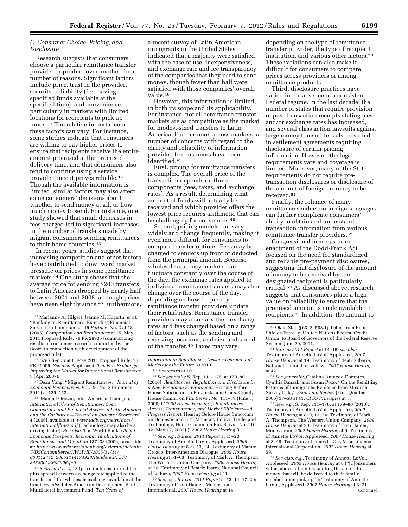# *C. Consumer Choice, Pricing, and Disclosure*

Research suggests that consumers choose a particular remittance transfer provider or product over another for a number of reasons. Significant factors include price, trust in the provider, security, reliability (*i.e.,* having specified funds available at the specified time), and convenience, particularly in markets with limited locations for recipients to pick up funds.41 The relative importance of these factors can vary. For instance, some studies indicate that consumers are willing to pay higher prices to ensure that recipients receive the entire amount promised at the promised delivery time, and that consumers also tend to continue using a service provider once it proves reliable.42 Though the available information is limited, similar factors may also affect some consumers' decisions about whether to send money at all, or how much money to send. For instance, one study showed that small decreases in fees charged led to significant increases in the number of transfers made by migrant consumers sending remittances to their home countries.<sup>43</sup>

In recent years, studies suggest that increasing competition and other factors have contributed to downward market pressure on prices in some remittance markets.44 One study shows that the average price for sending \$200 transfers to Latin America dropped by nearly half between 2001 and 2008, although prices have risen slightly since.<sup>45</sup> Furthermore,

44 Manuel Orozco, Inter-American Dialogue, *International Flow of Remittances: Cost, Competition and Financial Access in Latin America and the Caribbean—Toward an Industry Scorecard*  4 (2006), available at: *[www.iadb.org/news/docs/](http://www.iadb.org/news/docs/internationalflows.pdf) [internationalflows.pdf](http://www.iadb.org/news/docs/internationalflows.pdf)* (Technology may also be a driving factor). *See also,* The World Bank, *Global Economic Prospects: Economic Implications of Remittances and Migration* 137–38 (2006), available at: *[http://www-wds.worldbank.org/external/default/](http://www-wds.worldbank.org/external/default/WDSContentServer/IW3P/IB/2005/11/14/000112742_20051114174928/Rendered/PDF/343200GEP02006.pdf) [WDSContentServer/IW3P/IB/2005/11/14/](http://www-wds.worldbank.org/external/default/WDSContentServer/IW3P/IB/2005/11/14/000112742_20051114174928/Rendered/PDF/343200GEP02006.pdf) 000112742*\_*[20051114174928/Rendered/PDF/](http://www-wds.worldbank.org/external/default/WDSContentServer/IW3P/IB/2005/11/14/000112742_20051114174928/Rendered/PDF/343200GEP02006.pdf) [343200GEP02006.pdf.](http://www-wds.worldbank.org/external/default/WDSContentServer/IW3P/IB/2005/11/14/000112742_20051114174928/Rendered/PDF/343200GEP02006.pdf)* 

45*Scorecard* at 2, 13 (price includes upfront fee plus spread between exchange rate applied to the transfer and the wholesale exchange available at the time); *see also* Inter-American Development Bank, Multilateral Investment Fund, *Ten Years of* 

a recent survey of Latin American immigrants in the United States indicated that a majority were satisfied with the ease of use, inexpensiveness, and exchange rate and fee transparency of the companies that they used to send money, though fewer than half were satisfied with those companies' overall value.46

However, this information is limited, in both its scope and its applicability. For instance, not all remittance transfer markets are as competitive as the market for modest-sized transfers to Latin America. Furthermore, across markets, a number of concerns with regard to the clarity and reliability of information provided to consumers have been identified.47

First, pricing for remittance transfers is complex. The overall price of the transaction depends on three components (fees, taxes, and exchange rates). As a result, determining what amount of funds will actually be received and which provider offers the lowest price requires arithmetic that can be challenging for consumers.48

Second, pricing models can vary widely and change frequently, making it even more difficult for consumers to compare transfer options. Fees may be charged to senders up front or deducted from the principal amount. Because wholesale currency markets can fluctuate constantly over the course of the day, the exchange rates applied to individual remittance transfers may also change over the course of the day, depending on how frequently remittance transfer providers update their retail rates. Remittance transfer providers may also vary their exchange rates and fees charged based on a range of factors, such as the sending and receiving locations, and size and speed of the transfer.49 Taxes may vary

47*See generally* S. Rep. 111–176, at 179–80 (2010); *Remittances: Regulation and Disclosure in a New Economic Environment,* Hearing Before House Subcomm. on Fin. Insts. and Cons. Credit, House Comm. on Fin. Servs., No. 111–39 (June 3, 2009) (''*2009 House Hearing''*); *Remittances:*   $Access$ , Transparency, and Market Efficiency-*Progress Report,* Hearing Before House Subcomm. on Domestic and Int'l Monetary Policy, Trade, and Technology, House Comm. on Fin. Servs., No. 110– 32 (May 17, 2007) (''*2007 House Hearing''*).

48*See, e.g., Bureau 2011 Report* at 17–20; Testimony of Annette LoVoi, Appleseed, *2009 House Hearing* at 8–9, 13, 24; Testimony of Manuel Orozco, Inter-American Dialogue, *2009 House Hearing* at 61–63; Testimony of Mark A. Thompson, The Western Union Company, *2009 House Hearing*  at 20; Testimony of Beatriz Ibarra, National Council of La Raza, *2007 House Hearing* at 41.

49*See, e.g., Bureau 2011 Report* at 13–14, 17–20; Testimony of Tom Haider, MoneyGram International, *2007 House Hearing* at 14.

depending on the type of remittance transfer provider, the type of recipient institution, and various other factors.50 These variations can also make it difficult for consumers to compare prices across providers or among remittance products.

Third, disclosure practices have varied in the absence of a consistent Federal regime. In the last decade, the number of states that require provision of post-transaction receipts stating fees and/or exchange rates has increased, and several class action lawsuits against large money transmitters also resulted in settlement agreements requiring disclosure of certain pricing information. However, the legal requirements vary and coverage is limited. Moreover, many of the State requirements do not require pretransaction disclosures or disclosure of the amount of foreign currency to be received.51

Finally, the reliance of many remittance senders on foreign languages can further complicate consumers' ability to obtain and understand transaction information from various remittance transfer providers.52

Congressional hearings prior to enactment of the Dodd-Frank Act focused on the need for standardized and reliable pre-payment disclosures, suggesting that disclosure of the amount of money to be received by the designated recipient is particularly critical.53 As discussed above, research suggests that consumers place a high value on reliability to ensure that the promised amount is made available to recipients.54 In addition, the amount to

52*See generally,* Catalina Amuedo-Dorantes, Cynthia Bansak, and Susan Pozo, ''On the Remitting Patterns of Immigrants: Evidence from Mexican Survey Data,'' *Economic Review* (First Quarter 2005) 37–58 at 41, *CPSS Principles* at 3.

53*See, e.g.,* S. Rep. 111–176, at 179–80 (2010); Testimony of Annette LoVoi, Appleseed, *2009 House Hearing* at 8–9, 13, 24; Testimony of Mark A. Thompson, The Western Union Company, *2009 House Hearing* at 20; Testimony of Tom Haider, MoneyGram, *2007 House Hearing* at 9; Testimony of Annette LoVoi, Appleseed, *2007 House Hearing*  at 3, 49; Testimony of James C. Orr, Microfinance International Corporation, *2007 House Hearing* at 59.

54*See also, e.g.,* Testimony of Annette LoVoi, Appleseed, *2009 House Hearing* at 8 (''[C]onsumers value, above all, understanding the amount of money that will be delivered to their family member upon pick-up.''); Testimony of Annette LoVoi, Appleseed, *2007 House Hearing* at 3, 21 Continued

<sup>41</sup>Marianne A. Hilgert, Jeanne M. Hogarth, *et al.*  ''Banking on Remittances: Extending Financial Services to Immigrants.'' 15 *Partners* No. 2 at 18 (2005); *Competition and Remittances* at 25; May 2011 Proposed Rule, 76 FR 29905 (summarizing results of consumer research conducted by the Board in connection with development of the proposed rule).

<sup>42</sup> *GAO Report* at 8; May 2011 Proposed Rule, 76 FR 29905. *See also* Appleseed, *The Fair Exchange: Improving the Market for International Remittances*  7 (Apr. 2007).

<sup>43</sup> Dean Yang, ''Migrant Remittances,'' *Journal of Economic Perspectives,* Vol. 25, No. 3 (Summer 2011) at 129–152.

*Innovation in Remittances: Lessons Learned and Models for the Future* 8 (2010).

<sup>46</sup> *Scorecard* at 10.

 $^{50}\rm{O}$ kla. Stat. § 63–2–503.1j; Letter from Bobi Shields-Farrelly, United Nations Federal Credit Union, to Board of Governors of the Federal Reserve System, June 29, 2011.

<sup>51</sup>*Bureau 2011 Report* at 14–16; *see also*  Testimony of Annette LoVoi, Appleseed, *2007 House Hearing* at 19; Testimony of Beatriz Ibarra, National Council of La Raza, *2007 House Hearing*  at 42.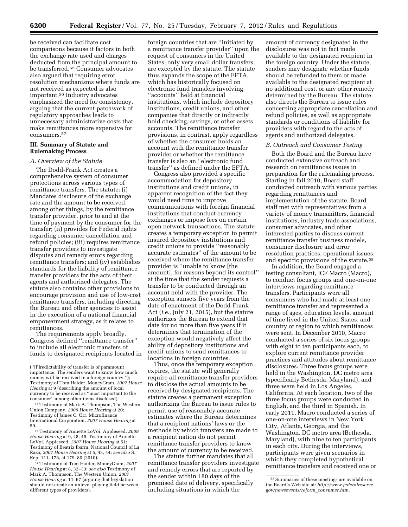be received can facilitate cost comparisons because it factors in both the exchange rate used and charges deducted from the principal amount to be transferred.<sup>55</sup> Consumer advocates also argued that requiring error resolution mechanisms where funds are not received as expected is also important.56 Industry advocates emphasized the need for consistency, arguing that the current patchwork of regulatory approaches leads to unnecessary administrative costs that make remittances more expensive for consumers.57

# **III. Summary of Statute and Rulemaking Process**

### *A. Overview of the Statute*

The Dodd-Frank Act creates a comprehensive system of consumer protections across various types of remittance transfers. The statute: (i) Mandates disclosure of the exchange rate and the amount to be received, among other things, by the remittance transfer provider, prior to and at the time of payment by the consumer for the transfer; (ii) provides for Federal rights regarding consumer cancellation and refund policies; (iii) requires remittance transfer providers to investigate disputes and remedy errors regarding remittance transfers; and (iv) establishes standards for the liability of remittance transfer providers for the acts of their agents and authorized delegates. The statute also contains other provisions to encourage provision and use of low-cost remittance transfers, including directing the Bureau and other agencies to assist in the execution of a national financial empowerment strategy, as it relates to remittances.

The requirements apply broadly. Congress defined ''remittance transfer'' to include all electronic transfers of funds to designated recipients located in

56Testimony of Annette LoVoi, Appleseed, *2009 House Hearing* at 9, 48, 49; Testimony of Annette LoVoi, Appleseed, *2007 House Hearing* at 51; Testimony of Beatriz Ibarra, National Council of La Raza, *2007 House Hearing* at 5, 43, 44; *see also* S. Rep. 111–176, at 179–80 (2010).

57Testimony of Tom Haider, MoneyGram, *2007 House Hearing* at 8, 32–33; *see also* Testimony of Mark A. Thompson, The Western Union, *2007 House Hearing* at 11, 67 (arguing that legislation should not create an unlevel playing field between different types of providers).

foreign countries that are ''initiated by a remittance transfer provider'' upon the request of consumers in the United States; only very small dollar transfers are excepted by the statute. The statute thus expands the scope of the EFTA, which has historically focused on electronic fund transfers involving ''accounts'' held at financial institutions, which include depository institutions, credit unions, and other companies that directly or indirectly hold checking, savings, or other assets accounts. The remittance transfer provisions, in contrast, apply regardless of whether the consumer holds an account with the remittance transfer provider or whether the remittance transfer is also an ''electronic fund transfer'' as defined under the EFTA.

Congress also provided a specific accommodation for depository institutions and credit unions, in apparent recognition of the fact they would need time to improve communications with foreign financial institutions that conduct currency exchanges or impose fees on certain open network transactions. The statute creates a temporary exception to permit insured depository institutions and credit unions to provide ''reasonably accurate estimates'' of the amount to be received where the remittance transfer provider is ''unable to know [the amount], for reasons beyond its control'' at the time that the sender requests a transfer to be conducted through an account held with the provider. The exception sunsets five years from the date of enactment of the Dodd-Frank Act (*i.e.,* July 21, 2015), but the statute authorizes the Bureau to extend that date for no more than five years if it determines that termination of the exception would negatively affect the ability of depository institutions and credit unions to send remittances to locations in foreign countries.

Thus, once the temporary exception expires, the statute will generally require all remittance transfer providers to disclose the actual amounts to be received by designated recipients. The statute creates a permanent exception authorizing the Bureau to issue rules to permit use of reasonably accurate estimates where the Bureau determines that a recipient nations' laws or the methods by which transfers are made to a recipient nation do not permit remittance transfer providers to know the amount of currency to be received.

The statute further mandates that all remittance transfer providers investigate and remedy errors that are reported by the sender within 180 days of the promised date of delivery, specifically including situations in which the

amount of currency designated in the disclosures was not in fact made available to the designated recipient in the foreign country. Under the statute, senders may designate whether funds should be refunded to them or made available to the designated recipient at no additional cost, or any other remedy determined by the Bureau. The statute also directs the Bureau to issue rules concerning appropriate cancellation and refund policies, as well as appropriate standards or conditions of liability for providers with regard to the acts of agents and authorized delegates.

# *B. Outreach and Consumer Testing*

Both the Board and the Bureau have conducted extensive outreach and research on remittances issues in preparation for the rulemaking process. Starting in fall 2010, Board staff conducted outreach with various parties regarding remittances and implementation of the statute. Board staff met with representatives from a variety of money transmitters, financial institutions, industry trade associations, consumer advocates, and other interested parties to discuss current remittance transfer business models, consumer disclosure and error resolution practices, operational issues, and specific provisions of the statute.58

In addition, the Board engaged a testing consultant, ICF Macro (Macro), to conduct focus groups and one-on-one interviews regarding remittance transfers. Participants were all consumers who had made at least one remittance transfer and represented a range of ages, education levels, amount of time lived in the United States, and country or region to which remittances were sent. In December 2010, Macro conducted a series of six focus groups with eight to ten participants each, to explore current remittance provider practices and attitudes about remittance disclosures. Three focus groups were held in the Washington, DC metro area (specifically Bethesda, Maryland), and three were held in Los Angeles, California. At each location, two of the three focus groups were conducted in English, and the third in Spanish. In early 2011, Macro conducted a series of one-on-one interviews in New York City, Atlanta, Georgia, and the Washington, DC metro area (Bethesda, Maryland), with nine to ten participants in each city. During the interviews, participants were given scenarios in which they completed hypothetical remittance transfers and received one or

<sup>(&#</sup>x27;'[P]redictability of transfer is of paramount importance. The senders want to know how much money will be received in a foreign country.''); Testimony of Tom Haider, MoneyGram, *2007 House Hearing* at 9 (describing the amount of local currency to be received as ''most important to the consumer'' among other items disclosed).

<sup>55</sup>Testimony of Mark A. Thompson, The Western Union Company, *2009 House Hearing* at 20; Testimony of James C. Orr, Microfinance International Corporation, *2007 House Hearing* at 59.

<sup>58</sup>Summaries of these meetings are available on the Board's Web site at: *[http://www.federalreserve.](http://www.federalreserve.gov/newsevents/reform_consumer.htm) [gov/newsevents/reform](http://www.federalreserve.gov/newsevents/reform_consumer.htm)*\_*consumer.htm.*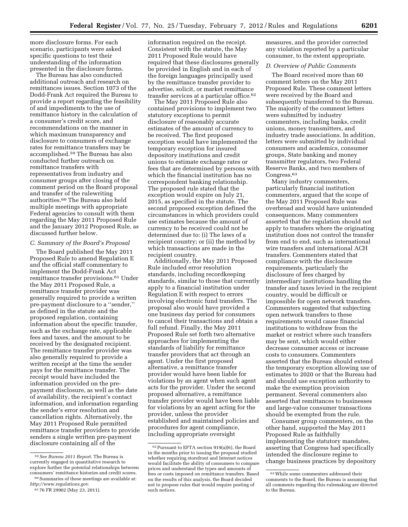more disclosure forms. For each scenario, participants were asked specific questions to test their understanding of the information presented in the disclosure forms.

The Bureau has also conducted additional outreach and research on remittances issues. Section 1073 of the Dodd-Frank Act required the Bureau to provide a report regarding the feasibility of and impediments to the use of remittance history in the calculation of a consumer's credit score, and recommendations on the manner in which maximum transparency and disclosure to consumers of exchange rates for remittance transfers may be accomplished.59 The Bureau has also conducted further outreach on remittance transfers with representatives from industry and consumer groups after closing of the comment period on the Board proposal and transfer of the rulewriting authorities.60 The Bureau also held multiple meetings with appropriate Federal agencies to consult with them regarding the May 2011 Proposed Rule and the January 2012 Proposed Rule, as discussed further below.

#### *C. Summary of the Board's Proposal*

The Board published the May 2011 Proposed Rule to amend Regulation E and the official staff commentary to implement the Dodd-Frank Act remittance transfer provisions.61 Under the May 2011 Proposed Rule, a remittance transfer provider was generally required to provide a written pre-payment disclosure to a ''sender,'' as defined in the statute and the proposed regulation, containing information about the specific transfer, such as the exchange rate, applicable fees and taxes, and the amount to be received by the designated recipient. The remittance transfer provider was also generally required to provide a written receipt at the time the sender pays for the remittance transfer. The receipt would have included the information provided on the prepayment disclosure, as well as the date of availability, the recipient's contact information, and information regarding the sender's error resolution and cancellation rights. Alternatively, the May 2011 Proposed Rule permitted remittance transfer providers to provide senders a single written pre-payment disclosure containing all of the

information required on the receipt. Consistent with the statute, the May 2011 Proposed Rule would have required that these disclosures generally be provided in English and in each of the foreign languages principally used by the remittance transfer provider to advertise, solicit, or market remittance transfer services at a particular office.62

The May 2011 Proposed Rule also contained provisions to implement two statutory exceptions to permit disclosure of reasonably accurate estimates of the amount of currency to be received. The first proposed exception would have implemented the temporary exception for insured depository institutions and credit unions to estimate exchange rates or fees that are determined by persons with which the financial institution has no correspondent banking relationship. The proposed rule stated that the exception would expire on July 21, 2015, as specified in the statute. The second proposed exception defined the circumstances in which providers could use estimates because the amount of currency to be received could not be determined due to: (i) The laws of a recipient country; or (ii) the method by which transactions are made in the recipient country.

Additionally, the May 2011 Proposed Rule included error resolution standards, including recordkeeping standards, similar to those that currently apply to a financial institution under Regulation E with respect to errors involving electronic fund transfers. The proposal also would have provided a one business day period for consumers to cancel their transactions and obtain a full refund. Finally, the May 2011 Proposed Rule set forth two alternative approaches for implementing the standards of liability for remittance transfer providers that act through an agent. Under the first proposed alternative, a remittance transfer provider would have been liable for violations by an agent when such agent acts for the provider. Under the second proposed alternative, a remittance transfer provider would have been liable for violations by an agent acting for the provider, unless the provider established and maintained policies and procedures for agent compliance, including appropriate oversight

measures, and the provider corrected any violation reported by a particular consumer, to the extent appropriate.

# *D. Overview of Public Comments*

The Board received more than 60 comment letters on the May 2011 Proposed Rule. These comment letters were received by the Board and subsequently transferred to the Bureau. The majority of the comment letters were submitted by industry commenters, including banks, credit unions, money transmitters, and industry trade associations. In addition, letters were submitted by individual consumers and academics, consumer groups, State banking and money transmitter regulators, two Federal Reserve Banks, and two members of Congress.63

Many industry commenters, particularly financial institution commenters, argued that the scope of the May 2011 Proposed Rule was overbroad and would have unintended consequences. Many commenters asserted that the regulation should not apply to transfers where the originating institution does not control the transfer from end to end, such as international wire transfers and international ACH transfers. Commenters stated that compliance with the disclosure requirements, particularly the disclosure of fees charged by intermediary institutions handling the transfer and taxes levied in the recipient country, would be difficult or impossible for open network transfers. Commenters suggested that subjecting open network transfers to these requirements would cause financial institutions to withdraw from the market or restrict where such transfers may be sent, which would either decrease consumer access or increase costs to consumers. Commenters asserted that the Bureau should extend the temporary exception allowing use of estimates to 2020 or that the Bureau had and should use exception authority to make the exemption provision permanent. Several commenters also asserted that remittances to businesses and large-value consumer transactions should be exempted from the rule.

Consumer group commenters, on the other hand, supported the May 2011 Proposed Rule as faithfully implementing the statutory mandates, asserting that Congress had specifically intended the disclosure regime to change business practices by depository

<sup>59</sup>*See Bureau 2011 Report.* The Bureau is currently engaged in quantitative research to explore further the potential relationships between consumers' remittance histories and credit scores.

<sup>60</sup>Summaries of these meetings are available at: *[http://www.regulations.gov.](http://www.regulations.gov)* 

<sup>61</sup> 76 FR 29902 (May 23, 2011).

<sup>62</sup>Pursuant to EFTA section 919(a)(6), the Board in the months prior to issuing the proposal studied whether requiring storefront and Internet notices would facilitate the ability of consumers to compare prices and understand the types and amounts of fees or costs imposed on remittance transfers. Based on the results of this analysis, the Board decided not to propose rules that would require posting of such notices.

<sup>63</sup>While some commenters addressed their comments to the Board, the Bureau is assuming that all comments regarding this rulemaking are directed to the Bureau.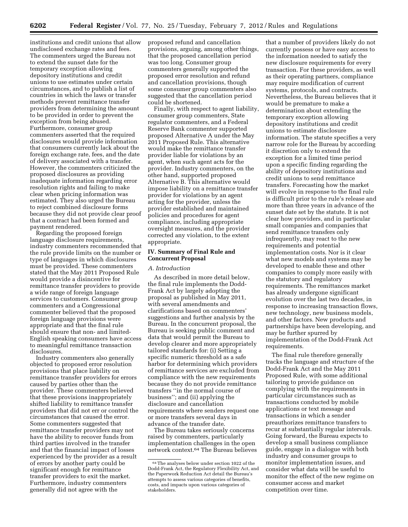institutions and credit unions that allow undisclosed exchange rates and fees. The commenters urged the Bureau not to extend the sunset date for the temporary exception allowing depository institutions and credit unions to use estimates under certain circumstances, and to publish a list of countries in which the laws or transfer methods prevent remittance transfer providers from determining the amount to be provided in order to prevent the exception from being abused. Furthermore, consumer group commenters asserted that the required disclosures would provide information that consumers currently lack about the foreign exchange rate, fees, and the date of delivery associated with a transfer. However, the commenters criticized the proposed disclosures as providing inadequate information regarding error resolution rights and failing to make clear when pricing information was estimated. They also urged the Bureau to reject combined disclosure forms because they did not provide clear proof that a contract had been formed and payment rendered.

Regarding the proposed foreign language disclosure requirements, industry commenters recommended that the rule provide limits on the number or type of languages in which disclosures must be provided. These commenters stated that the May 2011 Proposed Rule would provide a disincentive for remittance transfer providers to provide a wide range of foreign language services to customers. Consumer group commenters and a Congressional commenter believed that the proposed foreign language provisions were appropriate and that the final rule should ensure that non- and limited-English speaking consumers have access to meaningful remittance transaction disclosures.

Industry commenters also generally objected to proposed error resolution provisions that place liability on remittance transfer providers for errors caused by parties other than the provider. These commenters believed that these provisions inappropriately shifted liability to remittance transfer providers that did not err or control the circumstances that caused the error. Some commenters suggested that remittance transfer providers may not have the ability to recover funds from third parties involved in the transfer and that the financial impact of losses experienced by the provider as a result of errors by another party could be significant enough for remittance transfer providers to exit the market. Furthermore, industry commenters generally did not agree with the

proposed refund and cancellation provisions, arguing, among other things, that the proposed cancellation period was too long. Consumer group commenters generally supported the proposed error resolution and refund and cancellation provisions, though some consumer group commenters also suggested that the cancellation period could be shortened.

Finally, with respect to agent liability, consumer group commenters, State regulator commenters, and a Federal Reserve Bank commenter supported proposed Alternative A under the May 2011 Proposed Rule. This alternative would make the remittance transfer provider liable for violations by an agent, when such agent acts for the provider. Industry commenters, on the other hand, supported proposed Alternative B. This alternative would impose liability on a remittance transfer provider for violations by an agent acting for the provider, unless the provider established and maintained policies and procedures for agent compliance, including appropriate oversight measures, and the provider corrected any violation, to the extent appropriate.

# **IV. Summary of Final Rule and Concurrent Proposal**

# *A. Introduction*

As described in more detail below, the final rule implements the Dodd-Frank Act by largely adopting the proposal as published in May 2011, with several amendments and clarifications based on commenters' suggestions and further analysis by the Bureau. In the concurrent proposal, the Bureau is seeking public comment and data that would permit the Bureau to develop clearer and more appropriately tailored standards for: (i) Setting a specific numeric threshold as a safe harbor for determining which providers of remittance services are excluded from compliance with the new requirements because they do not provide remittance transfers ''in the normal course of business''; and (ii) applying the disclosure and cancellation requirements where senders request one or more transfers several days in advance of the transfer date.

The Bureau takes seriously concerns raised by commenters, particularly implementation challenges in the open network context.64 The Bureau believes

that a number of providers likely do not currently possess or have easy access to the information needed to satisfy the new disclosure requirements for every transaction. For these providers, as well as their operating partners, compliance may require modification of current systems, protocols, and contracts. Nevertheless, the Bureau believes that it would be premature to make a determination about extending the temporary exception allowing depository institutions and credit unions to estimate disclosure information. The statute specifies a very narrow role for the Bureau by according it discretion only to extend the exception for a limited time period upon a specific finding regarding the ability of depository institutions and credit unions to send remittance transfers. Forecasting how the market will evolve in response to the final rule is difficult prior to the rule's release and more than three years in advance of the sunset date set by the statute. It is not clear how providers, and in particular small companies and companies that send remittance transfers only infrequently, may react to the new requirements and potential implementation costs. Nor is it clear what new models and systems may be developed to enable these and other companies to comply more easily with the statutory and regulatory requirements. The remittances market has already undergone significant evolution over the last two decades, in response to increasing transaction flows, new technology, new business models, and other factors. New products and partnerships have been developing, and may be further spurred by implementation of the Dodd-Frank Act requirements.

The final rule therefore generally tracks the language and structure of the Dodd-Frank Act and the May 2011 Proposed Rule, with some additional tailoring to provide guidance on complying with the requirements in particular circumstances such as transactions conducted by mobile applications or text message and transactions in which a sender preauthorizes remittance transfers to recur at substantially regular intervals. Going forward, the Bureau expects to develop a small business compliance guide, engage in a dialogue with both industry and consumer groups to monitor implementation issues, and consider what data will be useful to monitor the effect of the new regime on consumer access and market competition over time.

<sup>64</sup>The analyses below under section 1022 of the Dodd-Frank Act, the Regulatory Flexibility Act, and the Paperwork Reduction Act detail the Bureau's attempts to assess various categories of benefits, costs, and impacts upon various categories of stakeholders.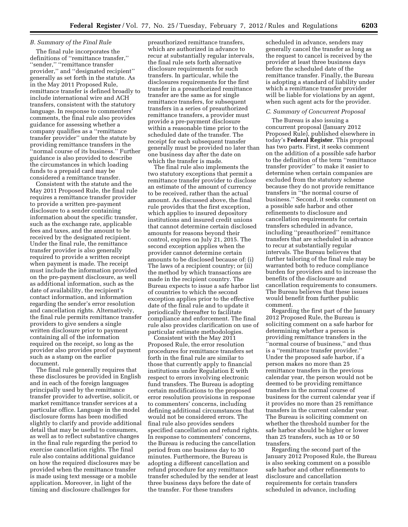# *B. Summary of the Final Rule*

The final rule incorporates the definitions of ''remittance transfer,'' ''sender,'' ''remittance transfer provider,'' and ''designated recipient'' generally as set forth in the statute. As in the May 2011 Proposed Rule, remittance transfer is defined broadly to include international wire and ACH transfers, consistent with the statutory language. In response to commenters' comments, the final rule also provides guidance for assessing whether a company qualifies as a ''remittance transfer provider'' under the statute by providing remittance transfers in the ''normal course of its business.'' Further guidance is also provided to describe the circumstances in which loading funds to a prepaid card may be considered a remittance transfer.

Consistent with the statute and the May 2011 Proposed Rule, the final rule requires a remittance transfer provider to provide a written pre-payment disclosure to a sender containing information about the specific transfer, such as the exchange rate, applicable fees and taxes, and the amount to be received by the designated recipient. Under the final rule, the remittance transfer provider is also generally required to provide a written receipt when payment is made. The receipt must include the information provided on the pre-payment disclosure, as well as additional information, such as the date of availability, the recipient's contact information, and information regarding the sender's error resolution and cancellation rights. Alternatively, the final rule permits remittance transfer providers to give senders a single written disclosure prior to payment containing all of the information required on the receipt, so long as the provider also provides proof of payment such as a stamp on the earlier document.

The final rule generally requires that these disclosures be provided in English and in each of the foreign languages principally used by the remittance transfer provider to advertise, solicit, or market remittance transfer services at a particular office. Language in the model disclosure forms has been modified slightly to clarify and provide additional detail that may be useful to consumers, as well as to reflect substantive changes in the final rule regarding the period to exercise cancellation rights. The final rule also contains additional guidance on how the required disclosures may be provided when the remittance transfer is made using text message or a mobile application. Moreover, in light of the timing and disclosure challenges for

preauthorized remittance transfers, which are authorized in advance to recur at substantially regular intervals, the final rule sets forth alternative disclosure requirements for such transfers. In particular, while the disclosures requirements for the first transfer in a preauthorized remittance transfer are the same as for single remittance transfers, for subsequent transfers in a series of preauthorized remittance transfers, a provider must provide a pre-payment disclosure within a reasonable time prior to the scheduled date of the transfer. The receipt for each subsequent transfer generally must be provided no later than one business day after the date on which the transfer is made.

The final rule also implements the two statutory exceptions that permit a remittance transfer provider to disclose an estimate of the amount of currency to be received, rather than the actual amount. As discussed above, the final rule provides that the first exception, which applies to insured depository institutions and insured credit unions that cannot determine certain disclosed amounts for reasons beyond their control, expires on July 21, 2015. The second exception applies when the provider cannot determine certain amounts to be disclosed because of: (i) The laws of a recipient country; or (ii) the method by which transactions are made in the recipient country. The Bureau expects to issue a safe harbor list of countries to which the second exception applies prior to the effective date of the final rule and to update it periodically thereafter to facilitate compliance and enforcement. The final rule also provides clarification on use of particular estimate methodologies.

Consistent with the May 2011 Proposed Rule, the error resolution procedures for remittance transfers set forth in the final rule are similar to those that currently apply to financial institutions under Regulation E with respect to errors involving electronic fund transfers. The Bureau is adopting certain modifications to the proposed error resolution provisions in response to commenters' concerns, including defining additional circumstances that would not be considered errors. The final rule also provides senders specified cancellation and refund rights. In response to commenters' concerns, the Bureau is reducing the cancellation period from one business day to 30 minutes. Furthermore, the Bureau is adopting a different cancellation and refund procedure for any remittance transfer scheduled by the sender at least three business days before the date of the transfer. For these transfers

scheduled in advance, senders may generally cancel the transfer as long as the request to cancel is received by the provider at least three business days before the scheduled date of the remittance transfer. Finally, the Bureau is adopting a standard of liability under which a remittance transfer provider will be liable for violations by an agent, when such agent acts for the provider.

#### *C. Summary of Concurrent Proposal*

The Bureau is also issuing a concurrent proposal (January 2012 Proposed Rule), published elsewhere in today's **Federal Register**. This proposal has two parts. First, it seeks comment on the addition of a possible safe harbor to the definition of the term ''remittance transfer provider'' to make it easier to determine when certain companies are excluded from the statutory scheme because they do not provide remittance transfers in ''the normal course of business.'' Second, it seeks comment on a possible safe harbor and other refinements to disclosure and cancellation requirements for certain transfers scheduled in advance, including ''preauthorized'' remittance transfers that are scheduled in advance to recur at substantially regular intervals. The Bureau believes that further tailoring of the final rule may be warranted both to reduce compliance burden for providers and to increase the benefits of the disclosure and cancellation requirements to consumers. The Bureau believes that these issues would benefit from further public comment.

Regarding the first part of the January 2012 Proposed Rule, the Bureau is soliciting comment on a safe harbor for determining whether a person is providing remittance transfers in the ''normal course of business,'' and thus is a ''remittance transfer provider.'' Under the proposed safe harbor, if a person makes no more than 25 remittance transfers in the previous calendar year, the person would not be deemed to be providing remittance transfers in the normal course of business for the current calendar year if it provides no more than 25 remittance transfers in the current calendar year. The Bureau is soliciting comment on whether the threshold number for the safe harbor should be higher or lower than 25 transfers, such as 10 or 50 transfers.

Regarding the second part of the January 2012 Proposed Rule, the Bureau is also seeking comment on a possible safe harbor and other refinements to disclosure and cancellation requirements for certain transfers scheduled in advance, including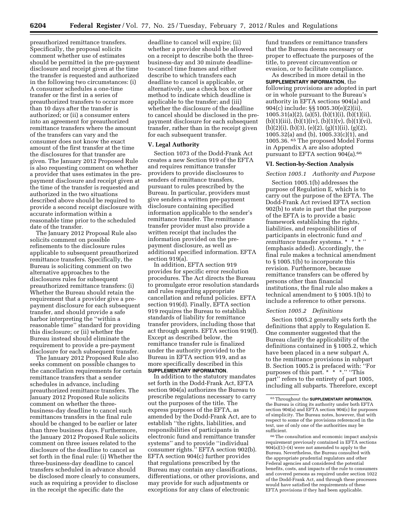preauthorized remittance transfers. Specifically, the proposal solicits comment whether use of estimates should be permitted in the pre-payment disclosure and receipt given at the time the transfer is requested and authorized in the following two circumstances: (i) A consumer schedules a one-time transfer or the first in a series of preauthorized transfers to occur more than 10 days after the transfer is authorized; or (ii) a consumer enters into an agreement for preauthorized remittance transfers where the amount of the transfers can vary and the consumer does not know the exact amount of the first transfer at the time the disclosures for that transfer are given. The January 2012 Proposed Rule is also requesting comment on whether a provider that uses estimates in the prepayment disclosure and receipt given at the time of the transfer is requested and authorized in the two situations described above should be required to provide a second receipt disclosure with accurate information within a reasonable time prior to the scheduled date of the transfer.

The January 2012 Proposal Rule also solicits comment on possible refinements to the disclosure rules applicable to subsequent preauthorized remittance transfers. Specifically, the Bureau is soliciting comment on two alternative approaches to the disclosures rules for subsequent preauthorized remittance transfers: (i) Whether the Bureau should retain the requirement that a provider give a prepayment disclosure for each subsequent transfer, and should provide a safe harbor interpreting the ''within a reasonable time'' standard for providing this disclosure; or (ii) whether the Bureau instead should eliminate the requirement to provide a pre-payment disclosure for each subsequent transfer.

The January 2012 Proposed Rule also seeks comment on possible changes to the cancellation requirements for certain remittance transfers that a sender schedules in advance, including preauthorized remittance transfers. The January 2012 Proposed Rule solicits comment on whether the threebusiness-day deadline to cancel such remittances transfers in the final rule should be changed to be earlier or later than three business days. Furthermore, the January 2012 Proposed Rule solicits comment on three issues related to the disclosure of the deadline to cancel as set forth in the final rule: (i) Whether the three-business-day deadline to cancel transfers scheduled in advance should be disclosed more clearly to consumers, such as requiring a provider to disclose in the receipt the specific date the

deadline to cancel will expire; (ii) whether a provider should be allowed on a receipt to describe both the threebusiness-day and 30 minute deadlineto-cancel time frames and either describe to which transfers each deadline to cancel is applicable, or alternatively, use a check box or other method to indicate which deadline is applicable to the transfer; and (iii) whether the disclosure of the deadline to cancel should be disclosed in the prepayment disclosure for each subsequent transfer, rather than in the receipt given for each subsequent transfer.

#### **V. Legal Authority**

Section 1073 of the Dodd-Frank Act creates a new Section 919 of the EFTA and requires remittance transfer providers to provide disclosures to senders of remittance transfers, pursuant to rules prescribed by the Bureau. In particular, providers must give senders a written pre-payment disclosure containing specified information applicable to the sender's remittance transfer. The remittance transfer provider must also provide a written receipt that includes the information provided on the prepayment disclosure, as well as additional specified information. EFTA section 919(a).

In addition, EFTA section 919 provides for specific error resolution procedures. The Act directs the Bureau to promulgate error resolution standards and rules regarding appropriate cancellation and refund policies. EFTA section 919(d). Finally, EFTA section 919 requires the Bureau to establish standards of liability for remittance transfer providers, including those that act through agents. EFTA section 919(f). Except as described below, the remittance transfer rule is finalized under the authority provided to the Bureau in EFTA section 919, and as more specifically described in this **SUPPLEMENTARY INFORMATION**.

In addition to the statutory mandates set forth in the Dodd-Frank Act, EFTA section 904(a) authorizes the Bureau to prescribe regulations necessary to carry out the purposes of the title. The express purposes of the EFTA, as amended by the Dodd-Frank Act, are to establish ''the rights, liabilities, and responsibilities of participants in electronic fund and remittance transfer systems'' and to provide ''individual consumer rights.'' EFTA section 902(b). EFTA section 904(c) further provides that regulations prescribed by the Bureau may contain any classifications, differentiations, or other provisions, and may provide for such adjustments or exceptions for any class of electronic

fund transfers or remittance transfers that the Bureau deems necessary or proper to effectuate the purposes of the title, to prevent circumvention or evasion, or to facilitate compliance.

As described in more detail in the

**SUPPLEMENTARY INFORMATION**, the following provisions are adopted in part or in whole pursuant to the Bureau's authority in EFTA sections 904(a) and 904(c) include: §§ 1005.30(e)(2)(ii),  $1005.31(a)(2)$ ,  $(a)(5)$ ,  $(b)(1)(i)$ ,  $(b)(1)(ii)$ ,  $(b)(1)(iii), (b)(1)(iv), (b)(1)(v), (b)(1)(vi),$  $(b)(2)(i)$ ,  $(b)(3)$ ,  $(e)(2)$ ,  $(g)(1)(ii)$ ,  $(g)(2)$ , 1005.32(a) and (b), 1005.33(c)(1), and 1005.36. 65 The proposed Model Forms in Appendix A are also adopted pursuant to EFTA section 904(a).66

# **VI. Section-by-Section Analysis**

# *Section 1005.1 Authority and Purpose*

Section 1005.1(b) addresses the purpose of Regulation E, which is to carry out the purpose of the EFTA. The Dodd-Frank Act revised EFTA section 902(b) to state in part that the purpose of the EFTA is to provide a basic framework establishing the rights, liabilities, and responsibilities of participants in electronic fund *and remittance* transfer systems. \* \* \* '' (emphasis added). Accordingly, the final rule makes a technical amendment to § 1005.1(b) to incorporate this revision. Furthermore, because remittance transfers can be offered by persons other than financial institutions, the final rule also makes a technical amendment to § 1005.1(b) to include a reference to other persons.

#### *Section 1005.2 Definitions*

Section 1005.2 generally sets forth the definitions that apply to Regulation E. One commenter suggested that the Bureau clarify the applicability of the definitions contained in § 1005.2, which have been placed in a new subpart A, to the remittance provisions in subpart B. Section 1005.2 is prefaced with: ''For purposes of this part. \* \* \*.'' "This part'' refers to the entirety of part 1005, including all subparts. Therefore, except

 $\rm ^{66}$  The consultation and economic impact analysis requirement previously contained in EFTA sections 904(a)(1)–(4) were not amended to apply to the Bureau. Nevertheless, the Bureau consulted with the appropriate prudential regulators and other Federal agencies and considered the potential benefits, costs, and impacts of the rule to consumers and covered persons as required under section 1022 of the Dodd-Frank Act, and through these processes would have satisfied the requirements of these EFTA provisions if they had been applicable.

<sup>65</sup>Throughout the **SUPPLEMENTARY INFORMATION**, the Bureau is citing its authority under both EFTA section 904(a) and EFTA section 904(c) for purposes of simplicity. The Bureau notes, however, that with respect to some of the provisions referenced in the text, use of only one of the authorities may be sufficient.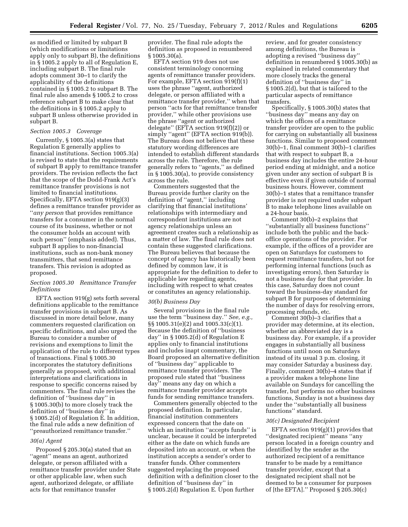as modified or limited by subpart B (which modifications or limitations apply only to subpart B), the definitions in § 1005.2 apply to all of Regulation E, including subpart B. The final rule adopts comment 30–1 to clarify the applicability of the definitions contained in § 1005.2 to subpart B. The final rule also amends § 1005.2 to cross reference subpart B to make clear that the definitions in § 1005.2 apply to subpart B unless otherwise provided in subpart B.

#### *Section 1005.3 Coverage*

Currently, § 1005.3(a) states that Regulation E generally applies to financial institutions. Section 1005.3(a) is revised to state that the requirements of subpart B apply to remittance transfer providers. The revision reflects the fact that the scope of the Dodd-Frank Act's remittance transfer provisions is not limited to financial institutions. Specifically, EFTA section 919(g)(3) defines a remittance transfer provider as ''*any person* that provides remittance transfers for a consumer in the normal course of its business, whether or not the consumer holds an account with such person'' (emphasis added). Thus, subpart B applies to non-financial institutions, such as non-bank money transmitters, that send remittance transfers. This revision is adopted as proposed.

# *Section 1005.30 Remittance Transfer Definitions*

EFTA section 919(g) sets forth several definitions applicable to the remittance transfer provisions in subpart B. As discussed in more detail below, many commenters requested clarification on specific definitions, and also urged the Bureau to consider a number of revisions and exemptions to limit the application of the rule to different types of transactions. Final § 1005.30 incorporates the statutory definitions generally as proposed, with additional interpretations and clarifications in response to specific concerns raised by commenters. The final rule revises the definition of ''business day'' in § 1005.30(b) to more closely track the definition of ''business day'' in § 1005.2(d) of Regulation E. In addition, the final rule adds a new definition of ''preauthorized remittance transfer.''

# *30(a) Agent*

Proposed § 205.30(a) stated that an "agent" means an agent, authorized delegate, or person affiliated with a remittance transfer provider under State or other applicable law, when such agent, authorized delegate, or affiliate acts for that remittance transfer

provider. The final rule adopts the definition as proposed in renumbered § 1005.30(a).

EFTA section 919 does not use consistent terminology concerning agents of remittance transfer providers. For example, EFTA section 919(f)(1) uses the phrase ''agent, authorized delegate, or person affiliated with a remittance transfer provider,'' when that person ''acts for that remittance transfer provider,'' while other provisions use the phrase ''agent or authorized delegate'' (EFTA section 919(f)(2)) or simply "agent" (EFTA section 919(b)). The Bureau does not believe that these statutory wording differences are intended to establish different standards across the rule. Therefore, the rule generally refers to ''agents,'' as defined in § 1005.30(a), to provide consistency across the rule.

Commenters suggested that the Bureau provide further clarity on the definition of ''agent,'' including clarifying that financial institutions' relationships with intermediary and correspondent institutions are not agency relationships unless an agreement creates such a relationship as a matter of law. The final rule does not contain these suggested clarifications. The Bureau believes that because the concept of agency has historically been defined by common law, it is appropriate for the definition to defer to applicable law regarding agents, including with respect to what creates or constitutes an agency relationship.

#### *30(b) Business Day*

Several provisions in the final rule use the term ''business day.'' *See, e.g.,*  §§ 1005.31(e)(2) and 1005.33(c)(1). Because the definition of ''business day'' in § 1005.2(d) of Regulation E applies only to financial institutions and includes inapt commentary, the Board proposed an alternative definition of ''business day'' applicable to remittance transfer providers. The proposed rule stated that ''business day'' means any day on which a remittance transfer provider accepts funds for sending remittance transfers.

Commenters generally objected to the proposed definition. In particular, financial institution commenters expressed concern that the date on which an institution ''accepts funds'' is unclear, because it could be interpreted either as the date on which funds are deposited into an account, or when the institution accepts a sender's order to transfer funds. Other commenters suggested replacing the proposed definition with a definition closer to the definition of ''business day'' in § 1005.2(d) Regulation E. Upon further

review, and for greater consistency among definitions, the Bureau is adopting a revised ''business day'' definition in renumbered § 1005.30(b) as explained in related commentary that more closely tracks the general definition of ''business day'' in § 1005.2(d), but that is tailored to the particular aspects of remittance transfers.

Specifically, § 1005.30(b) states that ''business day'' means any day on which the offices of a remittance transfer provider are open to the public for carrying on substantially all business functions. Similar to proposed comment 30(b)–1, final comment 30(b)–1 clarifies that with respect to subpart B, a business day includes the entire 24-hour period ending at midnight, and a notice given under any section of subpart B is effective even if given outside of normal business hours. However, comment 30(b)–1 states that a remittance transfer provider is not required under subpart B to make telephone lines available on a 24-hour basis.

Comment 30(b)–2 explains that ''substantially all business functions'' include both the public and the backoffice operations of the provider. For example, if the offices of a provider are open on Saturdays for customers to request remittance transfers, but not for performing internal functions (such as investigating errors), then Saturday is not a business day for that provider. In this case, Saturday does not count toward the business-day standard for subpart B for purposes of determining the number of days for resolving errors, processing refunds, etc.

Comment 30(b)–3 clarifies that a provider may determine, at its election, whether an abbreviated day is a business day. For example, if a provider engages in substantially all business functions until noon on Saturdays instead of its usual 3 p.m. closing, it may consider Saturday a business day. Finally, comment 30(b)–4 states that if a provider makes a telephone line available on Sundays for cancelling the transfer, but performs no other business functions, Sunday is not a business day under the ''substantially all business functions'' standard.

#### *30(c) Designated Recipient*

EFTA section 919(g)(1) provides that ''designated recipient'' means ''any person located in a foreign country and identified by the sender as the authorized recipient of a remittance transfer to be made by a remittance transfer provider, except that a designated recipient shall not be deemed to be a consumer for purposes of [the EFTA].'' Proposed § 205.30(c)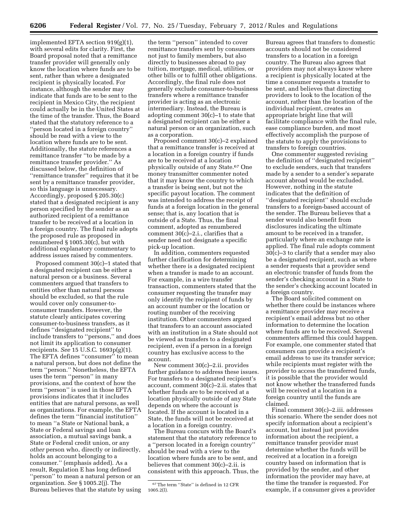implemented EFTA section 919(g)(1), with several edits for clarity. First, the Board proposal noted that a remittance transfer provider will generally only know the location where funds are to be sent, rather than where a designated recipient is physically located. For instance, although the sender may indicate that funds are to be sent to the recipient in Mexico City, the recipient could actually be in the United States at the time of the transfer. Thus, the Board stated that the statutory reference to a ''person located in a foreign country'' should be read with a view to the location where funds are to be sent. Additionally, the statute references a remittance transfer ''to be made by a remittance transfer provider.'' As discussed below, the definition of ''remittance transfer'' requires that it be sent by a remittance transfer provider, so this language is unnecessary. Accordingly, proposed § 205.30(c) stated that a designated recipient is any person specified by the sender as an authorized recipient of a remittance transfer to be received at a location in a foreign country. The final rule adopts the proposed rule as proposed in renumbered § 1005.30(c), but with additional explanatory commentary to address issues raised by commenters.

Proposed comment 30(c)–1 stated that a designated recipient can be either a natural person or a business. Several commenters argued that transfers to entities other than natural persons should be excluded, so that the rule would cover only consumer-toconsumer transfers. However, the statute clearly anticipates covering consumer-to-business transfers, as it defines ''designated recipient'' to include transfers to ''persons,'' and does not limit its application to consumer recipients. *See* 15 U.S.C. 1693p(g)(1). The EFTA defines ''consumer'' to mean a natural person, but does not define the term ''person.'' Nonetheless, the EFTA uses the term ''person'' in many provisions, and the context of how the term ''person'' is used in those EFTA provisions indicates that it includes entities that are natural persons, as well as organizations. For example, the EFTA defines the term ''financial institution'' to mean ''a State or National bank, a State or Federal savings and loan association, a mutual savings bank, a State or Federal credit union, or any *other* person who, directly or indirectly, holds an account belonging to a consumer.'' (emphasis added). As a result, Regulation E has long defined ''person'' to mean a natural person or an organization. *See* § 1005.2(j). The Bureau believes that the statute by using

the term ''person'' intended to cover remittance transfers sent by consumers not just to family members, but also directly to businesses abroad to pay tuition, mortgage, medical, utilities, or other bills or to fulfill other obligations. Accordingly, the final rule does not generally exclude consumer-to-business transfers where a remittance transfer provider is acting as an electronic intermediary. Instead, the Bureau is adopting comment 30(c)–1 to state that a designated recipient can be either a natural person or an organization, such as a corporation.

Proposed comment 30(c)–2 explained that a remittance transfer is received at a location in a foreign country if funds are to be received at a location physically outside of any State.67 One money transmitter commenter noted that it may know the country to which a transfer is being sent, but not the specific payout location. The comment was intended to address the receipt of funds at a foreign location in the general sense; that is, any location that is outside of a State. Thus, the final comment, adopted as renumbered comment 30(c)–2.i., clarifies that a sender need not designate a specific pick-up location.

In addition, commenters requested further clarification for determining whether there is a designated recipient when a transfer is made to an account. For example, in a wire transfer transaction, commenters stated that the consumer requesting the transfer may only identify the recipient of funds by an account number or the location or routing number of the receiving institution. Other commenters argued that transfers to an account associated with an institution in a State should not be viewed as transfers to a designated recipient, even if a person in a foreign country has exclusive access to the account.

New comment 30(c)–2.ii. provides further guidance to address these issues. For transfers to a designated recipient's account, comment 30(c)–2.ii. states that whether funds are to be received at a location physically outside of any State depends on where the account is located. If the account is located in a State, the funds will not be received at a location in a foreign country.

The Bureau concurs with the Board's statement that the statutory reference to a ''person located in a foreign country'' should be read with a view to the location where funds are to be sent, and believes that comment 30(c)–2.ii. is consistent with this approach. Thus, the

Bureau agrees that transfers to domestic accounts should not be considered transfers to a location in a foreign country. The Bureau also agrees that providers may not always know where a recipient is physically located at the time a consumer requests a transfer to be sent, and believes that directing providers to look to the location of the account, rather than the location of the individual recipient, creates an appropriate bright line that will facilitate compliance with the final rule, ease compliance burden, and most effectively accomplish the purpose of the statute to apply the provisions to transfers to foreign countries.

One commenter suggested revising the definition of ''designated recipient'' to exclude senders, such that transfers made by a sender to a sender's separate account abroad would be excluded. However, nothing in the statute indicates that the definition of ''designated recipient'' should exclude transfers to a foreign-based account of the sender. The Bureau believes that a sender would also benefit from disclosures indicating the ultimate amount to be received in a transfer, particularly where an exchange rate is applied. The final rule adopts comment 30(c)–3 to clarify that a sender may also be a designated recipient, such as where a sender requests that a provider send an electronic transfer of funds from the sender's checking account in a State to the sender's checking account located in a foreign country.

The Board solicited comment on whether there could be instances where a remittance provider may receive a recipient's email address but no other information to determine the location where funds are to be received. Several commenters affirmed this could happen. For example, one commenter stated that consumers can provide a recipient's email address to use its transfer service; while recipients must register with the provider to access the transferred funds, it is possible that the provider would not know whether the transferred funds will be received at a location in a foreign country until the funds are claimed.

Final comment 30(c)–2.iii. addresses this scenario. Where the sender does not specify information about a recipient's account, but instead just provides information about the recipient, a remittance transfer provider must determine whether the funds will be received at a location in a foreign country based on information that is provided by the sender, and other information the provider may have, at the time the transfer is requested. For example, if a consumer gives a provider

<sup>67</sup>The term ''State'' is defined in 12 CFR 1005.2(l).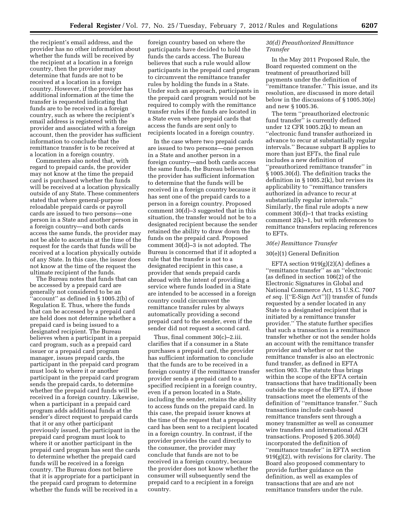the recipient's email address, and the provider has no other information about whether the funds will be received by the recipient at a location in a foreign country, then the provider may determine that funds are not to be received at a location in a foreign country. However, if the provider has additional information at the time the transfer is requested indicating that funds are to be received in a foreign country, such as where the recipient's email address is registered with the provider and associated with a foreign account, then the provider has sufficient information to conclude that the remittance transfer is to be received at a location in a foreign country.

Commenters also noted that, with regard to prepaid cards, the provider may not know at the time the prepaid card is purchased whether the funds will be received at a location physically outside of any State. These commenters stated that where general-purpose reloadable prepaid cards or payroll cards are issued to two persons—one person in a State and another person in a foreign country—and both cards access the same funds, the provider may not be able to ascertain at the time of the request for the cards that funds will be received at a location physically outside of any State. In this case, the issuer does not know at the time of the request the ultimate recipient of the funds.

The Bureau notes that funds that can be accessed by a prepaid card are generally not considered to be an ''account'' as defined in § 1005.2(b) of Regulation E. Thus, where the funds that can be accessed by a prepaid card are held does not determine whether a prepaid card is being issued to a designated recipient. The Bureau believes when a participant in a prepaid card program, such as a prepaid card issuer or a prepaid card program manager, issues prepaid cards, the participant in the prepaid card program must look to where it or another participant in the prepaid card program sends the prepaid cards, to determine whether the prepaid card funds will be received in a foreign country. Likewise, when a participant in a prepaid card program adds additional funds at the sender's direct request to prepaid cards that it or any other participant previously issued, the participant in the prepaid card program must look to where it or another participant in the prepaid card program has sent the cards to determine whether the prepaid card funds will be received in a foreign country. The Bureau does not believe that it is appropriate for a participant in the prepaid card program to determine whether the funds will be received in a

foreign country based on where the participants have decided to hold the funds the cards access. The Bureau believes that such a rule would allow participants in the prepaid card program to circumvent the remittance transfer rules by holding the funds in a State. Under such an approach, participants in the prepaid card program would not be required to comply with the remittance transfer rules if the funds are located in a State even where prepaid cards that access the funds are sent only to recipients located in a foreign country.

In the case where two prepaid cards are issued to two persons—one person in a State and another person in a foreign country—and both cards access the same funds, the Bureau believes that the provider has sufficient information to determine that the funds will be received in a foreign country because it has sent one of the prepaid cards to a person in a foreign country. Proposed comment 30(d)–3 suggested that in this situation, the transfer would not be to a designated recipient because the sender retained the ability to draw down the funds on the prepaid card. Proposed comment 30(d)–3 is not adopted. The Bureau is concerned that if it adopted a rule that the transfer is not to a designated recipient in this case, a provider that sends prepaid cards abroad with the intent of providing a service where funds loaded in a State are intended to be accessed in a foreign country could circumvent the remittance transfer rules by always automatically providing a second prepaid card to the sender, even if the sender did not request a second card.

Thus, final comment 30(c)–2.iii. clarifies that if a consumer in a State purchases a prepaid card, the provider has sufficient information to conclude that the funds are to be received in a foreign country if the remittance transfer provider sends a prepaid card to a specified recipient in a foreign country, even if a person located in a State, including the sender, retains the ability to access funds on the prepaid card. In this case, the prepaid issuer knows at the time of the request that a prepaid card has been sent to a recipient located in a foreign country. In contrast, if the provider provides the card directly to the consumer, the provider may conclude that funds are not to be received in a foreign country, because the provider does not know whether the consumer will subsequently send the prepaid card to a recipient in a foreign country.

# *30(d) Preauthorized Remittance Transfer*

In the May 2011 Proposed Rule, the Board requested comment on the treatment of preauthorized bill payments under the definition of ''remittance transfer.'' This issue, and its resolution, are discussed in more detail below in the discussions of § 1005.30(e) and new § 1005.36.

The term ''preauthorized electronic fund transfer'' is currently defined under 12 CFR 1005.2(k) to mean an ''electronic fund transfer authorized in advance to recur at substantially regular intervals.'' Because subpart B applies to more than just EFTs, the final rule includes a new definition of ''preauthorized remittance transfer'' in § 1005.30(d). The definition tracks the definition in § 1005.2(k), but revises its applicability to ''remittance transfers authorized in advance to recur at substantially regular intervals.'' Similarly, the final rule adopts a new comment 30(d)–1 that tracks existing comment 2(k)–1, but with references to remittance transfers replacing references to EFTs.

#### *30(e) Remittance Transfer*

#### 30(e)(1) General Definition

EFTA section  $919(g)(2)(A)$  defines a ''remittance transfer'' as an ''electronic (as defined in section 106(2) of the Electronic Signatures in Global and National Commerce Act, 15 U.S.C. 7007 *et seq.* [(''E-Sign Act'')]) transfer of funds requested by a sender located in any State to a designated recipient that is initiated by a remittance transfer provider.'' The statute further specifies that such a transaction is a remittance transfer whether or not the sender holds an account with the remittance transfer provider and whether or not the remittance transfer is also an electronic fund transfer, as defined in EFTA section 903. The statute thus brings within the scope of the EFTA certain transactions that have traditionally been outside the scope of the EFTA, if those transactions meet the elements of the definition of ''remittance transfer.'' Such transactions include cash-based remittance transfers sent through a money transmitter as well as consumer wire transfers and international ACH transactions. Proposed § 205.30(d) incorporated the definition of ''remittance transfer'' in EFTA section  $919(g)(2)$ , with revisions for clarity. The Board also proposed commentary to provide further guidance on the definition, as well as examples of transactions that are and are not remittance transfers under the rule.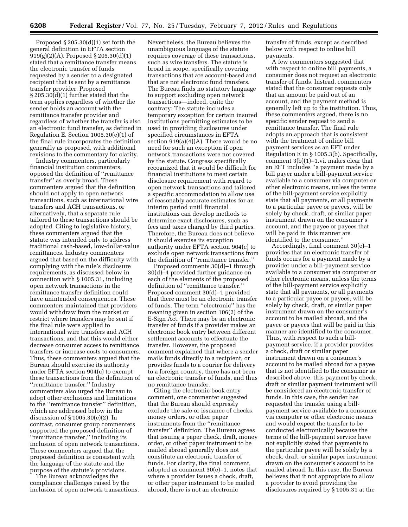Proposed § 205.30(d)(1) set forth the general definition in EFTA section 919(g)(2)(A). Proposed § 205.30(d)(1) stated that a remittance transfer means the electronic transfer of funds requested by a sender to a designated recipient that is sent by a remittance transfer provider. Proposed § 205.30(d)(1) further stated that the term applies regardless of whether the sender holds an account with the remittance transfer provider and regardless of whether the transfer is also an electronic fund transfer, as defined in Regulation E. Section 1005.30(e)(1) of the final rule incorporates the definition generally as proposed, with additional revisions to the commentary for clarity.

Industry commenters, particularly financial institution commenters, opposed the definition of ''remittance transfer'' as overly broad. These commenters argued that the definition should not apply to open network transactions, such as international wire transfers and ACH transactions, or alternatively, that a separate rule tailored to these transactions should be adopted. Citing to legislative history, these commenters argued that the statute was intended only to address traditional cash-based, low-dollar-value remittances. Industry commenters argued that based on the difficulty with complying with the rule's disclosure requirements, as discussed below in connection with § 1005.31, including open network transactions in the remittance transfer definition could have unintended consequences. These commenters maintained that providers would withdraw from the market or restrict where transfers may be sent if the final rule were applied to international wire transfers and ACH transactions, and that this would either decrease consumer access to remittance transfers or increase costs to consumers. Thus, these commenters argued that the Bureau should exercise its authority under EFTA section 904(c) to exempt these transactions from the definition of ''remittance transfer.'' Industry commenters also urged the Bureau to adopt other exclusions and limitations to the ''remittance transfer'' definition, which are addressed below in the discussion of § 1005.30(e)(2). In contrast, consumer group commenters supported the proposed definition of ''remittance transfer,'' including its inclusion of open network transactions. These commenters argued that the proposed definition is consistent with the language of the statute and the purpose of the statute's provisions.

The Bureau acknowledges the compliance challenges raised by the inclusion of open network transactions.

Nevertheless, the Bureau believes the unambiguous language of the statute requires coverage of these transactions, such as wire transfers. The statute is broad in scope, specifically covering transactions that are account-based and that are not electronic fund transfers. The Bureau finds no statutory language to support excluding open network transactions—indeed, quite the contrary: The statute includes a temporary exception for certain insured institutions permitting estimates to be used in providing disclosures under specified circumstances in EFTA section  $919(a)(4)(A)$ . There would be no need for such an exception if open network transactions were not covered by the statute. Congress specifically recognized that it would be difficult for financial institutions to meet certain disclosure requirement with regard to open network transactions and tailored a specific accommodation to allow use of reasonably accurate estimates for an interim period until financial institutions can develop methods to determine exact disclosures, such as fees and taxes charged by third parties. Therefore, the Bureau does not believe it should exercise its exception authority under EFTA section 904(c) to exclude open network transactions from the definition of ''remittance transfer.''

Proposed comments 30(d)–1 through 30(d)–4 provided further guidance on each of the elements of the proposed definition of ''remittance transfer.'' Proposed comment 30(d)–1 provided that there must be an electronic transfer of funds. The term ''electronic'' has the meaning given in section 106(2) of the E-Sign Act. There may be an electronic transfer of funds if a provider makes an electronic book entry between different settlement accounts to effectuate the transfer. However, the proposed comment explained that where a sender mails funds directly to a recipient, or provides funds to a courier for delivery to a foreign country, there has not been an electronic transfer of funds, and thus no remittance transfer.

Citing the electronic book entry comment, one commenter suggested that the Bureau should expressly exclude the sale or issuance of checks, money orders, or other paper instruments from the ''remittance transfer'' definition. The Bureau agrees that issuing a paper check, draft, money order, or other paper instrument to be mailed abroad generally does not constitute an electronic transfer of funds. For clarity, the final comment, adopted as comment 30(e)–1, notes that where a provider issues a check, draft, or other paper instrument to be mailed abroad, there is not an electronic

transfer of funds, except as described below with respect to online bill payments.

A few commenters suggested that with respect to online bill payments, a consumer does not request an electronic transfer of funds. Instead, commenters stated that the consumer requests only that an amount be paid out of an account, and the payment method is generally left up to the institution. Thus, these commenters argued, there is no specific sender request to send a remittance transfer. The final rule adopts an approach that is consistent with the treatment of online bill payment services as an EFT under Regulation E in § 1005.3(b). Specifically, comment 3(b)(1)–1.vi. makes clear that an EFT includes ''a payment made by a bill payer under a bill-payment service available to a consumer via computer or other electronic means, unless the terms of the bill-payment service explicitly state that all payments, or all payments to a particular payee or payees, will be solely by check, draft, or similar paper instrument drawn on the consumer's account, and the payee or payees that will be paid in this manner are identified to the consumer.''

Accordingly, final comment 30(e)–1 provides that an electronic transfer of funds occurs for a payment made by a provider under a bill-payment service available to a consumer via computer or other electronic means, unless the terms of the bill-payment service explicitly state that all payments, or all payments to a particular payee or payees, will be solely by check, draft, or similar paper instrument drawn on the consumer's account to be mailed abroad, and the payee or payees that will be paid in this manner are identified to the consumer. Thus, with respect to such a billpayment service, if a provider provides a check, draft or similar paper instrument drawn on a consumer's account to be mailed abroad for a payee that is not identified to the consumer as described above, this payment by check, draft or similar payment instrument will be considered an electronic transfer of funds. In this case, the sender has requested the transfer using a billpayment service available to a consumer via computer or other electronic means and would expect the transfer to be conducted electronically because the terms of the bill-payment service have not explicitly stated that payments to the particular payee will be solely by a check, draft, or similar paper instrument drawn on the consumer's account to be mailed abroad. In this case, the Bureau believes that it not appropriate to allow a provider to avoid providing the disclosures required by § 1005.31 at the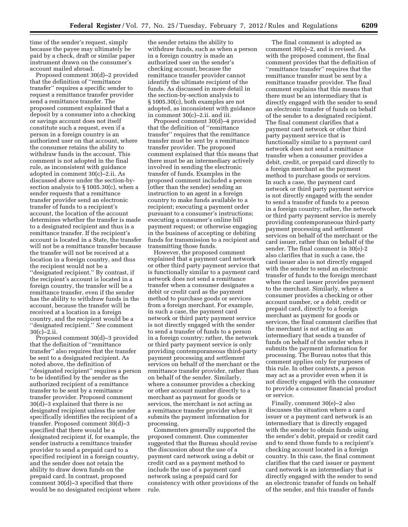time of the sender's request, simply because the payee may ultimately be paid by a check, draft or similar paper instrument drawn on the consumer's account mailed abroad.

Proposed comment 30(d)–2 provided that the definition of ''remittance transfer'' requires a specific sender to request a remittance transfer provider send a remittance transfer. The proposed comment explained that a deposit by a consumer into a checking or savings account does not itself constitute such a request, even if a person in a foreign country is an authorized user on that account, where the consumer retains the ability to withdraw funds in the account. This comment is not adopted in the final rule, as inconsistent with guidance adopted in comment 30(c)–2.ii. As discussed above under the section-bysection analysis to § 1005.30(c), when a sender requests that a remittance transfer provider send an electronic transfer of funds to a recipient's account, the location of the account determines whether the transfer is made to a designated recipient and thus is a remittance transfer. If the recipient's account is located in a State, the transfer will not be a remittance transfer because the transfer will not be received at a location in a foreign country, and thus the recipient would not be a ''designated recipient.'' By contrast, if the recipient's account is located in a foreign country, the transfer will be a remittance transfer, even if the sender has the ability to withdraw funds in the account, because the transfer will be received at a location in a foreign country, and the recipient would be a ''designated recipient.'' *See* comment 30(c)–2.ii.

Proposed comment 30(d)–3 provided that the definition of ''remittance transfer'' also requires that the transfer be sent to a designated recipient. As noted above, the definition of ''designated recipient'' requires a person to be identified by the sender as the authorized recipient of a remittance transfer to be sent by a remittance transfer provider. Proposed comment 30(d)–3 explained that there is no designated recipient unless the sender specifically identifies the recipient of a transfer. Proposed comment 30(d)–3 specified that there would be a designated recipient if, for example, the sender instructs a remittance transfer provider to send a prepaid card to a specified recipient in a foreign country, and the sender does not retain the ability to draw down funds on the prepaid card. In contrast, proposed comment 30(d)–3 specified that there would be no designated recipient where

the sender retains the ability to withdraw funds, such as when a person in a foreign country is made an authorized user on the sender's checking account, because the remittance transfer provider cannot identify the ultimate recipient of the funds. As discussed in more detail in the section-by-section analysis to § 1005.30(c), both examples are not adopted, as inconsistent with guidance in comment 30(c)–2.ii. and iii.

Proposed comment 30(d)–4 provided that the definition of ''remittance transfer'' requires that the remittance transfer must be sent by a remittance transfer provider. The proposed comment explained that this means that there must be an intermediary actively involved in sending the electronic transfer of funds. Examples in the proposed comment included a person (other than the sender) sending an instruction to an agent in a foreign country to make funds available to a recipient; executing a payment order pursuant to a consumer's instructions; executing a consumer's online bill payment request; or otherwise engaging in the business of accepting or debiting funds for transmission to a recipient and transmitting those funds.

However, the proposed comment explained that a payment card network or other third party payment service that is functionally similar to a payment card network does not send a remittance transfer when a consumer designates a debit or credit card as the payment method to purchase goods or services from a foreign merchant. For example, in such a case, the payment card network or third party payment service is not directly engaged with the sender to send a transfer of funds to a person in a foreign country; rather, the network or third party payment service is only providing contemporaneous third-party payment processing and settlement services on behalf of the merchant or the remittance transfer provider, rather than on behalf of the sender. Similarly, where a consumer provides a checking or other account number directly to a merchant as payment for goods or services, the merchant is not acting as a remittance transfer provider when it submits the payment information for processing.

Commenters generally supported the proposed comment. One commenter suggested that the Bureau should revise the discussion about the use of a payment card network using a debit or credit card as a payment method to include the use of a payment card network using a prepaid card for consistency with other provisions of the rule.

The final comment is adopted as comment 30(e)–2, and is revised. As with the proposed comment, the final comment provides that the definition of ''remittance transfer'' requires that the remittance transfer must be sent by a remittance transfer provider. The final comment explains that this means that there must be an intermediary that is directly engaged with the sender to send an electronic transfer of funds on behalf of the sender to a designated recipient. The final comment clarifies that a payment card network or other third party payment service that is functionally similar to a payment card network does not send a remittance transfer when a consumer provides a debit, credit, or prepaid card directly to a foreign merchant as the payment method to purchase goods or services. In such a case, the payment card network or third party payment service is not directly engaged with the sender to send a transfer of funds to a person in a foreign country; rather, the network or third party payment service is merely providing contemporaneous third-party payment processing and settlement services on behalf of the merchant or the card issuer, rather than on behalf of the sender. The final comment in 30(e)-2 also clarifies that in such a case, the card issuer also is not directly engaged with the sender to send an electronic transfer of funds to the foreign merchant when the card issuer provides payment to the merchant. Similarly, where a consumer provides a checking or other account number, or a debit, credit or prepaid card, directly to a foreign merchant as payment for goods or services, the final comment clarifies that the merchant is not acting as an intermediary that sends a transfer of funds on behalf of the sender when it submits the payment information for processing. The Bureau notes that this comment applies only for purposes of this rule. In other contexts, a person may act as a provider even when it is not directly engaged with the consumer to provide a consumer financial product or service.

Finally, comment 30(e)–2 also discusses the situation where a card issuer or a payment card network is an intermediary that is directly engaged with the sender to obtain funds using the sender's debit, prepaid or credit card and to send those funds to a recipient's checking account located in a foreign country. In this case, the final comment clarifies that the card issuer or payment card network is an intermediary that is directly engaged with the sender to send an electronic transfer of funds on behalf of the sender, and this transfer of funds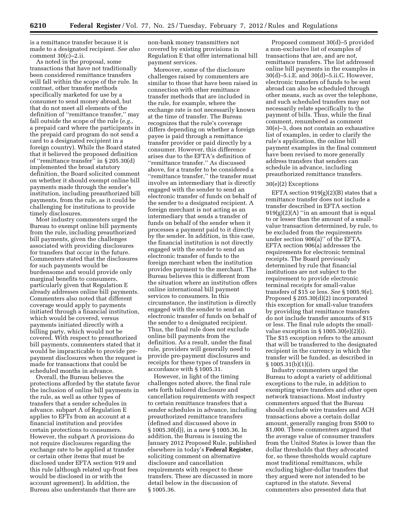is a remittance transfer because it is made to a designated recipient. *See also*  comment  $30(c)-2.ii$ .

As noted in the proposal, some transactions that have not traditionally been considered remittance transfers will fall within the scope of the rule. In contrast, other transfer methods specifically marketed for use by a consumer to send money abroad, but that do not meet all elements of the definition of ''remittance transfer,'' may fall outside the scope of the rule (*e.g.,*  a prepaid card where the participants in the prepaid card program do not send a card to a designated recipient in a foreign country). While the Board stated that it believed the proposed definition of ''remittance transfer'' in § 205.30(d) implemented the broad statutory definition, the Board solicited comment on whether it should exempt online bill payments made through the sender's institution, including preauthorized bill payments, from the rule, as it could be challenging for institutions to provide timely disclosures.

Most industry commenters urged the Bureau to exempt online bill payments from the rule, including preauthorized bill payments, given the challenges associated with providing disclosures for transfers that occur in the future. Commenters stated that the disclosures for such payments would be burdensome and would provide only marginal benefits to consumers, particularly given that Regulation E already addresses online bill payments. Commenters also noted that different coverage would apply to payments initiated through a financial institution, which would be covered, versus payments initiated directly with a billing party, which would not be covered. With respect to preauthorized bill payments, commenters stated that it would be impracticable to provide prepayment disclosures when the request is made for transactions that could be scheduled months in advance.

Overall, the Bureau believes the protections afforded by the statute favor the inclusion of online bill payments in the rule, as well as other types of transfers that a sender schedules in advance. subpart A of Regulation E applies to EFTs from an account at a financial institution and provides certain protections to consumers. However, the subpart A provisions do not require disclosures regarding the exchange rate to be applied at transfer or certain other items that must be disclosed under EFTA section 919 and this rule (although related up-front fees would be disclosed in or with the account agreement). In addition, the Bureau also understands that there are

non-bank money transmitters not covered by existing provisions in Regulation E that offer international bill payment services.

Moreover, some of the disclosure challenges raised by commenters are similar to those that have been raised in connection with other remittance transfer methods that are included in the rule, for example, where the exchange rate is not necessarily known at the time of transfer. The Bureau recognizes that the rule's coverage differs depending on whether a foreign payee is paid through a remittance transfer provider or paid directly by a consumer. However, this difference arises due to the EFTA's definition of ''remittance transfer.'' As discussed above, for a transfer to be considered a ''remittance transfer,'' the transfer must involve an intermediary that is directly engaged with the sender to send an electronic transfer of funds on behalf of the sender to a designated recipient. A foreign merchant is not acting as an intermediary that sends a transfer of funds on behalf of the sender when it processes a payment paid to it directly by the sender. In addition, in this case, the financial institution is not directly engaged with the sender to send an electronic transfer of funds to the foreign merchant when the institution provides payment to the merchant. The Bureau believes this is different from the situation where an institution offers online international bill payment services to consumers. In this circumstance, the institution is directly engaged with the sender to send an electronic transfer of funds on behalf of the sender to a designated recipient. Thus, the final rule does not exclude online bill payments from the definition. As a result, under the final rule, providers will generally need to provide pre-payment disclosures and receipts for these types of transfers in accordance with § 1005.31.

However, in light of the timing challenges noted above, the final rule sets forth tailored disclosure and cancellation requirements with respect to certain remittance transfers that a sender schedules in advance, including preauthorized remittance transfers (defined and discussed above in § 1005.30(d)), in a new § 1005.36. In addition, the Bureau is issuing the January 2012 Proposed Rule, published elsewhere in today's **Federal Register,**  soliciting comment on alternative disclosure and cancellation requirements with respect to these transfers. These are discussed in more detail below in the discussion of § 1005.36.

Proposed comment 30(d)–5 provided a non-exclusive list of examples of transactions that are, and are not, remittance transfers. The list addressed online bill payments in the examples in 30(d)–5.i.E. and 30(d)–5.ii.C. However, electronic transfers of funds to be sent abroad can also be scheduled through other means, such as over the telephone, and such scheduled transfers may not necessarily relate specifically to the payment of bills. Thus, while the final comment, renumbered as comment 30(e)–3, does not contain an exhaustive list of examples, in order to clarify the rule's application, the online bill payment examples in the final comment have been revised to more generally address transfers that senders can schedule in advance, including preauthorized remittance transfers.

#### 30(e)(2) Exceptions

EFTA section  $919(g)(2)(B)$  states that a remittance transfer does not include a transfer described in EFTA section  $919(g)(2)(A)$  "in an amount that is equal to or lesser than the amount of a smallvalue transaction determined, by rule, to be excluded from the requirements under section 906(a)'' of the EFTA. EFTA section 906(a) addresses the requirements for electronic terminal receipts. The Board previously determined by rule that financial institutions are not subject to the requirement to provide electronic terminal receipts for small-value transfers of \$15 or less. *See* § 1005.9(e). Proposed § 205.30(d)(2) incorporated this exception for small-value transfers by providing that remittance transfers do not include transfer amounts of \$15 or less. The final rule adopts the smallvalue exception in § 1005.30(e)(2)(i). The \$15 exception refers to the amount that will be transferred to the designated recipient in the currency in which the transfer will be funded, as described in § 1005.31(b)(1)(i).

Industry commenters urged the Bureau to adopt a variety of additional exceptions to the rule, in addition to exempting wire transfers and other open network transactions. Most industry commenters argued that the Bureau should exclude wire transfers and ACH transactions above a certain dollar amount, generally ranging from \$500 to \$1,000. These commenters argued that the average value of consumer transfers from the United States is lower than the dollar thresholds that they advocated for, so these thresholds would capture most traditional remittances, while excluding higher-dollar transfers that they argued were not intended to be captured in the statute. Several commenters also presented data that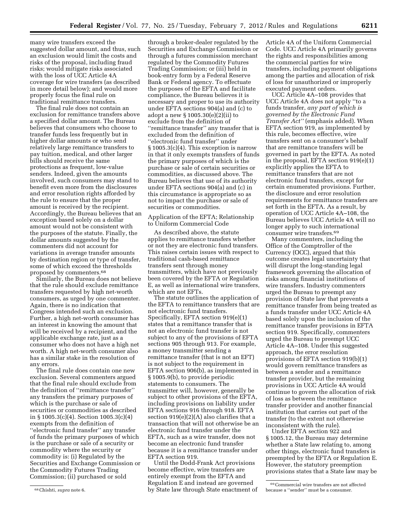many wire transfers exceed the suggested dollar amount, and thus, such an exclusion would limit the costs and risks of the proposal, including fraud risks; would mitigate risks associated with the loss of UCC Article 4A coverage for wire transfers (as described in more detail below); and would more properly focus the final rule on traditional remittance transfers.

The final rule does not contain an exclusion for remittance transfers above a specified dollar amount. The Bureau believes that consumers who choose to transfer funds less frequently but in higher dollar amounts or who send relatively large remittance transfers to pay tuition, medical, and other larger bills should receive the same protections as frequent, low-value senders. Indeed, given the amounts involved, such consumers may stand to benefit even more from the disclosures and error resolution rights afforded by the rule to ensure that the proper amount is received by the recipient. Accordingly, the Bureau believes that an exception based solely on a dollar amount would not be consistent with the purposes of the statute. Finally, the dollar amounts suggested by the commenters did not account for variations in average transfer amounts by destination region or type of transfer, some of which exceed the thresholds proposed by commenters.68

Similarly, the Bureau does not believe that the rule should exclude remittance transfers requested by high net-worth consumers, as urged by one commenter. Again, there is no indication that Congress intended such an exclusion. Further, a high net-worth consumer has an interest in knowing the amount that will be received by a recipient, and the applicable exchange rate, just as a consumer who does not have a high net worth. A high net-worth consumer also has a similar stake in the resolution of any errors.

The final rule does contain one new exclusion. Several commenters argued that the final rule should exclude from the definition of ''remittance transfer'' any transfers the primary purposes of which is the purchase or sale of securities or commodities as described in § 1005.3(c)(4). Section 1005.3(c)(4) exempts from the definition of ''electronic fund transfer'' any transfer of funds the primary purposes of which is the purchase or sale of a security or commodity where the security or commodity is: (i) Regulated by the Securities and Exchange Commission or the Commodity Futures Trading Commission; (ii) purchased or sold

through a broker-dealer regulated by the Securities and Exchange Commission or through a futures commission merchant regulated by the Commodity Futures Trading Commission; or (iii) held in book-entry form by a Federal Reserve Bank or Federal agency. To effectuate the purposes of the EFTA and facilitate compliance, the Bureau believes it is necessary and proper to use its authority under EFTA sections 904(a) and (c) to adopt a new § 1005.30(e)(2)(ii) to exclude from the definition of ''remittance transfer'' any transfer that is excluded from the definition of ''electronic fund transfer'' under § 1005.3(c)(4). This exception is narrow in that it only exempts transfers of funds the primary purposes of which is the purchase or sale of certain securities or commodities, as discussed above. The Bureau believes that use of its authority under EFTA sections 904(a) and (c) in this circumstance is appropriate so as not to impact the purchase or sale of securities or commodities.

Application of the EFTA; Relationship to Uniform Commercial Code

As described above, the statute applies to remittance transfers whether or not they are electronic fund transfers. This raises certain issues with respect to traditional cash-based remittance transfers sent through money transmitters, which have not previously been covered by the EFTA or Regulation E, as well as international wire transfers, which are not EFTs.

The statute outlines the application of the EFTA to remittance transfers that are not electronic fund transfers. Specifically, EFTA section 919(e)(1) states that a remittance transfer that is not an electronic fund transfer is not subject to any of the provisions of EFTA sections 905 through 913. For example, a money transmitter sending a remittance transfer (that is not an EFT) is not subject to the requirement in EFTA section 906(b), as implemented in § 1005.9(b), to provide periodic statements to consumers. The transmitter will, however, generally be subject to other provisions of the EFTA, including provisions on liability under EFTA sections 916 through 918. EFTA section 919(e)(2)(A) also clarifies that a transaction that will not otherwise be an electronic fund transfer under the EFTA, such as a wire transfer, does not become an electronic fund transfer because it is a remittance transfer under EFTA section 919.

Until the Dodd-Frank Act provisions become effective, wire transfers are entirely exempt from the EFTA and Regulation E and instead are governed by State law through State enactment of Article 4A of the Uniform Commercial Code. UCC Article 4A primarily governs the rights and responsibilities among the commercial parties for wire transfers, including payment obligations among the parties and allocation of risk of loss for unauthorized or improperly executed payment orders.

UCC Article 4A–108 provides that UCC Article 4A does not apply ''to a funds transfer, *any part of which is governed by the Electronic Fund Transfer Act''* (emphasis added). When EFTA section 919, as implemented by this rule, becomes effective, wire transfers sent on a consumer's behalf that are remittance transfers will be governed in part by the EFTA. As noted in the proposal, EFTA section 919(e)(1) explicitly applies the EFTA to remittance transfers that are not electronic fund transfers, except for certain enumerated provisions. Further, the disclosure and error resolution requirements for remittance transfers are set forth in the EFTA. As a result, by operation of UCC Article 4A–108, the Bureau believes UCC Article 4A will no longer apply to such international consumer wire transfers.69

Many commenters, including the Office of the Comptroller of the Currency (OCC), argued that this outcome creates legal uncertainty that will disrupt the long-standing legal framework governing the allocation of risks among financial institutions of wire transfers. Industry commenters urged the Bureau to preempt any provision of State law that prevents a remittance transfer from being treated as a funds transfer under UCC Article 4A based solely upon the inclusion of the remittance transfer provisions in EFTA section 919. Specifically, commenters urged the Bureau to preempt UCC Article 4A–108. Under this suggested approach, the error resolution provisions of EFTA section 919(b)(1) would govern remittance transfers as between a sender and a remittance transfer provider, but the remaining provisions in UCC Article 4A would continue to govern the allocation of risk of loss as between the remittance transfer provider and another financial institution that carries out part of the transfer (to the extent not otherwise inconsistent with the rule).

Under EFTA section 922 and § 1005.12, the Bureau may determine whether a State law relating to, among other things, electronic fund transfers is preempted by the EFTA or Regulation E. However, the statutory preemption provisions states that a State law may be

<sup>68</sup>Chishti, *supra* note 6.

<sup>69</sup>Commercial wire transfers are not affected because a ''sender'' must be a consumer.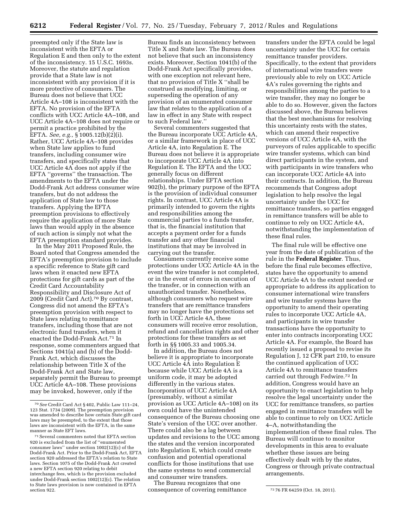preempted only if the State law is inconsistent with the EFTA or Regulation E and then only to the extent of the inconsistency. 15 U.S.C. 1693s. Moreover, the statute and regulation provide that a State law is not inconsistent with any provision if it is more protective of consumers. The Bureau does not believe that UCC Article 4A–108 is inconsistent with the EFTA. No provision of the EFTA conflicts with UCC Article 4A–108, and UCC Article 4A–108 does not require or permit a practice prohibited by the EFTA. *See, e.g.,* § 1005.12(b)(2)(i). Rather, UCC Article 4A–108 provides when State law applies to fund transfers, including consumer wire transfers, and specifically states that UCC Article 4A does not apply if the EFTA ''governs'' the transaction. The amendments to the EFTA under the Dodd-Frank Act address consumer wire transfers, but do not address the application of State law to those transfers. Applying the EFTA preemption provisions to effectively require the application of more State laws than would apply in the absence of such action is simply not what the EFTA preemption standard provides.

In the May 2011 Proposed Rule, the Board noted that Congress amended the EFTA's preemption provision to include a specific reference to State gift card laws when it enacted new EFTA protections for gift cards as part of the Credit Card Accountability Responsibility and Disclosure Act of 2009 (Credit Card Act).70 By contrast, Congress did not amend the EFTA's preemption provision with respect to State laws relating to remittance transfers, including those that are not electronic fund transfers, when it enacted the Dodd-Frank Act.71 In response, some commenters argued that Sections 1041(a) and (b) of the Dodd-Frank Act, which discusses the relationship between Title X of the Dodd-Frank Act and State law, separately permit the Bureau to preempt UCC Article 4A–108. These provisions may be invoked, however, only if the

Bureau finds an inconsistency between Title X and State law. The Bureau does not believe that such an inconsistency exists. Moreover, Section 1041(b) of the Dodd-Frank Act specifically provides, with one exception not relevant here, that no provision of Title X ''shall be construed as modifying, limiting, or superseding the operation of any provision of an enumerated consumer law that relates to the application of a law in effect in any State with respect to such Federal law.''

Several commenters suggested that the Bureau incorporate UCC Article 4A, or a similar framework in place of UCC Article 4A, into Regulation E. The Bureau does not believe it is appropriate to incorporate UCC Article 4A into Regulation E. The EFTA and the UCC generally focus on different relationships. Under EFTA section 902(b), the primary purpose of the EFTA is the provision of individual consumer rights. In contrast, UCC Article 4A is primarily intended to govern the rights and responsibilities among the commercial parties to a funds transfer, that is, the financial institution that accepts a payment order for a funds transfer and any other financial institutions that may be involved in carrying out the transfer.

Consumers currently receive some protections under UCC Article 4A in the event the wire transfer is not completed, or in the event of errors in execution of the transfer, or in connection with an unauthorized transfer. Nonetheless, although consumers who request wire transfers that are remittance transfers may no longer have the protections set forth in UCC Article 4A, these consumers will receive error resolution, refund and cancellation rights and other protections for these transfers as set forth in §§ 1005.33 and 1005.34.

In addition, the Bureau does not believe it is appropriate to incorporate UCC Article 4A into Regulation E because while UCC Article 4A is a uniform code, it may be adopted differently in the various states. Incorporation of UCC Article 4A (presumably, without a similar provision as UCC Article 4A–108) on its own could have the unintended consequence of the Bureau choosing one State's version of the UCC over another. There could also be a lag between updates and revisions to the UCC among the states and the version incorporated into Regulation E, which could create confusion and potential operational conflicts for those institutions that use the same systems to send commercial and consumer wire transfers.

The Bureau recognizes that one

transfers under the EFTA could be legal uncertainty under the UCC for certain remittance transfer providers. Specifically, to the extent that providers of international wire transfers were previously able to rely on UCC Article 4A's rules governing the rights and responsibilities among the parties to a wire transfer, they may no longer be able to do so. However, given the factors discussed above, the Bureau believes that the best mechanisms for resolving this uncertainty rests with the states, which can amend their respective versions of UCC Article 4A, with the purveyors of rules applicable to specific wire transfer systems, which can bind direct participants in the system, and with participants in wire transfers who can incorporate UCC Article 4A into their contracts. In addition, the Bureau recommends that Congress adopt legislation to help resolve the legal uncertainty under the UCC for remittance transfers, so parties engaged in remittance transfers will be able to continue to rely on UCC Article 4A, notwithstanding the implementation of these final rules.

The final rule will be effective one year from the date of publication of the rule in the **Federal Register**. Thus, before the final rule becomes effective, states have the opportunity to amend UCC Article 4A to the extent needed or appropriate to address its application to consumer international wire transfers and wire transfer systems have the opportunity to amend their operating rules to incorporate UCC Article 4A, and participants in wire transfer transactions have the opportunity to enter into contracts incorporating UCC Article 4A. For example, the Board has recently issued a proposal to revise its Regulation J, 12 CFR part 210, to ensure the continued application of UCC Article 4A to remittance transfers carried out through Fedwire.72 In addition, Congress would have an opportunity to enact legislation to help resolve the legal uncertainty under the UCC for remittance transfers, so parties engaged in remittance transfers will be able to continue to rely on UCC Article 4–A, notwithstanding the implementation of these final rules. The Bureau will continue to monitor developments in this area to evaluate whether these issues are being effectively dealt with by the states, Congress or through private contractual arrangements.

<sup>70</sup>*See* Credit Card Act § 402, Public Law 111–24, 123 Stat. 1734 (2009). The preemption provision was amended to describe how certain State gift card laws may be preempted, to the extent that those laws are inconsistent with the EFTA, in the same manner as State EFT laws.

<sup>71</sup>Several commenters noted that EFTA section 920 is excluded from the list of ''enumerated consumer laws'' under section 1002(12)(c) of the Dodd-Frank Act. Prior to the Dodd-Frank Act, EFTA section 920 addressed the EFTA's relation to State laws. Section 1075 of the Dodd-Frank Act created a new EFTA section 920 relating to debit interchange fees, which is the provision excluded under Dodd-Frank section 1002(12)(c). The relation to State laws provision is now contained in EFTA section 922. Consequence of covering remittance  $\frac{7276}{5}$  FR 64259 (Oct. 18, 2011).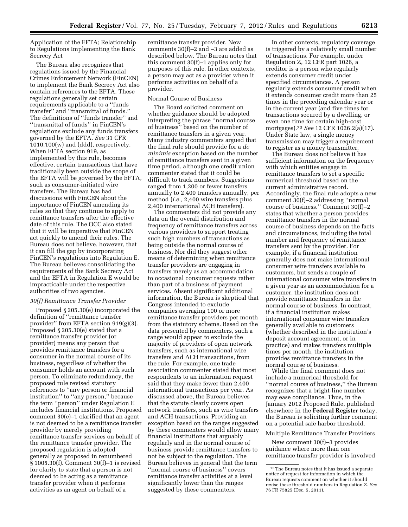Application of the EFTA; Relationship to Regulations Implementing the Bank Secrecy Act

The Bureau also recognizes that regulations issued by the Financial Crimes Enforcement Network (FinCEN) to implement the Bank Secrecy Act also contain references to the EFTA. These regulations generally set certain requirements applicable to a ''funds transfer'' and ''transmittal of funds.'' The definitions of ''funds transfer'' and ''transmittal of funds'' in FinCEN's regulations exclude any funds transfers governed by the EFTA. *See* 31 CFR 1010.100(w) and (ddd), respectively. When EFTA section 919, as implemented by this rule, becomes effective, certain transactions that have traditionally been outside the scope of the EFTA will be governed by the EFTA, such as consumer-initiated wire transfers. The Bureau has had discussions with FinCEN about the importance of FinCEN amending its rules so that they continue to apply to remittance transfers after the effective date of this rule. The OCC also stated that it will be imperative that FinCEN act quickly to amend their rules. The Bureau does not believe, however, that it can fill the gap by incorporating FinCEN's regulations into Regulation E. The Bureau believes consolidating the requirements of the Bank Secrecy Act and the EFTA in Regulation E would be impracticable under the respective authorities of two agencies.

#### *30(f) Remittance Transfer Provider*

Proposed § 205.30(e) incorporated the definition of ''remittance transfer provider'' from EFTA section 919(g)(3). Proposed § 205.30(e) stated that a remittance transfer provider (or provider) means any person that provides remittance transfers for a consumer in the normal course of its business, regardless of whether the consumer holds an account with such person. To eliminate redundancy, the proposed rule revised statutory references to ''any person or financial institution'' to ''any person,'' because the term ''person'' under Regulation E includes financial institutions. Proposed comment 30(e)–1 clarified that an agent is not deemed to be a remittance transfer provider by merely providing remittance transfer services on behalf of the remittance transfer provider. The proposed regulation is adopted generally as proposed in renumbered § 1005.30(f). Comment 30(f)–1 is revised for clarity to state that a person is not deemed to be acting as a remittance transfer provider when it performs activities as an agent on behalf of a

remittance transfer provider. New comments 30(f)–2 and –3 are added as described below. The Bureau notes that this comment 30(f)–1 applies only for purposes of this rule. In other contexts, a person may act as a provider when it performs activities on behalf of a provider.

# Normal Course of Business

The Board solicited comment on whether guidance should be adopted interpreting the phrase ''normal course of business'' based on the number of remittance transfers in a given year. Many industry commenters argued that the final rule should provide for a *de minimis* exception based on the number of remittance transfers sent in a given time period, although one credit union commenter stated that it could be difficult to track numbers. Suggestions ranged from 1,200 or fewer transfers annually to 2,400 transfers annually, per method (*i.e.,* 2,400 wire transfers plus 2,400 international ACH transfers).

The commenters did not provide any data on the overall distribution and frequency of remittance transfers across various providers to support treating such high numbers of transactions as being outside the normal course of business. Nor did they suggest other means of determining when remittance transfer providers are engaging in transfers merely as an accommodation to occasional consumer requests rather than part of a business of payment services. Absent significant additional information, the Bureau is skeptical that Congress intended to exclude companies averaging 100 or more remittance transfer providers per month from the statutory scheme. Based on the data presented by commenters, such a range would appear to exclude the majority of providers of open network transfers, such as international wire transfers and ACH transactions, from the rule. For example, one trade association commenter stated that most respondents to an information request said that they make fewer than 2,400 international transactions per year. As discussed above, the Bureau believes that the statute clearly covers open network transfers, such as wire transfers and ACH transactions. Providing an exception based on the ranges suggested by these commenters would allow many financial institutions that arguably regularly and in the normal course of business provide remittance transfers to not be subject to the regulation. The Bureau believes in general that the term ''normal course of business'' covers remittance transfer activities at a level significantly lower than the ranges suggested by these commenters.

In other contexts, regulatory coverage is triggered by a relatively small number of transactions. For example, under Regulation Z, 12 CFR part 1026, a creditor is a person who regularly extends consumer credit under specified circumstances. A person regularly extends consumer credit when it extends consumer credit more than 25 times in the preceding calendar year or in the current year (and five times for transactions secured by a dwelling, or even one time for certain high-cost mortgages).73 *See* 12 CFR 1026.2(a)(17). Under State law, a single money transmission may trigger a requirement to register as a money transmitter.

The Bureau does not believe it has sufficient information on the frequency with which entities engage in remittance transfers to set a specific numerical threshold based on the current administrative record. Accordingly, the final rule adopts a new comment 30(f)–2 addressing ''normal course of business.'' Comment 30(f)–2 states that whether a person provides remittance transfers in the normal course of business depends on the facts and circumstances, including the total number and frequency of remittance transfers sent by the provider. For example, if a financial institution generally does not make international consumer wire transfers available to customers, but sends a couple of international consumer wire transfers in a given year as an accommodation for a customer, the institution does not provide remittance transfers in the normal course of business. In contrast, if a financial institution makes international consumer wire transfers generally available to customers (whether described in the institution's deposit account agreement, or in practice) and makes transfers multiple times per month, the institution provides remittance transfers in the normal course of business.

While the final comment does not include a numerical threshold for ''normal course of business,'' the Bureau recognizes that a bright-line number may ease compliance. Thus, in the January 2012 Proposed Rule, published elsewhere in the **Federal Register** today, the Bureau is soliciting further comment on a potential safe harbor threshold.

#### Multiple Remittance Transfer Providers

New comment 30(f)–3 provides guidance where more than one remittance transfer provider is involved

<sup>73</sup>The Bureau notes that it has issued a separate notice of request for information in which the Bureau requests comment on whether it should revise these threshold numbers in Regulation Z. *See*  76 FR 75825 (Dec. 5, 2011).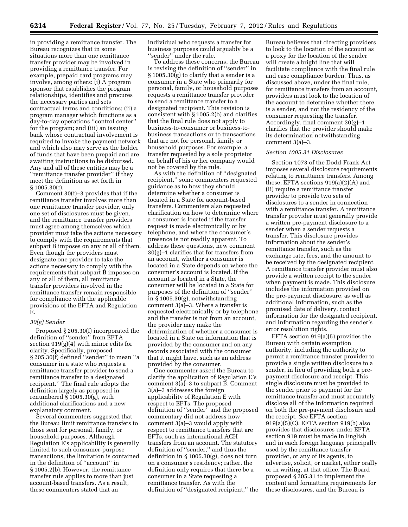in providing a remittance transfer. The Bureau recognizes that in some situations more than one remittance transfer provider may be involved in providing a remittance transfer. For example, prepaid card programs may involve, among others: (i) A program sponsor that establishes the program relationships, identifies and procures the necessary parties and sets contractual terms and conditions; (ii) a program manager which functions as a day-to-day operations ''control center'' for the program; and (iii) an issuing bank whose contractual involvement is required to invoke the payment network and which also may serve as the holder of funds that have been prepaid and are awaiting instructions to be disbursed. Any and all of these entities may be a ''remittance transfer provider'' if they meet the definition as set forth in § 1005.30(f).

Comment 30(f)–3 provides that if the remittance transfer involves more than one remittance transfer provider, only one set of disclosures must be given, and the remittance transfer providers must agree among themselves which provider must take the actions necessary to comply with the requirements that subpart B imposes on any or all of them. Even though the providers must designate one provider to take the actions necessary to comply with the requirements that subpart B imposes on any or all of them, all remittance transfer providers involved in the remittance transfer remain responsible for compliance with the applicable provisions of the EFTA and Regulation E.

#### *30(g) Sender*

Proposed § 205.30(f) incorporated the definition of ''sender'' from EFTA section 919(g)(4) with minor edits for clarity. Specifically, proposed § 205.30(f) defined ''sender'' to mean ''a consumer in a state who requests a remittance transfer provider to send a remittance transfer to a designated recipient.'' The final rule adopts the definition largely as proposed in renumbered § 1005.30(g), with additional clarifications and a new explanatory comment.

Several commenters suggested that the Bureau limit remittance transfers to those sent for personal, family, or household purposes. Although Regulation E's applicability is generally limited to such consumer-purpose transactions, the limitation is contained in the definition of ''account'' in § 1005.2(b). However, the remittance transfer rule applies to more than just account-based transfers. As a result, these commenters stated that an

individual who requests a transfer for business purposes could arguably be a ''sender'' under the rule.

To address these concerns, the Bureau is revising the definition of ''sender'' in § 1005.30(g) to clarify that a sender is a consumer in a State who primarily for personal, family, or household purposes requests a remittance transfer provider to send a remittance transfer to a designated recipient. This revision is consistent with § 1005.2(b) and clarifies that the final rule does not apply to business-to-consumer or business-tobusiness transactions or to transactions that are not for personal, family or household purposes. For example, a transfer requested by a sole proprietor on behalf of his or her company would not be covered by the rule.

As with the definition of ''designated recipient,'' some commenters requested guidance as to how they should determine whether a consumer is located in a State for account-based transfers. Commenters also requested clarification on how to determine where a consumer is located if the transfer request is made electronically or by telephone, and where the consumer's presence is not readily apparent. To address these questions, new comment 30(g)–1 clarifies that for transfers from an account, whether a consumer is located in a State depends on where the consumer's account is located. If the account is located in a State, the consumer will be located in a State for purposes of the definition of ''sender'' in § 1005.30(g), notwithstanding comment 3(a)–3. Where a transfer is requested electronically or by telephone and the transfer is not from an account, the provider may make the determination of whether a consumer is located in a State on information that is provided by the consumer and on any records associated with the consumer that it might have, such as an address provided by the consumer.

One commenter asked the Bureau to clarify the application of Regulation E's comment 3(a)–3 to subpart B. Comment 3(a)–3 addresses the foreign applicability of Regulation E with respect to EFTs. The proposed definition of ''sender'' and the proposed commentary did not address how comment 3(a)–3 would apply with respect to remittance transfers that are EFTs, such as international ACH transfers from an account. The statutory definition of ''sender,'' and thus the definition in § 1005.30(g), does not turn on a consumer's residency; rather, the definition only requires that there be a consumer in a State requesting a remittance transfer. As with the definition of ''designated recipient,'' the

Bureau believes that directing providers to look to the location of the account as a proxy for the location of the sender will create a bright line that will facilitate compliance with the final rule and ease compliance burden. Thus, as discussed above, under the final rule, for remittance transfers from an account, providers must look to the location of the account to determine whether there is a sender, and not the residency of the consumer requesting the transfer. Accordingly, final comment 30(g)–1 clarifies that the provider should make its determination notwithstanding comment 3(a)–3.

#### *Section 1005.31 Disclosures*

Section 1073 of the Dodd-Frank Act imposes several disclosure requirements relating to remittance transfers. Among these, EFTA sections 919(a)(2)(A) and (B) require a remittance transfer provider to provide two sets of disclosures to a sender in connection with a remittance transfer. A remittance transfer provider must generally provide a written pre-payment disclosure to a sender when a sender requests a transfer. This disclosure provides information about the sender's remittance transfer, such as the exchange rate, fees, and the amount to be received by the designated recipient. A remittance transfer provider must also provide a written receipt to the sender when payment is made. This disclosure includes the information provided on the pre-payment disclosure, as well as additional information, such as the promised date of delivery, contact information for the designated recipient, and information regarding the sender's error resolution rights.

EFTA section 919(a)(5) provides the Bureau with certain exemption authority, including the authority to permit a remittance transfer provider to provide a single written disclosure to a sender, in lieu of providing both a prepayment disclosure and receipt. This single disclosure must be provided to the sender prior to payment for the remittance transfer and must accurately disclose all of the information required on both the pre-payment disclosure and the receipt. *See* EFTA section 919(a)(5)(C). EFTA section 919(b) also provides that disclosures under EFTA section 919 must be made in English and in each foreign language principally used by the remittance transfer provider, or any of its agents, to advertise, solicit, or market, either orally or in writing, at that office. The Board proposed § 205.31 to implement the content and formatting requirements for these disclosures, and the Bureau is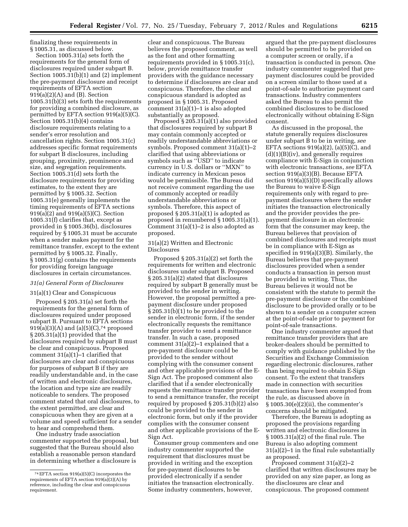finalizing these requirements in § 1005.31, as discussed below.

Section 1005.31(a) sets forth the requirements for the general form of disclosures required under subpart B. Section 1005.31(b)(1) and (2) implement the pre-payment disclosure and receipt requirements of EFTA section  $919(a)(2)(A)$  and  $(B)$ . Section 1005.31(b)(3) sets forth the requirements for providing a combined disclosure, as permitted by EFTA section 919(a)(5)(C). Section 1005.31(b)(4) contains disclosure requirements relating to a sender's error resolution and cancellation rights. Section 1005.31(c) addresses specific format requirements for subpart B disclosures, including grouping, proximity, prominence and size, and segregation requirements. Section 1005.31(d) sets forth the disclosure requirements for providing estimates, to the extent they are permitted by § 1005.32. Section 1005.31(e) generally implements the timing requirements of EFTA sections 919(a)(2) and 919(a)(5)(C). Section 1005.31(f) clarifies that, except as provided in § 1005.36(b), disclosures required by § 1005.31 must be accurate when a sender makes payment for the remittance transfer, except to the extent permitted by § 1005.32. Finally, § 1005.31(g) contains the requirements for providing foreign language disclosures in certain circumstances.

# *31(a) General Form of Disclosures*

# 31(a)(1) Clear and Conspicuous

Proposed § 205.31(a) set forth the requirements for the general form of disclosures required under proposed subpart B. Pursuant to EFTA sections  $919(a)(3)(A)$  and  $(a)(5)(C)$ , <sup>74</sup> proposed § 205.31(a)(1) provided that the disclosures required by subpart B must be clear and conspicuous. Proposed comment 31(a)(1)–1 clarified that disclosures are clear and conspicuous for purposes of subpart B if they are readily understandable and, in the case of written and electronic disclosures, the location and type size are readily noticeable to senders. The proposed comment stated that oral disclosures, to the extent permitted, are clear and conspicuous when they are given at a volume and speed sufficient for a sender to hear and comprehend them.

One industry trade association commenter supported the proposal, but suggested that the Bureau should also establish a reasonable person standard in determining whether a disclosure is

clear and conspicuous. The Bureau believes the proposed comment, as well as the font and other formatting requirements provided in § 1005.31(c), below, provide remittance transfer providers with the guidance necessary to determine if disclosures are clear and conspicuous. Therefore, the clear and conspicuous standard is adopted as proposed in § 1005.31. Proposed comment 31(a)(1)–1 is also adopted substantially as proposed.

Proposed  $\S 205.31(a)(1)$  also provided that disclosures required by subpart B may contain commonly accepted or readily understandable abbreviations or symbols. Proposed comment 31(a)(1)–2 clarified that using abbreviations or symbols such as ''USD'' to indicate currency in U.S. dollars or ''MXN'' to indicate currency in Mexican pesos would be permissible. The Bureau did not receive comment regarding the use of commonly accepted or readily understandable abbreviations or symbols. Therefore, this aspect of proposed § 205.31(a)(1) is adopted as proposed in renumbered § 1005.31(a)(1). Comment 31(a)(1)–2 is also adopted as proposed.

# 31(a)(2) Written and Electronic Disclosures

Proposed § 205.31(a)(2) set forth the requirements for written and electronic disclosures under subpart B. Proposed § 205.31(a)(2) stated that disclosures required by subpart B generally must be provided to the sender in writing. However, the proposal permitted a prepayment disclosure under proposed § 205.31(b)(1) to be provided to the sender in electronic form, if the sender electronically requests the remittance transfer provider to send a remittance transfer. In such a case, proposed comment 31(a)(2)–1 explained that a pre-payment disclosure could be provided to the sender without complying with the consumer consent and other applicable provisions of the E-Sign Act. The proposed comment also clarified that if a sender electronically requests the remittance transfer provider to send a remittance transfer, the receipt required by proposed § 205.31(b)(2) also could be provided to the sender in electronic form, but only if the provider complies with the consumer consent and other applicable provisions of the E-Sign Act.

Consumer group commenters and one industry commenter supported the requirement that disclosures must be provided in writing and the exception for pre-payment disclosures to be provided electronically if a sender initiates the transaction electronically. Some industry commenters, however,

argued that the pre-payment disclosures should be permitted to be provided on a computer screen or orally, if a transaction is conducted in person. One industry commenter suggested that prepayment disclosures could be provided on a screen similar to those used at a point-of-sale to authorize payment card transactions. Industry commenters asked the Bureau to also permit the combined disclosures to be disclosed electronically without obtaining E-Sign consent.

As discussed in the proposal, the statute generally requires disclosures under subpart B to be in writing, *see*  EFTA sections  $919(a)(2)$ ,  $(a)(5)(C)$ , and  $(d)(1)(B)(iv)$ , and generally requires compliance with E-Sign in conjunction with electronic transactions, *see* EFTA section 919(a)(3)(B). Because EFTA section 919(a)(5)(D) specifically allows the Bureau to waive E-Sign requirements only with regard to prepayment disclosures where the sender initiates the transaction electronically and the provider provides the prepayment disclosure in an electronic form that the consumer may keep, the Bureau believes that provision of combined disclosures and receipts must be in compliance with E-Sign as specified in 919(a)(3)(B). Similarly, the Bureau believes that pre-payment disclosures provided when a sender conducts a transaction in person must be provided in writing. Thus, the Bureau believes it would not be consistent with the statute to permit the pre-payment disclosure or the combined disclosure to be provided orally or to be shown to a sender on a computer screen at the point-of-sale prior to payment for point-of-sale transactions.

One industry commenter argued that remittance transfer providers that are broker-dealers should be permitted to comply with guidance published by the Securities and Exchange Commission regarding electronic disclosures, rather than being required to obtain E-Sign consent. To the extent that transfers made in connection with securities transactions have been exempted from the rule, as discussed above in § 1005.30(e)(2)(ii), the commenter's concerns should be mitigated.

Therefore, the Bureau is adopting as proposed the provisions regarding written and electronic disclosures in § 1005.31(a)(2) of the final rule. The Bureau is also adopting comment 31(a)(2)–1 in the final rule substantially as proposed.

Proposed comment 31(a)(2)–2 clarified that written disclosures may be provided on any size paper, as long as the disclosures are clear and conspicuous. The proposed comment

<sup>74</sup>EFTA section 919(a)(5)(C) incorporates the requirements of EFTA section  $919(a)(A)$  by reference, including the clear and conspicuous requirement.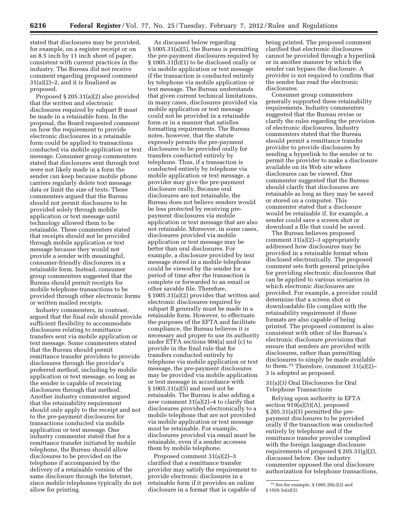stated that disclosures may be provided, for example, on a register receipt or on an 8.5 inch by 11 inch sheet of paper, consistent with current practices in the industry. The Bureau did not receive comment regarding proposed comment 31(a)(2)–2, and it is finalized as proposed.

Proposed § 205.31(a)(2) also provided that the written and electronic disclosures required by subpart B must be made in a retainable form. In the proposal, the Board requested comment on how the requirement to provide electronic disclosures in a retainable form could be applied to transactions conducted via mobile application or text message. Consumer group commenters stated that disclosures sent through text were not likely made in a form the sender can keep because mobile phone carriers regularly delete text message data or limit the size of texts. These commenters argued that the Bureau should not permit disclosures to be provided solely through mobile application or text message until technology allowed them to be retainable. These commenters stated that receipts should not be provided through mobile application or text message because they would not provide a sender with meaningful, consumer-friendly disclosures in a retainable form. Instead, consumer group commenters suggested that the Bureau should permit receipts for mobile telephone transactions to be provided through other electronic forms or written mailed receipts.

Industry commenters, in contrast, argued that the final rule should provide sufficient flexibility to accommodate disclosures relating to remittance transfers sent via mobile application or text message. Some commenters stated that the Bureau should permit remittance transfer providers to provide disclosures through the provider's preferred method, including by mobile application or text message, so long as the sender is capable of receiving disclosures through that method. Another industry commenter argued that the retainability requirement should only apply to the receipt and not to the pre-payment disclosures for transactions conducted via mobile application or text message. One industry commenter stated that for a remittance transfer initiated by mobile telephone, the Bureau should allow disclosures to be provided on the telephone if accompanied by the delivery of a retainable version of the same disclosure through the Internet, since mobile telephones typically do not allow for printing.

As discussed below regarding § 1005.31(a)(5), the Bureau is permitting the pre-payment disclosures required by § 1005.31(b)(1) to be disclosed orally or via mobile application or text message if the transaction is conducted entirely by telephone via mobile application or text message. The Bureau understands that given current technical limitations, in many cases, disclosures provided via mobile application or text message could not be provided in a retainable form or in a manner that satisfies formatting requirements. The Bureau notes, however, that the statute expressly permits the pre-payment disclosures to be provided orally for transfers conducted entirely by telephone. Thus, if a transaction is conducted entirely by telephone via mobile application or text message, a provider may give the pre-payment disclosure orally. Because oral disclosures are not retainable, the Bureau does not believe senders would be less protected by receiving prepayment disclosures via mobile application or text message that are also not retainable. Moreover, in some cases, disclosures provided via mobile application or text message may be better than oral disclosures. For example, a disclosure provided by text message stored in a mobile telephone could be viewed by the sender for a period of time after the transaction is complete or forwarded to an email or other savable file. Therefore, § 1005.31(a)(2) provides that written and electronic disclosures required by subpart B generally must be made in a retainable form. However, to effectuate the purposes of the EFTA and facilitate compliance, the Bureau believes it is necessary and proper to use its authority under ETFA sections 904(a) and (c) to provide in the final rule that for transfers conducted entirely by telephone via mobile application or text message, the pre-payment disclosures may be provided via mobile application or text message in accordance with § 1005.31(a)(5) and need not be retainable. The Bureau is also adding a new comment 31(a)(2)–4 to clarify that disclosures provided electronically to a mobile telephone that are not provided via mobile application or text message must be retainable. For example, disclosures provided via email must be retainable, even if a sender accesses them by mobile telephone.

Proposed comment 31(a)(2)–3 clarified that a remittance transfer provider may satisfy the requirement to provide electronic disclosures in a retainable form if it provides an online disclosure in a format that is capable of being printed. The proposed comment clarified that electronic disclosures cannot be provided through a hyperlink or in another manner by which the sender can bypass the disclosure. A provider is not required to confirm that the sender has read the electronic disclosures.

Consumer group commenters generally supported these retainability requirements. Industry commenters suggested that the Bureau revise or clarify the rules regarding the provision of electronic disclosures. Industry commenters stated that the Bureau should permit a remittance transfer provider to provide disclosures by sending a hyperlink to the sender or to permit the provider to make a disclosure available on its Web site where disclosures can be viewed. One commenter suggested that the Bureau should clarify that disclosures are retainable as long as they may be saved or stored on a computer. This commenter stated that a disclosure would be retainable if, for example, a sender could save a screen shot or download a file that could be saved.

The Bureau believes proposed comment 31(a)(2)–3 appropriately addressed how disclosures may be provided in a retainable format when disclosed electronically. The proposed comment sets forth general principles for providing electronic disclosures that can be applied to various scenarios in which electronic disclosures are provided. For example, a provider could determine that a screen shot or downloadable file complies with the retainability requirement if those formats are also capable of being printed. The proposed comment is also consistent with other of the Bureau's electronic disclosure provisions that ensure that senders are provided with disclosures, rather than permitting disclosures to simply be made available to them.75 Therefore, comment 31(a)(2)– 3 is adopted as proposed.

31(a)(3) Oral Disclosures for Oral Telephone Transactions

Relying upon authority in EFTA section 919(a)(5)(A), proposed § 205.31(a)(3) permitted the prepayment disclosures to be provided orally if the transaction was conducted entirely by telephone and if the remittance transfer provider complied with the foreign language disclosure requirements of proposed § 205.31(g)(2), discussed below. One industry commenter opposed the oral disclosure authorization for telephone transactions,

<sup>75</sup>*See* for example, § 1005.20(c)(2) and § 1026.5a(a)(2).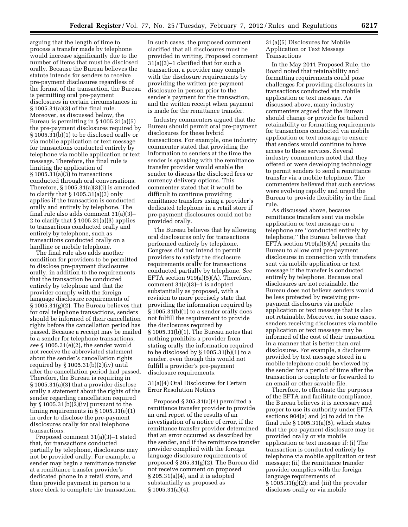arguing that the length of time to process a transfer made by telephone would increase significantly due to the number of items that must be disclosed orally. Because the Bureau believes the statute intends for senders to receive pre-payment disclosures regardless of the format of the transaction, the Bureau is permitting oral pre-payment disclosures in certain circumstances in § 1005.31(a)(3) of the final rule. Moreover, as discussed below, the Bureau is permitting in § 1005.31(a)(5) the pre-payment disclosures required by § 1005.31(b)(1) to be disclosed orally or via mobile application or text message for transactions conducted entirely by telephone via mobile application or text message. Therefore, the final rule is limiting the application of § 1005.31(a)(3) to transactions conducted through oral conversations. Therefore,  $\S 1005.31(a)(3)(i)$  is amended to clarify that § 1005.31(a)(3) only applies if the transaction is conducted orally and entirely by telephone. The final rule also adds comment 31(a)(3)– 2 to clarify that § 1005.31(a)(3) applies to transactions conducted orally and entirely by telephone, such as transactions conducted orally on a landline or mobile telephone.

The final rule also adds another condition for providers to be permitted to disclose pre-payment disclosures orally, in addition to the requirements that the transaction be conducted entirely by telephone and that the provider comply with the foreign language disclosure requirements of § 1005.31(g)(2). The Bureau believes that for oral telephone transactions, senders should be informed of their cancellation rights before the cancellation period has passed. Because a receipt may be mailed to a sender for telephone transactions, *see* § 1005.31(e)(2), the sender would not receive the abbreviated statement about the sender's cancellation rights required by  $\S 1005.31(b)(2)(iv)$  until after the cancellation period had passed. Therefore, the Bureau is requiring in § 1005.31(a)(3) that a provider disclose orally a statement about the rights of the sender regarding cancellation required by § 1005.31(b)(2)(iv) pursuant to the timing requirements in § 1005.31(e)(1) in order to disclose the pre-payment disclosures orally for oral telephone transactions.

Proposed comment 31(a)(3)–1 stated that, for transactions conducted partially by telephone, disclosures may not be provided orally. For example, a sender may begin a remittance transfer at a remittance transfer provider's dedicated phone in a retail store, and then provide payment in person to a store clerk to complete the transaction.

In such cases, the proposed comment clarified that all disclosures must be provided in writing. Proposed comment 31(a)(3)–1 clarified that for such a transaction, a provider may comply with the disclosure requirements by providing the written pre-payment disclosure in person prior to the sender's payment for the transaction, and the written receipt when payment is made for the remittance transfer.

Industry commenters argued that the Bureau should permit oral pre-payment disclosures for these hybrid transactions. For example, one industry commenter stated that providing the information to senders at the time the sender is speaking with the remittance transfer provider would enable the sender to discuss the disclosed fees or currency delivery options. This commenter stated that it would be difficult to continue providing remittance transfers using a provider's dedicated telephone in a retail store if pre-payment disclosures could not be provided orally.

The Bureau believes that by allowing oral disclosures only for transactions performed entirely by telephone, Congress did not intend to permit providers to satisfy the disclosure requirements orally for transactions conducted partially by telephone. *See*  EFTA section 919(a)(5)(A). Therefore, comment 31(a)(3)–1 is adopted substantially as proposed, with a revision to more precisely state that providing the information required by § 1005.31(b)(1) to a sender orally does not fulfill the requirement to provide the disclosures required by § 1005.31(b)(1). The Bureau notes that nothing prohibits a provider from stating orally the information required to be disclosed by § 1005.31(b)(1) to a sender, even though this would not fulfill a provider's pre-payment disclosure requirements.

# 31(a)(4) Oral Disclosures for Certain Error Resolution Notices

Proposed § 205.31(a)(4) permitted a remittance transfer provider to provide an oral report of the results of an investigation of a notice of error, if the remittance transfer provider determined that an error occurred as described by the sender, and if the remittance transfer provider complied with the foreign language disclosure requirements of proposed § 205.31(g)(2). The Bureau did not receive comment on proposed § 205.31(a)(4), and it is adopted substantially as proposed as § 1005.31(a)(4).

31(a)(5) Disclosures for Mobile Application or Text Message Transactions

In the May 2011 Proposed Rule, the Board noted that retainability and formatting requirements could pose challenges for providing disclosures in transactions conducted via mobile application or text message. As discussed above, many industry commenters argued that the Bureau should change or provide for tailored retainability or formatting requirements for transactions conducted via mobile application or text message to ensure that senders would continue to have access to these services. Several industry commenters noted that they offered or were developing technology to permit senders to send a remittance transfer via a mobile telephone. The commenters believed that such services were evolving rapidly and urged the Bureau to provide flexibility in the final rule.

As discussed above, because remittance transfers sent via mobile application or text message on a telephone are ''conducted entirely by telephone,'' the Bureau believes that EFTA section 919(a)(5)(A) permits the Bureau to allow oral pre-payment disclosures in connection with transfers sent via mobile application or text message if the transfer is conducted entirely by telephone. Because oral disclosures are not retainable, the Bureau does not believe senders would be less protected by receiving prepayment disclosures via mobile application or text message that is also not retainable. Moreover, in some cases, senders receiving disclosures via mobile application or text message may be informed of the cost of their transaction in a manner that is better than oral disclosures. For example, a disclosure provided by text message stored in a mobile telephone could be viewed by the sender for a period of time after the transaction is complete or forwarded to an email or other savable file.

Therefore, to effectuate the purposes of the EFTA and facilitate compliance, the Bureau believes it is necessary and proper to use its authority under EFTA sections 904(a) and (c) to add in the final rule  $\S 1005.31(a)(5)$ , which states that the pre-payment disclosure may be provided orally or via mobile application or text message if: (i) The transaction is conducted entirely by telephone via mobile application or text message; (ii) the remittance transfer provider complies with the foreign language requirements of § 1005.31(g)(2); and (iii) the provider discloses orally or via mobile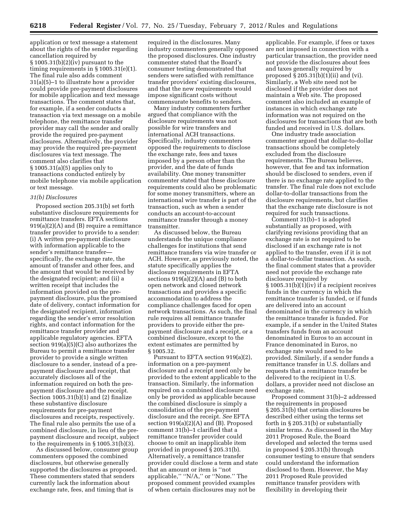application or text message a statement about the rights of the sender regarding cancellation required by § 1005.31(b)(2)(iv) pursuant to the timing requirements in  $\S 1005.31(e)(1)$ . The final rule also adds comment 31(a)(5)–1 to illustrate how a provider could provide pre-payment disclosures for mobile application and text message transactions. The comment states that, for example, if a sender conducts a transaction via text message on a mobile telephone, the remittance transfer provider may call the sender and orally provide the required pre-payment disclosures. Alternatively, the provider may provide the required pre-payment disclosures via text message. The comment also clarifies that § 1005.31(a)(5) applies only to transactions conducted entirely by mobile telephone via mobile application or text message.

# *31(b) Disclosures*

Proposed section 205.31(b) set forth substantive disclosure requirements for remittance transfers. EFTA sections 919(a)(2)(A) and (B) require a remittance transfer provider to provide to a sender: (i) A written pre-payment disclosure with information applicable to the sender's remittance transfer specifically, the exchange rate, the amount of transfer and other fees, and the amount that would be received by the designated recipient; and (ii) a written receipt that includes the information provided on the prepayment disclosure, plus the promised date of delivery, contact information for the designated recipient, information regarding the sender's error resolution rights, and contact information for the remittance transfer provider and applicable regulatory agencies. EFTA section 919(a)(5)(C) also authorizes the Bureau to permit a remittance transfer provider to provide a single written disclosure to a sender, instead of a prepayment disclosure and receipt, that accurately discloses all of the information required on both the prepayment disclosure and the receipt. Section 1005.31(b)(1) and (2) finalize these substantive disclosure requirements for pre-payment disclosures and receipts, respectively. The final rule also permits the use of a combined disclosure, in lieu of the prepayment disclosure and receipt, subject to the requirements in § 1005.31(b)(3).

As discussed below, consumer group commenters opposed the combined disclosures, but otherwise generally supported the disclosures as proposed. These commenters stated that senders currently lack the information about exchange rate, fees, and timing that is

required in the disclosures. Many industry commenters generally opposed the proposed disclosures. One industry commenter stated that the Board's consumer testing demonstrated that senders were satisfied with remittance transfer providers' existing disclosures, and that the new requirements would impose significant costs without commensurate benefits to senders.

Many industry commenters further argued that compliance with the disclosure requirements was not possible for wire transfers and international ACH transactions. Specifically, industry commenters opposed the requirements to disclose the exchange rate, fees and taxes imposed by a person other than the provider, and the date of funds availability. One money transmitter commenter stated that these disclosure requirements could also be problematic for some money transmitters, where an international wire transfer is part of the transaction, such as when a sender conducts an account-to-account remittance transfer through a money transmitter.

As discussed below, the Bureau understands the unique compliance challenges for institutions that send remittance transfers via wire transfer or ACH. However, as previously noted, the statute specifically applies the disclosure requirements in EFTA sections  $919(a)(2)(A)$  and  $(B)$  to both open network and closed network transactions and provides a specific accommodation to address the compliance challenges faced for open network transactions. As such, the final rule requires all remittance transfer providers to provide either the prepayment disclosure and a receipt, or a combined disclosure, except to the extent estimates are permitted by § 1005.32.

Pursuant to EFTA section 919(a)(2), information on a pre-payment disclosure and a receipt need only be provided to the extent applicable to the transaction. Similarly, the information required on a combined disclosure need only be provided as applicable because the combined disclosure is simply a consolidation of the pre-payment disclosure and the receipt. *See* EFTA section 919(a)(2)(A) and (B). Proposed comment 31(b)–1 clarified that a remittance transfer provider could choose to omit an inapplicable item provided in proposed § 205.31(b). Alternatively, a remittance transfer provider could disclose a term and state that an amount or item is ''not applicable," "N/A," or "None." The proposed comment provided examples of when certain disclosures may not be

applicable. For example, if fees or taxes are not imposed in connection with a particular transaction, the provider need not provide the disclosures about fees and taxes generally required by proposed § 205.31(b)(1)(ii) and (vi). Similarly, a Web site need not be disclosed if the provider does not maintain a Web site. The proposed comment also included an example of instances in which exchange rate information was not required on the disclosures for transactions that are both funded and received in U.S. dollars.

One industry trade association commenter argued that dollar-to-dollar transactions should be completely excluded from the disclosure requirements. The Bureau believes, however, that fee and tax information should be disclosed to senders, even if there is no exchange rate applied to the transfer. The final rule does not exclude dollar-to-dollar transactions from the disclosure requirements, but clarifies that the exchange rate disclosure is not required for such transactions.

Comment 31(b)–1 is adopted substantially as proposed, with clarifying revisions providing that an exchange rate is not required to be disclosed if an exchange rate is not applied to the transfer, even if it is not a dollar-to-dollar transaction. As such, the final comment states that a provider need not provide the exchange rate disclosure required by § 1005.31(b)(1)(iv) if a recipient receives funds in the currency in which the remittance transfer is funded, or if funds are delivered into an account denominated in the currency in which the remittance transfer is funded. For example, if a sender in the United States transfers funds from an account denominated in Euros to an account in France denominated in Euros, no exchange rate would need to be provided. Similarly, if a sender funds a remittance transfer in U.S. dollars and requests that a remittance transfer be delivered to the recipient in U.S. dollars, a provider need not disclose an exchange rate.

Proposed comment 31(b)–2 addressed the requirements in proposed § 205.31(b) that certain disclosures be described either using the terms set forth in § 205.31(b) or substantially similar terms. As discussed in the May 2011 Proposed Rule, the Board developed and selected the terms used in proposed § 205.31(b) through consumer testing to ensure that senders could understand the information disclosed to them. However, the May 2011 Proposed Rule provided remittance transfer providers with flexibility in developing their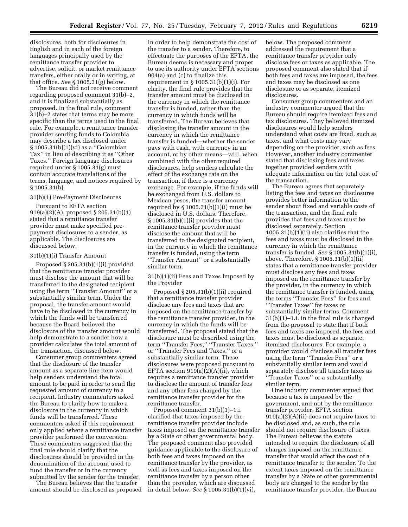disclosures, both for disclosures in English and in each of the foreign languages principally used by the remittance transfer provider to advertise, solicit, or market remittance transfers, either orally or in writing, at that office. *See* § 1005.31(g) below.

The Bureau did not receive comment regarding proposed comment 31(b)–2, and it is finalized substantially as proposed. In the final rule, comment 31(b)–2 states that terms may be more specific than the terms used in the final rule. For example, a remittance transfer provider sending funds to Colombia may describe a tax disclosed under § 1005.31(b)(1)(vi) as a ''Colombian Tax'' in lieu of describing it as ''Other Taxes.'' Foreign language disclosures required under § 1005.31(g) must contain accurate translations of the terms, language, and notices required by § 1005.31(b).

#### 31(b)(1) Pre-Payment Disclosures

Pursuant to EFTA section 919(a)(2)(A), proposed § 205.31(b)(1) stated that a remittance transfer provider must make specified prepayment disclosures to a sender, as applicable. The disclosures are discussed below.

### 31(b)(1)(i) Transfer Amount

Proposed § 205.31(b)(1)(i) provided that the remittance transfer provider must disclose the amount that will be transferred to the designated recipient using the term ''Transfer Amount'' or a substantially similar term. Under the proposal, the transfer amount would have to be disclosed in the currency in which the funds will be transferred because the Board believed the disclosure of the transfer amount would help demonstrate to a sender how a provider calculates the total amount of the transaction, discussed below.

Consumer group commenters agreed that the disclosure of the transfer amount as a separate line item would help senders understand the total amount to be paid in order to send the requested amount of currency to a recipient. Industry commenters asked the Bureau to clarify how to make a disclosure in the currency in which funds will be transferred. These commenters asked if this requirement only applied where a remittance transfer provider performed the conversion. These commenters suggested that the final rule should clarify that the disclosures should be provided in the denomination of the account used to fund the transfer or in the currency submitted by the sender for the transfer.

The Bureau believes that the transfer amount should be disclosed as proposed

in order to help demonstrate the cost of the transfer to a sender. Therefore, to effectuate the purposes of the EFTA, the Bureau deems is necessary and proper to use its authority under EFTA sections 904(a) and (c) to finalize this requirement in § 1005.31(b)(1)(i). For clarity, the final rule provides that the transfer amount must be disclosed in the currency in which the remittance transfer is funded, rather than the currency in which funds will be transferred. The Bureau believes that disclosing the transfer amount in the currency in which the remittance transfer is funded—whether the sender pays with cash, with currency in an account, or by other means—will, when combined with the other required disclosures, help senders calculate the effect of the exchange rate on the transaction, if there is a currency exchange. For example, if the funds will be exchanged from U.S. dollars to Mexican pesos, the transfer amount required by § 1005.31(b)(1)(i) must be disclosed in U.S. dollars. Therefore, § 1005.31(b)(1)(i) provides that the remittance transfer provider must disclose the amount that will be transferred to the designated recipient, in the currency in which the remittance transfer is funded, using the term ''Transfer Amount'' or a substantially similar term.

31(b)(1)(ii) Fees and Taxes Imposed by the Provider

Proposed § 205.31(b)(1)(ii) required that a remittance transfer provider disclose any fees and taxes that are imposed on the remittance transfer by the remittance transfer provider, in the currency in which the funds will be transferred. The proposal stated that the disclosure must be described using the term ''Transfer Fees,'' ''Transfer Taxes,'' or ''Transfer Fees and Taxes,'' or a substantially similar term. These disclosures were proposed pursuant to EFTA section  $919(a)(2)(A)(ii)$ , which requires a remittance transfer provider to disclose the amount of transfer fees and any other fees charged by the remittance transfer provider for the remittance transfer.

Proposed comment 31(b)(1)–1.i. clarified that taxes imposed by the remittance transfer provider include taxes imposed on the remittance transfer by a State or other governmental body. The proposed comment also provided guidance applicable to the disclosure of both fees and taxes imposed on the remittance transfer by the provider, as well as fees and taxes imposed on the remittance transfer by a person other than the provider, which are discussed in detail below. *See* § 1005.31(b)(1)(vi),

below. The proposed comment addressed the requirement that a remittance transfer provider only disclose fees or taxes as applicable. The proposed comment also stated that if both fees and taxes are imposed, the fees and taxes may be disclosed as one disclosure or as separate, itemized disclosures.

Consumer group commenters and an industry commenter argued that the Bureau should require itemized fees and tax disclosures. They believed itemized disclosures would help senders understand what costs are fixed, such as taxes, and what costs may vary depending on the provider, such as fees. However, another industry commenter stated that disclosing fees and taxes together provided senders with adequate information on the total cost of the transaction.

The Bureau agrees that separately listing the fees and taxes on disclosures provides better information to the sender about fixed and variable costs of the transaction, and the final rule provides that fees and taxes must be disclosed separately. Section 1005.31(b)(1)(ii) also clarifies that the fees and taxes must be disclosed in the currency in which the remittance transfer is funded. *See* § 1005.31(b)(1)(i), above. Therefore, § 1005.31(b)(1)(ii) states that a remittance transfer provider must disclose any fees and taxes imposed on the remittance transfer by the provider, in the currency in which the remittance transfer is funded, using the terms ''Transfer Fees'' for fees and ''Transfer Taxes'' for taxes or substantially similar terms. Comment 31(b)(1)–1.i. in the final rule is changed from the proposal to state that if both fees and taxes are imposed, the fees and taxes must be disclosed as separate, itemized disclosures. For example, a provider would disclose all transfer fees using the term ''Transfer Fees'' or a substantially similar term and would separately disclose all transfer taxes as ''Transfer Taxes'' or a substantially similar term.

One industry commenter argued that because a tax is imposed by the government, and not by the remittance transfer provider, EFTA section  $919(a)(2)(A)(ii)$  does not require taxes to be disclosed and, as such, the rule should not require disclosure of taxes. The Bureau believes the statute intended to require the disclosure of all charges imposed on the remittance transfer that would affect the cost of a remittance transfer to the sender. To the extent taxes imposed on the remittance transfer by a State or other governmental body are charged to the sender by the remittance transfer provider, the Bureau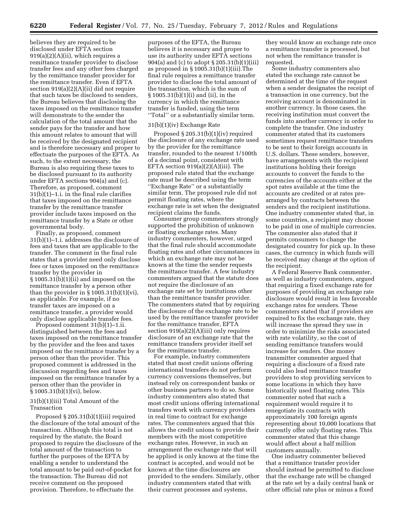believes they are required to be disclosed under EFTA section  $919(a)(2)(A)(ii)$ , which requires a remittance transfer provider to disclose transfer fees and any other fees charged by the remittance transfer provider for the remittance transfer. Even if EFTA section 919(a)(2)(A)(ii) did not require that such taxes be disclosed to senders, the Bureau believes that disclosing the taxes imposed on the remittance transfer will demonstrate to the sender the calculation of the total amount that the sender pays for the transfer and how this amount relates to amount that will be received by the designated recipient and is therefore necessary and proper to effectuate the purposes of the EFTA. As such, to the extent necessary, the Bureau is also requiring these taxes to be disclosed pursuant to its authority under EFTA sections 904(a) and (c). Therefore, as proposed, comment 31(b)(1)–1.i. in the final rule clarifies that taxes imposed on the remittance transfer by the remittance transfer provider include taxes imposed on the remittance transfer by a State or other governmental body.

Finally, as proposed, comment 31(b)(1)–1.i. addresses the disclosure of fees and taxes that are applicable to the transfer. The comment in the final rule states that a provider need only disclose fees or taxes imposed on the remittance transfer by the provider in § 1005.31(b)(1)(ii) and imposed on the remittance transfer by a person other than the provider in  $\S 1005.31(b)(1)(vi)$ , as applicable. For example, if no transfer taxes are imposed on a remittance transfer, a provider would only disclose applicable transfer fees.

Proposed comment 31(b)(1)–1.ii. distinguished between the fees and taxes imposed on the remittance transfer by the provider and the fees and taxes imposed on the remittance transfer by a person other than the provider. This proposed comment is addressed in the discussion regarding fees and taxes imposed on the remittance transfer by a person other than the provider in § 1005.31(b)(1)(vi), below.

# 31(b)(1)(iii) Total Amount of the Transaction

Proposed § 205.31(b)(1)(iii) required the disclosure of the total amount of the transaction. Although this total is not required by the statute, the Board proposed to require the disclosure of the total amount of the transaction to further the purposes of the EFTA by enabling a sender to understand the total amount to be paid out-of-pocket for the transaction. The Bureau did not receive comment on the proposed provision. Therefore, to effectuate the

purposes of the EFTA, the Bureau believes it is necessary and proper to use its authority under EFTA sections 904(a) and (c) to adopt § 205.31(b)(1)(iii) as proposed in § 1005.31(b)(1)(iii).The final rule requires a remittance transfer provider to disclose the total amount of the transaction, which is the sum of § 1005.31(b)(1)(i) and (ii), in the currency in which the remittance transfer is funded, using the term ''Total'' or a substantially similar term.

# 31(b)(1)(iv) Exchange Rate

Proposed § 205.31(b)(1)(iv) required the disclosure of any exchange rate used by the provider for the remittance transfer, rounded to the nearest 1/100th of a decimal point, consistent with EFTA section 919(a)(2)(A)(iii). The proposed rule stated that the exchange rate must be described using the term ''Exchange Rate'' or a substantially similar term. The proposed rule did not permit floating rates, where the exchange rate is set when the designated recipient claims the funds.

Consumer group commenters strongly supported the prohibition of unknown or floating exchange rates. Many industry commenters, however, urged that the final rule should accommodate floating rates and other circumstances in which an exchange rate may not be known at the time the sender requests the remittance transfer. A few industry commenters argued that the statute does not require the disclosure of an exchange rate set by institutions other than the remittance transfer provider. The commenters stated that by requiring the disclosure of the exchange rate to be used by the remittance transfer provider for the remittance transfer, EFTA section 919(a)(2)(A)(iii) only requires disclosure of an exchange rate that the remittance transfers provider itself set for the remittance transfer.

For example, industry commenters stated that most credit unions offering international transfers do not perform currency conversions themselves, but instead rely on correspondent banks or other business partners to do so. Some industry commenters also stated that most credit unions offering international transfers work with currency providers in real time to contract for exchange rates. The commenters argued that this allows the credit unions to provide their members with the most competitive exchange rates. However, in such an arrangement the exchange rate that will be applied is only known at the time the contract is accepted, and would not be known at the time disclosures are provided to the senders. Similarly, other industry commenters stated that with their current processes and systems,

they would know an exchange rate once a remittance transfer is processed, but not when the remittance transfer is requested.

Some industry commenters also stated the exchange rate cannot be determined at the time of the request when a sender designates the receipt of a transaction in one currency, but the receiving account is denominated in another currency. In those cases, the receiving institution must convert the funds into another currency in order to complete the transfer. One industry commenter stated that its customers sometimes request remittance transfers to be sent to their foreign accounts in U.S. dollars. These senders, however, have arrangements with the recipient institutions holding their foreign accounts to convert the funds to the currencies of the accounts either at the spot rates available at the time the accounts are credited or at rates prearranged by contracts between the senders and the recipient institutions. One industry commenter stated that, in some countries, a recipient may choose to be paid in one of multiple currencies. The commenter also stated that it permits consumers to change the designated country for pick up. In these cases, the currency in which funds will be received may change at the option of the recipient.

A Federal Reserve Bank commenter, as well as industry commenters, argued that requiring a fixed exchange rate for purposes of providing an exchange rate disclosure would result in less favorable exchange rates for senders. These commenters stated that if providers are required to fix the exchange rate, they will increase the spread they use in order to minimize the risks associated with rate volatility, so the cost of sending remittance transfers would increase for senders. One money transmitter commenter argued that requiring a disclosure of a fixed rate could also lead remittance transfer providers to stop providing services to some locations in which they have historically used floating rates. This commenter noted that such a requirement would require it to renegotiate its contracts with approximately 100 foreign agents representing about 10,000 locations that currently offer only floating rates. This commenter stated that this change would affect about a half million customers annually.

One industry commenter believed that a remittance transfer provider should instead be permitted to disclose that the exchange rate will be changed at the rate set by a daily central bank or other official rate plus or minus a fixed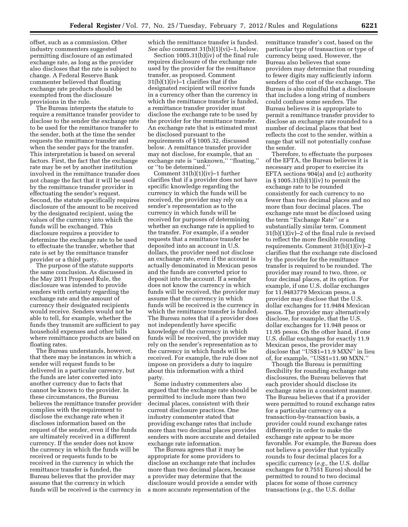offset, such as a commission. Other industry commenters suggested permitting disclosure of an estimated exchange rate, as long as the provider also discloses that the rate is subject to change. A Federal Reserve Bank commenter believed that floating exchange rate products should be exempted from the disclosure provisions in the rule.

The Bureau interprets the statute to require a remittance transfer provider to disclose to the sender the exchange rate to be used for the remittance transfer to the sender, both at the time the sender requests the remittance transfer and when the sender pays for the transfer. This interpretation is based on several factors. First, the fact that the exchange rate may be set by another institution involved in the remittance transfer does not change the fact that it will be used by the remittance transfer provider in effectuating the sender's request. Second, the statute specifically requires disclosure of the amount to be received by the designated recipient, using the values of the currency into which the funds will be exchanged. This disclosure requires a provider to determine the exchange rate to be used to effectuate the transfer, whether that rate is set by the remittance transfer provider or a third party.

The purpose of the statute supports the same conclusion. As discussed in the May 2011 Proposed Rule, the disclosure was intended to provide senders with certainty regarding the exchange rate and the amount of currency their designated recipients would receive. Senders would not be able to tell, for example, whether the funds they transmit are sufficient to pay household expenses and other bills where remittance products are based on floating rates.

The Bureau understands, however, that there may be instances in which a sender will request funds to be delivered in a particular currency, but the funds are later converted into another currency due to facts that cannot be known to the provider. In these circumstances, the Bureau believes the remittance transfer provider complies with the requirement to disclose the exchange rate when it discloses information based on the request of the sender, even if the funds are ultimately received in a different currency. If the sender does not know the currency in which the funds will be received or requests funds to be received in the currency in which the remittance transfer is funded, the Bureau believes that the provider may assume that the currency in which funds will be received is the currency in

which the remittance transfer is funded. *See also* comment 31(b)(1)(vi)–1, below.

Section 1005.31(b)(iv) of the final rule requires disclosure of the exchange rate used by the provider for the remittance transfer, as proposed. Comment 31(b)(1)(iv)–1 clarifies that if the designated recipient will receive funds in a currency other than the currency in which the remittance transfer is funded, a remittance transfer provider must disclose the exchange rate to be used by the provider for the remittance transfer. An exchange rate that is estimated must be disclosed pursuant to the requirements of § 1005.32, discussed below. A remittance transfer provider may not disclose, for example, that an exchange rate is ''unknown,'' ''floating,'' or ''to be determined.''

Comment  $31(b)(1)(iv)$ –1 further clarifies that if a provider does not have specific knowledge regarding the currency in which the funds will be received, the provider may rely on a sender's representation as to the currency in which funds will be received for purposes of determining whether an exchange rate is applied to the transfer. For example, if a sender requests that a remittance transfer be deposited into an account in U.S. dollars, the provider need not disclose an exchange rate, even if the account is actually denominated in Mexican pesos and the funds are converted prior to deposit into the account. If a sender does not know the currency in which funds will be received, the provider may assume that the currency in which funds will be received is the currency in which the remittance transfer is funded. The Bureau notes that if a provider does not independently have specific knowledge of the currency in which funds will be received, the provider may rely on the sender's representation as to the currency in which funds will be received. For example, the rule does not impose on providers a duty to inquire about this information with a third party.

Some industry commenters also argued that the exchange rate should be permitted to include more than two decimal places, consistent with their current disclosure practices. One industry commenter stated that providing exchange rates that include more than two decimal places provides senders with more accurate and detailed exchange rate information.

The Bureau agrees that it may be appropriate for some providers to disclose an exchange rate that includes more than two decimal places, because a provider may determine that the disclosure would provide a sender with a more accurate representation of the

remittance transfer's cost, based on the particular type of transaction or type of currency being used. However, the Bureau also believes that some providers may determine that rounding to fewer digits may sufficiently inform senders of the cost of the exchange. The Bureau is also mindful that a disclosure that includes a long string of numbers could confuse some senders. The Bureau believes it is appropriate to permit a remittance transfer provider to disclose an exchange rate rounded to a number of decimal places that best reflects the cost to the sender, within a range that will not potentially confuse the sender.

Therefore, to effectuate the purposes of the EFTA, the Bureau believes it is necessary and proper to exercise its EFTA sections 904(a) and (c) authority in  $\S 1005.31(b)(1)(iv)$  to permit the exchange rate to be rounded consistently for each currency to no fewer than two decimal places and no more than four decimal places. The exchange rate must be disclosed using the term ''Exchange Rate'' or a substantially similar term. Comment 31(b)(1)(iv)–2 of the final rule is revised to reflect the more flexible rounding requirements. Comment 31(b)(1)(iv)–2 clarifies that the exchange rate disclosed by the provider for the remittance transfer is required to be rounded. The provider may round to two, three, or four decimal places, at its option. For example, if one U.S. dollar exchanges for 11.9483779 Mexican pesos, a provider may disclose that the U.S. dollar exchanges for 11.9484 Mexican pesos. The provider may alternatively disclose, for example, that the U.S. dollar exchanges for 11.948 pesos or 11.95 pesos. On the other hand, if one U.S. dollar exchanges for exactly 11.9 Mexican pesos, the provider may disclose that ''US\$1=11.9 MXN'' in lieu of, for example, ''US\$1=11.90 MXN.''

Though the Bureau is permitting flexibility for rounding exchange rate disclosures, the Bureau believes that each provider should disclose its exchange rates in a consistent manner. The Bureau believes that if a provider were permitted to round exchange rates for a particular currency on a transaction-by-transaction basis, a provider could round exchange rates differently in order to make the exchange rate appear to be more favorable. For example, the Bureau does not believe a provider that typically rounds to four decimal places for a specific currency (*e.g.,* the U.S. dollar exchanges for 0.7551 Euros) should be permitted to round to two decimal places for some of those currency transactions (*e.g.,* the U.S. dollar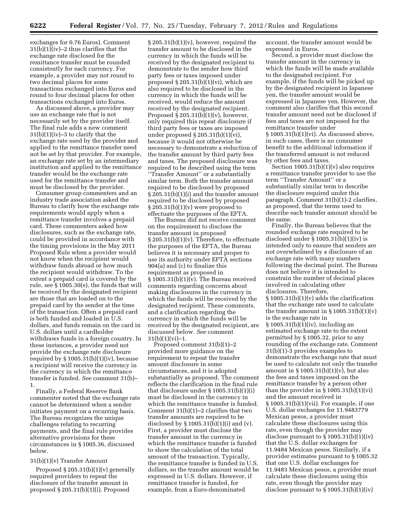exchanges for 0.76 Euros). Comment 31(b)(1)(iv)–2 thus clarifies that the exchange rate disclosed for the remittance transfer must be rounded consistently for each currency. For example, a provider may not round to two decimal places for some transactions exchanged into Euros and round to four decimal places for other transactions exchanged into Euros.

As discussed above, a provider may use an exchange rate that is not necessarily set by the provider itself. The final rule adds a new comment  $31(b)(1)(iv) - 3$  to clarify that the exchange rate used by the provider and applied to the remittance transfer need not be set by that provider. For example, an exchange rate set by an intermediary institution and applied to the remittance transfer would be the exchange rate used for the remittance transfer and must be disclosed by the provider.

Consumer group commenters and an industry trade association asked the Bureau to clarify how the exchange rate requirements would apply when a remittance transfer involves a prepaid card. These commenters asked how disclosures, such as the exchange rate, could be provided in accordance with the timing provisions in the May 2011 Proposed Rule when a provider would not know when the recipient would withdraw funds abroad or how much the recipient would withdraw. To the extent a prepaid card is covered by the rule, *see* § 1005.30(e), the funds that will be received by the designated recipient are those that are loaded on to the prepaid card by the sender at the time of the transaction. Often a prepaid card is both funded and loaded in U.S. dollars, and funds remain on the card in U.S. dollars until a cardholder withdraws funds in a foreign country. In these instances, a provider need not provide the exchange rate disclosure required by  $\S 1005.31(b)(1)(iv)$ , because a recipient will receive the currency in the currency in which the remittance transfer is funded. *See* comment 31(b)– 1.

Finally, a Federal Reserve Bank commenter noted that the exchange rate cannot be determined when a sender initiates payment on a recurring basis. The Bureau recognizes the unique challenges relating to recurring payments, and the final rule provides alternative provisions for these circumstances in § 1005.36, discussed below.

#### 31(b)(1)(v) Transfer Amount

Proposed  $\S 205.31(b)(1)(v)$  generally required providers to repeat the disclosure of the transfer amount in proposed § 205.31(b)(1)(i). Proposed

 $\S 205.31(b)(1)(v)$ , however, required the transfer amount to be disclosed in the currency in which the funds will be received by the designated recipient to demonstrate to the sender how third party fees or taxes imposed under proposed  $\S 205.31(b)(1)(vi)$ , which are also required to be disclosed in the currency in which the funds will be received, would reduce the amount received by the designated recipient. Proposed  $\S 205.31(b)(1)(v)$ , however, only required this repeat disclosure if third party fees or taxes are imposed under proposed § 205.31(b)(1)(vi), because it would not otherwise be necessary to demonstrate a reduction of the transfer amount by third party fees and taxes. The proposed disclosure was required to be described using the term ''Transfer Amount'' or a substantially similar term. Both the transfer amount required to be disclosed by proposed § 205.31(b)(1)(i) and the transfer amount required to be disclosed by proposed  $\S 205.31(b)(1)(v)$  were proposed to effectuate the purposes of the EFTA.

The Bureau did not receive comment on the requirement to disclose the transfer amount in proposed  $\S 205.31(b)(1)(v)$ . Therefore, to effectuate the purposes of the EFTA, the Bureau believes it is necessary and proper to use its authority under EFTA sections 904(a) and (c) to finalize this requirement as proposed in § 1005.31(b)(1)(v). The Bureau received comments regarding concerns about making disclosures in the currency in which the funds will be received by the designated recipient. These comments, and a clarification regarding the currency in which the funds will be received by the designated recipient, are discussed below. *See* comment  $31(b)(1)(vi)-1.$ 

Proposed comment 31(b)(1)–2 provided more guidance on the requirement to repeat the transfer amount disclosure in some circumstances, and it is adopted substantially as proposed. The comment reflects the clarification in the final rule that disclosure under § 1005.31(b)(1)(i) must be disclosed in the currency in which the remittance transfer is funded. Comment 31(b)(1)–2 clarifies that two transfer amounts are required to be disclosed by  $\S 1005.31(b)(1)(i)$  and (v). First, a provider must disclose the transfer amount in the currency in which the remittance transfer is funded to show the calculation of the total amount of the transaction. Typically, the remittance transfer is funded in U.S. dollars, so the transfer amount would be expressed in U.S. dollars. However, if remittance transfer is funded, for example, from a Euro-denominated

account, the transfer amount would be expressed in Euros.

Second, a provider must disclose the transfer amount in the currency in which the funds will be made available to the designated recipient. For example, if the funds will be picked up by the designated recipient in Japanese yen, the transfer amount would be expressed in Japanese yen. However, the comment also clarifies that this second transfer amount need not be disclosed if fees and taxes are not imposed for the remittance transfer under § 1005.31(b)(1)(vi). As discussed above, in such cases, there is no consumer benefit to the additional information if the transferred amount is not reduced by other fees and taxes.

Section  $1005.31(b)(1)(v)$  also requires a remittance transfer provider to use the term ''Transfer Amount'' or a substantially similar term to describe the disclosure required under this paragraph. Comment 31(b)(1)-2 clarifies, as proposed, that the terms used to describe each transfer amount should be the same.

Finally, the Bureau believes that the rounded exchange rate required to be disclosed under  $\S 1005.31(b)(1)(iv)$  is intended only to ensure that senders are not overwhelmed by a disclosure of an exchange rate with many numbers following the decimal point. The Bureau does not believe it is intended to constrain the number of decimal places involved in calculating other disclosures. Therefore,  $\S 1005.31(b)(1)(v)$  adds the clarification that the exchange rate used to calculate the transfer amount in  $\S 1005.31(b)(1)(v)$ is the exchange rate in § 1005.31(b)(1)(iv), including an estimated exchange rate to the extent permitted by § 1005.32, prior to any rounding of the exchange rate. Comment 31(b)(1)-3 provides examples to demonstrate the exchange rate that must be used to calculate not only the transfer amount in  $\S 1005.31(b)(1)(v)$ , but also the fees and taxes imposed on the remittance transfer by a person other than the provider in  $\S 1005.31(b)(1)(vi)$ and the amount received in § 1005.31(b)(1)(vii). For example, if one U.S. dollar exchanges for 11.9483779 Mexican pesos, a provider must calculate these disclosures using this rate, even though the provider may disclose pursuant to § 1005.31(b)(1)(iv) that the U.S. dollar exchanges for 11.9484 Mexican pesos. Similarly, if a provider estimates pursuant to § 1005.32 that one U.S. dollar exchanges for 11.9483 Mexican pesos, a provider must calculate these disclosures using this rate, even though the provider may disclose pursuant to § 1005.31(b)(1)(iv)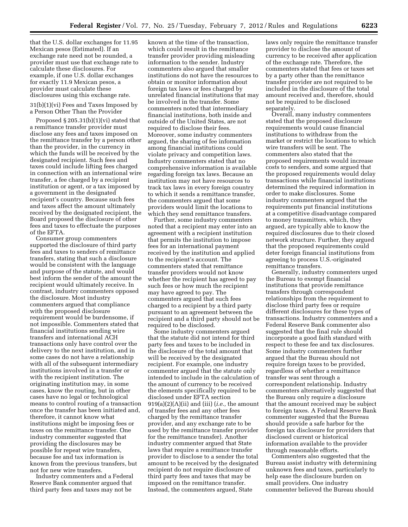that the U.S. dollar exchanges for 11.95 Mexican pesos (Estimated). If an exchange rate need not be rounded, a provider must use that exchange rate to calculate these disclosures. For example, if one U.S. dollar exchanges for exactly 11.9 Mexican pesos, a provider must calculate these disclosures using this exchange rate.

31(b)(1)(vi) Fees and Taxes Imposed by a Person Other Than the Provider

Proposed  $\S 205.31(b)(1)(vi)$  stated that a remittance transfer provider must disclose any fees and taxes imposed on the remittance transfer by a person other than the provider, in the currency in which the funds will be received by the designated recipient. Such fees and taxes could include lifting fees charged in connection with an international wire transfer, a fee charged by a recipient institution or agent, or a tax imposed by a government in the designated recipient's country. Because such fees and taxes affect the amount ultimately received by the designated recipient, the Board proposed the disclosure of other fees and taxes to effectuate the purposes of the EFTA.

Consumer group commenters supported the disclosure of third party fees and taxes to senders of remittance transfers, stating that such a disclosure would be consistent with the language and purpose of the statute, and would best inform the sender of the amount the recipient would ultimately receive. In contrast, industry commenters opposed the disclosure. Most industry commenters argued that compliance with the proposed disclosure requirement would be burdensome, if not impossible. Commenters stated that financial institutions sending wire transfers and international ACH transactions only have control over the delivery to the next institution, and in some cases do not have a relationship with all of the subsequent intermediary institutions involved in a transfer or with the recipient institution. The originating institution may, in some cases, know the routing, but in other cases have no legal or technological means to control routing of a transaction once the transfer has been initiated and, therefore, it cannot know what institutions might be imposing fees or taxes on the remittance transfer. One industry commenter suggested that providing the disclosures may be possible for repeat wire transfers, because fee and tax information is known from the previous transfers, but not for new wire transfers.

Industry commenters and a Federal Reserve Bank commenter argued that third party fees and taxes may not be

known at the time of the transaction, which could result in the remittance transfer provider providing misleading information to the sender. Industry commenters also argued that smaller institutions do not have the resources to obtain or monitor information about foreign tax laws or fees charged by unrelated financial institutions that may be involved in the transfer. Some commenters noted that intermediary financial institutions, both inside and outside of the United States, are not required to disclose their fees. Moreover, some industry commenters argued, the sharing of fee information among financial institutions could violate privacy and competition laws. Industry commenters stated that no comprehensive information is available regarding foreign tax laws. Because an institution may not have resources to track tax laws in every foreign country to which it sends a remittance transfer, the commenters argued that some providers would limit the locations to which they send remittance transfers.

Further, some industry commenters noted that a recipient may enter into an agreement with a recipient institution that permits the institution to impose fees for an international payment received by the institution and applied to the recipient's account. The commenters stated that remittance transfer providers would not know whether the recipient has agreed to pay such fees or how much the recipient may have agreed to pay. The commenters argued that such fees charged to a recipient by a third party pursuant to an agreement between the recipient and a third party should not be required to be disclosed.

Some industry commenters argued that the statute did not intend for third party fees and taxes to be included in the disclosure of the total amount that will be received by the designated recipient. For example, one industry commenter argued that the statute only intended to include in the calculation of the amount of currency to be received the elements specifically required to be disclosed under EFTA section 919(a)(2)(A)(ii) and (iii) (*i.e.,* the amount of transfer fees and any other fees charged by the remittance transfer provider, and any exchange rate to be used by the remittance transfer provider for the remittance transfer). Another industry commenter argued that State laws that require a remittance transfer provider to disclose to a sender the total amount to be received by the designated recipient do not require disclosure of third party fees and taxes that may be imposed on the remittance transfer. Instead, the commenters argued, State

laws only require the remittance transfer provider to disclose the amount of currency to be received after application of the exchange rate. Therefore, the commenters stated that fees or taxes set by a party other than the remittance transfer provider are not required to be included in the disclosure of the total amount received and, therefore, should not be required to be disclosed separately.

Overall, many industry commenters stated that the proposed disclosure requirements would cause financial institutions to withdraw from the market or restrict the locations to which wire transfers will be sent. The commenters also stated that the proposed requirements would increase costs to senders, and some argued that the proposed requirements would delay transactions while financial institutions determined the required information in order to make disclosures. Some industry commenters argued that the requirements put financial institutions at a competitive disadvantage compared to money transmitters, which, they argued, are typically able to know the required disclosures due to their closed network structure. Further, they argued that the proposed requirements could deter foreign financial institutions from agreeing to process U.S.-originated remittance transfers.

Generally, industry commenters urged the Bureau to exempt financial institutions that provide remittance transfers through correspondent relationships from the requirement to disclose third party fees or require different disclosures for these types of transactions. Industry commenters and a Federal Reserve Bank commenter also suggested that the final rule should incorporate a good faith standard with respect to these fee and tax disclosures. Some industry commenters further argued that the Bureau should not require foreign taxes to be provided, regardless of whether a remittance transfer was sent through a correspondent relationship. Industry commenters alternatively suggested that the Bureau only require a disclosure that the amount received may be subject to foreign taxes. A Federal Reserve Bank commenter suggested that the Bureau should provide a safe harbor for the foreign tax disclosure for providers that disclosed current or historical information available to the provider through reasonable efforts.

Commenters also suggested that the Bureau assist industry with determining unknown fees and taxes, particularly to help ease the disclosure burden on small providers. One industry commenter believed the Bureau should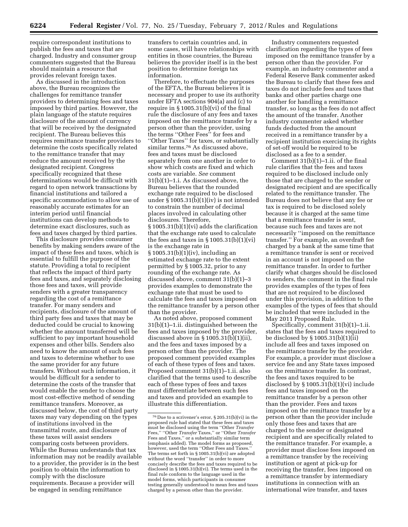require correspondent institutions to publish the fees and taxes that are charged. Industry and consumer group commenters suggested that the Bureau should maintain a resource that provides relevant foreign taxes.

As discussed in the introduction above, the Bureau recognizes the challenges for remittance transfer providers to determining fees and taxes imposed by third parties. However, the plain language of the statute requires disclosure of the amount of currency that will be received by the designated recipient. The Bureau believes this requires remittance transfer providers to determine the costs specifically related to the remittance transfer that may reduce the amount received by the designated recipient. Congress specifically recognized that these determinations would be difficult with regard to open network transactions by financial institutions and tailored a specific accommodation to allow use of reasonably accurate estimates for an interim period until financial institutions can develop methods to determine exact disclosures, such as fees and taxes charged by third parties.

This disclosure provides consumer benefits by making senders aware of the impact of these fees and taxes, which is essential to fulfill the purpose of the statute. Providing a total to recipient that reflects the impact of third party fees and taxes, and separately disclosing those fees and taxes, will provide senders with a greater transparency regarding the cost of a remittance transfer. For many senders and recipients, disclosure of the amount of third party fees and taxes that may be deducted could be crucial to knowing whether the amount transferred will be sufficient to pay important household expenses and other bills. Senders also need to know the amount of such fees and taxes to determine whether to use the same provider for any future transfers. Without such information, it would be difficult for a sender to determine the costs of the transfer that would enable the sender to choose the most cost-effective method of sending remittance transfers. Moreover, as discussed below, the cost of third party taxes may vary depending on the types of institutions involved in the transmittal route, and disclosure of these taxes will assist senders comparing costs between providers. While the Bureau understands that tax information may not be readily available to a provider, the provider is in the best position to obtain the information to comply with the disclosure requirements. Because a provider will be engaged in sending remittance

transfers to certain countries and, in some cases, will have relationships with entities in those countries, the Bureau believes the provider itself is in the best position to determine foreign tax information.

Therefore, to effectuate the purposes of the EFTA, the Bureau believes it is necessary and proper to use its authority under EFTA sections 904(a) and (c) to require in § 1005.31(b)(vi) of the final rule the disclosure of any fees and taxes imposed on the remittance transfer by a person other than the provider, using the terms ''Other Fees'' for fees and ''Other Taxes'' for taxes, or substantially similar terms.76 As discussed above, fees and taxes must be disclosed separately from one another in order to show which costs are fixed and which costs are variable. *See* comment 31(b)(1)–1.i. As discussed above, the Bureau believes that the rounded exchange rate required to be disclosed under § 1005.31(b)(1)(iv) is not intended to constrain the number of decimal places involved in calculating other disclosures. Therefore, § 1005.31(b)(1)(vi) adds the clarification that the exchange rate used to calculate the fees and taxes in  $\S 1005.31(b)(1)(vi)$ is the exchange rate in § 1005.31(b)(1)(iv), including an estimated exchange rate to the extent permitted by § 1005.32, prior to any rounding of the exchange rate. As discussed above, comment 31(b)(1)–3 provides examples to demonstrate the exchange rate that must be used to calculate the fees and taxes imposed on the remittance transfer by a person other than the provider.

As noted above, proposed comment 31(b)(1)–1.ii. distinguished between the fees and taxes imposed by the provider, discussed above in § 1005.31(b)(1)(ii), and the fees and taxes imposed by a person other than the provider. The proposed comment provided examples of each of these types of fees and taxes. Proposed comment 31(b)(1)–1.ii. also clarified that the terms used to describe each of these types of fees and taxes must differentiate between such fees and taxes and provided an example to illustrate this differentiation.

Industry commenters requested clarification regarding the types of fees imposed on the remittance transfer by a person other than the provider. For example, an industry commenter and a Federal Reserve Bank commenter asked the Bureau to clarify that these fees and taxes do not include fees and taxes that banks and other parties charge one another for handling a remittance transfer, so long as the fees do not affect the amount of the transfer. Another industry commenter asked whether funds deducted from the amount received in a remittance transfer by a recipient institution exercising its rights of set-off would be required to be disclosed as a fee to a sender.

Comment 31(b)(1)–1.ii. of the final rule clarifies that the fees and taxes required to be disclosed include only those that are charged to the sender or designated recipient and are specifically related to the remittance transfer. The Bureau does not believe that any fee or tax is required to be disclosed solely because it is charged at the same time that a remittance transfer is sent, because such fees and taxes are not necessarily ''imposed on the remittance transfer.'' For example, an overdraft fee charged by a bank at the same time that a remittance transfer is sent or received in an account is not imposed on the remittance transfer. In order to further clarify what charges should be disclosed to senders, the comment in the final rule provides examples of the types of fees that are not required to be disclosed under this provision, in addition to the examples of the types of fees that should be included that were included in the May 2011 Proposed Rule.

Specifically, comment 31(b)(1)–1.ii. states that the fees and taxes required to be disclosed by § 1005.31(b)(1)(ii) include all fees and taxes imposed on the remittance transfer by the provider. For example, a provider must disclose a service fee and any State taxes imposed on the remittance transfer. In contrast, the fees and taxes required to be disclosed by  $\S 1005.31(b)(1)(vi)$  include fees and taxes imposed on the remittance transfer by a person other than the provider. Fees and taxes imposed on the remittance transfer by a person other than the provider include only those fees and taxes that are charged to the sender or designated recipient and are specifically related to the remittance transfer. For example, a provider must disclose fees imposed on a remittance transfer by the receiving institution or agent at pick-up for receiving the transfer, fees imposed on a remittance transfer by intermediary institutions in connection with an international wire transfer, and taxes

<sup>76</sup> Due to a scrivener's error, § 205.31(b)(vi) in the proposed rule had stated that these fees and taxes must be disclosed using the term ''Other *Transfer*  Fees,'' ''Other *Transfer* Taxes,'' or ''Other *Transfer*  Fees and Taxes,'' or a substantially similar term (emphasis added). The model forms as proposed, however, used the term ''Other Fees and Taxes.'' The terms set forth in § 1005.31(b)(vi) are adopted without the word ''transfer'' in order to more concisely describe the fees and taxes required to be disclosed in § 1005.31(b)(vi). The terms used in the final rule conform to the language used in the model forms, which participants in consumer testing generally understood to mean fees and taxes charged by a person other than the provider.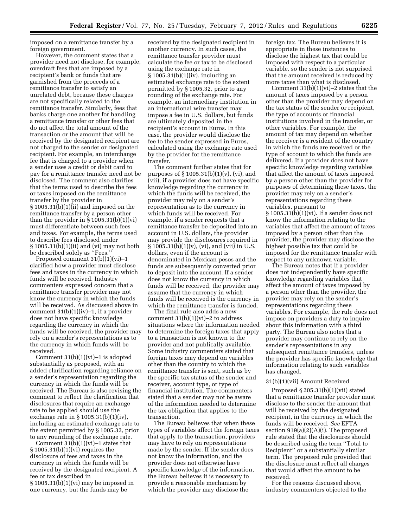imposed on a remittance transfer by a foreign government.

However, the comment states that a provider need not disclose, for example, overdraft fees that are imposed by a recipient's bank or funds that are garnished from the proceeds of a remittance transfer to satisfy an unrelated debt, because these charges are not specifically related to the remittance transfer. Similarly, fees that banks charge one another for handling a remittance transfer or other fees that do not affect the total amount of the transaction or the amount that will be received by the designated recipient are not charged to the sender or designated recipient. For example, an interchange fee that is charged to a provider when a sender uses a credit or debit card to pay for a remittance transfer need not be disclosed. The comment also clarifies that the terms used to describe the fees or taxes imposed on the remittance transfer by the provider in § 1005.31(b)(1)(ii) and imposed on the remittance transfer by a person other than the provider in  $\S 1005.31(b)(1)(vi)$ must differentiate between such fees and taxes. For example, the terms used to describe fees disclosed under § 1005.31(b)(1)(ii) and (vi) may not both be described solely as ''Fees.''

Proposed comment 31(b)(1)(vi)–1 clarified how a provider must disclose fees and taxes in the currency in which funds will be received. Industry commenters expressed concern that a remittance transfer provider may not know the currency in which the funds will be received. As discussed above in comment 31(b)(1)(iv)–1, if a provider does not have specific knowledge regarding the currency in which the funds will be received, the provider may rely on a sender's representations as to the currency in which funds will be received.

Comment 31(b)(1)(vi)–1 is adopted substantially as proposed, with an added clarification regarding reliance on a sender's representation regarding the currency in which the funds will be received. The Bureau is also revising the comment to reflect the clarification that disclosures that require an exchange rate to be applied should use the exchange rate in § 1005.31(b)(1)(iv), including an estimated exchange rate to the extent permitted by § 1005.32, prior to any rounding of the exchange rate.

Comment  $31(b)(1)(vi)-1$  states that § 1005.31(b)(1)(vi) requires the disclosure of fees and taxes in the currency in which the funds will be received by the designated recipient. A fee or tax described in § 1005.31(b)(1)(vi) may be imposed in one currency, but the funds may be

received by the designated recipient in another currency. In such cases, the remittance transfer provider must calculate the fee or tax to be disclosed using the exchange rate in § 1005.31(b)(1)(iv), including an estimated exchange rate to the extent permitted by § 1005.32, prior to any rounding of the exchange rate. For example, an intermediary institution in an international wire transfer may impose a fee in U.S. dollars, but funds are ultimately deposited in the recipient's account in Euros. In this case, the provider would disclose the fee to the sender expressed in Euros, calculated using the exchange rate used by the provider for the remittance transfer.

The comment further states that for purposes of  $\S 1005.31(b)(1)(v)$ , (vi), and (vii), if a provider does not have specific knowledge regarding the currency in which the funds will be received, the provider may rely on a sender's representation as to the currency in which funds will be received. For example, if a sender requests that a remittance transfer be deposited into an account in U.S. dollars, the provider may provide the disclosures required in  $\S 1005.31(b)(1)(v)$ , (vi), and (vii) in U.S. dollars, even if the account is denominated in Mexican pesos and the funds are subsequently converted prior to deposit into the account. If a sender does not know the currency in which funds will be received, the provider may assume that the currency in which funds will be received is the currency in which the remittance transfer is funded.

The final rule also adds a new comment  $31(b)(1)(vi)-2$  to address situations where the information needed to determine the foreign taxes that apply to a transaction is not known to the provider and not publically available. Some industry commenters stated that foreign taxes may depend on variables other than the country to which the remittance transfer is sent, such as by the specific tax status of the sender and receiver, account type, or type of financial institution. The commenters stated that a sender may not be aware of the information needed to determine the tax obligation that applies to the transaction.

The Bureau believes that when these types of variables affect the foreign taxes that apply to the transaction, providers may have to rely on representations made by the sender. If the sender does not know the information, and the provider does not otherwise have specific knowledge of the information, the Bureau believes it is necessary to provide a reasonable mechanism by which the provider may disclose the

foreign tax. The Bureau believes it is appropriate in these instances to disclose the highest tax that could be imposed with respect to a particular variable, so the sender is not surprised that the amount received is reduced by more taxes than what is disclosed.

Comment  $31(b)(1)(vi)-2$  states that the amount of taxes imposed by a person other than the provider may depend on the tax status of the sender or recipient, the type of accounts or financial institutions involved in the transfer, or other variables. For example, the amount of tax may depend on whether the receiver is a resident of the country in which the funds are received or the type of account to which the funds are delivered. If a provider does not have specific knowledge regarding variables that affect the amount of taxes imposed by a person other than the provider for purposes of determining these taxes, the provider may rely on a sender's representations regarding these variables, pursuant to § 1005.31(b)(1)(vi). If a sender does not know the information relating to the variables that affect the amount of taxes imposed by a person other than the provider, the provider may disclose the highest possible tax that could be imposed for the remittance transfer with respect to any unknown variable.

The Bureau notes that if a provider does not independently have specific knowledge regarding variables that affect the amount of taxes imposed by a person other than the provider, the provider may rely on the sender's representations regarding these variables. For example, the rule does not impose on providers a duty to inquire about this information with a third party. The Bureau also notes that a provider may continue to rely on the sender's representations in any subsequent remittance transfers, unless the provider has specific knowledge that information relating to such variables has changed.

#### 31(b)(1)(vii) Amount Received

Proposed § 205.31(b)(1)(vii) stated that a remittance transfer provider must disclose to the sender the amount that will be received by the designated recipient, in the currency in which the funds will be received. *See* EFTA section 919(a)(2)(A)(i). The proposed rule stated that the disclosures should be described using the term ''Total to Recipient'' or a substantially similar term. The proposed rule provided that the disclosure must reflect all charges that would affect the amount to be received.

For the reasons discussed above, industry commenters objected to the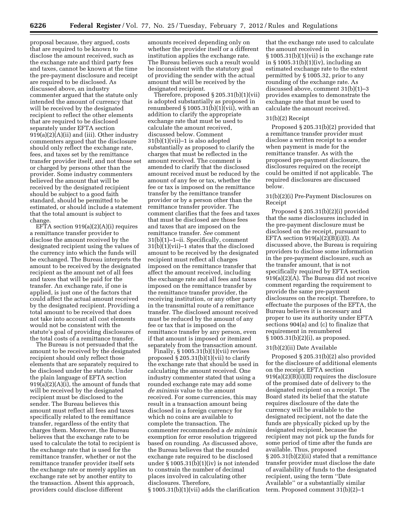proposal because, they argued, costs that are required to be known to disclose the amount received, such as the exchange rate and third party fees and taxes, cannot be known at the time the pre-payment disclosure and receipt are required to be disclosed. As discussed above, an industry commenter argued that the statute only intended the amount of currency that will be received by the designated recipient to reflect the other elements that are required to be disclosed separately under EFTA section 919(a)(2)(A)(ii) and (iii). Other industry commenters argued that the disclosure should only reflect the exchange rate, fees, and taxes set by the remittance transfer provider itself, and not those set or charged by persons other than the provider. Some industry commenters believed the amount that will be received by the designated recipient should be subject to a good faith standard, should be permitted to be estimated, or should include a statement that the total amount is subject to change.

EFTA section 919(a)(2)(A)(i) requires a remittance transfer provider to disclose the amount received by the designated recipient using the values of the currency into which the funds will be exchanged. The Bureau interprets the amount to be received by the designated recipient as the amount net of all fees and taxes that will be paid for the transfer. An exchange rate, if one is applied, is just one of the factors that could affect the actual amount received by the designated recipient. Providing a total amount to be received that does not take into account all cost elements would not be consistent with the statute's goal of providing disclosures of the total costs of a remittance transfer.

The Bureau is not persuaded that the amount to be received by the designated recipient should only reflect those elements that are separately required to be disclosed under the statute. Under the plain language of EFTA section 919(a)(2)(A)(i), the amount of funds that will be received by the designated recipient must be disclosed to the sender. The Bureau believes this amount must reflect all fees and taxes specifically related to the remittance transfer, regardless of the entity that charges them. Moreover, the Bureau believes that the exchange rate to be used to calculate the total to recipient is the exchange rate that is used for the remittance transfer, whether or not the remittance transfer provider itself sets the exchange rate or merely applies an exchange rate set by another entity to the transaction. Absent this approach, providers could disclose different

amounts received depending only on whether the provider itself or a different institution applies the exchange rate. The Bureau believes such a result would be inconsistent with the statutory goal of providing the sender with the actual amount that will be received by the designated recipient.

Therefore, proposed § 205.31(b)(1)(vii) is adopted substantially as proposed in renumbered  $\S 1005.31(b)(1)(vii)$ , with an addition to clarify the appropriate exchange rate that must be used to calculate the amount received, discussed below. Comment 31(b)(1)(vii)–1 is also adopted substantially as proposed to clarify the charges that must be reflected in the amount received. The comment is amended to clarify that the disclosed amount received must be reduced by the amount of any fee or tax, whether the fee or tax is imposed on the remittance transfer by the remittance transfer provider or by a person other than the remittance transfer provider. The comment clarifies that the fees and taxes that must be disclosed are those fees and taxes that are imposed on the remittance transfer. *See* comment 31(b)(1)–1–ii. Specifically, comment 31(b)(1)(vii)–1 states that the disclosed amount to be received by the designated recipient must reflect all charges imposed on the remittance transfer that affect the amount received, including the exchange rate and all fees and taxes imposed on the remittance transfer by the remittance transfer provider, the receiving institution, or any other party in the transmittal route of a remittance transfer. The disclosed amount received must be reduced by the amount of any fee or tax that is imposed on the remittance transfer by any person, even if that amount is imposed or itemized separately from the transaction amount.

Finally,  $§ 1005.31(b)(1)(vii)$  revises proposed § 205.31(b)(1)(vii) to clarify the exchange rate that should be used in calculating the amount received. One industry commenter stated that using a rounded exchange rate may add some *de minimis* value to the amount received. For some currencies, this may result in a transaction amount being disclosed in a foreign currency for which no coins are available to complete the transaction. The commenter recommended a *de minimis*  exemption for error resolution triggered based on rounding. As discussed above, the Bureau believes that the rounded exchange rate required to be disclosed under § 1005.31(b)(1)(iv) is not intended to constrain the number of decimal places involved in calculating other disclosures. Therefore,

§ 1005.31(b)(1)(vii) adds the clarification

that the exchange rate used to calculate the amount received in § 1005.31(b)(1)(vii) is the exchange rate in § 1005.31(b)(1)(iv), including an estimated exchange rate to the extent permitted by § 1005.32, prior to any rounding of the exchange rate. As discussed above, comment 31(b)(1)–3 provides examples to demonstrate the exchange rate that must be used to calculate the amount received.

#### 31(b)(2) Receipt

Proposed § 205.31(b)(2) provided that a remittance transfer provider must disclose a written receipt to a sender when payment is made for the remittance transfer. As with the proposed pre-payment disclosure, the disclosures required on the receipt could be omitted if not applicable. The required disclosures are discussed below.

# 31(b)(2)(i) Pre-Payment Disclosures on Receipt

Proposed § 205.31(b)(2)(i) provided that the same disclosures included in the pre-payment disclosure must be disclosed on the receipt, pursuant to EFTA section  $919(a)(2)(B)(i)(I)$ . As discussed above, the Bureau is requiring providers to disclose some information in the pre-payment disclosure, such as the transfer amount, that is not specifically required by EFTA section 919(a)(2)(A). The Bureau did not receive comment regarding the requirement to provide the same pre-payment disclosures on the receipt. Therefore, to effectuate the purposes of the EFTA, the Bureau believes it is necessary and proper to use its authority under EFTA sections 904(a) and (c) to finalize that requirement in renumbered § 1005.31(b)(2)(i), as proposed.

#### 31(b)(2)(ii) Date Available

Proposed § 205.31(b)(2) also provided for the disclosure of additional elements on the receipt. EFTA section 919(a)(2)(B)(i)(II) requires the disclosure of the promised date of delivery to the designated recipient on a receipt. The Board stated its belief that the statute requires disclosure of the date the currency will be available to the designated recipient, not the date the funds are physically picked up by the designated recipient, because the recipient may not pick up the funds for some period of time after the funds are available. Thus, proposed § 205.31(b)(2)(ii) stated that a remittance transfer provider must disclose the date of availability of funds to the designated recipient, using the term ''Date Available'' or a substantially similar term. Proposed comment 31(b)(2)–1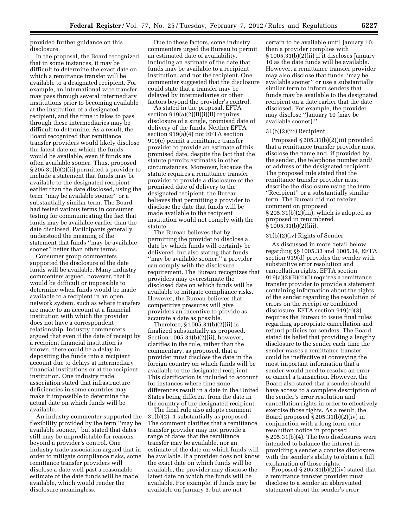provided further guidance on this disclosure.

In the proposal, the Board recognized that in some instances, it may be difficult to determine the exact date on which a remittance transfer will be available to a designated recipient. For example, an international wire transfer may pass through several intermediary institutions prior to becoming available at the institution of a designated recipient, and the time it takes to pass through these intermediaries may be difficult to determine. As a result, the Board recognized that remittance transfer providers would likely disclose the latest date on which the funds would be available, even if funds are often available sooner. Thus, proposed § 205.31(b)(2)(ii) permitted a provider to include a statement that funds may be available to the designated recipient earlier than the date disclosed, using the term ''may be available sooner'' or a substantially similar term. The Board had tested various terms in consumer testing for communicating the fact that funds may be available earlier than the date disclosed. Participants generally understood the meaning of the statement that funds ''may be available sooner'' better than other terms.

Consumer group commenters supported the disclosure of the date funds will be available. Many industry commenters argued, however, that it would be difficult or impossible to determine when funds would be made available to a recipient in an open network system, such as where transfers are made to an account at a financial institution with which the provider does not have a correspondent relationship. Industry commenters argued that even if the date of receipt by a recipient financial institution is known, there could be a delay in depositing the funds into a recipient account due to delays at intermediary financial institutions or at the recipient institution. One industry trade association stated that infrastructure deficiencies in some countries may make it impossible to determine the actual date on which funds will be available.

An industry commenter supported the flexibility provided by the term ''may be available sooner,'' but stated that dates still may be unpredictable for reasons beyond a provider's control. One industry trade association argued that in order to mitigate compliance risks, some remittance transfer providers will disclose a date well past a reasonable estimate of the date funds will be made available, which would render the disclosure meaningless.

Due to these factors, some industry commenters urged the Bureau to permit an estimated date of availability, including an estimate of the date that funds may be available to a recipient institution, and not the recipient. One commenter suggested that the disclosure could state that a transfer may be delayed by intermediaries or other factors beyond the provider's control.

As stated in the proposal, EFTA section 919(a)(2)(B)(i)(II) requires disclosure of a single, promised date of delivery of the funds. Neither EFTA section 919(a)(4) nor EFTA section 919(c) permit a remittance transfer provider to provide an estimate of this promised date, despite the fact that the statute permits estimates in other circumstances. Moreover, because the statute requires a remittance transfer provider to provide a disclosure of the promised date of delivery to the designated recipient, the Bureau believes that permitting a provider to disclose the date that funds will be made available to the recipient institution would not comply with the statute.

The Bureau believes that by permitting the provider to disclose a date by which funds will certainly be delivered, but also stating that funds "may be available sooner," a provider can comply with the disclosure requirement. The Bureau recognizes that providers may overestimate the disclosed date on which funds will be available to mitigate compliance risks. However, the Bureau believes that competitive pressures will give providers an incentive to provide as accurate a date as possible.

Therefore, § 1005.31(b)(2)(ii) is finalized substantially as proposed. Section 1005.31(b)(2)(ii), however, clarifies in the rule, rather than the commentary, as proposed, that a provider must disclose the date in the foreign country on which funds will be available to the designated recipient. This clarification is included to account for instances where time zone differences result in a date in the United States being different from the date in the country of the designated recipient.

The final rule also adopts comment 31(b)(2)–1 substantially as proposed. The comment clarifies that a remittance transfer provider may not provide a range of dates that the remittance transfer may be available, nor an estimate of the date on which funds will be available. If a provider does not know the exact date on which funds will be available, the provider may disclose the latest date on which the funds will be available. For example, if funds may be available on January 3, but are not

certain to be available until January 10, then a provider complies with § 1005.31(b)(2)(ii) if it discloses January 10 as the date funds will be available. However, a remittance transfer provider may also disclose that funds ''may be available sooner'' or use a substantially similar term to inform senders that funds may be available to the designated recipient on a date earlier that the date disclosed. For example, the provider may disclose ''January 10 (may be available sooner).''

#### 31(b)(2)(iii) Recipient

Proposed § 205.31(b)(2)(iii) provided that a remittance transfer provider must disclose the name and, if provided by the sender, the telephone number and/ or address of the designated recipient. The proposed rule stated that the remittance transfer provider must describe the disclosure using the term ''Recipient'' or a substantially similar term. The Bureau did not receive comment on proposed § 205.31(b)(2)(iii), which is adopted as proposed in renumbered § 1005.31(b)(2)(iii).

#### 31(b)(2)(iv) Rights of Sender

As discussed in more detail below regarding §§ 1005.33 and 1005.34, EFTA section 919(d) provides the sender with substantive error resolution and cancellation rights. EFTA section  $919(a)(2)(B)(ii)(I)$  requires a remittance transfer provider to provide a statement containing information about the rights of the sender regarding the resolution of errors on the receipt or combined disclosure. EFTA section 919(d)(3) requires the Bureau to issue final rules regarding appropriate cancellation and refund policies for senders. The Board stated its belief that providing a lengthy disclosure to the sender each time the sender makes a remittance transfer could be ineffective at conveying the most important information that a sender would need to resolve an error or cancel a transaction. However, the Board also stated that a sender should have access to a complete description of the sender's error resolution and cancellation rights in order to effectively exercise those rights. As a result, the Board proposed  $\S 205.31(b)(2)(iv)$  in conjunction with a long form error resolution notice in proposed § 205.31(b)(4). The two disclosures were intended to balance the interest in providing a sender a concise disclosure with the sender's ability to obtain a full explanation of those rights.

Proposed § 205.31(b)(2)(iv) stated that a remittance transfer provider must disclose to a sender an abbreviated statement about the sender's error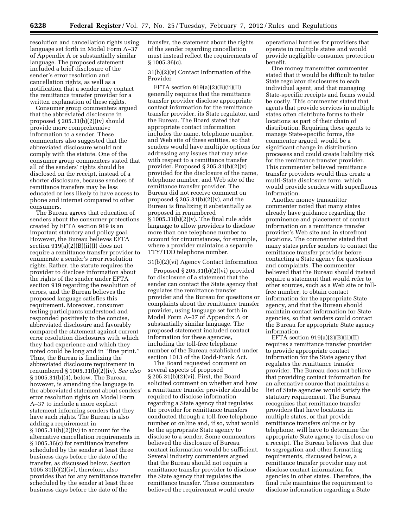resolution and cancellation rights using language set forth in Model Form A–37 of Appendix A or substantially similar language. The proposed statement included a brief disclosure of the sender's error resolution and cancellation rights, as well as a notification that a sender may contact the remittance transfer provider for a written explanation of these rights.

Consumer group commenters argued that the abbreviated disclosure in proposed § 205.31(b)(2)(iv) should provide more comprehensive information to a sender. These commenters also suggested that the abbreviated disclosure would not comply with the statute. One of the consumer group commenters stated that all of the senders' rights should be disclosed on the receipt, instead of a shorter disclosure, because senders of remittance transfers may be less educated or less likely to have access to phone and internet compared to other consumers.

The Bureau agrees that education of senders about the consumer protections created by EFTA section 919 is an important statutory and policy goal. However, the Bureau believes EFTA section 919(a)(2)(B)(ii)(I) does not require a remittance transfer provider to enumerate a sender's error resolution rights. Rather, the statute requires the provider to disclose information about the rights of the sender under EFTA section 919 regarding the resolution of errors, and the Bureau believes the proposed language satisfies this requirement. Moreover, consumer testing participants understood and responded positively to the concise, abbreviated disclosure and favorably compared the statement against current error resolution disclosures with which they had experience and which they noted could be long and in ''fine print.'' Thus, the Bureau is finalizing the abbreviated disclosure requirement in renumbered § 1005.31(b)(2)(iv). *See also*  § 1005.31(b)(4), below. The Bureau, however, is amending the language in the abbreviated statement about senders' error resolution rights on Model Form A–37 to include a more explicit statement informing senders that they have such rights. The Bureau is also adding a requirement in  $\S 1005.31(b)(2)(iv)$  to account for the alternative cancellation requirements in § 1005.36(c) for remittance transfers scheduled by the sender at least three business days before the date of the transfer, as discussed below. Section 1005.31(b)(2)(iv), therefore, also provides that for any remittance transfer scheduled by the sender at least three business days before the date of the

transfer, the statement about the rights of the sender regarding cancellation must instead reflect the requirements of § 1005.36(c).

31(b)(2)(v) Contact Information of the Provider

EFTA section  $919(a)(2)(B)(ii)(II)$ generally requires that the remittance transfer provider disclose appropriate contact information for the remittance transfer provider, its State regulator, and the Bureau. The Board stated that appropriate contact information includes the name, telephone number, and Web site of these entities, so that senders would have multiple options for addressing any issues that may arise with respect to a remittance transfer provider. Proposed § 205.31(b)(2)(v) provided for the disclosure of the name, telephone number, and Web site of the remittance transfer provider. The Bureau did not receive comment on proposed  $\S 205.31(b)(2)(v)$ , and the Bureau is finalizing it substantially as proposed in renumbered  $\S 1005.31(b)(2)(v)$ . The final rule adds language to allow providers to disclose more than one telephone number to account for circumstances, for example, where a provider maintains a separate TTY/TDD telephone number.

# 31(b)(2)(vi) Agency Contact Information

Proposed § 205.31(b)(2)(vi) provided for disclosure of a statement that the sender can contact the State agency that regulates the remittance transfer provider and the Bureau for questions or complaints about the remittance transfer provider, using language set forth in Model Form A–37 of Appendix A or substantially similar language. The proposed statement included contact information for these agencies, including the toll-free telephone number of the Bureau established under section 1013 of the Dodd-Frank Act.

The Board requested comment on several aspects of proposed § 205.31(b)(2)(vi). First, the Board solicited comment on whether and how a remittance transfer provider should be required to disclose information regarding a State agency that regulates the provider for remittance transfers conducted through a toll-free telephone number or online and, if so, what would be the appropriate State agency to disclose to a sender. Some commenters believed the disclosure of Bureau contact information would be sufficient. Several industry commenters argued that the Bureau should not require a remittance transfer provider to disclose the State agency that regulates the remittance transfer. These commenters believed the requirement would create

operational hurdles for providers that operate in multiple states and would provide negligible consumer protection benefit.

One money transmitter commenter stated that it would be difficult to tailor State regulator disclosures to each individual agent, and that managing State-specific receipts and forms would be costly. This commenter stated that agents that provide services in multiple states often distribute forms to their locations as part of their chain of distribution. Requiring these agents to manage State-specific forms, the commenter argued, would be a significant change in distribution processes and could create liability risk for the remittance transfer provider. This commenter believed remittance transfer providers would thus create a multi-State disclosure form, which would provide senders with superfluous information.

Another money transmitter commenter noted that many states already have guidance regarding the prominence and placement of contact information on a remittance transfer provider's Web site and in storefront locations. The commenter stated that many states prefer senders to contact the remittance transfer provider before contacting a State agency for questions and complaints. The commenter believed that the Bureau should instead require a statement that would refer to other sources, such as a Web site or tollfree number, to obtain contact information for the appropriate State agency, and that the Bureau should maintain contact information for State agencies, so that senders could contact the Bureau for appropriate State agency information.

EFTA section  $919(a)(2)(B)(ii)(II)$ requires a remittance transfer provider to provide appropriate contact information for the State agency that regulates the remittance transfer provider. The Bureau does not believe that providing contact information for an alternative source that maintains a list of State agencies would satisfy the statutory requirement. The Bureau recognizes that remittance transfer providers that have locations in multiple states, or that provide remittance transfers online or by telephone, will have to determine the appropriate State agency to disclose on a receipt. The Bureau believes that due to segregation and other formatting requirements, discussed below, a remittance transfer provider may not disclose contact information for agencies in other states. Therefore, the final rule maintains the requirement to disclose information regarding a State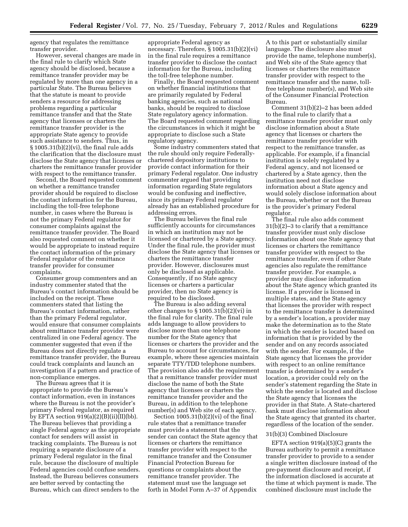agency that regulates the remittance transfer provider.

However, several changes are made in the final rule to clarify which State agency should be disclosed, because a remittance transfer provider may be regulated by more than one agency in a particular State. The Bureau believes that the statute is meant to provide senders a resource for addressing problems regarding a particular remittance transfer and that the State agency that licenses or charters the remittance transfer provider is the appropriate State agency to provide such assistance to senders. Thus, in § 1005.31(b)(2)(vi), the final rule adds the clarification that the disclosure must disclose the State agency that licenses or charters the remittance transfer provider with respect to the remittance transfer.

Second, the Board requested comment on whether a remittance transfer provider should be required to disclose the contact information for the Bureau, including the toll-free telephone number, in cases where the Bureau is not the primary Federal regulator for consumer complaints against the remittance transfer provider. The Board also requested comment on whether it would be appropriate to instead require the contact information of the primary Federal regulator of the remittance transfer provider for consumer complaints.

Consumer group commenters and an industry commenter stated that the Bureau's contact information should be included on the receipt. These commenters stated that listing the Bureau's contact information, rather than the primary Federal regulator, would ensure that consumer complaints about remittance transfer provider were centralized in one Federal agency. The commenter suggested that even if the Bureau does not directly regulate a remittance transfer provider, the Bureau could track complaints and launch an investigation if a pattern and practice of non-compliance emerges.

The Bureau agrees that it is appropriate to provide the Bureau's contact information, even in instances where the Bureau is not the provider's primary Federal regulator, as required by EFTA section  $919(a)(2)(B)(ii)(I)(bb)$ . The Bureau believes that providing a single Federal agency as the appropriate contact for senders will assist in tracking complaints. The Bureau is not requiring a separate disclosure of a primary Federal regulator in the final rule, because the disclosure of multiple Federal agencies could confuse senders. Instead, the Bureau believes consumers are better served by contacting the Bureau, which can direct senders to the

appropriate Federal agency as necessary. Therefore, § 1005.31(b)(2)(vi) in the final rule requires a remittance transfer provider to disclose the contact information for the Bureau, including the toll-free telephone number.

Finally, the Board requested comment on whether financial institutions that are primarily regulated by Federal banking agencies, such as national banks, should be required to disclose State regulatory agency information. The Board requested comment regarding the circumstances in which it might be appropriate to disclose such a State regulatory agency.

Some industry commenters stated that the rule should only require Federallychartered depository institutions to provide contact information for their primary Federal regulator. One industry commenter argued that providing information regarding State regulators would be confusing and ineffective, since its primary Federal regulator already has an established procedure for addressing errors.

The Bureau believes the final rule sufficiently accounts for circumstances in which an institution may not be licensed or chartered by a State agency. Under the final rule, the provider must disclose the State agency that licenses or charters the remittance transfer provider. However, disclosures must only be disclosed as applicable. Consequently, if no State agency licenses or charters a particular provider, then no State agency is required to be disclosed.

The Bureau is also adding several other changes to § 1005.31(b)(2)(vi) in the final rule for clarity. The final rule adds language to allow providers to disclose more than one telephone number for the State agency that licenses or charters the provider and the Bureau to account for circumstances, for example, where these agencies maintain separate TTY/TDD telephone numbers. The provision also adds the requirement that a remittance transfer provider must disclose the name of both the State agency that licenses or charters the remittance transfer provider and the Bureau, in addition to the telephone number(s) and Web site of each agency.

Section 1005.31(b)(2)(vi) of the final rule states that a remittance transfer must provide a statement that the sender can contact the State agency that licenses or charters the remittance transfer provider with respect to the remittance transfer and the Consumer Financial Protection Bureau for questions or complaints about the remittance transfer provider. The statement must use the language set forth in Model Form A–37 of Appendix

A to this part or substantially similar language. The disclosure also must provide the name, telephone number(s), and Web site of the State agency that licenses or charters the remittance transfer provider with respect to the remittance transfer and the name, tollfree telephone number(s), and Web site of the Consumer Financial Protection Bureau.

Comment 31(b)(2)–2 has been added to the final rule to clarify that a remittance transfer provider must only disclose information about a State agency that licenses or charters the remittance transfer provider with respect to the remittance transfer, as applicable. For example, if a financial institution is solely regulated by a Federal agency, and not licensed or chartered by a State agency, then the institution need not disclose information about a State agency and would solely disclose information about the Bureau, whether or not the Bureau is the provider's primary Federal regulator.

The final rule also adds comment 31(b)(2)–3 to clarify that a remittance transfer provider must only disclose information about one State agency that licenses or charters the remittance transfer provider with respect to the remittance transfer, even if other State agencies also regulate the remittance transfer provider. For example, a provider may disclose information about the State agency which granted its license. If a provider is licensed in multiple states, and the State agency that licenses the provider with respect to the remittance transfer is determined by a sender's location, a provider may make the determination as to the State in which the sender is located based on information that is provided by the sender and on any records associated with the sender. For example, if the State agency that licenses the provider with respect to an online remittance transfer is determined by a sender's location, a provider could rely on the sender's statement regarding the State in which the sender is located and disclose the State agency that licenses the provider in that State. A State-chartered bank must disclose information about the State agency that granted its charter, regardless of the location of the sender.

# 31(b)(3) Combined Disclosure

EFTA section 919(a)(5)(C) grants the Bureau authority to permit a remittance transfer provider to provide to a sender a single written disclosure instead of the pre-payment disclosure and receipt, if the information disclosed is accurate at the time at which payment is made. The combined disclosure must include the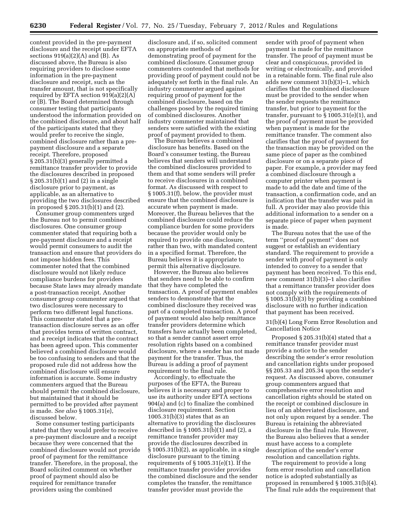content provided in the pre-payment disclosure and the receipt under EFTA sections  $919(a)(2)(A)$  and  $(B)$ . As discussed above, the Bureau is also requiring providers to disclose some information in the pre-payment disclosure and receipt, such as the transfer amount, that is not specifically required by EFTA section  $919(a)(2)(A)$ or (B). The Board determined through consumer testing that participants understood the information provided on the combined disclosure, and about half of the participants stated that they would prefer to receive the single, combined disclosure rather than a prepayment disclosure and a separate receipt. Therefore, proposed § 205.31(b)(3) generally permitted a remittance transfer provider to provide the disclosures described in proposed § 205.31(b)(1) and (2) in a single disclosure prior to payment, as applicable, as an alternative to providing the two disclosures described in proposed § 205.31(b)(1) and (2).

Consumer group commenters urged the Bureau not to permit combined disclosures. One consumer group commenter stated that requiring both a pre-payment disclosure and a receipt would permit consumers to audit the transaction and ensure that providers do not impose hidden fees. This commenter noted that the combined disclosure would not likely reduce compliance burdens for providers because State laws may already mandate a post-transaction receipt. Another consumer group commenter argued that two disclosures were necessary to perform two different legal functions. This commenter stated that a pretransaction disclosure serves as an offer that provides terms of written contract, and a receipt indicates that the contract has been agreed upon. This commenter believed a combined disclosure would be too confusing to senders and that the proposed rule did not address how the combined disclosure will ensure information is accurate. Some industry commenters argued that the Bureau should permit the combined disclosure, but maintained that it should be permitted to be provided after payment is made. *See also* § 1005.31(e), discussed below.

Some consumer testing participants stated that they would prefer to receive a pre-payment disclosure and a receipt because they were concerned that the combined disclosure would not provide proof of payment for the remittance transfer. Therefore, in the proposal, the Board solicited comment on whether proof of payment should also be required for remittance transfer providers using the combined

disclosure and, if so, solicited comment on appropriate methods of demonstrating proof of payment for the combined disclosure. Consumer group commenters contended that methods for providing proof of payment could not be adequately set forth in the final rule. An industry commenter argued against requiring proof of payment for the combined disclosure, based on the challenges posed by the required timing of combined disclosures. Another industry commenter maintained that senders were satisfied with the existing proof of payment provided to them.

The Bureau believes a combined disclosure has benefits. Based on the Board's consumer testing, the Bureau believes that senders will understand the combined disclosures provided to them and that some senders will prefer to receive disclosures in a combined format. As discussed with respect to § 1005.31(f), below, the provider must ensure that the combined disclosure is accurate when payment is made. Moreover, the Bureau believes that the combined disclosure could reduce the compliance burden for some providers because the provider would only be required to provide one disclosure, rather than two, with mandated content in a specified format. Therefore, the Bureau believes it is appropriate to permit this alternative disclosure.

However, the Bureau also believes that senders need to be able to confirm that they have completed the transaction. A proof of payment enables senders to demonstrate that the combined disclosure they received was part of a completed transaction. A proof of payment would also help remittance transfer providers determine which transfers have actually been completed, so that a sender cannot assert error resolution rights based on a combined disclosure, where a sender has not made payment for the transfer. Thus, the Bureau is adding a proof of payment requirement to the final rule.

Accordingly, to effectuate the purposes of the EFTA, the Bureau believes it is necessary and proper to use its authority under EFTA sections 904(a) and (c) to finalize the combined disclosure requirement. Section 1005.31(b)(3) states that as an alternative to providing the disclosures described in § 1005.31(b)(1) and (2), a remittance transfer provider may provide the disclosures described in  $§ 1005.31(b)(2)$ , as applicable, in a single disclosure pursuant to the timing requirements of  $\S 1005.31(e)(1)$ . If the remittance transfer provider provides the combined disclosure and the sender completes the transfer, the remittance transfer provider must provide the

sender with proof of payment when payment is made for the remittance transfer. The proof of payment must be clear and conspicuous, provided in writing or electronically, and provided in a retainable form. The final rule also adds new comment 31(b)(3)–1, which clarifies that the combined disclosure must be provided to the sender when the sender requests the remittance transfer, but prior to payment for the transfer, pursuant to  $\S 1005.31(e)(1)$ , and the proof of payment must be provided when payment is made for the remittance transfer. The comment also clarifies that the proof of payment for the transaction may be provided on the same piece of paper as the combined disclosure or on a separate piece of paper. For example, a provider may feed a combined disclosure through a computer printer when payment is made to add the date and time of the transaction, a confirmation code, and an indication that the transfer was paid in full. A provider may also provide this additional information to a sender on a separate piece of paper when payment is made.

The Bureau notes that the use of the term ''proof of payment'' does not suggest or establish an evidentiary standard. The requirement to provide a sender with proof of payment is only intended to convey to a sender that payment has been received. To this end, new comment 31(b)(3)–1 also clarifies that a remittance transfer provider does not comply with the requirements of § 1005.31(b)(3) by providing a combined disclosure with no further indication that payment has been received.

31(b)(4) Long Form Error Resolution and Cancellation Notice

Proposed § 205.31(b)(4) stated that a remittance transfer provider must provide a notice to the sender describing the sender's error resolution and cancellation rights under proposed §§ 205.33 and 205.34 upon the sender's request. As discussed above, consumer group commenters argued that comprehensive error resolution and cancellation rights should be stated on the receipt or combined disclosure in lieu of an abbreviated disclosure, and not only upon request by a sender. The Bureau is retaining the abbreviated disclosure in the final rule. However, the Bureau also believes that a sender must have access to a complete description of the sender's error resolution and cancellation rights.

The requirement to provide a long form error resolution and cancellation notice is adopted substantially as proposed in renumbered § 1005.31(b)(4). The final rule adds the requirement that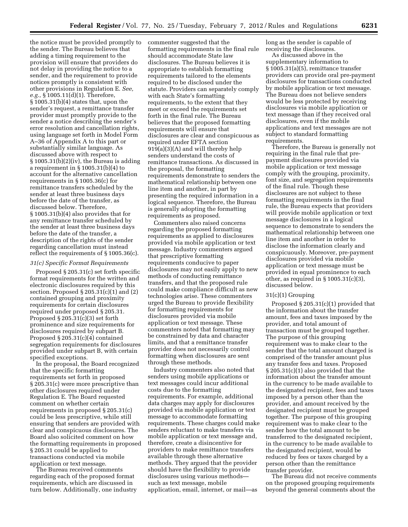the notice must be provided promptly to the sender. The Bureau believes that adding a timing requirement to the provision will ensure that providers do not delay in providing the notice to a sender, and the requirement to provide notices promptly is consistent with other provisions in Regulation E. *See, e.g.,* § 1005.11(d)(1). Therefore, § 1005.31(b)(4) states that, upon the sender's request, a remittance transfer provider must promptly provide to the sender a notice describing the sender's error resolution and cancellation rights, using language set forth in Model Form A–36 of Appendix A to this part or substantially similar language. As discussed above with respect to § 1005.31(b)(2)(iv), the Bureau is adding a requirement in § 1005.31(b)(4) to account for the alternative cancellation requirements in § 1005.36(c) for remittance transfers scheduled by the sender at least three business days before the date of the transfer, as discussed below. Therefore, § 1005.31(b)(4) also provides that for any remittance transfer scheduled by the sender at least three business days before the date of the transfer, a description of the rights of the sender regarding cancellation must instead reflect the requirements of § 1005.36(c).

#### *31(c) Specific Format Requirements*

Proposed § 205.31(c) set forth specific format requirements for the written and electronic disclosures required by this section. Proposed  $\S 205.31(c)(1)$  and  $(2)$ contained grouping and proximity requirements for certain disclosures required under proposed § 205.31. Proposed § 205.31(c)(3) set forth prominence and size requirements for disclosures required by subpart B. Proposed § 205.31(c)(4) contained segregation requirements for disclosures provided under subpart B, with certain specified exceptions.

In the proposal, the Board recognized that the specific formatting requirements set forth in proposed § 205.31(c) were more prescriptive than other disclosures required under Regulation E. The Board requested comment on whether certain requirements in proposed § 205.31(c) could be less prescriptive, while still ensuring that senders are provided with clear and conspicuous disclosures. The Board also solicited comment on how the formatting requirements in proposed § 205.31 could be applied to transactions conducted via mobile application or text message.

The Bureau received comments regarding each of the proposed format requirements, which are discussed in turn below. Additionally, one industry commenter suggested that the formatting requirements in the final rule should accommodate State law disclosures. The Bureau believes it is appropriate to establish formatting requirements tailored to the elements required to be disclosed under the statute. Providers can separately comply with each State's formatting requirements, to the extent that they meet or exceed the requirements set forth in the final rule. The Bureau believes that the proposed formatting requirements will ensure that disclosures are clear and conspicuous as required under EFTA section 919(a)(3)(A) and will thereby help senders understand the costs of remittance transactions. As discussed in the proposal, the formatting requirements demonstrate to senders the mathematical relationship between one line item and another, in part by presenting the required information in a logical sequence. Therefore, the Bureau is generally adopting the formatting requirements as proposed.

Commenters also raised concerns regarding the proposed formatting requirements as applied to disclosures provided via mobile application or text message. Industry commenters argued that prescriptive formatting requirements conducive to paper disclosures may not easily apply to new methods of conducting remittance transfers, and that the proposed rule could make compliance difficult as new technologies arise. These commenters urged the Bureau to provide flexibility for formatting requirements for disclosures provided via mobile application or text message. These commenters noted that formatting may be constrained by data and character limits, and that a remittance transfer provider does not necessarily control formatting when disclosures are sent through these methods.

Industry commenters also noted that senders using mobile applications or text messages could incur additional costs due to the formatting requirements. For example, additional data charges may apply for disclosures provided via mobile application or text message to accommodate formatting requirements. These charges could make senders reluctant to make transfers via mobile application or text message and, therefore, create a disincentive for providers to make remittance transfers available through these alternative methods. They argued that the provider should have the flexibility to provide disclosures using various methods such as text message, mobile application, email, internet, or mail—as

long as the sender is capable of receiving the disclosures.

As discussed above in the supplementary information to § 1005.31(a)(5), remittance transfer providers can provide oral pre-payment disclosures for transactions conducted by mobile application or text message. The Bureau does not believe senders would be less protected by receiving disclosures via mobile application or text message than if they received oral disclosures, even if the mobile applications and text messages are not subject to standard formatting requirements.

Therefore, the Bureau is generally not requiring in the final rule that prepayment disclosures provided via mobile application or text message comply with the grouping, proximity, font size, and segregation requirements of the final rule. Though these disclosures are not subject to these formatting requirements in the final rule, the Bureau expects that providers will provide mobile application or text message disclosures in a logical sequence to demonstrate to senders the mathematical relationship between one line item and another in order to disclose the information clearly and conspicuously. Moreover, pre-payment disclosures provided via mobile application or text message must be provided in equal prominence to each other, as required in  $\S 1005.31(c)(3)$ , discussed below.

## 31(c)(1) Grouping

Proposed § 205.31(c)(1) provided that the information about the transfer amount, fees and taxes imposed by the provider, and total amount of transaction must be grouped together. The purpose of this grouping requirement was to make clear to the sender that the total amount charged is comprised of the transfer amount plus any transfer fees and taxes. Proposed § 205.31(c)(1) also provided that the information about the transfer amount in the currency to be made available to the designated recipient, fees and taxes imposed by a person other than the provider, and amount received by the designated recipient must be grouped together. The purpose of this grouping requirement was to make clear to the sender how the total amount to be transferred to the designated recipient, in the currency to be made available to the designated recipient, would be reduced by fees or taxes charged by a person other than the remittance transfer provider.

The Bureau did not receive comments on the proposed grouping requirements beyond the general comments about the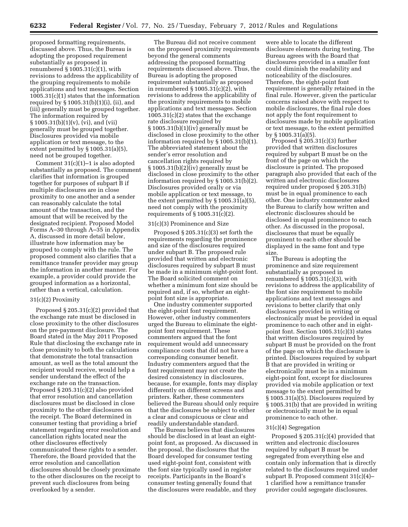proposed formatting requirements, discussed above. Thus, the Bureau is adopting the proposed requirement substantially as proposed in renumbered § 1005.31(c)(1), with revisions to address the applicability of the grouping requirements to mobile applications and text messages. Section 1005.31(c)(1) states that the information required by § 1005.31(b)(1)(i), (ii), and (iii) generally must be grouped together. The information required by  $\S 1005.31(b)(1)(v)$ , (vi), and (vii) generally must be grouped together. Disclosures provided via mobile application or text message, to the extent permitted by § 1005.31(a)(5), need not be grouped together.

Comment 31(c)(1)–1 is also adopted substantially as proposed. The comment clarifies that information is grouped together for purposes of subpart B if multiple disclosures are in close proximity to one another and a sender can reasonably calculate the total amount of the transaction, and the amount that will be received by the designated recipient. Proposed Model Forms A–30 through A–35 in Appendix A, discussed in more detail below, illustrate how information may be grouped to comply with the rule. The proposed comment also clarifies that a remittance transfer provider may group the information in another manner. For example, a provider could provide the grouped information as a horizontal, rather than a vertical, calculation.

## 31(c)(2) Proximity

Proposed § 205.31(c)(2) provided that the exchange rate must be disclosed in close proximity to the other disclosures on the pre-payment disclosure. The Board stated in the May 2011 Proposed Rule that disclosing the exchange rate in close proximity to both the calculations that demonstrate the total transaction amount, as well as the total amount the recipient would receive, would help a sender understand the effect of the exchange rate on the transaction. Proposed § 205.31(c)(2) also provided that error resolution and cancellation disclosures must be disclosed in close proximity to the other disclosures on the receipt. The Board determined in consumer testing that providing a brief statement regarding error resolution and cancellation rights located near the other disclosures effectively communicated these rights to a sender. Therefore, the Board provided that the error resolution and cancellation disclosures should be closely proximate to the other disclosures on the receipt to prevent such disclosures from being overlooked by a sender.

The Bureau did not receive comment on the proposed proximity requirements beyond the general comments addressing the proposed formatting requirements discussed above. Thus, the Bureau is adopting the proposed requirement substantially as proposed in renumbered § 1005.31(c)(2), with revisions to address the applicability of the proximity requirements to mobile applications and text messages. Section 1005.31(c)(2) states that the exchange rate disclosure required by § 1005.31(b)(1)(iv) generally must be disclosed in close proximity to the other information required by § 1005.31(b)(1). The abbreviated statement about the sender's error resolution and cancellation rights required by § 1005.31(b)(2)(iv) generally must be disclosed in close proximity to the other information required by § 1005.31(b)(2). Disclosures provided orally or via mobile application or text message, to the extent permitted by  $\S 1005.31(a)(5)$ , need not comply with the proximity requirements of § 1005.31(c)(2).

#### 31(c)(3) Prominence and Size

Proposed § 205.31(c)(3) set forth the requirements regarding the prominence and size of the disclosures required under subpart B. The proposed rule provided that written and electronic disclosures required by subpart B must be made in a minimum eight-point font. The Board solicited comment on whether a minimum font size should be required and, if so, whether an eightpoint font size is appropriate.

One industry commenter supported the eight-point font requirement. However, other industry commenters urged the Bureau to eliminate the eightpoint font requirement. These commenters argued that the font requirement would add unnecessary compliance costs that did not have a corresponding consumer benefit. Industry commenters argued that the font requirement may not create the desired consistency in disclosures, because, for example, fonts may display differently on different screens and printers. Rather, these commenters believed the Bureau should only require that the disclosures be subject to either a clear and conspicuous or clear and readily understandable standard.

The Bureau believes that disclosures should be disclosed in at least an eightpoint font, as proposed. As discussed in the proposal, the disclosures that the Board developed for consumer testing used eight-point font, consistent with the font size typically used in register receipts. Participants in the Board's consumer testing generally found that the disclosures were readable, and they

were able to locate the different disclosure elements during testing. The Bureau agrees with the Board that disclosures provided in a smaller font could diminish the readability and noticeability of the disclosures. Therefore, the eight-point font requirement is generally retained in the final rule. However, given the particular concerns raised above with respect to mobile disclosures, the final rule does not apply the font requirement to disclosures made by mobile application or text message, to the extent permitted by § 1005.31(a)(5).

Proposed § 205.31(c)(3) further provided that written disclosures required by subpart B must be on the front of the page on which the disclosure is printed. The proposed paragraph also provided that each of the written and electronic disclosures required under proposed § 205.31(b) must be in equal prominence to each other. One industry commenter asked the Bureau to clarify how written and electronic disclosures should be disclosed in equal prominence to each other. As discussed in the proposal, disclosures that must be equally prominent to each other should be displayed in the same font and type size.

The Bureau is adopting the prominence and size requirement substantially as proposed in renumbered  $\S 1005.31(c)(3)$ , with revisions to address the applicability of the font size requirement to mobile applications and text messages and revisions to better clarify that only disclosures provided in writing or electronically must be provided in equal prominence to each other and in eightpoint font. Section 1005.31(c)(3) states that written disclosures required by subpart B must be provided on the front of the page on which the disclosure is printed. Disclosures required by subpart B that are provided in writing or electronically must be in a minimum eight-point font, except for disclosures provided via mobile application or text message to the extent permitted by § 1005.31(a)(5). Disclosures required by § 1005.31(b) that are provided in writing or electronically must be in equal prominence to each other.

#### 31(c)(4) Segregation

Proposed § 205.31(c)(4) provided that written and electronic disclosures required by subpart B must be segregated from everything else and contain only information that is directly related to the disclosures required under subpart B. Proposed comment 31(c)(4)– 1 clarified how a remittance transfer provider could segregate disclosures.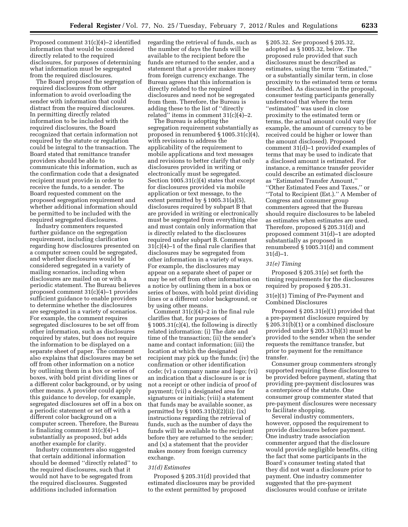Proposed comment 31(c)(4)–2 identified regarding the retrieval of funds, such as information that would be considered directly related to the required disclosures, for purposes of determining what information must be segregated from the required disclosures.

The Board proposed the segregation of required disclosures from other information to avoid overloading the sender with information that could distract from the required disclosures. In permitting directly related information to be included with the required disclosures, the Board recognized that certain information not required by the statute or regulation could be integral to the transaction. The Board stated that remittance transfer providers should be able to communicate this information, such as the confirmation code that a designated recipient must provide in order to receive the funds, to a sender. The Board requested comment on the proposed segregation requirement and whether additional information should be permitted to be included with the required segregated disclosures.

Industry commenters requested further guidance on the segregation requirement, including clarification regarding how disclosures presented on a computer screen could be segregated, and whether disclosures would be considered segregated in a variety of mailing scenarios, including when disclosures are mailed on or with a periodic statement. The Bureau believes proposed comment 31(c)(4)–1 provides sufficient guidance to enable providers to determine whether the disclosures are segregated in a variety of scenarios. For example, the comment requires segregated disclosures to be set off from other information, such as disclosures required by states, but does not require the information to be displayed on a separate sheet of paper. The comment also explains that disclosures may be set off from other information on a notice by outlining them in a box or series of boxes, with bold print dividing lines or a different color background, or by using other means. A provider could apply this guidance to develop, for example, segregated disclosures set off in a box on a periodic statement or set off with a different color background on a computer screen. Therefore, the Bureau is finalizing comment 31(c)(4)–1 substantially as proposed, but adds another example for clarity.

Industry commenters also suggested that certain additional information should be deemed ''directly related'' to the required disclosures, such that it would not have to be segregated from the required disclosures. Suggested additions included information

the number of days the funds will be available to the recipient before the funds are returned to the sender, and a statement that a provider makes money from foreign currency exchange. The Bureau agrees that this information is directly related to the required disclosures and need not be segregated from them. Therefore, the Bureau is adding these to the list of ''directly related'' items in comment 31(c)(4)–2.

The Bureau is adopting the segregation requirement substantially as proposed in renumbered § 1005.31(c)(4), with revisions to address the applicability of the requirement to mobile applications and text messages and revisions to better clarify that only disclosures provided in writing or electronically must be segregated. Section 1005.31(c)(4) states that except for disclosures provided via mobile application or text message, to the extent permitted by § 1005.31(a)(5), disclosures required by subpart B that are provided in writing or electronically must be segregated from everything else and must contain only information that is directly related to the disclosures required under subpart B. Comment 31(c)(4)–1 of the final rule clarifies that disclosures may be segregated from other information in a variety of ways. For example, the disclosures may appear on a separate sheet of paper or may be set off from other information on a notice by outlining them in a box or series of boxes, with bold print dividing lines or a different color background, or by using other means.

Comment 31(c)(4)–2 in the final rule clarifies that, for purposes of § 1005.31(c)(4), the following is directly related information: (i) The date and time of the transaction; (ii) the sender's name and contact information; (iii) the location at which the designated recipient may pick up the funds; (iv) the confirmation or other identification code; (v) a company name and logo; (vi) an indication that a disclosure is or is not a receipt or other indicia of proof of payment; (vii) a designated area for signatures or initials; (viii) a statement that funds may be available sooner, as permitted by § 1005.31(b)(2)(ii); (ix) instructions regarding the retrieval of funds, such as the number of days the funds will be available to the recipient before they are returned to the sender; and (x) a statement that the provider makes money from foreign currency exchange.

#### *31(d) Estimates*

Proposed § 205.31(d) provided that estimated disclosures may be provided to the extent permitted by proposed

§ 205.32. *See* proposed § 205.32, adopted as § 1005.32, below. The proposed rule provided that such disclosures must be described as estimates, using the term ''Estimated,'' or a substantially similar term, in close proximity to the estimated term or terms described. As discussed in the proposal, consumer testing participants generally understood that where the term ''estimated'' was used in close proximity to the estimated term or terms, the actual amount could vary (for example, the amount of currency to be received could be higher or lower than the amount disclosed). Proposed comment 31(d)–1 provided examples of terms that may be used to indicate that a disclosed amount is estimated. For instance, a remittance transfer provider could describe an estimated disclosure as ''Estimated Transfer Amount,'' ''Other Estimated Fees and Taxes,'' or ''Total to Recipient (Est.).'' A Member of Congress and consumer group commenters agreed that the Bureau should require disclosures to be labeled as estimates when estimates are used. Therefore, proposed § 205.31(d) and proposed comment 31(d)–1 are adopted substantially as proposed in renumbered § 1005.31(d) and comment  $31(d)-1$ .

#### *31(e) Timing*

Proposed § 205.31(e) set forth the timing requirements for the disclosures required by proposed § 205.31.

# 31(e)(1) Timing of Pre-Payment and Combined Disclosures

Proposed § 205.31(e)(1) provided that a pre-payment disclosure required by § 205.31(b)(1) or a combined disclosure provided under § 205.31(b)(3) must be provided to the sender when the sender requests the remittance transfer, but prior to payment for the remittance transfer.

Consumer group commenters strongly supported requiring these disclosures to be provided before payment, stating that providing pre-payment disclosures was a centerpiece of the statute. One consumer group commenter stated that pre-payment disclosures were necessary to facilitate shopping.

Several industry commenters, however, opposed the requirement to provide disclosures before payment. One industry trade association commenter argued that the disclosure would provide negligible benefits, citing the fact that some participants in the Board's consumer testing stated that they did not want a disclosure prior to payment. One industry commenter suggested that the pre-payment disclosures would confuse or irritate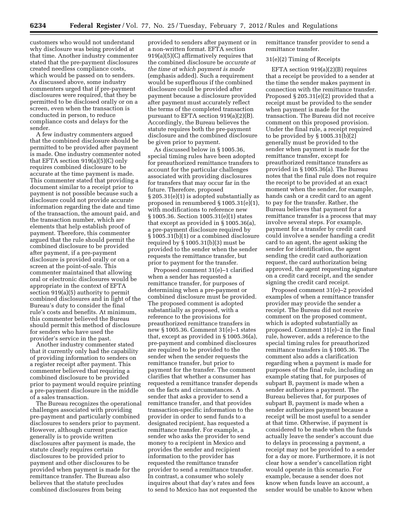customers who would not understand why disclosure was being provided at that time. Another industry commenter stated that the pre-payment disclosures created needless compliance costs, which would be passed on to senders. As discussed above, some industry commenters urged that if pre-payment disclosures were required, that they be permitted to be disclosed orally or on a screen, even when the transaction is conducted in person, to reduce compliance costs and delays for the sender.

A few industry commenters argued that the combined disclosure should be permitted to be provided after payment is made. One industry commenter noted that EFTA section 919(a)(5)(C) only requires combined disclosure to be accurate at the time payment is made. This commenter stated that providing a document similar to a receipt prior to payment is not possible because such a disclosure could not provide accurate information regarding the date and time of the transaction, the amount paid, and the transaction number, which are elements that help establish proof of payment. Therefore, this commenter argued that the rule should permit the combined disclosure to be provided after payment, if a pre-payment disclosure is provided orally or on a screen at the point-of-sale. This commenter maintained that allowing oral or electronic disclosures would be appropriate in the context of EFTA section 919(a)(5) authority to permit combined disclosures and in light of the Bureau's duty to consider the final rule's costs and benefits. At minimum, this commenter believed the Bureau should permit this method of disclosure for senders who have used the provider's service in the past.

Another industry commenter stated that it currently only had the capability of providing information to senders on a register receipt after payment. This commenter believed that requiring a combined disclosure to be provided prior to payment would require printing a pre-payment disclosure in the middle of a sales transaction.

The Bureau recognizes the operational challenges associated with providing pre-payment and particularly combined disclosures to senders prior to payment. However, although current practice generally is to provide written disclosures after payment is made, the statute clearly requires certain disclosures to be provided prior to payment and other disclosures to be provided when payment is made for the remittance transfer. The Bureau also believes that the statute precludes combined disclosures from being

provided to senders after payment or in a non-written format. EFTA section 919(a)(5)(C) affirmatively requires that the combined disclosure be *accurate at the time at which payment is made*  (emphasis added). Such a requirement would be superfluous if the combined disclosure could be provided after payment because a disclosure provided after payment must accurately reflect the terms of the completed transaction pursuant to EFTA section 919(a)(2)(B). Accordingly, the Bureau believes the statute requires both the pre-payment disclosure and the combined disclosure be given prior to payment.

As discussed below in § 1005.36, special timing rules have been adopted for preauthorized remittance transfers to account for the particular challenges associated with providing disclosures for transfers that may occur far in the future. Therefore, proposed § 205.31(e)(1) is adopted substantially as proposed in renumbered § 1005.31(e)(1), with modifications to reference new § 1005.36. Section 1005.31(e)(1) states that except as provided in § 1005.36(a), a pre-payment disclosure required by § 1005.31(b)(1) or a combined disclosure required by § 1005.31(b)(3) must be provided to the sender when the sender requests the remittance transfer, but prior to payment for the transfer.

Proposed comment 31(e)–1 clarified when a sender has requested a remittance transfer, for purposes of determining when a pre-payment or combined disclosure must be provided. The proposed comment is adopted substantially as proposed, with a reference to the provisions for preauthorized remittance transfers in new § 1005.36. Comment 31(e)–1 states that, except as provided in § 1005.36(a), pre-payment and combined disclosures are required to be provided to the sender when the sender requests the remittance transfer, but prior to payment for the transfer. The comment clarifies that whether a consumer has requested a remittance transfer depends on the facts and circumstances. A sender that asks a provider to send a remittance transfer, and that provides transaction-specific information to the provider in order to send funds to a designated recipient, has requested a remittance transfer. For example, a sender who asks the provider to send money to a recipient in Mexico and provides the sender and recipient information to the provider has requested the remittance transfer provider to send a remittance transfer. In contrast, a consumer who solely inquires about that day's rates and fees to send to Mexico has not requested the

remittance transfer provider to send a remittance transfer.

# 31(e)(2) Timing of Receipts

EFTA section 919(a)(2)(B) requires that a receipt be provided to a sender at the time the sender makes payment in connection with the remittance transfer. Proposed § 205.31(e)(2) provided that a receipt must be provided to the sender when payment is made for the transaction. The Bureau did not receive comment on this proposed provision. Under the final rule, a receipt required to be provided by § 1005.31(b)(2) generally must be provided to the sender when payment is made for the remittance transfer, except for preauthorized remittance transfers as provided in § 1005.36(a). The Bureau notes that the final rule does not require the receipt to be provided at an exact moment when the sender, for example, hands cash or a credit card to an agent to pay for the transfer. Rather, the Bureau believes that payment for a remittance transfer is a process that may involve several steps. For example, payment for a transfer by credit card could involve a sender handing a credit card to an agent, the agent asking the sender for identification, the agent sending the credit card authorization request, the card authorization being approved, the agent requesting signature on a credit card receipt, and the sender signing the credit card receipt.

Proposed comment 31(e)–2 provided examples of when a remittance transfer provider may provide the sender a receipt. The Bureau did not receive comment on the proposed comment, which is adopted substantially as proposed. Comment 31(e)–2 in the final rule, however, adds a reference to the special timing rules for preauthorized remittance transfers in § 1005.36. The comment also adds a clarification regarding when a payment is made for purposes of the final rule, including an example stating that, for purposes of subpart B, payment is made when a sender authorizes a payment. The Bureau believes that, for purposes of subpart B, payment is made when a sender authorizes payment because a receipt will be most useful to a sender at that time. Otherwise, if payment is considered to be made when the funds actually leave the sender's account due to delays in processing a payment, a receipt may not be provided to a sender for a day or more. Furthermore, it is not clear how a sender's cancellation right would operate in this scenario. For example, because a sender does not know when funds leave an account, a sender would be unable to know when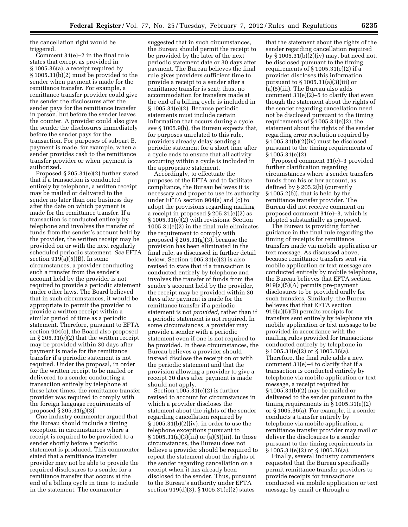the cancellation right would be triggered.

Comment 31(e)–2 in the final rule states that except as provided in § 1005.36(a), a receipt required by § 1005.31(b)(2) must be provided to the sender when payment is made for the remittance transfer. For example, a remittance transfer provider could give the sender the disclosures after the sender pays for the remittance transfer in person, but before the sender leaves the counter. A provider could also give the sender the disclosures immediately before the sender pays for the transaction. For purposes of subpart B, payment is made, for example, when a sender provides cash to the remittance transfer provider or when payment is authorized.

Proposed § 205.31(e)(2) further stated that if a transaction is conducted entirely by telephone, a written receipt may be mailed or delivered to the sender no later than one business day after the date on which payment is made for the remittance transfer. If a transaction is conducted entirely by telephone and involves the transfer of funds from the sender's account held by the provider, the written receipt may be provided on or with the next regularly scheduled periodic statement. *See* EFTA section 919(a)(5)(B). In some circumstances, a provider conducting such a transfer from the sender's account held by the provider is not required to provide a periodic statement under other laws. The Board believed that in such circumstances, it would be appropriate to permit the provider to provide a written receipt within a similar period of time as a periodic statement. Therefore, pursuant to EFTA section 904(c), the Board also proposed in § 205.31(e)(2) that the written receipt may be provided within 30 days after payment is made for the remittance transfer if a periodic statement is not required. Under the proposal, in order for the written receipt to be mailed or delivered to a sender conducting a transaction entirely by telephone at these later times, the remittance transfer provider was required to comply with the foreign language requirements of proposed § 205.31(g)(3).

One industry commenter argued that the Bureau should include a timing exception in circumstances where a receipt is required to be provided to a sender shortly before a periodic statement is produced. This commenter stated that a remittance transfer provider may not be able to provide the required disclosures to a sender for a remittance transfer that occurs at the end of a billing cycle in time to include in the statement. The commenter

suggested that in such circumstances, the Bureau should permit the receipt to be provided by the later of the next periodic statement date or 30 days after payment. The Bureau believes the final rule gives providers sufficient time to provide a receipt to a sender after a remittance transfer is sent; thus, no accommodation for transfers made at the end of a billing cycle is included in § 1005.31(e)(2). Because periodic statements must include certain information that occurs during a cycle, *see* § 1005.9(b), the Bureau expects that, for purposes unrelated to this rule, providers already delay sending a periodic statement for a short time after a cycle ends to ensure that all activity occurring within a cycle is included in the appropriate statement.

Accordingly, to effectuate the purposes of the EFTA and to facilitate compliance, the Bureau believes it is necessary and proper to use its authority under EFTA section 904(a) and (c) to adopt the provisions regarding mailing a receipt in proposed § 205.31(e)(2) as § 1005.31(e)(2) with revisions. Section 1005.31(e)(2) in the final rule eliminates the requirement to comply with proposed § 205.31(g)(3), because the provision has been eliminated in the final rule, as discussed in further detail below. Section 1005.31(e)(2) is also revised to state that if a transaction is conducted entirely by telephone and involves the transfer of funds from the sender's account held by the provider, the receipt may be provided within 30 days after payment is made for the remittance transfer if a periodic statement is not *provided,* rather than if a periodic statement is not required. In some circumstances, a provider may provide a sender with a periodic statement even if one is not required to be provided. In these circumstances, the Bureau believes a provider should instead disclose the receipt on or with the periodic statement and that the provision allowing a provider to give a receipt 30 days after payment is made should not apply.

Section  $1005.31(e)(2)$  is further revised to account for circumstances in which a provider discloses the statement about the rights of the sender regarding cancellation required by § 1005.31(b)(2)(iv), in order to use the telephone exceptions pursuant to § 1005.31(a)(3)(iii) or (a)(5)(iii). In those circumstances, the Bureau does not believe a provider should be required to repeat the statement about the rights of the sender regarding cancellation on a receipt when it has already been disclosed to the sender. Thus, pursuant to the Bureau's authority under EFTA section 919(d)(3), § 1005.31(e)(2) states

that the statement about the rights of the sender regarding cancellation required by § 1005.31(b)(2)(iv) may, but need not, be disclosed pursuant to the timing requirements of  $\S 1005.31(e)(2)$  if a provider discloses this information pursuant to  $\S 1005.31(a)(3)(iii)$  or (a)(5)(iii). The Bureau also adds comment 31(e)(2)–5 to clarify that even though the statement about the rights of the sender regarding cancellation need not be disclosed pursuant to the timing requirements of  $\S$  1005.31(e)(2), the statement about the rights of the sender regarding error resolution required by § 1005.31(b)(2)(iv) must be disclosed pursuant to the timing requirements of § 1005.31(e)(2).

Proposed comment 31(e)–3 provided further clarification regarding circumstances where a sender transfers funds from his or her account, as defined by § 205.2(b) (currently § 1005.2(b)), that is held by the remittance transfer provider. The Bureau did not receive comment on proposed comment 31(e)–3, which is adopted substantially as proposed.

The Bureau is providing further guidance in the final rule regarding the timing of receipts for remittance transfers made via mobile application or text message. As discussed above, because remittance transfers sent via mobile application or text message are conducted entirely by mobile telephone, the Bureau believes that EFTA section 919(a)(5)(A) permits pre-payment disclosures to be provided orally for such transfers. Similarly, the Bureau believes that that EFTA section 919(a)(5)(B) permits receipts for transfers sent entirely by telephone via mobile application or text message to be provided in accordance with the mailing rules provided for transactions conducted entirely by telephone in § 1005.31(e)(2) or § 1005.36(a). Therefore, the final rule adds a new comment 31(e)–4 to clarify that if a transaction is conducted entirely by telephone via mobile application or text message, a receipt required by § 1005.31(b)(2) may be mailed or delivered to the sender pursuant to the timing requirements in § 1005.31(e)(2) or § 1005.36(a). For example, if a sender conducts a transfer entirely by telephone via mobile application, a remittance transfer provider may mail or deliver the disclosures to a sender pursuant to the timing requirements in § 1005.31(e)(2) or § 1005.36(a).

Finally, several industry commenters requested that the Bureau specifically permit remittance transfer providers to provide receipts for transactions conducted via mobile application or text message by email or through a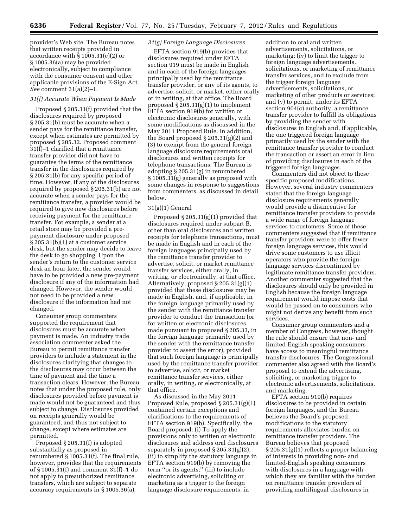provider's Web site. The Bureau notes that written receipts provided in accordance with § 1005.31(e)(2) or § 1005.36(a) may be provided electronically, subject to compliance with the consumer consent and other applicable provisions of the E-Sign Act. *See* comment 31(a)(2)–1.

### *31(f) Accurate When Payment Is Made*

Proposed § 205.31(f) provided that the disclosures required by proposed § 205.31(b) must be accurate when a sender pays for the remittance transfer, except when estimates are permitted by proposed § 205.32. Proposed comment 31(f)–1 clarified that a remittance transfer provider did not have to guarantee the terms of the remittance transfer in the disclosures required by § 205.31(b) for any specific period of time. However, if any of the disclosures required by proposed § 205.31(b) are not accurate when a sender pays for the remittance transfer, a provider would be required to give new disclosures before receiving payment for the remittance transfer. For example, a sender at a retail store may be provided a prepayment disclosure under proposed § 205.31(b)(1) at a customer service desk, but the sender may decide to leave the desk to go shopping. Upon the sender's return to the customer service desk an hour later, the sender would have to be provided a new pre-payment disclosure if any of the information had changed. However, the sender would not need to be provided a new disclosure if the information had not changed.

Consumer group commenters supported the requirement that disclosures must be accurate when payment is made. An industry trade association commenter asked the Bureau to permit remittance transfer providers to include a statement in the disclosures clarifying that changes to the disclosures may occur between the time of payment and the time a transaction clears. However, the Bureau notes that under the proposed rule, only disclosures provided before payment is made would not be guaranteed and thus subject to change. Disclosures provided on receipts generally would be guaranteed, and thus not subject to change, except where estimates are permitted.

Proposed § 205.31(f) is adopted substantially as proposed in renumbered § 1005.31(f). The final rule, however, provides that the requirements of § 1005.31(f) and comment 31(f)–1 do not apply to preauthorized remittance transfers, which are subject to separate accuracy requirements in § 1005.36(a).

## *31(g) Foreign Language Disclosures*

EFTA section 919(b) provides that disclosures required under EFTA section 919 must be made in English and in each of the foreign languages principally used by the remittance transfer provider, or any of its agents, to advertise, solicit, or market, either orally or in writing, at that office. The Board proposed § 205.31(g)(1) to implement EFTA section 919(b) for written or electronic disclosures generally, with some modifications as discussed in the May 2011 Proposed Rule. In addition, the Board proposed § 205.31(g)(2) and (3) to exempt from the general foreign language disclosure requirements oral disclosures and written receipts for telephone transactions. The Bureau is adopting § 205.31(g) in renumbered § 1005.31(g) generally as proposed with some changes in response to suggestions from commenters, as discussed in detail below.

## 31(g)(1) General

Proposed § 205.31(g)(1) provided that disclosures required under subpart B, other than oral disclosures and written receipts for telephone transactions, must be made in English and in each of the foreign languages principally used by the remittance transfer provider to advertise, solicit, or market remittance transfer services, either orally, in writing, or electronically, at that office. Alternatively, proposed § 205.31(g)(1) provided that these disclosures may be made in English, and, if applicable, in the foreign language primarily used by the sender with the remittance transfer provider to conduct the transaction (or for written or electronic disclosures made pursuant to proposed § 205.33, in the foreign language primarily used by the sender with the remittance transfer provider to assert the error), provided that such foreign language is principally used by the remittance transfer provider to advertise, solicit, or market remittance transfer services, either orally, in writing, or electronically, at that office.

As discussed in the May 2011 Proposed Rule, proposed § 205.31(g)(1) contained certain exceptions and clarifications to the requirements of EFTA section 919(b). Specifically, the Board proposed: (i) To apply the provisions only to written or electronic disclosures and address oral disclosures separately in proposed § 205.31(g)(2); (ii) to simplify the statutory language in EFTA section 919(b) by removing the term ''or its agents;'' (iii) to include electronic advertising, soliciting or marketing as a trigger to the foreign language disclosure requirements, in

addition to oral and written advertisements, solicitations, or marketing; (iv) to limit the trigger to foreign language advertisements, solicitations, or marketing of remittance transfer services, and to exclude from the trigger foreign language advertisements, solicitations, or marketing of other products or services; and (v) to permit, under its EFTA section 904(c) authority, a remittance transfer provider to fulfill its obligations by providing the sender with disclosures in English and, if applicable, the one triggered foreign language primarily used by the sender with the remittance transfer provider to conduct the transaction or assert an error in lieu of providing disclosures in each of the triggered foreign languages.

Commenters did not object to these specific proposed modifications. However, several industry commenters stated that the foreign language disclosure requirements generally would provide a disincentive for remittance transfer providers to provide a wide range of foreign language services to customers. Some of these commenters suggested that if remittance transfer providers were to offer fewer foreign language services, this would drive some customers to use illicit operators who provide the foreignlanguage services discontinued by legitimate remittance transfer providers. Another commenter suggested that the disclosures should only be provided in English because the foreign language requirement would impose costs that would be passed on to consumers who might not derive any benefit from such services.

Consumer group commenters and a member of Congress, however, thought the rule should ensure that non- and limited-English speaking consumers have access to meaningful remittance transfer disclosures. The Congressional commenter also agreed with the Board's proposal to extend the advertising, soliciting, or marketing trigger to electronic advertisements, solicitations, and marketing.

EFTA section 919(b) requires disclosures to be provided in certain foreign languages, and the Bureau believes the Board's proposed modifications to the statutory requirements alleviates burden on remittance transfer providers. The Bureau believes that proposed § 205.31(g)(1) reflects a proper balancing of interests in providing non- and limited-English speaking consumers with disclosures in a language with which they are familiar with the burden on remittance transfer providers of providing multilingual disclosures in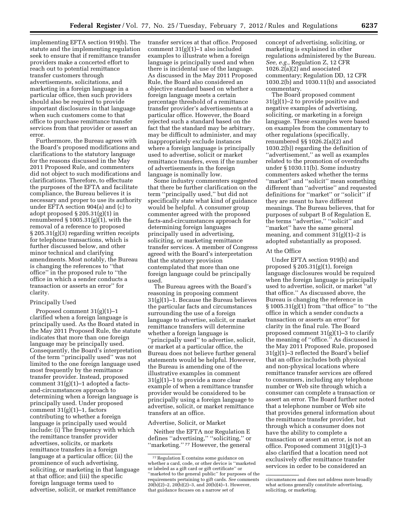implementing EFTA section 919(b). The statute and the implementing regulation seek to ensure that if remittance transfer providers make a concerted effort to reach out to potential remittance transfer customers through advertisements, solicitations, and marketing in a foreign language in a particular office, then such providers should also be required to provide important disclosures in that language when such customers come to that office to purchase remittance transfer services from that provider or assert an error.

Furthermore, the Bureau agrees with the Board's proposed modifications and clarifications to the statutory language for the reasons discussed in the May 2011 Proposed Rule, and commenters did not object to such modifications and clarifications. Therefore, to effectuate the purposes of the EFTA and facilitate compliance, the Bureau believes it is necessary and proper to use its authority under EFTA section 904(a) and (c) to adopt proposed § 205.31(g)(1) in renumbered  $\S 1005.31(g)(1)$ , with the removal of a reference to proposed § 205.31(g)(3) regarding written receipts for telephone transactions, which is further discussed below, and other minor technical and clarifying amendments. Most notably, the Bureau is changing the references to ''that office'' in the proposed rule to ''the office in which a sender conducts a transaction or asserts an error'' for clarity.

## Principally Used

Proposed comment 31(g)(1)–1 clarified when a foreign language is principally used. As the Board stated in the May 2011 Proposed Rule, the statute indicates that more than one foreign language may be principally used. Consequently, the Board's interpretation of the term ''principally used'' was not limited to the one foreign language used most frequently by the remittance transfer provider. Instead, proposed comment 31(g)(1)–1 adopted a factsand-circumstances approach to determining when a foreign language is principally used. Under proposed comment 31(g)(1)–1, factors contributing to whether a foreign language is principally used would include: (i) The frequency with which the remittance transfer provider advertises, solicits, or markets remittance transfers in a foreign language at a particular office; (ii) the prominence of such advertising, soliciting, or marketing in that language at that office; and (iii) the specific foreign language terms used to advertise, solicit, or market remittance

transfer services at that office. Proposed comment 31(g)(1)–1 also included examples to illustrate when a foreign language is principally used and when there is incidental use of the language. As discussed in the May 2011 Proposed Rule, the Board also considered an objective standard based on whether a foreign language meets a certain percentage threshold of a remittance transfer provider's advertisements at a particular office. However, the Board rejected such a standard based on the fact that the standard may be arbitrary, may be difficult to administer, and may inappropriately exclude instances where a foreign language is principally used to advertise, solicit or market remittance transfers, even if the number of advertisements in the foreign language is nominally low.

Some industry commenters suggested that there be further clarification on the term ''principally used,'' but did not specifically state what kind of guidance would be helpful. A consumer group commenter agreed with the proposed facts-and-circumstances approach for determining foreign languages principally used in advertising, soliciting, or marketing remittance transfer services. A member of Congress agreed with the Board's interpretation that the statutory provision contemplated that more than one foreign language could be principally used.

The Bureau agrees with the Board's reasoning in proposing comment 31(g)(1)–1. Because the Bureau believes the particular facts and circumstances surrounding the use of a foreign language to advertise, solicit, or market remittance transfers will determine whether a foreign language is ''principally used'' to advertise, solicit, or market at a particular office, the Bureau does not believe further general statements would be helpful. However, the Bureau is amending one of the illustrative examples in comment 31(g)(1)–1 to provide a more clear example of when a remittance transfer provider would be considered to be principally using a foreign language to advertise, solicit, or market remittance transfers at an office.

#### Advertise, Solicit, or Market

Neither the EFTA nor Regulation E defines ''advertising,'' ''soliciting,'' or "marketing."<sup>77</sup> However, the general

concept of advertising, soliciting, or marketing is explained in other regulations administered by the Bureau. *See, e.g.,* Regulation Z, 12 CFR 1026.2(a)(2) and associated commentary; Regulation DD, 12 CFR 1030.2(b) and 1030.11(b) and associated commentary.

The Board proposed comment 31(g)(1)–2 to provide positive and negative examples of advertising, soliciting, or marketing in a foreign language. These examples were based on examples from the commentary to other regulations (specifically, renumbered §§ 1026.2(a)(2) and 1030.2(b)) regarding the definition of "advertisement," as well as examples related to the promotion of overdrafts under § 1030.11(b). Some industry commenters asked whether the terms ''market'' and ''solicit'' mean something different than ''advertise'' and requested definitions for ''market'' or ''solicit'' if they are meant to have different meanings. The Bureau believes, that for purposes of subpart B of Regulation E, the terms ''advertise,'' ''solicit'' and ''market'' have the same general meaning, and comment  $31(g)(1)-2$  is adopted substantially as proposed.

### At the Office

Under EFTA section 919(b) and proposed § 205.31(g)(1), foreign language disclosures would be required when the foreign language is principally used to advertise, solicit, or market ''at that office.'' As discussed above, the Bureau is changing the reference in § 1005.31(g)(1) from ''that office'' to ''the office in which a sender conducts a transaction or asserts an error'' for clarity in the final rule. The Board proposed comment 31(g)(1)–3 to clarify the meaning of ''office.'' As discussed in the May 2011 Proposed Rule, proposed 31(g)(1)–3 reflected the Board's belief that an office includes both physical and non-physical locations where remittance transfer services are offered to consumers, including any telephone number or Web site through which a consumer can complete a transaction or assert an error. The Board further noted that a telephone number or Web site that provides general information about the remittance transfer provider, but through which a consumer does not have the ability to complete a transaction or assert an error, is not an office. Proposed comment 31(g)(1)–3 also clarified that a location need not exclusively offer remittance transfer services in order to be considered an

<sup>77</sup>Regulation E contains some guidance on whether a card, code, or other device is ''marketed or labeled as a gift card or gift certificate'' or ''marketed to the general public'' for purposes of the requirements pertaining to gift cards. *See* comments  $20(b)(2)-2$ ,  $20(b)(2)-3$ , and  $20(b)(4)-1$ . However, that guidance focuses on a narrow set of

circumstances and does not address more broadly what actions generally constitute advertising, soliciting, or marketing.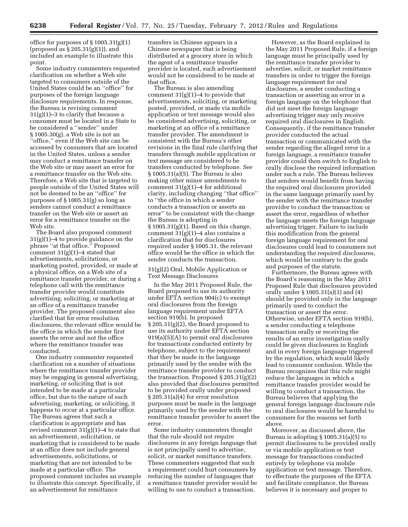office for purposes of § 1005.31(g)(1) (proposed as § 205.31(g)(1)), and included an example to illustrate this point.

Some industry commenters requested clarification on whether a Web site targeted to consumers outside of the United States could be an ''office'' for purposes of the foreign language disclosure requirements. In response, the Bureau is revising comment  $31(g)(1)-3$  to clarify that because a consumer must be located in a State to be considered a ''sender'' under § 1005.30(g), a Web site is not an ''office,'' even if the Web site can be accessed by consumers that are located in the United States, unless a sender may conduct a remittance transfer on the Web site or may assert an error for a remittance transfer on the Web site. Therefore, a Web site that is targeted to people outside of the United States will not be deemed to be an ''office'' for purposes of § 1005.31(g) so long as senders cannot conduct a remittance transfer on the Web site or assert an error for a remittance transfer on the Web site.

The Board also proposed comment 31(g)(1)–4 to provide guidance on the phrase ''at that office.'' Proposed comment 31(g)(1)–4 stated that advertisements, solicitations, or marketing posted, provided, or made at a physical office, on a Web site of a remittance transfer provider, or during a telephone call with the remittance transfer provider would constitute advertising, soliciting, or marketing at an office of a remittance transfer provider. The proposed comment also clarified that for error resolution disclosures, the relevant office would be the office in which the sender first asserts the error and not the office where the remittance transfer was conducted.

One industry commenter requested clarification on a number of situations where the remittance transfer provider may be engaging in general advertising, marketing, or soliciting that is not intended to be made at a particular office, but due to the nature of such advertising, marketing, or soliciting, it happens to occur at a particular office. The Bureau agrees that such a clarification is appropriate and has revised comment 31(g)(1)–4 to state that an advertisement, solicitation, or marketing that is considered to be made at an office does not include general advertisements, solicitations, or marketing that are not intended to be made at a particular office. The proposed comment includes an example to illustrate this concept. Specifically, if an advertisement for remittance

transfers in Chinese appears in a Chinese newspaper that is being distributed at a grocery store in which the agent of a remittance transfer provider is located, such advertisement would not be considered to be made at that office.

The Bureau is also amending comment  $31(g)(1)-4$  to provide that advertisements, soliciting, or marketing posted, provided, or made via mobile application or text message would also be considered advertising, soliciting, or marketing at an office of a remittance transfer provider. The amendment is consistent with the Bureau's other revisions in the final rule clarifying that transfers through mobile application or text message are considered to be transfers conducted by telephone. *See*  § 1005.31(a)(5). The Bureau is also making other minor amendments to comment  $31(g)(1)-4$  for additional clarity, including changing ''that office'' to ''the office in which a sender conducts a transaction or asserts an error'' to be consistent with the change the Bureau is adopting in  $\S 1005.31(g)(1)$ . Based on this change, comment 31(g)(1)–4 also contains a clarification that for disclosures required under § 1005.31, the relevant office would be the office in which the sender conducts the transaction.

31(g)(2) Oral, Mobile Application or Text Message Disclosures

In the May 2011 Proposed Rule, the Board proposed to use its authority under EFTA section 904(c) to exempt oral disclosures from the foreign language requirement under EFTA section 919(b). In proposed § 205.31(g)(2), the Board proposed to use its authority under EFTA section 919(a)(5)(A) to permit oral disclosures for transactions conducted entirety by telephone, subject to the requirement that they be made in the language primarily used by the sender with the remittance transfer provider to conduct the transaction. Proposed § 205.31(g)(2) also provided that disclosures permitted to be provided orally under proposed § 205.31(a)(4) for error resolution purposes must be made in the language primarily used by the sender with the remittance transfer provider to assert the error.

Some industry commenters thought that the rule should not require disclosures in any foreign language that is not principally used to advertise, solicit, or market remittance transfers. These commenters suggested that such a requirement could hurt consumers by reducing the number of languages that a remittance transfer provider would be willing to use to conduct a transaction.

However, as the Board explained in the May 2011 Proposed Rule, if a foreign language must be principally used by the remittance transfer provider to advertise, solicit, or market remittance transfers in order to trigger the foreign language requirement for oral disclosures, a sender conducting a transaction or asserting an error in a foreign language on the telephone that did not meet the foreign language advertising trigger may only receive required oral disclosures in English. Consequently, if the remittance transfer provider conducted the actual transaction or communicated with the sender regarding the alleged error in a foreign language, a remittance transfer provider could then switch to English to orally disclose the required information under such a rule. The Bureau believes that senders would benefit from having the required oral disclosures provided in the same language primarily used by the sender with the remittance transfer provider to conduct the transaction or assert the error, regardless of whether the language meets the foreign language advertising trigger. Failure to include this modification from the general foreign language requirement for oral disclosures could lead to consumers not understanding the required disclosures, which would be contrary to the goals and purposes of the statute.

Furthermore, the Bureau agrees with the Board's reasoning in the May 2011 Proposed Rule that disclosures provided orally under § 1005.31(a)(3) and (4) should be provided only in the language primarily used to conduct the transaction or assert the error. Otherwise, under EFTA section 919(b), a sender conducting a telephone transaction orally or receiving the results of an error investigation orally could be given disclosures in English and in every foreign language triggered by the regulation, which would likely lead to consumer confusion. While the Bureau recognizes that this rule might reduce the languages in which a remittance transfer provider would be willing to conduct a transaction, the Bureau believes that applying the general foreign language disclosure rule to oral disclosures would be harmful to consumers for the reasons set forth above.

Moreover, as discussed above, the Bureau is adopting § 1005.31(a)(5) to permit disclosures to be provided orally or via mobile application or text message for transactions conducted entirely by telephone via mobile application or text message. Therefore, to effectuate the purposes of the EFTA and facilitate compliance, the Bureau believes it is necessary and proper to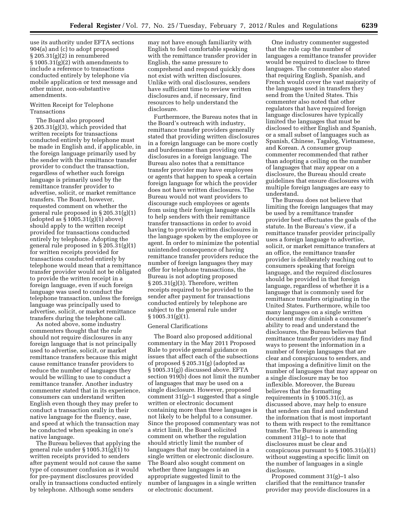use its authority under EFTA sections 904(a) and (c) to adopt proposed  $\S 205.31(g)(2)$  in renumbered  $\S 1005.31(g)(2)$  with amendments to include a reference to transactions conducted entirely by telephone via mobile application or text message and other minor, non-substantive amendments.

Written Receipt for Telephone Transactions

The Board also proposed § 205.31(g)(3), which provided that written receipts for transactions conducted entirely by telephone must be made in English and, if applicable, in the foreign language primarily used by the sender with the remittance transfer provider to conduct the transaction, regardless of whether such foreign language is primarily used by the remittance transfer provider to advertise, solicit, or market remittance transfers. The Board, however, requested comment on whether the general rule proposed in § 205.31(g)(1)  $\overline{a}$  (adopted as  $\overline{S}$  1005.31(g)(1) above) should apply to the written receipt provided for transactions conducted entirely by telephone. Adopting the general rule proposed in § 205.31(g)(1) for written receipts provided for transactions conducted entirely by telephone would mean that a remittance transfer provider would not be obligated to provide the written receipt in a foreign language, even if such foreign language was used to conduct the telephone transaction, unless the foreign language was principally used to advertise, solicit, or market remittance transfers during the telephone call.

As noted above, some industry commenters thought that the rule should not require disclosures in any foreign language that is not principally used to advertise, solicit, or market remittance transfers because this might cause remittance transfer providers to reduce the number of languages they would be willing to use to conduct a remittance transfer. Another industry commenter stated that in its experience, consumers can understand written English even though they may prefer to conduct a transaction orally in their native language for the fluency, ease, and speed at which the transaction may be conducted when speaking in one's native language.

The Bureau believes that applying the general rule under § 1005.31(g)(1) to written receipts provided to senders after payment would not cause the same type of consumer confusion as it would for pre-payment disclosures provided orally in transactions conducted entirely by telephone. Although some senders

may not have enough familiarity with English to feel comfortable speaking with the remittance transfer provider in English, the same pressure to comprehend and respond quickly does not exist with written disclosures. Unlike with oral disclosures, senders have sufficient time to review written disclosures and, if necessary, find resources to help understand the disclosure.

Furthermore, the Bureau notes that in the Board's outreach with industry, remittance transfer providers generally stated that providing written disclosures in a foreign language can be more costly and burdensome than providing oral disclosures in a foreign language. The Bureau also notes that a remittance transfer provider may have employees or agents that happen to speak a certain foreign language for which the provider does not have written disclosures. The Bureau would not want providers to discourage such employees or agents from using their foreign language skills to help senders with their remittance transfer transactions in order to avoid having to provide written disclosures in the language spoken by the employee or agent. In order to minimize the potential unintended consequence of having remittance transfer providers reduce the number of foreign languages they may offer for telephone transactions, the Bureau is not adopting proposed § 205.31(g)(3). Therefore, written receipts required to be provided to the sender after payment for transactions conducted entirely by telephone are subject to the general rule under § 1005.31(g)(1).

## General Clarifications

The Board also proposed additional commentary in the May 2011 Proposed Rule to provide general guidance on issues that affect each of the subsections of proposed § 205.31(g) (adopted as § 1005.31(g)) discussed above. EFTA section 919(b) does not limit the number of languages that may be used on a single disclosure. However, proposed comment 31(g)–1 suggested that a single written or electronic document containing more than three languages is not likely to be helpful to a consumer. Since the proposed commentary was not a strict limit, the Board solicited comment on whether the regulation should strictly limit the number of languages that may be contained in a single written or electronic disclosure. The Board also sought comment on whether three languages is an appropriate suggested limit to the number of languages in a single written or electronic document.

One industry commenter suggested that the rule cap the number of languages a remittance transfer provider would be required to disclose to three languages. The commenter also stated that requiring English, Spanish, and French would cover the vast majority of the languages used in transfers they send from the United States. This commenter also noted that other regulators that have required foreign language disclosures have typically limited the languages that must be disclosed to either English and Spanish, or a small subset of languages such as Spanish, Chinese, Tagalog, Vietnamese, and Korean. A consumer group commenter recommended that rather than adopting a ceiling on the number of languages that may appear on a disclosure, the Bureau should create guidelines that ensure disclosures with multiple foreign languages are easy to understand.

The Bureau does not believe that limiting the foreign languages that may be used by a remittance transfer provider best effectuates the goals of the statute. In the Bureau's view, if a remittance transfer provider principally uses a foreign language to advertise, solicit, or market remittance transfers at an office, the remittance transfer provider is deliberately reaching out to consumers speaking that foreign language, and the required disclosures should be provided in that foreign language, regardless of whether it is a language that is commonly used for remittance transfers originating in the United States. Furthermore, while too many languages on a single written document may diminish a consumer's ability to read and understand the disclosures, the Bureau believes that remittance transfer providers may find ways to present the information in a number of foreign languages that are clear and conspicuous to senders, and that imposing a definitive limit on the number of languages that may appear on a single disclosure may be too inflexible. Moreover, the Bureau believes that the formatting requirements in § 1005.31(c), as discussed above, may help to ensure that senders can find and understand the information that is most important to them with respect to the remittance transfer. The Bureau is amending comment 31(g)–1 to note that disclosures must be clear and conspicuous pursuant to § 1005.31(a)(1) without suggesting a specific limit on the number of languages in a single disclosure.

Proposed comment 31(g)–1 also clarified that the remittance transfer provider may provide disclosures in a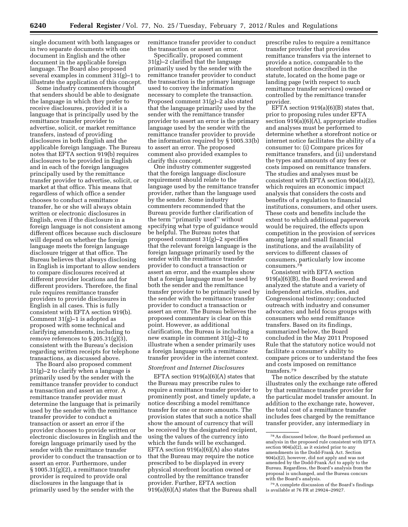single document with both languages or in two separate documents with one document in English and the other document in the applicable foreign language. The Board also proposed several examples in comment 31(g)–1 to illustrate the application of this concept.

Some industry commenters thought that senders should be able to designate the language in which they prefer to receive disclosures, provided it is a language that is principally used by the remittance transfer provider to advertise, solicit, or market remittance transfers, instead of providing disclosures in both English and the applicable foreign language. The Bureau notes that EFTA section 919(b) requires disclosures to be provided in English and in each of the foreign languages principally used by the remittance transfer provider to advertise, solicit, or market at that office. This means that regardless of which office a sender chooses to conduct a remittance transfer, he or she will always obtain written or electronic disclosures in English, even if the disclosure in a foreign language is not consistent among different offices because such disclosure will depend on whether the foreign language meets the foreign language disclosure trigger at that office. The Bureau believes that always disclosing in English is important to allow senders to compare disclosures received at different provider locations and for different providers. Therefore, the final rule requires remittance transfer providers to provide disclosures in English in all cases. This is fully consistent with EFTA section 919(b). Comment 31(g)–1 is adopted as proposed with some technical and clarifying amendments, including to remove references to § 205.31(g)(3), consistent with the Bureau's decision regarding written receipts for telephone transactions, as discussed above.

The Board also proposed comment 31(g)–2 to clarify when a language is primarily used by the sender with the remittance transfer provider to conduct a transaction and assert an error. A remittance transfer provider must determine the language that is primarily used by the sender with the remittance transfer provider to conduct a transaction or assert an error if the provider chooses to provide written or electronic disclosures in English and the foreign language primarily used by the sender with the remittance transfer provider to conduct the transaction or to assert an error. Furthermore, under  $\S 1005.31(g)(2)$ , a remittance transfer provider is required to provide oral disclosures in the language that is primarily used by the sender with the

remittance transfer provider to conduct the transaction or assert an error.

Specifically, proposed comment 31(g)–2 clarified that the language primarily used by the sender with the remittance transfer provider to conduct the transaction is the primary language used to convey the information necessary to complete the transaction. Proposed comment 31(g)–2 also stated that the language primarily used by the sender with the remittance transfer provider to assert an error is the primary language used by the sender with the remittance transfer provider to provide the information required by § 1005.33(b) to assert an error. The proposed comment also provided examples to clarify this concept.

One industry commenter suggested that the foreign language disclosure requirement should relate to the language used by the remittance transfer provider, rather than the language used by the sender. Some industry commenters recommended that the Bureau provide further clarification of the term ''primarily used'' without specifying what type of guidance would be helpful. The Bureau notes that proposed comment 31(g)–2 specifies that the relevant foreign language is the foreign language primarily used by the sender with the remittance transfer provider to conduct a transaction or assert an error, and the examples show that a foreign language must be used by both the sender and the remittance transfer provider to be primarily used by the sender with the remittance transfer provider to conduct a transaction or assert an error. The Bureau believes the proposed commentary is clear on this point. However, as additional clarification, the Bureau is including a new example in comment 31(g)–2 to illustrate when a sender primarily uses a foreign language with a remittance transfer provider in the internet context.

# *Storefront and Internet Disclosures*

EFTA section 919(a)(6)(A) states that the Bureau may prescribe rules to require a remittance transfer provider to prominently post, and timely update, a notice describing a model remittance transfer for one or more amounts. The provision states that such a notice shall show the amount of currency that will be received by the designated recipient, using the values of the currency into which the funds will be exchanged. EFTA section 919(a)(6)(A) also states that the Bureau may require the notice prescribed to be displayed in every physical storefront location owned or controlled by the remittance transfer provider. Further, EFTA section 919(a)(6)(A) states that the Bureau shall

prescribe rules to require a remittance transfer provider that provides remittance transfers via the internet to provide a notice, comparable to the storefront notice described in the statute, located on the home page or landing page (with respect to such remittance transfer services) owned or controlled by the remittance transfer provider.

EFTA section 919(a)(6)(B) states that, prior to proposing rules under EFTA section 919(a)(6)(A), appropriate studies and analyses must be performed to determine whether a storefront notice or internet notice facilitates the ability of a consumer to: (i) Compare prices for remittance transfers, and (ii) understand the types and amounts of any fees or costs imposed on remittance transfers. The studies and analyses must be consistent with EFTA section 904(a)(2), which requires an economic impact analysis that considers the costs and benefits of a regulation to financial institutions, consumers, and other users. These costs and benefits include the extent to which additional paperwork would be required, the effects upon competition in the provision of services among large and small financial institutions, and the availability of services to different classes of consumers, particularly low income consumers.78

Consistent with EFTA section 919(a)(6)(B), the Board reviewed and analyzed the statute and a variety of independent articles, studies, and Congressional testimony; conducted outreach with industry and consumer advocates; and held focus groups with consumers who send remittance transfers. Based on its findings, summarized below, the Board concluded in the May 2011 Proposed Rule that the statutory notice would not facilitate a consumer's ability to compare prices or to understand the fees and costs imposed on remittance transfers.79

The notice described by the statute illustrates only the exchange rate offered by that remittance transfer provider for the particular model transfer amount. In addition to the exchange rate, however, the total cost of a remittance transfer includes fees charged by the remittance transfer provider, any intermediary in

<sup>78</sup>As discussed below, the Board performed an analysis in the proposed rule consistent with EFTA section 904(a)(2), as it existed prior to any amendments in the Dodd-Frank Act. Section 904(a)(2), however, did not apply and was not amended by the Dodd-Frank Act to apply to the Bureau. Regardless, the Board's analysis from the proposal is unchanged, and the Bureau concurs with the Board's analysis.

<sup>79</sup>A complete discussion of the Board's findings is available at 76 FR at 29924–29927.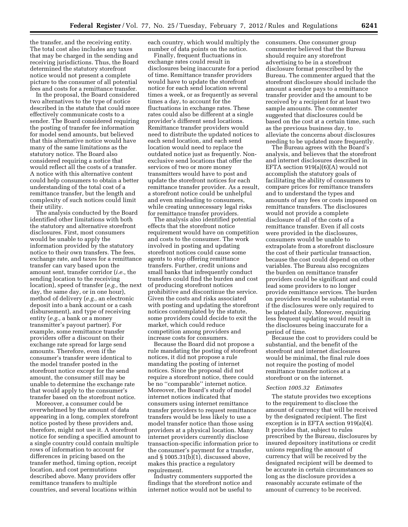the transfer, and the receiving entity. The total cost also includes any taxes that may be charged in the sending and receiving jurisdictions. Thus, the Board determined the statutory storefront notice would not present a complete picture to the consumer of all potential fees and costs for a remittance transfer.

In the proposal, the Board considered two alternatives to the type of notice described in the statute that could more effectively communicate costs to a sender. The Board considered requiring the posting of transfer fee information for model send amounts, but believed that this alternative notice would have many of the same limitations as the statutory notice. The Board also considered requiring a notice that would reflect all the costs of a transfer. A notice with this alternative content could help consumers to obtain a better understanding of the total cost of a remittance transfer, but the length and complexity of such notices could limit their utility.

The analysis conducted by the Board identified other limitations with both the statutory and alternative storefront disclosures. First, most consumers would be unable to apply the information provided by the statutory notice to their own transfers. The fees, exchange rate, and taxes for a remittance transfer can vary based upon the amount sent, transfer corridor (*i.e.,* the sending location to the receiving location), speed of transfer (*e.g.,* the next day, the same day, or in one hour), method of delivery (*e.g.,* an electronic deposit into a bank account or a cash disbursement), and type of receiving entity (*e.g.,* a bank or a money transmitter's payout partner). For example, some remittance transfer providers offer a discount on their exchange rate spread for large send amounts. Therefore, even if the consumer's transfer were identical to the model transfer posted in the storefront notice except for the send amount, the consumer still may be unable to determine the exchange rate that would apply to the consumer's transfer based on the storefront notice.

Moreover, a consumer could be overwhelmed by the amount of data appearing in a long, complex storefront notice posted by these providers and, therefore, might not use it. A storefront notice for sending a specified amount to a single country could contain multiple rows of information to account for differences in pricing based on the transfer method, timing option, receipt location, and cost permutations described above. Many providers offer remittance transfers to multiple countries, and several locations within

each country, which would multiply the number of data points on the notice.

Finally, frequent fluctuations in exchange rates could result in disclosures being inaccurate for a period of time. Remittance transfer providers would have to update the storefront notice for each send location several times a week, or as frequently as several times a day, to account for the fluctuations in exchange rates. These rates could also be different at a single provider's different send locations. Remittance transfer providers would need to distribute the updated notices to each send location, and each send location would need to replace the outdated notice just as frequently. Nonexclusive send locations that offer the services of two or more money transmitters would have to post and update the storefront notices for each remittance transfer provider. As a result, a storefront notice could be unhelpful and even misleading to consumers, while creating unnecessary legal risks for remittance transfer providers.

The analysis also identified potential effects that the storefront notice requirement would have on competition and costs to the consumer. The work involved in posting and updating storefront notices could cause some agents to stop offering remittance transfers. Further, credit unions and small banks that infrequently conduct transfers could find the burden and cost of producing storefront notices prohibitive and discontinue the service. Given the costs and risks associated with posting and updating the storefront notices contemplated by the statute, some providers could decide to exit the market, which could reduce competition among providers and increase costs for consumers.

Because the Board did not propose a rule mandating the posting of storefront notices, it did not propose a rule mandating the posting of internet notices. Since the proposal did not require a storefront notice, there could be no ''comparable'' internet notice. Moreover, the Board's study of model internet notices indicated that consumers using internet remittance transfer providers to request remittance transfers would be less likely to use a model transfer notice than those using providers at a physical location. Many internet providers currently disclose transaction-specific information prior to the consumer's payment for a transfer, and  $\S 1005.31(b)(1)$ , discussed above, makes this practice a regulatory requirement.

Industry commenters supported the findings that the storefront notice and internet notice would not be useful to

consumers. One consumer group commenter believed that the Bureau should require any storefront advertising to be in a storefront disclosure format prescribed by the Bureau. The commenter argued that the storefront disclosure should include the amount a sender pays to a remittance transfer provider and the amount to be received by a recipient for at least two sample amounts. The commenter suggested that disclosures could be based on the cost at a certain time, such as the previous business day, to alleviate the concerns about disclosures needing to be updated more frequently.

The Bureau agrees with the Board's analysis, and believes that the storefront and internet disclosures described in EFTA section 919(a)(6)(A) would not accomplish the statutory goals of facilitating the ability of consumers to compare prices for remittance transfers and to understand the types and amounts of any fees or costs imposed on remittance transfers. The disclosures would not provide a complete disclosure of all of the costs of a remittance transfer. Even if all costs were provided in the disclosures, consumers would be unable to extrapolate from a storefront disclosure the cost of their particular transaction, because the cost could depend on other variables. The Bureau also recognizes the burden on remittance transfer providers could be significant and could lead some providers to no longer provide remittance services. The burden on providers would be substantial even if the disclosures were only required to be updated daily. Moreover, requiring less frequent updating would result in the disclosures being inaccurate for a period of time.

Because the cost to providers could be substantial, and the benefit of the storefront and internet disclosures would be minimal, the final rule does not require the posting of model remittance transfer notices at a storefront or on the internet.

#### *Section 1005.32 Estimates*

The statute provides two exceptions to the requirement to disclose the amount of currency that will be received by the designated recipient. The first exception is in EFTA section 919(a)(4). It provides that, subject to rules prescribed by the Bureau, disclosures by insured depository institutions or credit unions regarding the amount of currency that will be received by the designated recipient will be deemed to be accurate in certain circumstances so long as the disclosure provides a reasonably accurate estimate of the amount of currency to be received.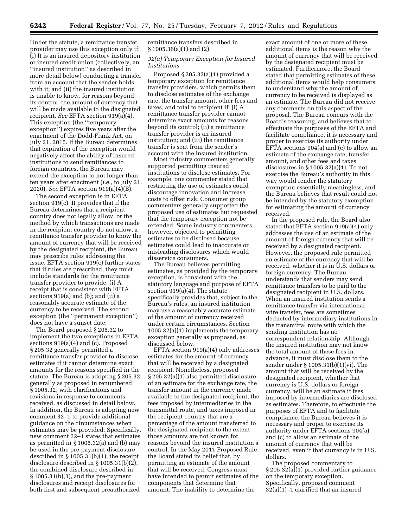Under the statute, a remittance transfer provider may use this exception only if: (i) It is an insured depository institution or insured credit union (collectively, an ''insured institution'' as described in more detail below) conducting a transfer from an account that the sender holds with it; and (ii) the insured institution is unable to know, for reasons beyond its control, the amount of currency that will be made available to the designated recipient. *See* EFTA section 919(a)(4). This exception (the ''temporary exception'') expires five years after the enactment of the Dodd-Frank Act, on July 21, 2015. If the Bureau determines that expiration of the exception would negatively affect the ability of insured institutions to send remittances to foreign countries, the Bureau may extend the exception to not longer than ten years after enactment (*i.e.,* to July 21, 2020). *See* EFTA section 919(a)(4)(B).

The second exception is in EFTA section 919(c). It provides that if the Bureau determines that a recipient country does not legally allow, or the method by which transactions are made in the recipient country do not allow, a remittance transfer provider to know the amount of currency that will be received by the designated recipient, the Bureau may prescribe rules addressing the issue. EFTA section 919(c) further states that if rules are prescribed, they must include standards for the remittance transfer provider to provide: (i) A receipt that is consistent with EFTA sections 919(a) and (b); and (ii) a reasonably accurate estimate of the currency to be received. The second exception (the ''permanent exception'') does not have a sunset date.

The Board proposed § 205.32 to implement the two exceptions in EFTA sections 919(a)(4) and (c). Proposed § 205.32 generally permitted a remittance transfer provider to disclose estimates if it cannot determine exact amounts for the reasons specified in the statute. The Bureau is adopting § 205.32 generally as proposed in renumbered § 1005.32, with clarifications and revisions in response to comments received, as discussed in detail below. In addition, the Bureau is adopting new comment 32–1 to provide additional guidance on the circumstances when estimates may be provided. Specifically, new comment 32–1 states that estimates as permitted in § 1005.32(a) and (b) may be used in the pre-payment disclosure described in § 1005.31(b)(1), the receipt disclosure described in § 1005.31(b)(2), the combined disclosure described in § 1005.31(b)(3), and the pre-payment disclosures and receipt disclosures for both first and subsequent preauthorized

remittance transfers described in § 1005.36(a)(1) and (2).

## *32(a) Temporary Exception for Insured Institutions*

Proposed § 205.32(a)(1) provided a temporary exception for remittance transfer providers, which permits them to disclose estimates of the exchange rate, the transfer amount, other fees and taxes, and total to recipient if: (i) A remittance transfer provider cannot determine exact amounts for reasons beyond its control; (ii) a remittance transfer provider is an insured institution; and (iii) the remittance transfer is sent from the sender's account with the insured institution.

Most industry commenters generally supported permitting insured institutions to disclose estimates. For example, one commenter stated that restricting the use of estimates could discourage innovation and increase costs to offset risk. Consumer group commenters generally supported the proposed use of estimates but requested that the temporary exception not be extended. Some industry commenters, however, objected to permitting estimates to be disclosed because estimates could lead to inaccurate or misleading disclosures which would disservice consumers.

The Bureau believes permitting estimates, as provided by the temporary exception, is consistent with the statutory language and purpose of EFTA section 919(a)(4). The statute specifically provides that, subject to the Bureau's rules, an insured institution may use a reasonably accurate estimate of the amount of currency received under certain circumstances. Section 1005.32(a)(1) implements the temporary exception generally as proposed, as discussed below.

EFTA section 919(a)(4) only addresses estimates for the amount of currency that will be received by a designated recipient. Nonetheless, proposed § 205.32(a)(1) also permitted disclosure of an estimate for the exchange rate, the transfer amount in the currency made available to the designated recipient, the fees imposed by intermediaries in the transmittal route, and taxes imposed in the recipient country that are a percentage of the amount transferred to the designated recipient to the extent those amounts are not known for reasons beyond the insured institution's control. In the May 2011 Proposed Rule, the Board stated its belief that, by permitting an estimate of the amount that will be received, Congress must have intended to permit estimates of the components that determine that amount. The inability to determine the

exact amount of one or more of these additional items is the reason why the amount of currency that will be received by the designated recipient must be estimated. Furthermore, the Board stated that permitting estimates of these additional items would help consumers to understand why the amount of currency to be received is displayed as an estimate. The Bureau did not receive any comments on this aspect of the proposal. The Bureau concurs with the Board's reasoning, and believes that to effectuate the purposes of the EFTA and facilitate compliance, it is necessary and proper to exercise its authority under EFTA sections 904(a) and (c) to allow an estimate of the exchange rate, transfer amount, and other fees and taxes disclosures in § 1005.32(a)(1). To not exercise the Bureau's authority in this way would render the statutory exemption essentially meaningless, and the Bureau believes that result could not be intended by the statutory exemption for estimating the amount of currency received.

In the proposed rule, the Board also stated that EFTA section 919(a)(4) only addresses the use of an estimate of the amount of foreign currency that will be received by a designated recipient. However, the proposed rule permitted an estimate of the currency that will be received, whether it is in U.S. dollars or foreign currency. The Bureau understands that senders may send remittance transfers to be paid to the designated recipient in U.S. dollars. When an insured institution sends a remittance transfer via international wire transfer, fees are sometimes deducted by intermediary institutions in the transmittal route with which the sending institution has no correspondent relationship. Although the insured institution may not know the total amount of these fees in advance, it must disclose them to the sender under § 1005.31(b)(1)(vi). The amount that will be received by the designated recipient, whether that currency is U.S. dollars or foreign currency, will be an estimate if fees imposed by intermediaries are disclosed as estimates. Therefore, to effectuate the purposes of EFTA and to facilitate compliance, the Bureau believes it is necessary and proper to exercise its authority under EFTA sections 904(a) and (c) to allow an estimate of the amount of currency that will be received, even if that currency is in U.S. dollars.

The proposed commentary to § 205.32(a)(1) provided further guidance on the temporary exception. Specifically, proposed comment 32(a)(1)–1 clarified that an insured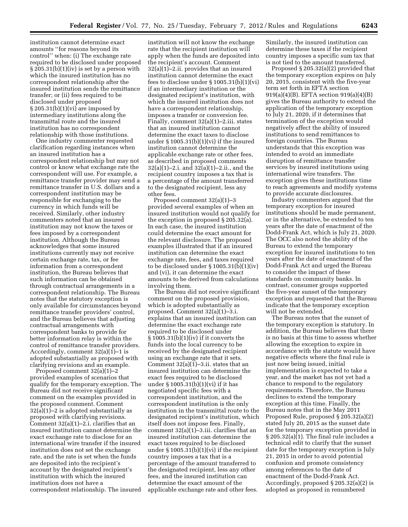institution cannot determine exact amounts ''for reasons beyond its control'' when: (i) The exchange rate required to be disclosed under proposed  $\S 205.31(b)(1)(iv)$  is set by a person with which the insured institution has no correspondent relationship after the insured institution sends the remittance transfer; or (ii) fees required to be disclosed under proposed § 205.31(b)(1)(vi) are imposed by intermediary institutions along the transmittal route and the insured institution has no correspondent relationship with those institutions.

One industry commenter requested clarification regarding instances when an insured institution has a correspondent relationship but may not control or know what exchange rate the correspondent will use. For example, a remittance transfer provider may send a remittance transfer in U.S. dollars and a correspondent institution may be responsible for exchanging to the currency in which funds will be received. Similarly, other industry commenters noted that an insured institution may not know the taxes or fees imposed by a correspondent institution. Although the Bureau acknowledges that some insured institutions currently may not receive certain exchange rate, tax, or fee information from a correspondent institution, the Bureau believes that such information can be obtained through contractual arrangements in a correspondent relationship. The Bureau notes that the statutory exception is only available for circumstances beyond remittance transfer providers' control, and the Bureau believes that adjusting contractual arrangements with correspondent banks to provide for better information relay is within the control of remittance transfer providers. Accordingly, comment 32(a)(1)–1 is adopted substantially as proposed with clarifying revisions and an example.

Proposed comment 32(a)(1)–2 provided examples of scenarios that qualify for the temporary exception. The Bureau did not receive significant comment on the examples provided in the proposed comment. Comment  $32(a)(1)-2$  is adopted substantially as proposed with clarifying revisions. Comment 32(a)(1)–2.i. clarifies that an insured institution cannot determine the exact exchange rate to disclose for an international wire transfer if the insured institution does not set the exchange rate, and the rate is set when the funds are deposited into the recipient's account by the designated recipient's institution with which the insured institution does not have a correspondent relationship. The insured

institution will not know the exchange rate that the recipient institution will apply when the funds are deposited into the recipient's account. Comment 32(a)(1)–2.ii. provides that an insured institution cannot determine the exact fees to disclose under § 1005.31(b)(1)(vi) if an intermediary institution or the designated recipient's institution, with which the insured institution does not have a correspondent relationship, imposes a transfer or conversion fee. Finally, comment 32(a)(1)–2.iii. states that an insured institution cannot determine the exact taxes to disclose under  $\S 1005.31(b)(1)(vi)$  if the insured institution cannot determine the applicable exchange rate or other fees, as described in proposed comments 32(a)(1)–2.i. and 32(a)(1)–2.ii., and the recipient country imposes a tax that is a percentage of the amount transferred to the designated recipient, less any other fees.

Proposed comment 32(a)(1)–3 provided several examples of when an insured institution would not qualify for the exception in proposed § 205.32(a). In each case, the insured institution could determine the exact amount for the relevant disclosure. The proposed examples illustrated that if an insured institution can determine the exact exchange rate, fees, and taxes required to be disclosed under § 1005.31(b)(1)(iv) and (vi), it can determine the exact amounts to be derived from calculations involving them.

The Bureau did not receive significant comment on the proposed provision, which is adopted substantially as proposed. Comment 32(a)(1)–3.i. explains that an insured institution can determine the exact exchange rate required to be disclosed under § 1005.31(b)(1)(iv) if it converts the funds into the local currency to be received by the designated recipient using an exchange rate that it sets. Comment  $32(a)(\overline{1})-3.$ ii. states that an insured institution can determine the exact fees required to be disclosed under § 1005.31(b)(1)(vi) if it has negotiated specific fees with a correspondent institution, and the correspondent institution is the only institution in the transmittal route to the designated recipient's institution, which itself does not impose fees. Finally, comment 32(a)(1)–3.iii. clarifies that an insured institution can determine the exact taxes required to be disclosed under  $\S 1005.31(b)(1)(vi)$  if the recipient country imposes a tax that is a percentage of the amount transferred to the designated recipient, less any other fees, and the insured institution can determine the exact amount of the applicable exchange rate and other fees.

Similarly, the insured institution can determine these taxes if the recipient country imposes a specific sum tax that is not tied to the amount transferred.

Proposed § 205.32(a)(2) provided that the temporary exception expires on July 20, 2015, consistent with the five-year term set forth in EFTA section 919(a)(4)(B). EFTA section 919(a)(4)(B) gives the Bureau authority to extend the application of the temporary exception to July 21, 2020, if it determines that termination of the exception would negatively affect the ability of insured institutions to send remittances to foreign countries. The Bureau understands that this exception was intended to avoid an immediate disruption of remittance transfer services by insured institutions using international wire transfers. The exception gives these institutions time to reach agreements and modify systems to provide accurate disclosures.

Industry commenters argued that the temporary exception for insured institutions should be made permanent, or in the alternative, be extended to ten years after the date of enactment of the Dodd-Frank Act, which is July 21, 2020. The OCC also noted the ability of the Bureau to extend the temporary exception for insured institutions to ten years after the date of enactment of the Dodd-Frank Act and urged the Bureau to consider the impact of these standards on community banks. In contrast, consumer groups supported the five-year sunset of the temporary exception and requested that the Bureau indicate that the temporary exception will not be extended.

The Bureau notes that the sunset of the temporary exception is statutory. In addition, the Bureau believes that there is no basis at this time to assess whether allowing the exception to expire in accordance with the statute would have negative effects where the final rule is just now being issued, initial implementation is expected to take a year, and the market has not yet had a chance to respond to the regulatory requirements. Therefore, the Bureau declines to extend the temporary exception at this time. Finally, the Bureau notes that in the May 2011 Proposed Rule, proposed § 205.32(a)(2) stated July 20, 2015 as the sunset date for the temporary exception provided in § 205.32(a)(1). The final rule includes a technical edit to clarify that the sunset date for the temporary exception is July 21, 2015 in order to avoid potential confusion and promote consistency among references to the date of enactment of the Dodd-Frank Act. Accordingly, proposed § 205.32(a)(2) is adopted as proposed in renumbered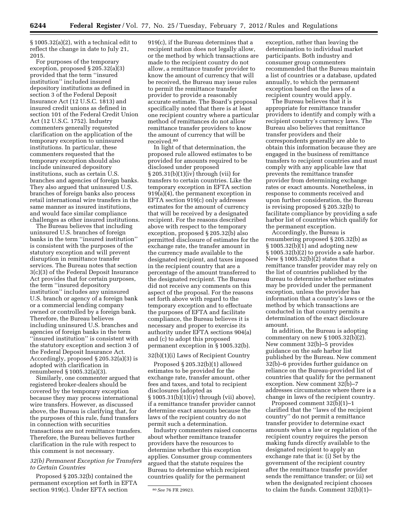§ 1005.32(a)(2), with a technical edit to reflect the change in date to July 21, 2015.

For purposes of the temporary exception, proposed § 205.32(a)(3) provided that the term ''insured institution'' included insured depository institutions as defined in section 3 of the Federal Deposit Insurance Act (12 U.S.C. 1813) and insured credit unions as defined in section 101 of the Federal Credit Union Act (12 U.S.C. 1752). Industry commenters generally requested clarification on the application of the temporary exception to uninsured institutions. In particular, these commenters requested that the temporary exception should also include uninsured depository institutions, such as certain U.S. branches and agencies of foreign banks. They also argued that uninsured U.S. branches of foreign banks also process retail international wire transfers in the same manner as insured institutions, and would face similar compliance challenges as other insured institutions.

The Bureau believes that including uninsured U.S. branches of foreign banks in the term ''insured institution'' is consistent with the purposes of the statutory exception and will prevent disruption in remittance transfer services. The Bureau notes that section 3(c)(3) of the Federal Deposit Insurance Act provides that for certain purposes, the term ''insured depository institution'' includes any uninsured U.S. branch or agency of a foreign bank or a commercial lending company owned or controlled by a foreign bank. Therefore, the Bureau believes including uninsured U.S. branches and agencies of foreign banks in the term ''insured institution'' is consistent with the statutory exception and section 3 of the Federal Deposit Insurance Act. Accordingly, proposed § 205.32(a)(3) is adopted with clarification in renumbered § 1005.32(a)(3).

Similarly, one commenter argued that registered broker-dealers should be covered by the temporary exception because they may process international wire transfers. However, as discussed above, the Bureau is clarifying that, for the purposes of this rule, fund transfers in connection with securities transactions are not remittance transfers. Therefore, the Bureau believes further clarification in the rule with respect to this comment is not necessary.

# *32(b) Permanent Exception for Transfers to Certain Countries*

Proposed § 205.32(b) contained the permanent exception set forth in EFTA section 919(c). Under EFTA section

919(c), if the Bureau determines that a recipient nation does not legally allow, or the method by which transactions are made to the recipient country do not allow, a remittance transfer provider to know the amount of currency that will be received, the Bureau may issue rules to permit the remittance transfer provider to provide a reasonably accurate estimate. The Board's proposal specifically noted that there is at least one recipient country where a particular method of remittances do not allow remittance transfer providers to know the amount of currency that will be received.80

In light of that determination, the proposed rule allowed estimates to be provided for amounts required to be disclosed under proposed  $§$  205.31(b)(1)(iv) through (vii) for transfers to certain countries. Like the temporary exception in EFTA section 919(a)(4), the permanent exception in EFTA section 919(c) only addresses estimates for the amount of currency that will be received by a designated recipient. For the reasons described above with respect to the temporary exception, proposed § 205.32(b) also permitted disclosure of estimates for the exchange rate, the transfer amount in the currency made available to the designated recipient, and taxes imposed in the recipient country that are a percentage of the amount transferred to the designated recipient. The Bureau did not receive any comments on this aspect of the proposal. For the reasons set forth above with regard to the temporary exception and to effectuate the purposes of EFTA and facilitate compliance, the Bureau believes it is necessary and proper to exercise its authority under EFTA sections 904(a) and (c) to adopt this proposed permanent exception in § 1005.32(b).

# 32(b)(1)(i) Laws of Recipient Country

Proposed § 205.32(b)(1) allowed estimates to be provided for the exchange rate, transfer amount, other fees and taxes, and total to recipient disclosures (adopted as § 1005.31(b)(1)(iv) through (vii) above), if a remittance transfer provider cannot determine exact amounts because the laws of the recipient country do not permit such a determination.

Industry commenters raised concerns about whether remittance transfer providers have the resources to determine whether this exception applies. Consumer group commenters argued that the statute requires the Bureau to determine which recipient countries qualify for the permanent

exception, rather than leaving the determination to individual market participants. Both industry and consumer group commenters recommended that the Bureau maintain a list of countries or a database, updated annually, to which the permanent exception based on the laws of a recipient country would apply.

The Bureau believes that it is appropriate for remittance transfer providers to identify and comply with a recipient country's currency laws. The Bureau also believes that remittance transfer providers and their correspondents generally are able to obtain this information because they are engaged in the business of remittance transfers to recipient countries and must comply with any applicable law that prevents the remittance transfer provider from determining exchange rates or exact amounts. Nonetheless, in response to comments received and upon further consideration, the Bureau is revising proposed § 205.32(b) to facilitate compliance by providing a safe harbor list of countries which qualify for the permanent exception.

Accordingly, the Bureau is renumbering proposed § 205.32(b) as  $§ 1005.32(b)(1)$  and adopting new § 1005.32(b)(2) to provide a safe harbor. New  $\S 1005.32(b)(2)$  states that a remittance transfer provider may rely on the list of countries published by the Bureau to determine whether estimates may be provided under the permanent exception, unless the provider has information that a country's laws or the method by which transactions are conducted in that country permits a determination of the exact disclosure amount.

In addition, the Bureau is adopting commentary on new  $\S 1005.32(b)(2)$ . New comment 32(b)–5 provides guidance on the safe harbor list published by the Bureau. New comment 32(b)–6 provides further guidance on reliance on the Bureau-provided list of countries that qualify for the permanent exception. New comment 32(b)–7 addresses circumstance where there is a change in laws of the recipient country.

Proposed comment 32(b)(1)–1 clarified that the ''laws of the recipient country'' do not permit a remittance transfer provider to determine exact amounts when a law or regulation of the recipient country requires the person making funds directly available to the designated recipient to apply an exchange rate that is: (i) Set by the government of the recipient country after the remittance transfer provider sends the remittance transfer; or (ii) set when the designated recipient chooses to claim the funds. Comment 32(b)(1)–

<sup>80</sup>*See* 76 FR 29923.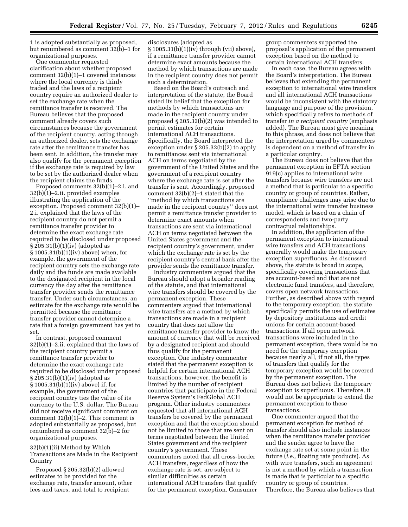1 is adopted substantially as proposed, but renumbered as comment 32(b)–1 for organizational purposes.

One commenter requested clarification about whether proposed comment 32(b)(1)–1 covered instances where the local currency is thinly traded and the laws of a recipient country require an authorized dealer to set the exchange rate when the remittance transfer is received. The Bureau believes that the proposed comment already covers such circumstances because the government of the recipient country, acting through an authorized dealer, sets the exchange rate after the remittance transfer has been sent. In addition, the transfer may also qualify for the permanent exception if the exchange rate is required by law to be set by the authorized dealer when the recipient claims the funds.

Proposed comments 32(b)(1)–2.i. and 32(b)(1)–2.ii. provided examples illustrating the application of the exception. Proposed comment 32(b)(1)– 2.i. explained that the laws of the recipient country do not permit a remittance transfer provider to determine the exact exchange rate required to be disclosed under proposed § 205.31(b)(1)(iv) (adopted as § 1005.31(b)(1)(iv) above) when, for example, the government of the recipient country sets the exchange rate daily and the funds are made available to the designated recipient in the local currency the day after the remittance transfer provider sends the remittance transfer. Under such circumstances, an estimate for the exchange rate would be permitted because the remittance transfer provider cannot determine a rate that a foreign government has yet to set.

In contrast, proposed comment 32(b)(1)–2.ii. explained that the laws of the recipient country permit a remittance transfer provider to determine the exact exchange rate required to be disclosed under proposed § 205.31(b)(1)(iv) (adopted as § 1005.31(b)(1)(iv) above) if, for example, the government of the recipient country ties the value of its currency to the U.S. dollar. The Bureau did not receive significant comment on comment 32(b)(1)–2. This comment is adopted substantially as proposed, but renumbered as comment 32(b)–2 for organizational purposes.

32(b)(1)(ii) Method by Which Transactions are Made in the Recipient Country

Proposed § 205.32(b)(2) allowed estimates to be provided for the exchange rate, transfer amount, other fees and taxes, and total to recipient

disclosures (adopted as § 1005.31(b)(1)(iv) through (vii) above), if a remittance transfer provider cannot determine exact amounts because the method by which transactions are made in the recipient country does not permit such a determination.

Based on the Board's outreach and interpretation of the statute, the Board stated its belief that the exception for methods by which transactions are made in the recipient country under proposed § 205.32(b)(2) was intended to permit estimates for certain international ACH transactions. Specifically, the Board interpreted the exception under § 205.32(b)(2) to apply to remittances sent via international ACH on terms negotiated by the government of the United States and the government of a recipient country where the exchange rate is set after the transfer is sent. Accordingly, proposed comment 32(b)(2)–1 stated that the ''method by which transactions are made in the recipient country'' does not permit a remittance transfer provider to determine exact amounts when transactions are sent via international ACH on terms negotiated between the United States government and the recipient country's government, under which the exchange rate is set by the recipient country's central bank after the provider sends the remittance transfer.

Industry commenters argued that the Bureau should adopt a broader reading of the statute, and that international wire transfers should be covered by the permanent exception. These commenters argued that international wire transfers are a method by which transactions are made in a recipient country that does not allow the remittance transfer provider to know the amount of currency that will be received by a designated recipient and should thus qualify for the permanent exception. One industry commenter stated that the permanent exception is helpful for certain international ACH transactions; however, the benefit is limited by the number of recipient countries that participate in the Federal Reserve System's FedGlobal ACH program. Other industry commenters requested that all international ACH transfers be covered by the permanent exception and that the exception should not be limited to those that are sent on terms negotiated between the United States government and the recipient country's government. These commenters noted that all cross-border ACH transfers, regardless of how the exchange rate is set, are subject to similar difficulties as certain international ACH transfers that qualify for the permanent exception. Consumer

group commenters supported the proposal's application of the permanent exception based on the method to certain international ACH transfers.

In each case, the Bureau agrees with the Board's interpretation. The Bureau believes that extending the permanent exception to international wire transfers and all international ACH transactions would be inconsistent with the statutory language and purpose of the provision, which specifically refers to methods of transfer *in a recipient country* (emphasis added). The Bureau must give meaning to this phrase, and does not believe that the interpretation urged by commenters is dependent on a method of transfer in a particular country.

The Bureau does not believe that the permanent exception in EFTA section 919(c) applies to international wire transfers because wire transfers are not a method that is particular to a specific country or group of countries. Rather, compliance challenges may arise due to the international wire transfer business model, which is based on a chain of correspondents and two-party contractual relationships.

In addition, the application of the permanent exception to international wire transfers and ACH transactions generally would make the temporary exception superfluous. As discussed above, the statute is broad in scope, specifically covering transactions that are account-based and that are not electronic fund transfers, and therefore, covers open network transactions. Further, as described above with regard to the temporary exception, the statute specifically permits the use of estimates by depository institutions and credit unions for certain account-based transactions. If all open network transactions were included in the permanent exception, there would be no need for the temporary exception because nearly all, if not all, the types of transfers that qualify for the temporary exception would be covered by the permanent exception. The Bureau does not believe the temporary exception is superfluous. Therefore, it would not be appropriate to extend the permanent exception to these transactions.

One commenter argued that the permanent exception for method of transfer should also include instances when the remittance transfer provider and the sender agree to have the exchange rate set at some point in the future (*i.e.,* floating rate products). As with wire transfers, such an agreement is not a method by which a transaction is made that is particular to a specific country or group of countries. Therefore, the Bureau also believes that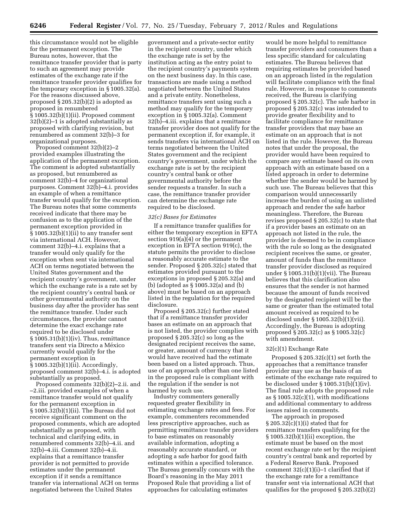this circumstance would not be eligible for the permanent exception. The Bureau notes, however, that the remittance transfer provider that is party to such an agreement may provide estimates of the exchange rate if the remittance transfer provider qualifies for the temporary exception in § 1005.32(a). For the reasons discussed above, proposed § 205.32(b)(2) is adopted as proposed in renumbered § 1005.32(b)(1)(ii). Proposed comment 32(b)(2)–1 is adopted substantially as proposed with clarifying revision, but renumbered as comment 32(b)–3 for organizational purposes.

Proposed comment 32(b)(2)–2 provided examples illustrating the application of the permanent exception. The comment is adopted substantially as proposed, but renumbered as comment 32(b)–4 for organizational purposes. Comment 32(b)–4.i. provides an example of when a remittance transfer would qualify for the exception. The Bureau notes that some comments received indicate that there may be confusion as to the application of the permanent exception provided in  $§ 1005.32(b)(1)(ii)$  to any transfer sent via international ACH. However, comment 32(b)–4.i. explains that a transfer would only qualify for the exception when sent via international ACH on terms negotiated between the United States government and the recipient country's government, under which the exchange rate is a rate set by the recipient country's central bank or other governmental authority on the business day after the provider has sent the remittance transfer. Under such circumstances, the provider cannot determine the exact exchange rate required to be disclosed under  $\S 1005.31(b)(1)(iv)$ . Thus, remittance transfers sent via Directo a México currently would qualify for the permanent exception in § 1005.32(b)(1)(ii). Accordingly, proposed comment 32(b)–4.i. is adopted substantially as proposed.

Proposed comments 32(b)(2)–2.ii. and –2.iii. provided examples of when a remittance transfer would not qualify for the permanent exception in § 1005.32(b)(1)(ii). The Bureau did not receive significant comment on the proposed comments, which are adopted substantially as proposed, with technical and clarifying edits, in renumbered comments 32(b)–4.ii. and 32(b)–4.iii. Comment 32(b)–4.ii. explains that a remittance transfer provider is not permitted to provide estimates under the permanent exception if it sends a remittance transfer via international ACH on terms negotiated between the United States

government and a private-sector entity in the recipient country, under which the exchange rate is set by the institution acting as the entry point to the recipient country's payments system on the next business day. In this case, transactions are made using a method negotiated between the United States and a private entity. Nonetheless, remittance transfers sent using such a method may qualify for the temporary exception in § 1005.32(a). Comment 32(b)–4.iii. explains that a remittance transfer provider does not qualify for the permanent exception if, for example, it sends transfers via international ACH on terms negotiated between the United States government and the recipient country's government, under which the exchange rate is set by the recipient country's central bank or other governmental authority before the sender requests a transfer. In such a case, the remittance transfer provider can determine the exchange rate required to be disclosed.

#### *32(c) Bases for Estimates*

If a remittance transfer qualifies for either the temporary exception in EFTA section 919(a)(4) or the permanent exception in EFTA section 919(c), the statute permits the provider to disclose a reasonably accurate estimate to the sender. Proposed § 205.32(c) stated that estimates provided pursuant to the exceptions in proposed § 205.32(a) and (b) (adopted as § 1005.32(a) and (b) above) must be based on an approach listed in the regulation for the required disclosure.

Proposed § 205.32(c) further stated that if a remittance transfer provider bases an estimate on an approach that is not listed, the provider complies with proposed § 205.32(c) so long as the designated recipient receives the same, or greater, amount of currency that it would have received had the estimate been based on a listed approach. Thus, use of an approach other than one listed in the proposed rule is compliant with the regulation if the sender is not harmed by such use.

Industry commenters generally requested greater flexibility in estimating exchange rates and fees. For example, commenters recommended less prescriptive approaches, such as permitting remittance transfer providers to base estimates on reasonably available information, adopting a reasonably accurate standard, or adopting a safe harbor for good faith estimates within a specified tolerance. The Bureau generally concurs with the Board's reasoning in the May 2011 Proposed Rule that providing a list of approaches for calculating estimates

would be more helpful to remittance transfer providers and consumers than a less specific standard for calculating estimates. The Bureau believes that requiring estimates be provided based on an approach listed in the regulation will facilitate compliance with the final rule. However, in response to comments received, the Bureau is clarifying proposed § 205.32(c). The safe harbor in proposed § 205.32(c) was intended to provide greater flexibility and to facilitate compliance for remittance transfer providers that may base an estimate on an approach that is not listed in the rule. However, the Bureau notes that under the proposal, the provider would have been required to compare any estimate based on its own approach with an estimate based on a listed approach in order to determine whether the sender would be harmed by such use. The Bureau believes that this comparison would unnecessarily increase the burden of using an unlisted approach and render the safe harbor meaningless. Therefore, the Bureau revises proposed § 205.32(c) to state that if a provider bases an estimate on an approach not listed in the rule, the provider is deemed to be in compliance with the rule so long as the designated recipient receives the same, or greater, amount of funds than the remittance transfer provider disclosed as required under § 1005.31(b)(1)(vii). The Bureau believes that this clarification also ensures that the sender is not harmed because the amount of funds received by the designated recipient will be the same or greater than the estimated total amount received as required to be disclosed under § 1005.32(b)(1)(vii). Accordingly, the Bureau is adopting proposed § 205.32(c) as § 1005.32(c) with amendment.

#### 32(c)(1) Exchange Rate

Proposed  $\S 205.32(c)(1)$  set forth the approaches that a remittance transfer provider may use as the basis of an estimate of the exchange rate required to be disclosed under § 1005.31(b)(1)(iv). The final rule adopts the proposed rule as  $\S 1005.32(c)(1)$ , with modifications and additional commentary to address issues raised in comments.

The approach in proposed § 205.32(c)(1)(i) stated that for remittance transfers qualifying for the § 1005.32(b)(1)(ii) exception, the estimate must be based on the most recent exchange rate set by the recipient country's central bank and reported by a Federal Reserve Bank. Proposed comment  $32(c)(1)(i)-1$  clarified that if the exchange rate for a remittance transfer sent via international ACH that qualifies for the proposed § 205.32(b)(2)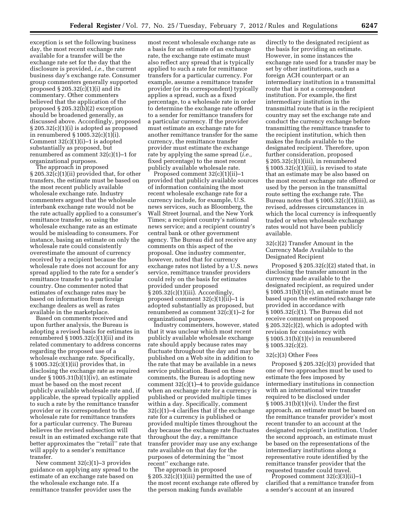exception is set the following business day, the most recent exchange rate available for a transfer will be the exchange rate set for the day that the disclosure is provided, *i.e.,* the current business day's exchange rate. Consumer group commenters generally supported proposed  $\S 205.32(c)(1)(i)$  and its commentary. Other commenters believed that the application of the proposed § 205.32(b)(2) exception should be broadened generally, as discussed above. Accordingly, proposed § 205.32(c)(1)(i) is adopted as proposed in renumbered § 1005.32(c)(1)(i). Comment  $32(c)(1)(i)-1$  is adopted substantially as proposed, but renumbered as comment 32(c)(1)–1 for organizational purposes.

The approach in proposed § 205.32(c)(1)(ii) provided that, for other transfers, the estimate must be based on the most recent publicly available wholesale exchange rate. Industry commenters argued that the wholesale interbank exchange rate would not be the rate actually applied to a consumer's remittance transfer, so using the wholesale exchange rate as an estimate would be misleading to consumers. For instance, basing an estimate on only the wholesale rate could consistently overestimate the amount of currency received by a recipient because the wholesale rate does not account for any spread applied to the rate for a sender's remittance transfer to a particular country. One commenter noted that estimates of exchange rates may be based on information from foreign exchange dealers as well as rates available in the marketplace.

Based on comments received and upon further analysis, the Bureau is adopting a revised basis for estimates in renumbered  $\S 1005.32(c)(1)(ii)$  and its related commentary to address concerns regarding the proposed use of a wholesale exchange rate. Specifically, § 1005.32(c)(1)(ii) provides that, in disclosing the exchange rate as required under § 1005.31(b)(1)(iv), an estimate must be based on the most recent publicly available wholesale rate and, if applicable, the spread typically applied to such a rate by the remittance transfer provider or its correspondent to the wholesale rate for remittance transfers for a particular currency. The Bureau believes the revised subsection will result in an estimated exchange rate that better approximates the ''retail'' rate that will apply to a sender's remittance transfer.

New comment 32(c)(1)–3 provides guidance on applying any spread to the estimate of an exchange rate based on the wholesale exchange rate. If a remittance transfer provider uses the

most recent wholesale exchange rate as a basis for an estimate of an exchange rate, the exchange rate estimate must also reflect any spread that is typically applied to such a rate for remittance transfers for a particular currency. For example, assume a remittance transfer provider (or its correspondent) typically applies a spread, such as a fixed percentage, to a wholesale rate in order to determine the exchange rate offered to a sender for remittance transfers for a particular currency. If the provider must estimate an exchange rate for another remittance transfer for the same currency, the remittance transfer provider must estimate the exchange rate by applying the same spread (*i.e.,*  fixed percentage) to the most recent publicly available wholesale rate.

Proposed comment 32(c)(1)(ii)–1 provided that publicly available sources of information containing the most recent wholesale exchange rate for a currency include, for example, U.S. news services, such as Bloomberg, the Wall Street Journal, and the New York Times; a recipient country's national news service; and a recipient country's central bank or other government agency. The Bureau did not receive any comments on this aspect of the proposal. One industry commenter, however, noted that for currency exchange rates not listed by a U.S. news service, remittance transfer providers could rely on the basis for estimates provided under proposed § 205.32(c)(1)(iii). Accordingly, proposed comment  $32(c)(1)(ii)-1$  is adopted substantially as proposed, but renumbered as comment  $32(c)(1)-2$  for organizational purposes.

Industry commenters, however, stated that it was unclear which most recent publicly available wholesale exchange rate should apply because rates may fluctuate throughout the day and may be published on a Web site in addition to the rate that may be available in a news service publication. Based on these comments, the Bureau is adopting new comment 32(c)(1)–4 to provide guidance when an exchange rate for a currency is published or provided multiple times within a day. Specifically, comment 32(c)(1)–4 clarifies that if the exchange rate for a currency is published or provided multiple times throughout the day because the exchange rate fluctuates throughout the day, a remittance transfer provider may use any exchange rate available on that day for the purposes of determining the ''most recent'' exchange rate.

The approach in proposed § 205.32(c)(1)(iii) permitted the use of the most recent exchange rate offered by the person making funds available

directly to the designated recipient as the basis for providing an estimate. However, in some instances the exchange rate used for a transfer may be set by other institutions, such as a foreign ACH counterpart or an intermediary institution in a transmittal route that is not a correspondent institution. For example, the first intermediary institution in the transmittal route that is in the recipient country may set the exchange rate and conduct the currency exchange before transmitting the remittance transfer to the recipient institution, which then makes the funds available to the designated recipient. Therefore, upon further consideration, proposed  $\S 205.32(c)(1)(iii)$ , in renumbered  $§ 1005.32(c)(1)(iii)$ , is revised to state that an estimate may be also based on the most recent exchange rate offered or used by the person in the transmittal route setting the exchange rate. The Bureau notes that  $\S 1005.32(c)(1)(iii)$ , as revised, addresses circumstances in which the local currency is infrequently traded or when wholesale exchange rates would not have been publicly available.

32(c)(2) Transfer Amount in the Currency Made Available to the Designated Recipient

Proposed  $\S 205.32(c)(2)$  stated that, in disclosing the transfer amount in the currency made available to the designated recipient, as required under  $§ 1005.31(b)(1)(v)$ , an estimate must be based upon the estimated exchange rate provided in accordance with § 1005.32(c)(1). The Bureau did not receive comment on proposed § 205.32(c)(2), which is adopted with revision for consistency with § 1005.31(b)(1)(v) in renumbered § 1005.32(c)(2).

#### 32(c)(3) Other Fees

Proposed § 205.32(c)(3) provided that one of two approaches must be used to estimate the fees imposed by intermediary institutions in connection with an international wire transfer required to be disclosed under § 1005.31(b)(1)(vi). Under the first approach, an estimate must be based on the remittance transfer provider's most recent transfer to an account at the designated recipient's institution. Under the second approach, an estimate must be based on the representations of the intermediary institutions along a representative route identified by the remittance transfer provider that the requested transfer could travel.

Proposed comment 32(c)(3)(ii)–1 clarified that a remittance transfer from a sender's account at an insured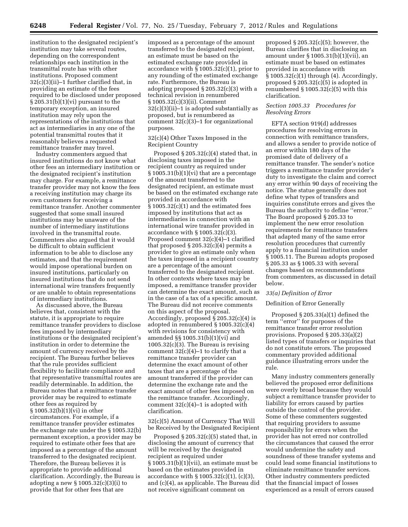institution to the designated recipient's institution may take several routes, depending on the correspondent relationships each institution in the transmittal route has with other institutions. Proposed comment 32(c)(3)(ii)–1 further clarified that, in providing an estimate of the fees required to be disclosed under proposed  $\S 205.31(b)(1)(vi)$  pursuant to the temporary exception, an insured institution may rely upon the representations of the institutions that act as intermediaries in any one of the potential transmittal routes that it reasonably believes a requested remittance transfer may travel.

Industry commenters argued that insured institutions do not know what other fees an intermediary institution or the designated recipient's institution may charge. For example, a remittance transfer provider may not know the fees a receiving institution may charge its own customers for receiving a remittance transfer. Another commenter suggested that some small insured institutions may be unaware of the number of intermediary institutions involved in the transmittal route. Commenters also argued that it would be difficult to obtain sufficient information to be able to disclose any estimates, and that the requirement would impose operational burden on insured institutions, particularly on insured institutions that do not send international wire transfers frequently or are unable to obtain representations of intermediary institutions.

As discussed above, the Bureau believes that, consistent with the statute, it is appropriate to require remittance transfer providers to disclose fees imposed by intermediary institutions or the designated recipient's institution in order to determine the amount of currency received by the recipient. The Bureau further believes that the rule provides sufficient flexibility to facilitate compliance and that representative transmittal routes are readily determinable. In addition, the Bureau notes that a remittance transfer provider may be required to estimate other fees as required by § 1005.32(b)(1)(vi) in other circumstances. For example, if a remittance transfer provider estimates the exchange rate under the § 1005.32(b) permanent exception, a provider may be required to estimate other fees that are imposed as a percentage of the amount transferred to the designated recipient. Therefore, the Bureau believes it is appropriate to provide additional clarification. Accordingly, the Bureau is adopting a new § 1005.32(c)(3)(i) to provide that for other fees that are

imposed as a percentage of the amount transferred to the designated recipient, an estimate must be based on the estimated exchange rate provided in accordance with  $\S 1005.32(c)(1)$ , prior to any rounding of the estimated exchange rate. Furthermore, the Bureau is adopting proposed § 205.32(c)(3) with a technical revision in renumbered § 1005.32(c)(3)(ii). Comment  $32(c)(3)(ii)-1$  is adopted substantially as proposed, but is renumbered as comment 32(c)(3)–1 for organizational purposes.

## 32(c)(4) Other Taxes Imposed in the Recipient Country

Proposed § 205.32(c)(4) stated that, in disclosing taxes imposed in the recipient country as required under  $\S 1005.31(b)(1)(vi)$  that are a percentage of the amount transferred to the designated recipient, an estimate must be based on the estimated exchange rate provided in accordance with  $\S 1005.32(c)(1)$  and the estimated fees imposed by institutions that act as intermediaries in connection with an international wire transfer provided in accordance with § 1005.32(c)(3). Proposed comment 32(c)(4)–1 clarified that proposed  $\S 205.32(c)(4)$  permits a provider to give an estimate only when the taxes imposed in a recipient country are a percentage of the amount transferred to the designated recipient. In other contexts where taxes may be imposed, a remittance transfer provider can determine the exact amount, such as in the case of a tax of a specific amount. The Bureau did not receive comments on this aspect of the proposal. Accordingly, proposed  $\S$  205.32(c)(4) is adopted in renumbered § 1005.32(c)(4) with revisions for consistency with amended §§ 1005.31(b)(1)(vi) and 1005.32(c)(3). The Bureau is revising comment  $32(c)(4)-1$  to clarify that a remittance transfer provider can determine the exact amount of other taxes that are a percentage of the amount transferred if the provider can determine the exchange rate and the exact amount of other fees imposed on the remittance transfer. Accordingly, comment  $32(c)(4)-1$  is adopted with clarification.

32(c)(5) Amount of Currency That Will be Received by the Designated Recipient

Proposed  $\S 205.32(c)(5)$  stated that, in disclosing the amount of currency that will be received by the designated recipient as required under § 1005.31(b)(1)(vii), an estimate must be based on the estimates provided in accordance with § 1005.32(c)(1), (c)(3), and (c)(4), as applicable. The Bureau did not receive significant comment on

proposed  $\S 205.32(c)(5)$ ; however, the Bureau clarifies that in disclosing an amount under § 1005.31(b)(1)(vii), an estimate must be based on estimates provided in accordance with § 1005.32(c)(1) through (4). Accordingly, proposed § 205.32(c)(5) is adopted in renumbered  $\S 1005.32(c)(5)$  with this clarification.

# *Section 1005.33 Procedures for Resolving Errors*

EFTA section 919(d) addresses procedures for resolving errors in connection with remittance transfers, and allows a sender to provide notice of an error within 180 days of the promised date of delivery of a remittance transfer. The sender's notice triggers a remittance transfer provider's duty to investigate the claim and correct any error within 90 days of receiving the notice. The statue generally does not define what types of transfers and inquiries constitute errors and gives the Bureau the authority to define ''error.'' The Board proposed § 205.33 to implement the new error resolution requirements for remittance transfers that adapted many of the same error resolution procedures that currently apply to a financial institution under § 1005.11. The Bureau adopts proposed § 205.33 as § 1005.33 with several changes based on recommendations from commenters, as discussed in detail below.

# *33(a) Definition of Error*

#### Definition of Error Generally

Proposed § 205.33(a)(1) defined the term ''error'' for purposes of the remittance transfer error resolution provisions. Proposed § 205.33(a)(2) listed types of transfers or inquiries that do not constitute errors. The proposed commentary provided additional guidance illustrating errors under the rule.

Many industry commenters generally believed the proposed error definitions were overly broad because they would subject a remittance transfer provider to liability for errors caused by parties outside the control of the provider. Some of these commenters suggested that requiring providers to assume responsibility for errors when the provider has not erred nor controlled the circumstances that caused the error would undermine the safety and soundness of these transfer systems and could lead some financial institutions to eliminate remittance transfer services. Other industry commenters predicted that the financial impact of losses experienced as a result of errors caused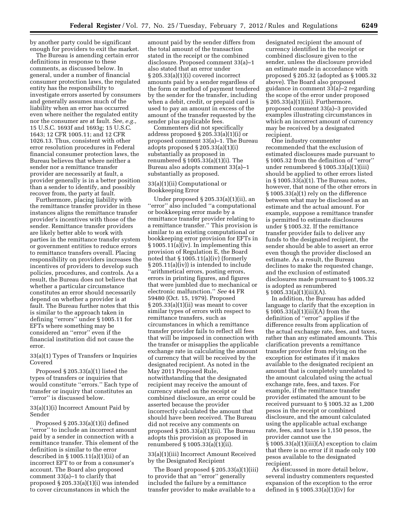by another party could be significant enough for providers to exit the market.

The Bureau is amending certain error definitions in response to these comments, as discussed below. In general, under a number of financial consumer protection laws, the regulated entity has the responsibility to investigate errors asserted by consumers and generally assumes much of the liability when an error has occurred even where neither the regulated entity nor the consumer are at fault. *See, e.g.,*  15 U.S.C. 1693f and 1693g; 15 U.S.C. 1643; 12 CFR 1005.11; and 12 CFR 1026.13. Thus, consistent with other error resolution procedures in Federal financial consumer protection laws, the Bureau believes that where neither a sender nor a remittance transfer provider are necessarily at fault, a provider generally is in a better position than a sender to identify, and possibly recover from, the party at fault.

Furthermore, placing liability with the remittance transfer provider in these instances aligns the remittance transfer provider's incentives with those of the sender. Remittance transfer providers are likely better able to work with parties in the remittance transfer system or government entities to reduce errors to remittance transfers overall. Placing responsibility on providers increases the incentives of providers to develop such policies, procedures, and controls. As a result, the Bureau does not believe that whether a particular circumstance constitutes an error should necessarily depend on whether a provider is at fault. The Bureau further notes that this is similar to the approach taken in defining ''errors'' under § 1005.11 for EFTs where something may be considered an ''error'' even if the financial institution did not cause the error.

33(a)(1) Types of Transfers or Inquiries Covered

Proposed § 205.33(a)(1) listed the types of transfers or inquiries that would constitute ''errors.'' Each type of transfer or inquiry that constitutes an ''error'' is discussed below.

33(a)(1)(i) Incorrect Amount Paid by Sender

Proposed § 205.33(a)(1)(i) defined "error" to include an incorrect amount paid by a sender in connection with a remittance transfer. This element of the definition is similar to the error described in  $\S 1005.11(a)(1)(ii)$  of an incorrect EFT to or from a consumer's account. The Board also proposed comment 33(a)–1 to clarify that proposed § 205.33(a)(1)(i) was intended to cover circumstances in which the

amount paid by the sender differs from the total amount of the transaction stated in the receipt or the combined disclosure. Proposed comment 33(a)–1 also stated that an error under § 205.33(a)(1)(i) covered incorrect amounts paid by a sender regardless of the form or method of payment tendered by the sender for the transfer, including when a debit, credit, or prepaid card is used to pay an amount in excess of the amount of the transfer requested by the sender plus applicable fees.

Commenters did not specifically address proposed § 205.33(a)(1)(i) or proposed comment 33(a)–1. The Bureau adopts proposed § 205.33(a)(1)(i) substantially as proposed in renumbered § 1005.33(a)(1)(i). The Bureau also adopts comment 33(a)–1 substantially as proposed.

## 33(a)(1)(ii) Computational or Bookkeeping Error

Under proposed  $\S 205.33(a)(1)(ii)$ , an ''error'' also included ''a computational or bookkeeping error made by a remittance transfer provider relating to a remittance transfer.'' This provision is similar to an existing computational or bookkeeping error provision for EFTs in § 1005.11(a)(iv). In implementing this provision of Regulation E, the Board noted that § 1005.11(a)(iv) (formerly § 205.11(a)(iv)) is intended to include ''arithmetical errors, posting errors, errors in printing figures, and figures that were jumbled due to mechanical or electronic malfunction.'' *See* 44 FR 59480 (Oct. 15, 1979). Proposed § 205.33(a)(1)(ii) was meant to cover similar types of errors with respect to remittance transfers, such as circumstances in which a remittance transfer provider fails to reflect all fees that will be imposed in connection with the transfer or misapplies the applicable exchange rate in calculating the amount of currency that will be received by the designated recipient. As noted in the May 2011 Proposed Rule, notwithstanding that the designated recipient may receive the amount of currency stated on the receipt or combined disclosure, an error could be asserted because the provider incorrectly calculated the amount that should have been received. The Bureau did not receive any comments on proposed § 205.33(a)(1)(ii). The Bureau adopts this provision as proposed in renumbered § 1005.33(a)(1)(ii).

33(a)(1)(iii) Incorrect Amount Received by the Designated Recipient

The Board proposed § 205.33(a)(1)(iii) to provide that an ''error'' generally included the failure by a remittance transfer provider to make available to a

designated recipient the amount of currency identified in the receipt or combined disclosure given to the sender, unless the disclosure provided an estimate made in accordance with proposed § 205.32 (adopted as § 1005.32 above). The Board also proposed guidance in comment 33(a)–2 regarding the scope of the error under proposed § 205.33(a)(1)(iii). Furthermore, proposed comment 33(a)–3 provided examples illustrating circumstances in which an incorrect amount of currency may be received by a designated recipient.

One industry commenter recommended that the exclusion of estimated disclosures made pursuant to § 1005.32 from the definition of ''error'' under renumbered § 1005.33(a)(1)(iii) should be applied to other errors listed in § 1005.33(a)(1). The Bureau notes, however, that none of the other errors in § 1005.33(a)(1) rely on the difference between what may be disclosed as an estimate and the actual amount. For example, suppose a remittance transfer is permitted to estimate disclosures under § 1005.32. If the remittance transfer provider fails to deliver any funds to the designated recipient, the sender should be able to assert an error even though the provider disclosed an estimate. As a result, the Bureau declines to make the requested change, and the exclusion of estimated disclosures made pursuant to § 1005.32 is adopted as renumbered  $§ 1005.33(a)(1)(iii)(A).$ 

In addition, the Bureau has added language to clarify that the exception in § 1005.33(a)(1)(iii)(A) from the definition of ''error'' applies if the difference results from application of the actual exchange rate, fees, and taxes, rather than any estimated amounts. This clarification prevents a remittance transfer provider from relying on the exception for estimates if it makes available to the designated recipient an amount that is completely unrelated to the amount calculated using the actual exchange rate, fees, and taxes. For example, if the remittance transfer provider estimated the amount to be received pursuant to § 1005.32 as 1,200 pesos in the receipt or combined disclosure, and the amount calculated using the applicable actual exchange rate, fees, and taxes is 1,150 pesos, the provider cannot use the

§ 1005.33(a)(1)(iii)(A) exception to claim that there is no error if it made only 100 pesos available to the designated recipient.

As discussed in more detail below, several industry commenters requested expansion of the exception to the error defined in § 1005.33(a)(1)(iv) for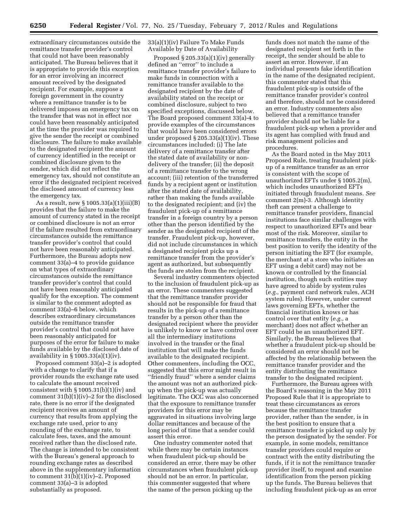extraordinary circumstances outside the remittance transfer provider's control that could not have been reasonably anticipated. The Bureau believes that it is appropriate to provide this exception for an error involving an incorrect amount received by the designated recipient. For example, suppose a foreign government in the country where a remittance transfer is to be delivered imposes an emergency tax on the transfer that was not in effect nor could have been reasonably anticipated at the time the provider was required to give the sender the receipt or combined disclosure. The failure to make available to the designated recipient the amount of currency identified in the receipt or combined disclosure given to the sender, which did not reflect the emergency tax, should not constitute an error if the designated recipient received the disclosed amount of currency less the emergency tax.

As a result, new § 1005.33(a)(1)(iii)(B) provides that the failure to make the amount of currency stated in the receipt or combined disclosure is not an error if the failure resulted from extraordinary circumstances outside the remittance transfer provider's control that could not have been reasonably anticipated. Furthermore, the Bureau adopts new comment 33(a)–4 to provide guidance on what types of extraordinary circumstances outside the remittance transfer provider's control that could not have been reasonably anticipated qualify for the exception. The comment is similar to the comment adopted as comment 33(a)–6 below, which describes extraordinary circumstances outside the remittance transfer provider's control that could not have been reasonably anticipated for purposes of the error for failure to make funds available by the disclosed date of availability in § 1005.33(a)(1)(iv).

Proposed comment 33(a)–2 is adopted with a change to clarify that if a provider rounds the exchange rate used to calculate the amount received consistent with § 1005.31(b)(1)(iv) and comment 31(b)(1)(iv)–2 for the disclosed rate, there is no error if the designated recipient receives an amount of currency that results from applying the exchange rate used, prior to any rounding of the exchange rate, to calculate fees, taxes, and the amount received rather than the disclosed rate. The change is intended to be consistent with the Bureau's general approach to rounding exchange rates as described above in the supplementary information to comment 31(b)(1)(iv)–2. Proposed comment 33(a)–3 is adopted substantially as proposed.

33(a)(1)(iv) Failure To Make Funds Available by Date of Availability

Proposed § 205.33(a)(1)(iv) generally defined an ''error'' to include a remittance transfer provider's failure to make funds in connection with a remittance transfer available to the designated recipient by the date of availability stated on the receipt or combined disclosure, subject to two specified exceptions, discussed below. The Board proposed comment 33(a)-4 to provide examples of the circumstances that would have been considered errors under proposed § 205.33(a)(1)(iv). These circumstances included: (i) The late delivery of a remittance transfer after the stated date of availability or nondelivery of the transfer; (ii) the deposit of a remittance transfer to the wrong account; (iii) retention of the transferred funds by a recipient agent or institution after the stated date of availability, rather than making the funds available to the designated recipient; and (iv) the fraudulent pick-up of a remittance transfer in a foreign country by a person other than the person identified by the sender as the designated recipient of the transfer. Fraudulent pick-up, however, did not include circumstances in which a designated recipient picks up a remittance transfer from the provider's agent as authorized, but subsequently the funds are stolen from the recipient.

Several industry commenters objected to the inclusion of fraudulent pick-up as an error. These commenters suggested that the remittance transfer provider should not be responsible for fraud that results in the pick-up of a remittance transfer by a person other than the designated recipient where the provider is unlikely to know or have control over all the intermediary institutions involved in the transfer or the final institution that will make the funds available to the designated recipient. Other commenters, including the OCC, suggested that this error might result in ''friendly fraud'' where a sender claims the amount was not an authorized pickup when the pick-up was actually legitimate. The OCC was also concerned that the exposure to remittance transfer providers for this error may be aggravated in situations involving large dollar remittances and because of the long period of time that a sender could assert this error.

One industry commenter noted that while there may be certain instances when fraudulent pick-up should be considered an error, there may be other circumstances when fraudulent pick-up should not be an error. In particular, this commenter suggested that where the name of the person picking up the

funds does not match the name of the designated recipient set forth in the receipt, the sender should be able to assert an error. However, if an individual presents fake identification in the name of the designated recipient, this commenter stated that this fraudulent pick-up is outside of the remittance transfer provider's control and therefore, should not be considered an error. Industry commenters also believed that a remittance transfer provider should not be liable for a fraudulent pick-up when a provider and its agent has complied with fraud and risk management policies and procedures.

As the Board noted in the May 2011 Proposed Rule, treating fraudulent pickup of a remittance transfer as an error is consistent with the scope of unauthorized EFTs under § 1005.2(m), which includes unauthorized EFTs initiated through fraudulent means. *See*  comment 2(m)-3. Although identity theft can present a challenge to remittance transfer providers, financial institutions face similar challenges with respect to unauthorized EFTs and bear most of the risk. Moreover, similar to remittance transfers, the entity in the best position to verify the identity of the person initiating the EFT (for example, the merchant at a store who initiates an EFT using a debit card) may not be known or controlled by the financial institution, though such entities may have agreed to abide by system rules (*e.g.,* payment card network rules, ACH system rules). However, under current laws governing EFTs, whether the financial institution knows or has control over that entity (*e.g.,* a merchant) does not affect whether an EFT could be an unauthorized EFT. Similarly, the Bureau believes that whether a fraudulent pick-up should be considered an error should not be affected by the relationship between the remittance transfer provider and the entity distributing the remittance transfer to the designated recipient.

Furthermore, the Bureau agrees with the Board's reasoning in the May 2011 Proposed Rule that it is appropriate to treat these circumstances as errors because the remittance transfer provider, rather than the sender, is in the best position to ensure that a remittance transfer is picked up only by the person designated by the sender. For example, in some models, remittance transfer providers could require or contract with the entity distributing the funds, if it is not the remittance transfer provider itself, to request and examine identification from the person picking up the funds. The Bureau believes that including fraudulent pick-up as an error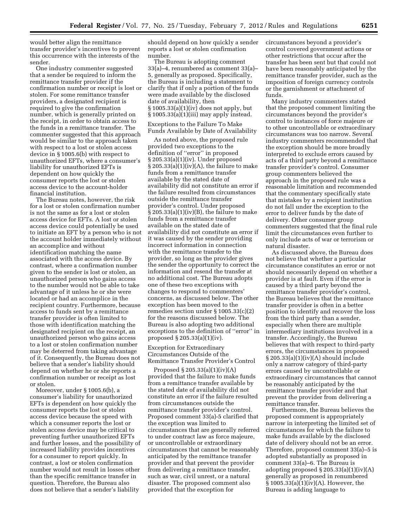would better align the remittance transfer provider's incentives to prevent this occurrence with the interests of the sender.

One industry commenter suggested that a sender be required to inform the remittance transfer provider if the confirmation number or receipt is lost or stolen. For some remittance transfer providers, a designated recipient is required to give the confirmation number, which is generally printed on the receipt, in order to obtain access to the funds in a remittance transfer. The commenter suggested that this approach would be similar to the approach taken with respect to a lost or stolen access device in § 1005.6(b) with respect to unauthorized EFTs, where a consumer's liability for unauthorized EFTs is dependent on how quickly the consumer reports the lost or stolen access device to the account-holder financial institution.

The Bureau notes, however, the risk for a lost or stolen confirmation number is not the same as for a lost or stolen access device for EFTs. A lost or stolen access device could potentially be used to initiate an EFT by a person who is not the account holder immediately without an accomplice and without identification matching the name associated with the access device. By contrast, where a confirmation number given to the sender is lost or stolen, an unauthorized person who gains access to the number would not be able to take advantage of it unless he or she were located or had an accomplice in the recipient country. Furthermore, because access to funds sent by a remittance transfer provider is often limited to those with identification matching the designated recipient on the receipt, an unauthorized person who gains access to a lost or stolen confirmation number may be deterred from taking advantage of it. Consequently, the Bureau does not believe that a sender's liability should depend on whether he or she reports a confirmation number or receipt as lost or stolen.

Moreover, under § 1005.6(b), a consumer's liability for unauthorized EFTs is dependent on how quickly the consumer reports the lost or stolen access device because the speed with which a consumer reports the lost or stolen access device may be critical to preventing further unauthorized EFTs and further losses, and the possibility of increased liability provides incentives for a consumer to report quickly. In contrast, a lost or stolen confirmation number would not result in losses other than the specific remittance transfer in question. Therefore, the Bureau also does not believe that a sender's liability

should depend on how quickly a sender reports a lost or stolen confirmation number.

The Bureau is adopting comment 33(a)–4, renumbered as comment 33(a)– 5, generally as proposed. Specifically, the Bureau is including a statement to clarify that if only a portion of the funds were made available by the disclosed date of availability, then § 1005.33(a)(1)(iv) does not apply, but § 1005.33(a)(1)(iii) may apply instead.

Exceptions to the Failure To Make Funds Available by Date of Availability

As noted above, the proposed rule provided two exceptions to the definition of ''error'' in proposed § 205.33(a)(1)(iv). Under proposed  $\S 205.33(a)(1)(iv)(A)$ , the failure to make funds from a remittance transfer available by the stated date of availability did not constitute an error if the failure resulted from circumstances outside the remittance transfer provider's control. Under proposed  $\S 205.33(a)(1)(iv)(B)$ , the failure to make funds from a remittance transfer available on the stated date of availability did not constitute an error if it was caused by the sender providing incorrect information in connection with the remittance transfer to the provider, so long as the provider gives the sender the opportunity to correct the information and resend the transfer at no additional cost. The Bureau adopts one of these two exceptions with changes to respond to commenters' concerns, as discussed below. The other exception has been moved to the remedies section under § 1005.33(c)(2) for the reasons discussed below. The Bureau is also adopting two additional exceptions to the definition of ''error'' in proposed § 205.33(a)(1)(iv).

# Exception for Extraordinary Circumstances Outside of the Remittance Transfer Provider's Control

Proposed § 205.33(a)(1)(iv)(A) provided that the failure to make funds from a remittance transfer available by the stated date of availability did not constitute an error if the failure resulted from circumstances outside the remittance transfer provider's control. Proposed comment 33(a)-5 clarified that the exception was limited to circumstances that are generally referred to under contract law as force majeure, or uncontrollable or extraordinary circumstances that cannot be reasonably anticipated by the remittance transfer provider and that prevent the provider from delivering a remittance transfer, such as war, civil unrest, or a natural disaster. The proposed comment also provided that the exception for

circumstances beyond a provider's control covered government actions or other restrictions that occur after the transfer has been sent but that could not have been reasonably anticipated by the remittance transfer provider, such as the imposition of foreign currency controls or the garnishment or attachment of funds.

Many industry commenters stated that the proposed comment limiting the circumstances beyond the provider's control to instances of force majeure or to other uncontrollable or extraordinary circumstances was too narrow. Several industry commenters recommended that the exception should be more broadly interpreted to exclude errors caused by acts of a third party beyond a remittance transfer provider's control. Consumer group commenters believed the approach in the proposed rule was a reasonable limitation and recommended that the commentary specifically state that mistakes by a recipient institution do not fall under the exception to the error to deliver funds by the date of delivery. Other consumer group commenters suggested that the final rule limit the circumstances even further to only include acts of war or terrorism or natural disaster.

As discussed above, the Bureau does not believe that whether a particular circumstance constitutes an error or not should necessarily depend on whether a provider is at fault. Even if the error is caused by a third party beyond the remittance transfer provider's control, the Bureau believes that the remittance transfer provider is often in a better position to identify and recover the loss from the third party than a sender, especially when there are multiple intermediary institutions involved in a transfer. Accordingly, the Bureau believes that with respect to third-party errors, the circumstances in proposed § 205.33(a)(1)(iv)(A) should include only a narrow category of third-party errors caused by uncontrollable or extraordinary circumstances that cannot be reasonably anticipated by the remittance transfer provider and that prevent the provider from delivering a remittance transfer.

Furthermore, the Bureau believes the proposed comment is appropriately narrow in interpreting the limited set of circumstances for which the failure to make funds available by the disclosed date of delivery should not be an error. Therefore, proposed comment 33(a)–5 is adopted substantially as proposed in comment 33(a)–6. The Bureau is adopting proposed  $\S 205.33(a)(1)(iv)(A)$ generally as proposed in renumbered § 1005.33(a)(1)(iv)(A). However, the Bureau is adding language to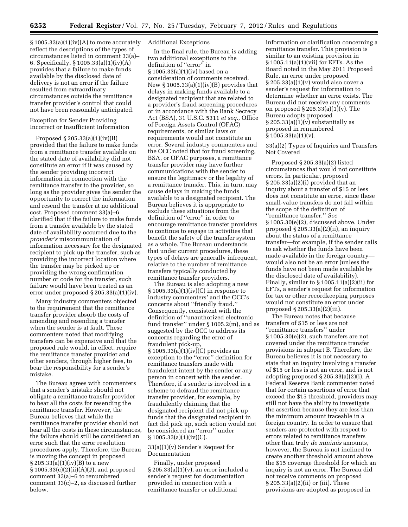$§ 1005.33(a)(1)(iv)(A)$  to more accurately reflect the descriptions of the types of circumstances listed in comment 33(a)– 6. Specifically, § 1005.33(a)(1)(iv)(A) provides that a failure to make funds available by the disclosed date of delivery is not an error if the failure resulted from extraordinary circumstances outside the remittance transfer provider's control that could not have been reasonably anticipated.

## Exception for Sender Providing Incorrect or Insufficient Information

Proposed § 205.33(a)(1)(iv)(B) provided that the failure to make funds from a remittance transfer available on the stated date of availability did not constitute an error if it was caused by the sender providing incorrect information in connection with the remittance transfer to the provider, so long as the provider gives the sender the opportunity to correct the information and resend the transfer at no additional cost. Proposed comment 33(a)–6 clarified that if the failure to make funds from a transfer available by the stated date of availability occurred due to the *provider's* miscommunication of information necessary for the designated recipient to pick up the transfer, such as providing the incorrect location where the transfer may be picked up or providing the wrong confirmation number or code for the transfer, such failure would have been treated as an error under proposed § 205.33(a)(1)(iv).

Many industry commenters objected to the requirement that the remittance transfer provider absorb the costs of amending and resending a transfer when the sender is at fault. These commenters noted that modifying transfers can be expensive and that the proposed rule would, in effect, require the remittance transfer provider and other senders, through higher fees, to bear the responsibility for a sender's mistake.

The Bureau agrees with commenters that a sender's mistake should not obligate a remittance transfer provider to bear all the costs for resending the remittance transfer. However, the Bureau believes that while the remittance transfer provider should not bear all the costs in these circumstances, the failure should still be considered an error such that the error resolution procedures apply. Therefore, the Bureau is moving the concept in proposed  $\S 205.33(a)(1)(iv)(B)$  to a new § 1005.33(c)(2)(ii)(A)(*2*), and proposed comment 33(a)–6 to renumbered comment 33(c)–2, as discussed further below.

## Additional Exceptions

In the final rule, the Bureau is adding two additional exceptions to the definition of ''error'' in § 1005.33(a)(1)(iv) based on a consideration of comments received. New  $\S 1005.33(a)(1)(iv)(B)$  provides that delays in making funds available to a designated recipient that are related to a provider's fraud screening procedures or in accordance with the Bank Secrecy Act (BSA), 31 U.S.C. 5311 *et seq.,* Office of Foreign Assets Control (OFAC) requirements, or similar laws or requirements would not constitute an error. Several industry commenters and the OCC noted that for fraud screening, BSA, or OFAC purposes, a remittance transfer provider may have further communications with the sender to ensure the legitimacy or the legality of a remittance transfer. This, in turn, may cause delays in making the funds available to a designated recipient. The Bureau believes it is appropriate to exclude these situations from the definition of ''error'' in order to encourage remittance transfer providers to continue to engage in activities that benefit the safety of the transfer system as a whole. The Bureau understands that under current procedures, these types of delays are generally infrequent, relative to the number of remittance transfers typically conducted by remittance transfer providers.

The Bureau is also adopting a new § 1005.33(a)(1)(iv)(C) in response to industry commenters' and the OCC's concerns about ''friendly fraud.'' Consequently, consistent with the definition of ''unauthorized electronic fund transfer'' under § 1005.2(m), and as suggested by the OCC to address its concerns regarding the error of fraudulent pick-up,  $\S 1005.33(a)(1)(iv)(C)$  provides an exception to the ''error'' definition for remittance transfers made with fraudulent intent by the sender or any person in concert with the sender. Therefore, if a sender is involved in a scheme to defraud the remittance transfer provider, for example, by fraudulently claiming that the designated recipient did not pick up funds that the designated recipient in fact did pick up, such action would not be considered an ''error'' under  $\S 1005.33(a)(1)(iv)(C)$ .

## 33(a)(1)(v) Sender's Request for Documentation

Finally, under proposed § 205.33(a)(1)(v), an error included a sender's request for documentation provided in connection with a remittance transfer or additional

information or clarification concerning a remittance transfer. This provision is similar to an existing provision in § 1005.11(a)(1)(vii) for EFTs. As the Board noted in the May 2011 Proposed Rule, an error under proposed  $\S 205.33(a)(1)(v)$  would also cover a sender's request for information to determine whether an error exists. The Bureau did not receive any comments on proposed § 205.33(a)(1)(v). The Bureau adopts proposed  $\S 205.33(a)(1)(v)$  substantially as proposed in renumbered § 1005.33(a)(1)(v).

33(a)(2) Types of Inquiries and Transfers Not Covered

Proposed § 205.33(a)(2) listed circumstances that would not constitute errors. In particular, proposed  $\S 205.33(a)(2)(i)$  provided that an inquiry about a transfer of \$15 or less does not constitute an error, since these small-value transfers do not fall within the scope of the definition of ''remittance transfer.'' *See*  § 1005.30(e)(2), discussed above. Under proposed  $\S 205.33(a)(2)(ii)$ , an inquiry about the status of a remittance transfer—for example, if the sender calls to ask whether the funds have been made available in the foreign country would also not be an error (unless the funds have not been made available by the disclosed date of availability). Finally, similar to  $\S 1005.11(a)(2)(ii)$  for EFTs, a sender's request for information for tax or other recordkeeping purposes would not constitute an error under proposed § 205.33(a)(2)(iii).

The Bureau notes that because transfers of \$15 or less are not ''remittance transfers'' under § 1005.30(e)(2), such transfers are not covered under the remittance transfer provisions in subpart B. Therefore, the Bureau believes it is not necessary to state that an inquiry involving a transfer of \$15 or less is not an error, and is not adopting proposed § 205.33(a)(2)(i). A Federal Reserve Bank commenter noted that for certain assertions of error that exceed the \$15 threshold, providers may still not have the ability to investigate the assertion because they are less than the minimum amount traceable in a foreign country. In order to ensure that senders are protected with respect to errors related to remittance transfers other than truly *de minimis* amounts, however, the Bureau is not inclined to create another threshold amount above the \$15 coverage threshold for which an inquiry is not an error. The Bureau did not receive comments on proposed § 205.33(a)(2)(ii) or (iii). These provisions are adopted as proposed in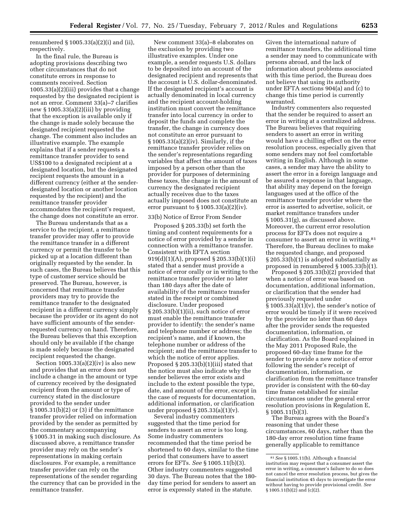renumbered § 1005.33(a)(2)(i) and (ii), respectively.

In the final rule, the Bureau is adopting provisions describing two other circumstances that do not constitute errors in response to comments received. Section 1005.33(a)(2)(iii) provides that a change requested by the designated recipient is not an error. Comment 33(a)–7 clarifies new § 1005.33(a)(2)(iii) by providing that the exception is available only if the change is made solely because the designated recipient requested the change. The comment also includes an illustrative example. The example explains that if a sender requests a remittance transfer provider to send US\$100 to a designated recipient at a designated location, but the designated recipient requests the amount in a different currency (either at the senderdesignated location or another location requested by the recipient) and the remittance transfer provider accommodates the recipient's request, the change does not constitute an error.

The Bureau understands that as a service to the recipient, a remittance transfer provider may offer to provide the remittance transfer in a different currency or permit the transfer to be picked up at a location different than originally requested by the sender. In such cases, the Bureau believes that this type of customer service should be preserved. The Bureau, however, is concerned that remittance transfer providers may try to provide the remittance transfer to the designated recipient in a different currency simply because the provider or its agent do not have sufficient amounts of the senderrequested currency on hand. Therefore, the Bureau believes that this exception should only be available if the change is made solely because the designated recipient requested the change.

Section  $1005.33(a)(2)(iv)$  is also new and provides that an error does not include a change in the amount or type of currency received by the designated recipient from the amount or type of currency stated in the disclosure provided to the sender under  $\hat{\S}$  1005.31(b)(2) or (3) if the remittance transfer provider relied on information provided by the sender as permitted by the commentary accompanying § 1005.31 in making such disclosure. As discussed above, a remittance transfer provider may rely on the sender's representations in making certain disclosures. For example, a remittance transfer provider can rely on the representations of the sender regarding the currency that can be provided in the remittance transfer.

New comment 33(a)–8 elaborates on the exclusion by providing two illustrative examples. Under one example, a sender requests U.S. dollars to be deposited into an account of the designated recipient and represents that the account is U.S. dollar-denominated. If the designated recipient's account is actually denominated in local currency and the recipient account-holding institution must convert the remittance transfer into local currency in order to deposit the funds and complete the transfer, the change in currency does not constitute an error pursuant to § 1005.33(a)(2)(iv). Similarly, if the remittance transfer provider relies on the sender's representations regarding variables that affect the amount of taxes imposed by a person other than the provider for purposes of determining these taxes, the change in the amount of currency the designated recipient actually receives due to the taxes actually imposed does not constitute an error pursuant to  $\S 1005.33(a)(2)(iv)$ .

#### 33(b) Notice of Error From Sender

Proposed § 205.33(b) set forth the timing and content requirements for a notice of error provided by a sender in connection with a remittance transfer. Consistent with EFTA section 919(d)(1)(A), proposed § 205.33(b)(1)(i) stated that a sender must provide a notice of error orally or in writing to the remittance transfer provider no later than 180 days after the date of availability of the remittance transfer stated in the receipt or combined disclosure. Under proposed § 205.33(b)(1)(ii), such notice of error must enable the remittance transfer provider to identify: the sender's name and telephone number or address; the recipient's name, and if known, the telephone number or address of the recipient; and the remittance transfer to which the notice of error applies. Proposed § 205.33(b)(1)(iii) stated that the notice must also indicate why the sender believes the error exists and include to the extent possible the type, date, and amount of the error, except in the case of requests for documentation, additional information, or clarification under proposed § 205.33(a)(1)(v).

Several industry commenters suggested that the time period for senders to assert an error is too long. Some industry commenters recommended that the time period be shortened to 60 days, similar to the time period that consumers have to assert errors for EFTs. *See* § 1005.11(b)(3). Other industry commenters suggested 30 days. The Bureau notes that the 180 day time period for senders to assert an error is expressly stated in the statute.

Given the international nature of remittance transfers, the additional time a sender may need to communicate with persons abroad, and the lack of information about problems associated with this time period, the Bureau does not believe that using its authority under EFTA sections 904(a) and (c) to change this time period is currently warranted.

Industry commenters also requested that the sender be required to assert an error in writing at a centralized address. The Bureau believes that requiring senders to assert an error in writing would have a chilling effect on the error resolution process, especially given that some senders may not feel comfortable writing in English. Although in some cases, a sender may have the ability to assert the error in a foreign language and be assured a response in that language, that ability may depend on the foreign languages used at the office of the remittance transfer provider where the error is asserted to advertise, solicit, or market remittance transfers under § 1005.31(g), as discussed above. Moreover, the current error resolution process for EFTs does not require a consumer to assert an error in writing.81 Therefore, the Bureau declines to make the requested change, and proposed § 205.33(b)(1) is adopted substantially as proposed in renumbered § 1005.33(b)(1).

Proposed § 205.33(b)(2) provided that when a notice of error was based on documentation, additional information, or clarification that the sender had previously requested under  $\S 1005.33(a)(1)(v)$ , the sender's notice of error would be timely if it were received by the provider no later than 60 days after the provider sends the requested documentation, information, or clarification. As the Board explained in the May 2011 Proposed Rule, the proposed 60-day time frame for the sender to provide a new notice of error following the sender's receipt of documentation, information, or clarification from the remittance transfer provider is consistent with the 60-day time frame established for similar circumstances under the general error resolution provisions in Regulation E, § 1005.11(b)(3).

The Bureau agrees with the Board's reasoning that under these circumstances, 60 days, rather than the 180-day error resolution time frame generally applicable to remittance

<sup>81</sup>*See* § 1005.11(b). Although a financial institution may request that a consumer assert the error in writing, a consumer's failure to do so does not cancel the error resolution process, but gives the financial institution 45 days to investigate the error without having to provide provisional credit. *See*  § 1005.11(b)(2) and (c)(2).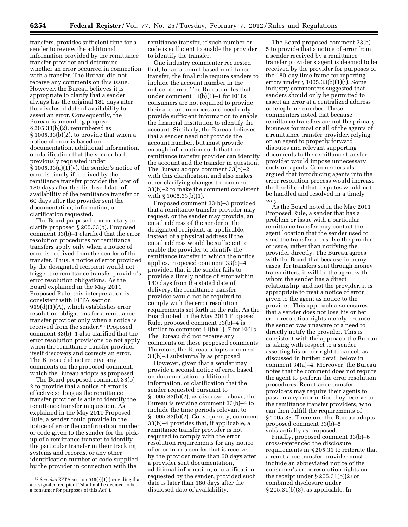transfers, provides sufficient time for a sender to review the additional information provided by the remittance transfer provider and determine whether an error occurred in connection with a transfer. The Bureau did not receive any comments on this issue. However, the Bureau believes it is appropriate to clarify that a sender always has the original 180 days after the disclosed date of availability to assert an error. Consequently, the Bureau is amending proposed § 205.33(b)(2), renumbered as § 1005.33(b)(2), to provide that when a notice of error is based on documentation, additional information, or clarification that the sender had previously requested under  $§ 1005.33(a)(1)(v)$ , the sender's notice of error is timely if received by the remittance transfer provider the later of 180 days after the disclosed date of availability of the remittance transfer or 60 days after the provider sent the documentation, information, or clarification requested.

The Board proposed commentary to clarify proposed § 205.33(b). Proposed comment 33(b)–1 clarified that the error resolution procedures for remittance transfers apply only when a notice of error is received from the sender of the transfer. Thus, a notice of error provided by the designated recipient would not trigger the remittance transfer provider's error resolution obligations. As the Board explained in the May 2011 Proposed Rule, this interpretation is consistent with EFTA section 919(d)(1)(A), which establishes error resolution obligations for a remittance transfer provider only when a notice is received from the sender.82 Proposed comment 33(b)–1 also clarified that the error resolution provisions do not apply when the remittance transfer provider itself discovers and corrects an error. The Bureau did not receive any comments on the proposed comment, which the Bureau adopts as proposed.

The Board proposed comment 33(b)– 2 to provide that a notice of error is effective so long as the remittance transfer provider is able to identify the remittance transfer in question. As explained in the May 2011 Proposed Rule, a sender could provide in the notice of error the confirmation number or code given to the sender for the pickup of a remittance transfer to identify the particular transfer in their tracking systems and records, or any other identification number or code supplied by the provider in connection with the

remittance transfer, if such number or code is sufficient to enable the provider to identify the transfer.

One industry commenter requested that, for an account-based remittance transfer, the final rule require senders to include the account number in the notice of error. The Bureau notes that under comment 11(b)(1)–1 for EFTs, consumers are not required to provide their account numbers and need only provide sufficient information to enable the financial institution to identify the account. Similarly, the Bureau believes that a sender need not provide the account number, but must provide enough information such that the remittance transfer provider can identify the account and the transfer in question. The Bureau adopts comment 33(b)–2 with this clarification, and also makes other clarifying changes to comment 33(b)–2 to make the comment consistent with § 1005.33(b)(1).

Proposed comment 33(b)–3 provided that a remittance transfer provider may request, or the sender may provide, an email address of the sender or the designated recipient, as applicable, instead of a physical address if the email address would be sufficient to enable the provider to identify the remittance transfer to which the notice applies. Proposed comment 33(b)–4 provided that if the sender fails to provide a timely notice of error within 180 days from the stated date of delivery, the remittance transfer provider would not be required to comply with the error resolution requirements set forth in the rule. As the Board noted in the May 2011 Proposed Rule, proposed comment 33(b)–4 is similar to comment 11(b)(1)–7 for EFTs. The Bureau did not receive any comments on these proposed comments. Therefore, the Bureau adopts comment 33(b)–3 substantially as proposed.

However, given that a sender may provide a second notice of error based on documentation, additional information, or clarification that the sender requested pursuant to § 1005.33(b)(2), as discussed above, the Bureau is revising comment 33(b)–4 to include the time periods relevant to § 1005.33(b)(2). Consequently, comment 33(b)–4 provides that, if applicable, a remittance transfer provider is not required to comply with the error resolution requirements for any notice of error from a sender that is received by the provider more than 60 days after a provider sent documentation, additional information, or clarification requested by the sender, provided such date is later than 180 days after the disclosed date of availability.

The Board proposed comment 33(b)– 5 to provide that a notice of error from a sender received by a remittance transfer provider's agent is deemed to be received by the provider for purposes of the 180-day time frame for reporting errors under § 1005.33(b)(1)(i). Some industry commenters suggested that senders should only be permitted to assert an error at a centralized address or telephone number. These commenters noted that because remittance transfers are not the primary business for most or all of the agents of a remittance transfer provider, relying on an agent to properly forward disputes and relevant supporting documents to the remittance transfer provider would impose unnecessary costs on agents. Commenters also argued that introducing agents into the error resolution process would increase the likelihood that disputes would not be handled and resolved in a timely way.

As the Board noted in the May 2011 Proposed Rule, a sender that has a problem or issue with a particular remittance transfer may contact the agent location that the sender used to send the transfer to resolve the problem or issue, rather than notifying the provider directly. The Bureau agrees with the Board that because in many cases, for transfers sent through money transmitters, it will be the agent with whom the sender has a direct relationship, and not the provider, it is appropriate to treat a notice of error given to the agent as notice to the provider. This approach also ensures that a sender does not lose his or her error resolution rights merely because the sender was unaware of a need to directly notify the provider. This is consistent with the approach the Bureau is taking with respect to a sender asserting his or her right to cancel, as discussed in further detail below in comment 34(a)–4. Moreover, the Bureau notes that the comment does not require the agent to perform the error resolution procedures. Remittance transfer providers may require their agents to pass on any error notice they receive to the remittance transfer providers, who can then fulfill the requirements of § 1005.33. Therefore, the Bureau adopts proposed comment 33(b)–5 substantially as proposed.

Finally, proposed comment 33(b)–6 cross-referenced the disclosure requirements in § 205.31 to reiterate that a remittance transfer provider must include an abbreviated notice of the consumer's error resolution rights on the receipt under  $\S 205.31(b)(2)$  or combined disclosure under § 205.31(b)(3), as applicable. In

<sup>82</sup>*See also* EFTA section 919(g)(1) (providing that a designated recipient ''shall not be deemed to be a consumer for purposes of this Act'').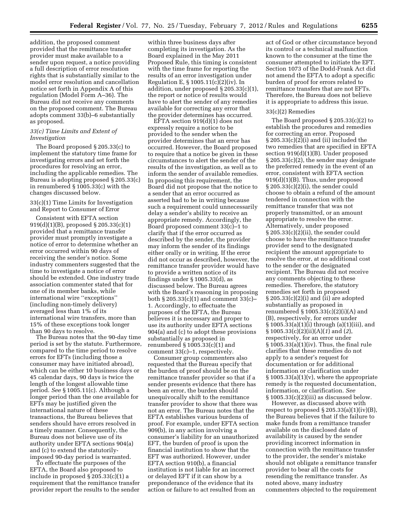addition, the proposed comment provided that the remittance transfer provider must make available to a sender upon request, a notice providing a full description of error resolution rights that is substantially similar to the model error resolution and cancellation notice set forth in Appendix A of this regulation (Model Form A–36). The Bureau did not receive any comments on the proposed comment. The Bureau adopts comment 33(b)–6 substantially as proposed.

## *33(c) Time Limits and Extent of Investigation*

The Board proposed § 205.33(c) to implement the statutory time frame for investigating errors and set forth the procedures for resolving an error, including the applicable remedies. The Bureau is adopting proposed § 205.33(c) in renumbered § 1005.33(c) with the changes discussed below.

33(c)(1) Time Limits for Investigation and Report to Consumer of Error

Consistent with EFTA section 919(d)(1)(B), proposed § 205.33(c)(1) provided that a remittance transfer provider must promptly investigate a notice of error to determine whether an error occurred within 90 days of receiving the sender's notice. Some industry commenters suggested that the time to investigate a notice of error should be extended. One industry trade association commenter stated that for one of its member banks, while international wire ''exceptions'' (including non-timely delivery) averaged less than 1% of its international wire transfers, more than 15% of these exceptions took longer than 90 days to resolve.

The Bureau notes that the 90-day time period is set by the statute. Furthermore, compared to the time period to resolve errors for EFTs (including those a consumer may have initiated abroad), which can be either 10 business days or 45 calendar days, 90 days is twice the length of the longest allowable time period. *See* § 1005.11(c). Although a longer period than the one available for EFTs may be justified given the international nature of these transactions, the Bureau believes that senders should have errors resolved in a timely manner. Consequently, the Bureau does not believe use of its authority under EFTA sections 904(a) and (c) to extend the statutorilyimposed 90-day period is warranted.

To effectuate the purposes of the EFTA, the Board also proposed to include in proposed § 205.33(c)(1) a requirement that the remittance transfer provider report the results to the sender

within three business days after completing its investigation. As the Board explained in the May 2011 Proposed Rule, this timing is consistent with the time frame for reporting the results of an error investigation under Regulation E, § 1005.11(c)(2)(iv). In addition, under proposed § 205.33(c)(1), the report or notice of results would have to alert the sender of any remedies available for correcting any error that the provider determines has occurred.

EFTA section 919(d)(1) does not expressly require a notice to be provided to the sender when the provider determines that an error has occurred. However, the Board proposed to require that a notice be given in these circumstances to alert the sender of the results of the investigation, as well as to inform the sender of available remedies. In proposing this requirement, the Board did not propose that the notice to a sender that an error occurred as asserted had to be in writing because such a requirement could unnecessarily delay a sender's ability to receive an appropriate remedy. Accordingly, the Board proposed comment 33(c)–1 to clarify that if the error occurred as described by the sender, the provider may inform the sender of its findings either orally or in writing. If the error did not occur as described, however, the remittance transfer provider would have to provide a written notice of its findings under § 1005.33(d), as discussed below. The Bureau agrees with the Board's reasoning in proposing both  $\S 205.33(c)(1)$  and comment  $33(c)$ – 1. Accordingly, to effectuate the purposes of the EFTA, the Bureau believes it is necessary and proper to use its authority under EFTA sections 904(a) and (c) to adopt these provisions substantially as proposed in renumbered § 1005.33(c)(1) and comment 33(c)–1, respectively.

Consumer group commenters also requested that the Bureau specify that the burden of proof should be on the remittance transfer provider so that if a sender presents evidence that there has been an error, the burden should unequivocally shift to the remittance transfer provider to show that there was not an error. The Bureau notes that the EFTA establishes various burdens of proof. For example, under EFTA section 909(b), in any action involving a consumer's liability for an unauthorized EFT, the burden of proof is upon the financial institution to show that the EFT was authorized. However, under EFTA section 910(b), a financial institution is not liable for an incorrect or delayed EFT if it can show by a preponderance of the evidence that its action or failure to act resulted from an

act of God or other circumstance beyond its control or a technical malfunction known to the consumer at the time the consumer attempted to initiate the EFT. Section 1073 of the Dodd-Frank Act did not amend the EFTA to adopt a specific burden of proof for errors related to remittance transfers that are not EFTs. Therefore, the Bureau does not believe it is appropriate to address this issue.

#### 33(c)(2) Remedies

The Board proposed § 205.33(c)(2) to establish the procedures and remedies for correcting an error. Proposed  $\S 205.33(c)(2)(i)$  and (ii) included the two remedies that are specified in EFTA section 919(d)(1)(B). Under proposed § 205.33(c)(2), the sender may designate the preferred remedy in the event of an error, consistent with EFTA section 919(d)(1)(B). Thus, under proposed § 205.33(c)(2)(i), the sender could choose to obtain a refund of the amount tendered in connection with the remittance transfer that was not properly transmitted, or an amount appropriate to resolve the error. Alternatively, under proposed  $\S 205.33(c)(2)(ii)$ , the sender could choose to have the remittance transfer provider send to the designated recipient the amount appropriate to resolve the error, at no additional cost to the sender or the designated recipient. The Bureau did not receive any comments objecting to these remedies. Therefore, the statutory remedies set forth in proposed § 205.33(c)(2)(i) and (ii) are adopted substantially as proposed in renumbered  $\S 1005.33(c)(2)(i)(A)$  and (B), respectively, for errors under § 1005.33(a)(1)(i) through (a)(1)(iii), and § 1005.33(c)(2)(ii)(A)(*1*) and (*2*), respectively, for an error under § 1005.33(a)(1)(iv). Thus, the final rule clarifies that these remedies do not apply to a sender's request for documentation or for additional information or clarification under  $§ 1005.33(a)(1)(v)$ , where the appropriate remedy is the requested documentation, information, or clarification. *See*   $\S 1005.33(c)(2)(iii)$  as discussed below.

However, as discussed above with respect to proposed  $\S 205.33(a)(1)(iv)(B)$ , the Bureau believes that if the failure to make funds from a remittance transfer available on the disclosed date of availability is caused by the sender providing incorrect information in connection with the remittance transfer to the provider, the sender's mistake should not obligate a remittance transfer provider to bear all the costs for resending the remittance transfer. As noted above, many industry commenters objected to the requirement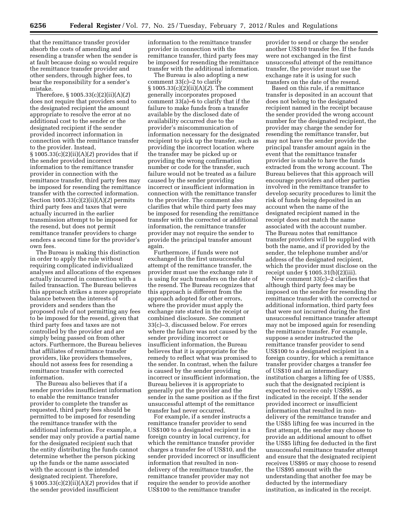that the remittance transfer provider absorb the costs of amending and resending a transfer when the sender is at fault because doing so would require the remittance transfer provider and other senders, through higher fees, to bear the responsibility for a sender's mistake.

Therefore, § 1005.33(c)(2)(ii)(A)(*2*) does not require that providers send to the designated recipient the amount appropriate to resolve the error at no additional cost to the sender or the designated recipient if the sender provided incorrect information in connection with the remittance transfer to the provider. Instead, § 1005.33(c)(2)(ii)(A)(*2*) provides that if the sender provided incorrect information to the remittance transfer provider in connection with the remittance transfer, third party fees may be imposed for resending the remittance transfer with the corrected information. Section 1005.33(c)(2)(ii)(A)(*2*) permits third party fees and taxes that were actually incurred in the earlier transmission attempt to be imposed for the resend, but does not permit remittance transfer providers to charge senders a second time for the provider's own fees.

The Bureau is making this distinction in order to apply the rule without requiring complicated individualized analyses and allocations of the expenses actually incurred in connection with a failed transaction. The Bureau believes this approach strikes a more appropriate balance between the interests of providers and senders than the proposed rule of not permitting any fees to be imposed for the resend, given that third party fees and taxes are not controlled by the provider and are simply being passed on from other actors. Furthermore, the Bureau believes that affiliates of remittance transfer providers, like providers themselves, should not assess fees for resending a remittance transfer with corrected information.

The Bureau also believes that if a sender provides insufficient information to enable the remittance transfer provider to complete the transfer as requested, third party fees should be permitted to be imposed for resending the remittance transfer with the additional information. For example, a sender may only provide a partial name for the designated recipient such that the entity distributing the funds cannot determine whether the person picking up the funds or the name associated with the account is the intended designated recipient. Therefore, § 1005.33(c)(2)(ii)(A)(*2*) provides that if the sender provided insufficient

information to the remittance transfer provider in connection with the remittance transfer, third party fees may be imposed for resending the remittance transfer with the additional information.

The Bureau is also adopting a new comment 33(c)–2 to clarify § 1005.33(c)(2)(ii)(A)(*2*). The comment generally incorporates proposed comment 33(a)–6 to clarify that if the failure to make funds from a transfer available by the disclosed date of availability occurred due to the provider's miscommunication of information necessary for the designated recipient to pick up the transfer, such as providing the incorrect location where the transfer may be picked up or providing the wrong confirmation number or code for the transfer, such failure would not be treated as a failure caused by the sender providing incorrect or insufficient information in connection with the remittance transfer to the provider. The comment also clarifies that while third party fees may be imposed for resending the remittance transfer with the corrected or additional information, the remittance transfer provider may not require the sender to provide the principal transfer amount again.

Furthermore, if funds were not exchanged in the first unsuccessful attempt of the remittance transfer, the provider must use the exchange rate it is using for such transfers on the date of the resend. The Bureau recognizes that this approach is different from the approach adopted for other errors, where the provider must apply the exchange rate stated in the receipt or combined disclosure. *See* comment 33(c)–3, discussed below. For errors where the failure was not caused by the sender providing incorrect or insufficient information, the Bureau believes that it is appropriate for the remedy to reflect what was promised to the sender. In contrast, when the failure is caused by the sender providing incorrect or insufficient information, the Bureau believes it is appropriate to generally put the provider and the sender in the same position as if the first unsuccessful attempt of the remittance transfer had never occurred.

For example, if a sender instructs a remittance transfer provider to send US\$100 to a designated recipient in a foreign country in local currency, for which the remittance transfer provider charges a transfer fee of US\$10, and the sender provided incorrect or insufficient information that resulted in nondelivery of the remittance transfer, the remittance transfer provider may not require the sender to provide another US\$100 to the remittance transfer

provider to send or charge the sender another US\$10 transfer fee. If the funds were not exchanged in the first unsuccessful attempt of the remittance transfer, the provider must use the exchange rate it is using for such transfers on the date of the resend.

Based on this rule, if a remittance transfer is deposited in an account that does not belong to the designated recipient named in the receipt because the sender provided the wrong account number for the designated recipient, the provider may charge the sender for resending the remittance transfer, but may not have the sender provide the principal transfer amount again in the event that the remittance transfer provider is unable to have the funds extracted from the wrong account. The Bureau believes that this approach will encourage providers and other parties involved in the remittance transfer to develop security procedures to limit the risk of funds being deposited in an account when the name of the designated recipient named in the receipt does not match the name associated with the account number. The Bureau notes that remittance transfer providers will be supplied with both the name, and if provided by the sender, the telephone number and/or address of the designated recipient, which the provider must disclose on the receipt under § 1005.31(b)(2)(iii).

New comment 33(c)–2 clarifies that although third party fees may be imposed on the sender for resending the remittance transfer with the corrected or additional information, third party fees that were not incurred during the first unsuccessful remittance transfer attempt may not be imposed again for resending the remittance transfer. For example, suppose a sender instructed the remittance transfer provider to send US\$100 to a designated recipient in a foreign country, for which a remittance transfer provider charges a transfer fee of US\$10 and an intermediary institution charges a lifting fee of US\$5, such that the designated recipient is expected to receive only US\$95, as indicated in the receipt. If the sender provided incorrect or insufficient information that resulted in nondelivery of the remittance transfer and the US\$5 lifting fee was incurred in the first attempt, the sender may choose to provide an additional amount to offset the US\$5 lifting fee deducted in the first unsuccessful remittance transfer attempt and ensure that the designated recipient receives US\$95 or may choose to resend the US\$95 amount with the understanding that another fee may be deducted by the intermediary institution, as indicated in the receipt.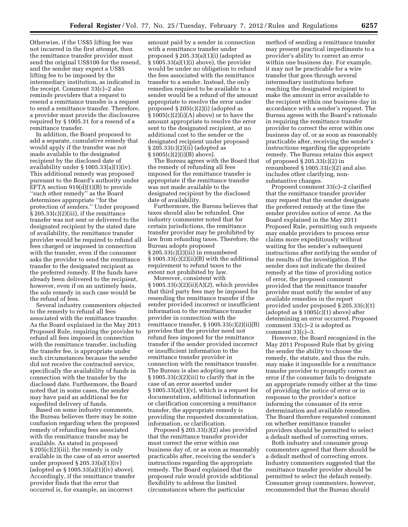Otherwise, if the US\$5 lifting fee was not incurred in the first attempt, then the remittance transfer provider must send the original US\$100 for the resend, and the sender may expect a US\$5 lifting fee to be imposed by the intermediary institution, as indicated in the receipt. Comment 33(c)–2 also reminds providers that a request to resend a remittance transfer is a request to send a remittance transfer. Therefore, a provider must provide the disclosures required by § 1005.31 for a resend of a remittance transfer.

In addition, the Board proposed to add a separate, cumulative remedy that would apply if the transfer was not made available to the designated recipient by the disclosed date of availability under § 1005.33(a)(1)(iv). This additional remedy was proposed pursuant to the Board's authority under EFTA section 919(d)(1)(B) to provide ''such other remedy'' as the Board determines appropriate ''for the protection of senders.'' Under proposed § 205.33(c)(2)(iii), if the remittance transfer was not sent or delivered to the designated recipient by the stated date of availability, the remittance transfer provider would be required to refund all fees charged or imposed in connection with the transfer, even if the consumer asks the provider to send the remittance transfer to the designated recipient as the preferred remedy. If the funds have already been delivered to the recipient, however, even if on an untimely basis, the sole remedy in such case would be the refund of fees.

Several industry commenters objected to the remedy to refund all fees associated with the remittance transfer. As the Board explained in the May 2011 Proposed Rule, requiring the provider to refund all fees imposed in connection with the remittance transfer, including the transfer fee, is appropriate under such circumstances because the sender did not receive the contracted service, specifically the availability of funds in connection with the transfer by the disclosed date. Furthermore, the Board noted that in some cases, the sender may have paid an additional fee for expedited delivery of funds.

Based on some industry comments, the Bureau believes there may be some confusion regarding when the proposed remedy of refunding fees associated with the remittance transfer may be available. As stated in proposed § 205(c)(2)(iii), the remedy is only available in the case of an error asserted under proposed § 205.33(a)(1)(iv) (adopted as § 1005.33(a)(1)(iv) above). Accordingly, if the remittance transfer provider finds that the error that occurred is, for example, an incorrect

amount paid by a sender in connection with a remittance transfer under proposed § 205.33(a)(1)(i) (adopted as § 1005.33(a)(1)(i) above), the provider would be under no obligation to refund the fees associated with the remittance transfer to a sender. Instead, the only remedies required to be available to a sender would be a refund of the amount appropriate to resolve the error under proposed § 205(c)(2)(i) (adopted as § 1005(c)(2)(i)(A) above) or to have the amount appropriate to resolve the error sent to the designated recipient, at no additional cost to the sender or the designated recipient under proposed § 205.33(c)(2)(ii) (adopted as § 1005(c)(2)(i)(B) above).

The Bureau agrees with the Board that the remedy of refunding all fees imposed for the remittance transfer is appropriate if the remittance transfer was not made available to the designated recipient by the disclosed date of availability.

Furthermore, the Bureau believes that taxes should also be refunded. One industry commenter noted that for certain jurisdictions, the remittance transfer provider may be prohibited by law from refunding taxes. Therefore, the Bureau adopts proposed § 205.33(c)(2)(iii) in renumbered § 1005.33(c)(2)(ii)(B) with the additional requirement to refund taxes to the extent not prohibited by law.

Moreover, consistent with § 1005.33(c)(2)(ii)(A)(*2*), which provides that third party fees may be imposed for resending the remittance transfer if the sender provided incorrect or insufficient information to the remittance transfer provider in connection with the remittance transfer,  $\S 1005.33(c)(2)(ii)(B)$ provides that the provider need not refund fees imposed for the remittance transfer if the sender provided incorrect or insufficient information to the remittance transfer provider in connection with the remittance transfer. The Bureau is also adopting new § 1005.33(c)(2)(iii) to clarify that in the case of an error asserted under  $\S 1005.33(a)(1)(v)$ , which is a request for documentation, additional information or clarification concerning a remittance transfer, the appropriate remedy is providing the requested documentation, information, or clarification.

Proposed § 205.33(c)(2) also provided that the remittance transfer provider must correct the error within one business day of, or as soon as reasonably practicable after, receiving the sender's instructions regarding the appropriate remedy. The Board explained that the proposed rule would provide additional flexibility to address the limited circumstances where the particular

method of sending a remittance transfer may present practical impediments to a provider's ability to correct an error within one business day. For example, it may not be practicable for a wire transfer that goes through several intermediary institutions before reaching the designated recipient to make the amount in error available to the recipient within one business day in accordance with a sender's request. The Bureau agrees with the Board's rationale in requiring the remittance transfer provider to correct the error within one business day of, or as soon as reasonably practicable after, receiving the sender's instructions regarding the appropriate remedy. The Bureau retains this aspect of proposed § 205.33(c)(2) in renumbered  $\S 1005.33(c)(2)$  and also includes other clarifying, nonsubstantive changes.

Proposed comment 33(c)–2 clarified that the remittance transfer provider may request that the sender designate the preferred remedy at the time the sender provides notice of error. As the Board explained in the May 2011 Proposed Rule, permitting such requests may enable providers to process error claims more expeditiously without waiting for the sender's subsequent instructions after notifying the sender of the results of the investigation. If the sender does not indicate the desired remedy at the time of providing notice of error, the proposed comment provided that the remittance transfer provider must notify the sender of any available remedies in the report provided under proposed § 205.33(c)(1) (adopted as  $\S 1005(c)(1)$  above) after determining an error occurred. Proposed comment  $33(c)-2$  is adopted as comment  $33(c)-3$ .

However, the Board recognized in the May 2011 Proposed Rule that by giving the sender the ability to choose the remedy, the statute, and thus the rule, may make it impossible for a remittance transfer provider to promptly correct an error if the consumer fails to designate an appropriate remedy either at the time of providing the notice of error or in response to the provider's notice informing the consumer of its error determination and available remedies. The Board therefore requested comment on whether remittance transfer providers should be permitted to select a default method of correcting errors.

Both industry and consumer group commenters agreed that there should be a default method of correcting errors. Industry commenters suggested that the remittance transfer provider should be permitted to select the default remedy. Consumer group commenters, however, recommended that the Bureau should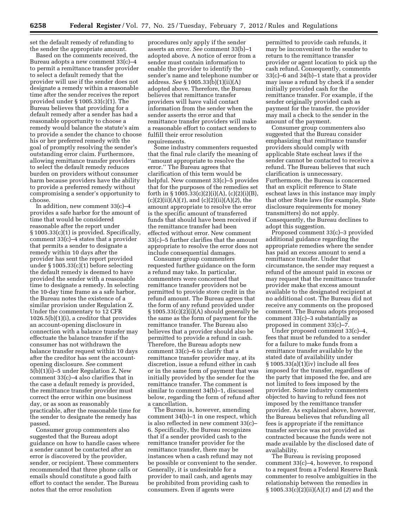set the default remedy of refunding to the sender the appropriate amount.

Based on the comments received, the Bureau adopts a new comment 33(c)–4 to permit a remittance transfer provider to select a default remedy that the provider will use if the sender does not designate a remedy within a reasonable time after the sender receives the report provided under § 1005.33(c)(1). The Bureau believes that providing for a default remedy after a sender has had a reasonable opportunity to choose a remedy would balance the statute's aim to provide a sender the chance to choose his or her preferred remedy with the goal of promptly resolving the sender's outstanding error claim. Furthermore, allowing remittance transfer providers to select the default remedy reduces burden on providers without consumer harm because providers have the ability to provide a preferred remedy without compromising a sender's opportunity to choose.

In addition, new comment 33(c)–4 provides a safe harbor for the amount of time that would be considered reasonable after the report under § 1005.33(c)(1) is provided. Specifically, comment 33(c)–4 states that a provider that permits a sender to designate a remedy within 10 days after the provider has sent the report provided under § 1005.33(c)(1) before selecting the default remedy is deemed to have provided the sender with a reasonable time to designate a remedy. In selecting the 10-day time frame as a safe harbor, the Bureau notes the existence of a similar provision under Regulation Z. Under the commentary to 12 CFR 1026.5(b)(1)(i), a creditor that provides an account-opening disclosure in connection with a balance transfer may effectuate the balance transfer if the consumer has not withdrawn the balance transfer request within 10 days after the creditor has sent the accountopening disclosure. *See* comment  $5(b)(1)(i)$ –5 under Regulation Z. New comment 33(c)–4 also clarifies that in the case a default remedy is provided, the remittance transfer provider must correct the error within one business day, or as soon as reasonably practicable, after the reasonable time for the sender to designate the remedy has passed.

Consumer group commenters also suggested that the Bureau adopt guidance on how to handle cases where a sender cannot be contacted after an error is discovered by the provider, sender, or recipient. These commenters recommended that three phone calls or emails should constitute a good faith effort to contact the sender. The Bureau notes that the error resolution

procedures only apply if the sender asserts an error. *See* comment 33(b)–1 adopted above. A notice of error from a sender must contain information to enable the provider to identify the sender's name and telephone number or address. *See* § 1005.33(b)(1)(ii)(A) adopted above. Therefore, the Bureau believes that remittance transfer providers will have valid contact information from the sender when the sender asserts the error and that remittance transfer providers will make a reasonable effort to contact senders to fulfill their error resolution requirements.

Some industry commenters requested that the final rule clarify the meaning of ''amount appropriate to resolve the error.'' The Bureau agrees that clarification of this term would be helpful. New comment 33(c)–5 provides that for the purposes of the remedies set forth in  $\S 1005.33(c)(2)(i)(A)$ ,  $(c)(2)(i)(B)$ , (c)(2)(ii)(A)(*1*), and (c)(2)(ii)(A)(*2*), the amount appropriate to resolve the error is the specific amount of transferred funds that should have been received if the remittance transfer had been effected without error. New comment 33(c)–5 further clarifies that the amount appropriate to resolve the error does not include consequential damages.

Consumer group commenters requested further guidance on the form a refund may take. In particular, commenters were concerned that remittance transfer providers not be permitted to provide store credit in the refund amount. The Bureau agrees that the form of any refund provided under  $\S 1005.33(c)(2)(i)(A)$  should generally be the same as the form of payment for the remittance transfer. The Bureau also believes that a provider should also be permitted to provide a refund in cash. Therefore, the Bureau adopts new comment 33(c)–6 to clarify that a remittance transfer provider may, at its discretion, issue a refund either in cash or in the same form of payment that was initially provided by the sender for the remittance transfer. The comment is similar to comment 34(b)–1, discussed below, regarding the form of refund after a cancellation.

The Bureau is, however, amending comment 34(b)–1 in one respect, which is also reflected in new comment 33(c)– 6. Specifically, the Bureau recognizes that if a sender provided cash to the remittance transfer provider for the remittance transfer, there may be instances when a cash refund may not be possible or convenient to the sender. Generally, it is undesirable for a provider to mail cash, and agents may be prohibited from providing cash to consumers. Even if agents were

permitted to provide cash refunds, it may be inconvenient to the sender to return to the remittance transfer provider or agent location to pick up the cash refund. Consequently, comments 33(c)–6 and 34(b)–1 state that a provider may issue a refund by check if a sender initially provided cash for the remittance transfer. For example, if the sender originally provided cash as payment for the transfer, the provider may mail a check to the sender in the amount of the payment.

Consumer group commenters also suggested that the Bureau consider emphasizing that remittance transfer providers should comply with applicable State escheat laws if the sender cannot be contacted to receive a refund. The Bureau believes that such clarification is unnecessary. Furthermore, the Bureau is concerned that an explicit reference to State escheat laws in this instance may imply that other State laws (for example, State disclosure requirements for money transmitters) do not apply. Consequently, the Bureau declines to adopt this suggestion.

Proposed comment 33(c)–3 provided additional guidance regarding the appropriate remedies where the sender has paid an excess amount to send a remittance transfer. Under that circumstance, the sender may request a refund of the amount paid in excess or may request that the remittance transfer provider make that excess amount available to the designated recipient at no additional cost. The Bureau did not receive any comments on the proposed comment. The Bureau adopts proposed comment 33(c)–3 substantially as proposed in comment 33(c)–7.

Under proposed comment 33(c)–4, fees that must be refunded to a sender for a failure to make funds from a remittance transfer available by the stated date of availability under § 1005.33(a)(1)(iv) include all fees imposed for the transfer, regardless of the party that imposed the fee, and are not limited to fees imposed by the provider. Some industry commenters objected to having to refund fees not imposed by the remittance transfer provider. As explained above, however, the Bureau believes that refunding all fees is appropriate if the remittance transfer service was not provided as contracted because the funds were not made available by the disclosed date of availability.

The Bureau is revising proposed comment 33(c)–4, however, to respond to a request from a Federal Reserve Bank commenter to resolve ambiguities in the relationship between the remedies in § 1005.33(c)(2)(ii)(A)(*1*) and (*2*) and the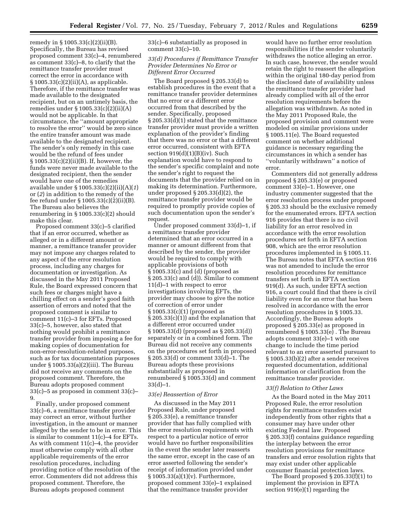remedy in § 1005.33(c)(2)(ii)(B). Specifically, the Bureau has revised proposed comment 33(c)–4, renumbered as comment 33(c)–8, to clarify that the remittance transfer provider must correct the error in accordance with  $§1005.33(c)(2)(ii)(A)$ , as applicable. Therefore, if the remittance transfer was made available to the designated recipient, but on an untimely basis, the remedies under § 1005.33(c)(2)(ii)(A) would not be applicable. In that circumstance, the ''amount appropriate to resolve the error'' would be zero since the entire transfer amount was made available to the designated recipient. The sender's only remedy in this case would be the refund of fees under § 1005.33(c)(2)(ii)(B). If, however, the funds were never made available to the designated recipient, then the sender would have one of the remedies available under § 1005.33(c)(2)(ii)(A)(*1*) or (*2*) in addition to the remedy of the fee refund under § 1005.33(c)(2)(ii)(B). The Bureau also believes the renumbering in § 1005.33(c)(2) should make this clear.

Proposed comment 33(c)–5 clarified that if an error occurred, whether as alleged or in a different amount or manner, a remittance transfer provider may not impose any charges related to any aspect of the error resolution process, including any charges for documentation or investigation. As discussed in the May 2011 Proposed Rule, the Board expressed concern that such fees or charges might have a chilling effect on a sender's good faith assertion of errors and noted that the proposed comment is similar to comment 11(c)–3 for EFTs. Proposed 33(c)–5, however, also stated that nothing would prohibit a remittance transfer provider from imposing a fee for making copies of documentation for non-error-resolution-related purposes, such as for tax documentation purposes under § 1005.33(a)(2)(iii). The Bureau did not receive any comments on the proposed comment. Therefore, the Bureau adopts proposed comment 33(c)–5 as proposed in comment 33(c)– 9.

Finally, under proposed comment 33(c)–6, a remittance transfer provider may correct an error, without further investigation, in the amount or manner alleged by the sender to be in error. This is similar to comment 11(c)–4 for EFTs. As with comment 11(c)–4, the provider must otherwise comply with all other applicable requirements of the error resolution procedures, including providing notice of the resolution of the error. Commenters did not address this proposed comment. Therefore, the Bureau adopts proposed comment

33(c)–6 substantially as proposed in comment  $33(c)-10$ .

# *33(d) Procedures if Remittance Transfer Provider Determines No Error or Different Error Occurred*

The Board proposed § 205.33(d) to establish procedures in the event that a remittance transfer provider determines that no error or a different error occurred from that described by the sender. Specifically, proposed § 205.33(d)(1) stated that the remittance transfer provider must provide a written explanation of the provider's finding that there was no error or that a different error occurred, consistent with EFTA section  $919(d)(1)(B)(iv)$ . Such explanation would have to respond to the sender's specific complaint and note the sender's right to request the documents that the provider relied on in making its determination. Furthermore, under proposed § 205.33(d)(2), the remittance transfer provider would be required to promptly provide copies of such documentation upon the sender's request.

Under proposed comment 33(d)–1, if a remittance transfer provider determined that an error occurred in a manner or amount different from that described by the sender, the provider would be required to comply with applicable provisions of both § 1005.33(c) and (d) (proposed as § 205.33(c) and (d)). Similar to comment 11(d)–1 with respect to error investigations involving EFTs, the provider may choose to give the notice of correction of error under § 1005.33(c)(1) (proposed as § 205.33(c)(1)) and the explanation that a different error occurred under § 1005.33(d) (proposed as § 205.33(d)) separately or in a combined form. The Bureau did not receive any comments on the procedures set forth in proposed § 205.33(d) or comment 33(d)–1. The Bureau adopts these provisions substantially as proposed in renumbered § 1005.33(d) and comment  $33(d)-1$ .

#### *33(e) Reassertion of Error*

As discussed in the May 2011 Proposed Rule, under proposed § 205.33(e), a remittance transfer provider that has fully complied with the error resolution requirements with respect to a particular notice of error would have no further responsibilities in the event the sender later reasserts the same error, except in the case of an error asserted following the sender's receipt of information provided under § 1005.33(a)(1)(v). Furthermore, proposed comment 33(e)–1 explained that the remittance transfer provider

would have no further error resolution responsibilities if the sender voluntarily withdraws the notice alleging an error. In such case, however, the sender would retain the right to reassert the allegation within the original 180-day period from the disclosed date of availability unless the remittance transfer provider had already complied with all of the error resolution requirements before the allegation was withdrawn. As noted in the May 2011 Proposed Rule, the proposed provision and comment were modeled on similar provisions under § 1005.11(e). The Board requested comment on whether additional guidance is necessary regarding the circumstances in which a sender has ''voluntarily withdrawn'' a notice of error.

Commenters did not generally address proposed § 205.33(e) or proposed comment 33(e)–1. However, one industry commenter suggested that the error resolution process under proposed § 205.33 should be the exclusive remedy for the enumerated errors. EFTA section 916 provides that there is no civil liability for an error resolved in accordance with the error resolution procedures set forth in EFTA section 908, which are the error resolution procedures implemented in § 1005.11. The Bureau notes that EFTA section 916 was not amended to include the error resolution procedures for remittance transfers set forth in EFTA section 919(d). As such, under EFTA section 916, a court could find that there is civil liability even for an error that has been resolved in accordance with the error resolution procedures in § 1005.33. Accordingly, the Bureau adopts proposed § 205.33(e) as proposed in renumbered § 1005.33(e) . The Bureau adopts comment 33(e)–1 with one change to include the time period relevant to an error asserted pursuant to § 1005.33(b)(2) after a sender receives requested documentation, additional information or clarification from the remittance transfer provider.

#### *33(f) Relation to Other Laws*

As the Board noted in the May 2011 Proposed Rule, the error resolution rights for remittance transfers exist independently from other rights that a consumer may have under other existing Federal law. Proposed § 205.33(f) contains guidance regarding the interplay between the error resolution provisions for remittance transfers and error resolution rights that may exist under other applicable consumer financial protection laws.

The Board proposed § 205.33(f)(1) to implement the provision in EFTA section 919(e)(1) regarding the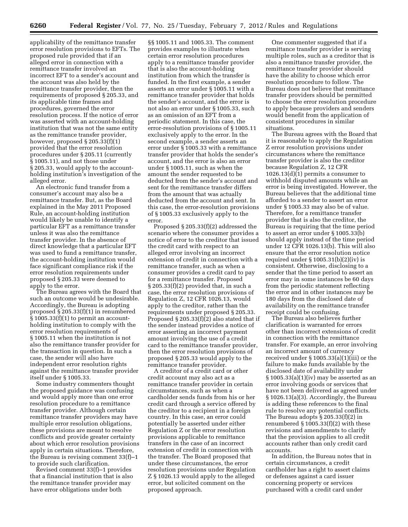applicability of the remittance transfer error resolution provisions to EFTs. The proposed rule provided that if an alleged error in connection with a remittance transfer involved an incorrect EFT to a sender's account and the account was also held by the remittance transfer provider, then the requirements of proposed § 205.33, and its applicable time frames and procedures, governed the error resolution process. If the notice of error was asserted with an account-holding institution that was not the same entity as the remittance transfer provider, however, proposed § 205.33(f)(1) provided that the error resolution procedures under § 205.11 (currently § 1005.11), and not those under § 205.33, would apply to the accountholding institution's investigation of the alleged error.

An electronic fund transfer from a consumer's account may also be a remittance transfer. But, as the Board explained in the May 2011 Proposed Rule, an account-holding institution would likely be unable to identify a particular EFT as a remittance transfer unless it was also the remittance transfer provider. In the absence of direct knowledge that a particular EFT was used to fund a remittance transfer, the account-holding institution would face significant compliance risk if the error resolution requirements under proposed § 205.33 were deemed to apply to the error.

The Bureau agrees with the Board that such an outcome would be undesirable. Accordingly, the Bureau is adopting proposed § 205.33(f)(1) in renumbered § 1005.33(f)(1) to permit an accountholding institution to comply with the error resolution requirements of § 1005.11 when the institution is not also the remittance transfer provider for the transaction in question. In such a case, the sender will also have independent error resolution rights against the remittance transfer provider itself under § 1005.33.

Some industry commenters thought the proposed guidance was confusing and would apply more than one error resolution procedure to a remittance transfer provider. Although certain remittance transfer providers may have multiple error resolution obligations, these provisions are meant to resolve conflicts and provide greater certainty about which error resolution provisions apply in certain situations. Therefore, the Bureau is revising comment 33(f)–1 to provide such clarification.

Revised comment 33(f)–1 provides that a financial institution that is also the remittance transfer provider may have error obligations under both

§§ 1005.11 and 1005.33. The comment provides examples to illustrate when certain error resolution procedures apply to a remittance transfer provider that is also the account-holding institution from which the transfer is funded. In the first example, a sender asserts an error under § 1005.11 with a remittance transfer provider that holds the sender's account, and the error is not also an error under § 1005.33, such as an omission of an EFT from a periodic statement. In this case, the error-resolution provisions of § 1005.11 exclusively apply to the error. In the second example, a sender asserts an error under § 1005.33 with a remittance transfer provider that holds the sender's account, and the error is also an error under § 1005.11, such as when the amount the sender requested to be deducted from the sender's account and sent for the remittance transfer differs from the amount that was actually deducted from the account and sent. In this case, the error-resolution provisions of § 1005.33 exclusively apply to the error.

Proposed § 205.33(f)(2) addressed the scenario where the consumer provides a notice of error to the creditor that issued the credit card with respect to an alleged error involving an incorrect extension of credit in connection with a remittance transfer, such as when a consumer provides a credit card to pay for a remittance transfer. Proposed § 205.33(f)(2) provided that, in such a case, the error resolution provisions of Regulation Z, 12 CFR 1026.13, would apply to the creditor, rather than the requirements under proposed § 205.33. Proposed § 205.33(f)(2) also stated that if the sender instead provides a notice of error asserting an incorrect payment amount involving the use of a credit card to the remittance transfer provider, then the error resolution provisions of proposed § 205.33 would apply to the remittance transfer provider.

A creditor of a credit card or other credit account may also act as a remittance transfer provider in certain circumstances, such as when a cardholder sends funds from his or her credit card through a service offered by the creditor to a recipient in a foreign country. In this case, an error could potentially be asserted under either Regulation Z or the error resolution provisions applicable to remittance transfers in the case of an incorrect extension of credit in connection with the transfer. The Board proposed that under these circumstances, the error resolution provisions under Regulation Z § 1026.13 would apply to the alleged error, but solicited comment on the proposed approach.

One commenter suggested that if a remittance transfer provider is serving multiple roles, such as a creditor that is also a remittance transfer provider, the remittance transfer provider should have the ability to choose which error resolution procedure to follow. The Bureau does not believe that remittance transfer providers should be permitted to choose the error resolution procedure to apply because providers and senders would benefit from the application of consistent procedures in similar situations.

The Bureau agrees with the Board that it is reasonable to apply the Regulation Z error resolution provisions under circumstances where the remittance transfer provider is also the creditor because Regulation Z, 12 CFR 1026.13(d)(1) permits a consumer to withhold disputed amounts while an error is being investigated. However, the Bureau believes that the additional time afforded to a sender to assert an error under § 1005.33 may also be of value. Therefore, for a remittance transfer provider that is also the creditor, the Bureau is requiring that the time period to assert an error under § 1005.33(b) should apply instead of the time period under 12 CFR 1026.13(b). This will also ensure that the error resolution notice required under  $\S 1005.31(b)(2)(iv)$  is consistent. Otherwise, disclosing to a sender that the time period to assert an error may in some instances be 60 days from the periodic statement reflecting the error and in other instances may be 180 days from the disclosed date of availability on the remittance transfer receipt could be confusing.

The Bureau also believes further clarification is warranted for errors other than incorrect extensions of credit in connection with the remittance transfer. For example, an error involving an incorrect amount of currency received under § 1005.33(a)(1)(iii) or the failure to make funds available by the disclosed date of availability under  $\S 1005.33(a)(1)(iv)$  may be asserted as an error involving goods or services that have not been delivered as agreed under § 1026.13(a)(3). Accordingly, the Bureau is adding these references to the final rule to resolve any potential conflicts. The Bureau adopts § 205.33(f)(2) in renumbered  $\S 1005.33(f)(2)$  with these revisions and amendments to clarify that the provision applies to all credit accounts rather than only credit card accounts.

In addition, the Bureau notes that in certain circumstances, a credit cardholder has a right to assert claims or defenses against a card issuer concerning property or services purchased with a credit card under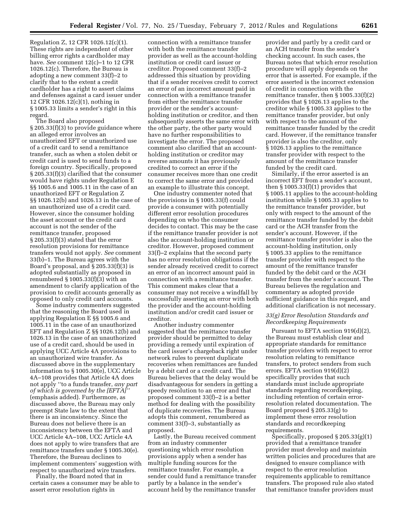Regulation Z, 12 CFR 1026.12(c)(1). These rights are independent of other billing error rights a cardholder may have. *See* comment 12(c)–1 to 12 CFR 1026.12(c). Therefore, the Bureau is adopting a new comment 33(f)–2 to clarify that to the extent a credit cardholder has a right to assert claims and defenses against a card issuer under 12 CFR 1026.12(c)(1), nothing in § 1005.33 limits a sender's right in this regard.

The Board also proposed § 205.33(f)(3) to provide guidance where an alleged error involves an unauthorized EFT or unauthorized use of a credit card to send a remittance transfer, such as when a stolen debit or credit card is used to send funds to a foreign country. Specifically, proposed § 205.33(f)(3) clarified that the consumer would have rights under Regulation E §§ 1005.6 and 1005.11 in the case of an unauthorized EFT or Regulation Z §§ 1026.12(b) and 1026.13 in the case of an unauthorized use of a credit card. However, since the consumer holding the asset account or the credit card account is not the sender of the remittance transfer, proposed § 205.33(f)(3) stated that the error resolution provisions for remittance transfers would not apply. *See* comment 33(b)–1. The Bureau agrees with the Board's proposal, and  $\S 205.33(f)(3)$  is adopted substantially as proposed in renumbered § 1005.33(f)(3) with an amendment to clarify application of the provision to credit accounts generally as opposed to only credit card accounts.

Some industry commenters suggested that the reasoning the Board used in applying Regulation E §§ 1005.6 and 1005.11 in the case of an unauthorized EFT and Regulation Z §§ 1026.12(b) and 1026.13 in the case of an unauthorized use of a credit card, should be used in applying UCC Article 4A provisions to an unauthorized wire transfer. As discussed above in the supplementary information to § 1005.30(e), UCC Article 4A–108 provides that Article 4A does not apply ''to a funds transfer, *any part of which is governed by the [EFTA]''*  (emphasis added). Furthermore, as discussed above, the Bureau may only preempt State law to the extent that there is an inconsistency. Since the Bureau does not believe there is an inconsistency between the EFTA and UCC Article 4A–108, UCC Article 4A does not apply to wire transfers that are remittance transfers under § 1005.30(e). Therefore, the Bureau declines to implement commenters' suggestion with respect to unauthorized wire transfers.

Finally, the Board noted that in certain cases a consumer may be able to assert error resolution rights in

connection with a remittance transfer with both the remittance transfer provider as well as the account-holding institution or credit card issuer or creditor. Proposed comment 33(f)–2 addressed this situation by providing that if a sender receives credit to correct an error of an incorrect amount paid in connection with a remittance transfer from either the remittance transfer provider or the sender's accountholding institution or creditor, and then subsequently asserts the same error with the other party, the other party would have no further responsibilities to investigate the error. The proposed comment also clarified that an accountholding institution or creditor may reverse amounts it has previously credited to correct an error if the consumer receives more than one credit to correct the same error and provided an example to illustrate this concept.

One industry commenter noted that the provisions in § 1005.33(f) could provide a consumer with potentially different error resolution procedures depending on who the consumer decides to contact. This may be the case if the remittance transfer provider is not also the account-holding institution or creditor. However, proposed comment 33(f)–2 explains that the second party has no error resolution obligations if the sender already received credit to correct an error of an incorrect amount paid in connection with a remittance transfer. This comment makes clear that a consumer may not receive a windfall by successfully asserting an error with both the provider and the account-holding institution and/or credit card issuer or creditor.

Another industry commenter suggested that the remittance transfer provider should be permitted to delay providing a remedy until expiration of the card issuer's chargeback right under network rules to prevent duplicate recoveries when remittances are funded by a debit card or a credit card. The Bureau believes that the delay would be disadvantageous for senders in getting a speedy resolution to an error and that proposed comment 33(f)–2 is a better method for dealing with the possibility of duplicate recoveries. The Bureau adopts this comment, renumbered as comment 33(f)–3, substantially as proposed.

Lastly, the Bureau received comment from an industry commenter questioning which error resolution provisions apply when a sender has multiple funding sources for the remittance transfer. For example, a sender could fund a remittance transfer partly by a balance in the sender's account held by the remittance transfer

provider and partly by a credit card or an ACH transfer from the sender's checking account. In such cases, the Bureau notes that which error resolution procedure will apply depends on the error that is asserted. For example, if the error asserted is the incorrect extension of credit in connection with the remittance transfer, then § 1005.33(f)(2) provides that § 1026.13 applies to the creditor while § 1005.33 applies to the remittance transfer provider, but only with respect to the amount of the remittance transfer funded by the credit card. However, if the remittance transfer provider is also the creditor, only § 1026.13 applies to the remittance transfer provider with respect to the amount of the remittance transfer funded by the credit card.

Similarly, if the error asserted is an incorrect EFT from a sender's account, then  $\S 1005.33(f)(1)$  provides that § 1005.11 applies to the account-holding institution while § 1005.33 applies to the remittance transfer provider, but only with respect to the amount of the remittance transfer funded by the debit card or the ACH transfer from the sender's account. However, if the remittance transfer provider is also the account-holding institution, only § 1005.33 applies to the remittance transfer provider with respect to the amount of the remittance transfer funded by the debit card or the ACH transfer from the sender's account. The Bureau believes the regulation and commentary as adopted provide sufficient guidance in this regard, and additional clarification is not necessary.

## *33(g) Error Resolution Standards and Recordkeeping Requirements*

Pursuant to EFTA section 919(d)(2), the Bureau must establish clear and appropriate standards for remittance transfer providers with respect to error resolution relating to remittance transfers, to protect senders from such errors. EFTA section 919(d)(2) specifically provides that such standards must include appropriate standards regarding recordkeeping, including retention of certain errorresolution related documentation. The Board proposed § 205.33(g) to implement these error resolution standards and recordkeeping requirements.

Specifically, proposed § 205.33(g)(1) provided that a remittance transfer provider must develop and maintain written policies and procedures that are designed to ensure compliance with respect to the error resolution requirements applicable to remittance transfers. The proposed rule also stated that remittance transfer providers must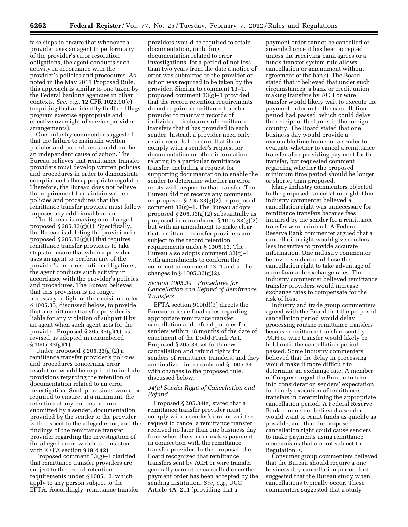take steps to ensure that whenever a provider uses an agent to perform any of the provider's error resolution obligations, the agent conducts such activity in accordance with the provider's policies and procedures. As noted in the May 2011 Proposed Rule, this approach is similar to one taken by the Federal banking agencies in other contexts. *See, e.g.,* 12 CFR 1022.90(e) (requiring that an identity theft red flags program exercise appropriate and effective oversight of service-provider arrangements).

One industry commenter suggested that the failure to maintain written policies and procedures should not be an independent cause of action. The Bureau believes that remittance transfer providers must develop written policies and procedures in order to demonstrate compliance to the appropriate regulator. Therefore, the Bureau does not believe the requirement to maintain written policies and procedures that the remittance transfer provider must follow imposes any additional burden.

The Bureau is making one change to proposed § 205.33(g)(1). Specifically, the Bureau is deleting the provision in proposed  $\S 205.33(g)(1)$  that requires remittance transfer providers to take steps to ensure that when a provider uses an agent to perform any of the provider's error resolution obligations, the agent conducts such activity in accordance with the provider's policies and procedures. The Bureau believes that this provision is no longer necessary in light of the decision under § 1005.35, discussed below, to provide that a remittance transfer provider is liable for any violation of subpart B by an agent when such agent acts for the provider. Proposed  $\S 205.33(g)(1)$ , as revised, is adopted in renumbered  $§ 1005.33(g)(1).$ 

Under proposed § 205.33(g)(2) a remittance transfer provider's policies and procedures concerning error resolution would be required to include provisions regarding the retention of documentation related to an error investigation. Such provisions would be required to ensure, at a minimum, the retention of any notices of error submitted by a sender, documentation provided by the sender to the provider with respect to the alleged error, and the findings of the remittance transfer provider regarding the investigation of the alleged error, which is consistent with EFTA section 919(d)(2).

Proposed comment 33(g)–1 clarified that remittance transfer providers are subject to the record retention requirements under § 1005.13, which apply to any person subject to the EFTA. Accordingly, remittance transfer

providers would be required to retain documentation, including documentation related to error investigations, for a period of not less than two years from the date a notice of error was submitted to the provider or action was required to be taken by the provider. Similar to comment 13–1, proposed comment 33(g)–1 provided that the record retention requirements do not require a remittance transfer provider to maintain records of individual disclosures of remittance transfers that it has provided to each sender. Instead, a provider need only retain records to ensure that it can comply with a sender's request for documentation or other information relating to a particular remittance transfer, including a request for supporting documentation to enable the sender to determine whether an error exists with respect to that transfer. The Bureau did not receive any comments on proposed § 205.33(g)(2) or proposed comment 33(g)–1. The Bureau adopts proposed § 205.33(g)(2) substantially as proposed in renumbered § 1005.33(g)(2), but with an amendment to make clear that remittance transfer providers are subject to the record retention requirements under § 1005.13. The Bureau also adopts comment 33(g)–1 with amendments to conform the comment to comment 13–1 and to the changes in § 1005.33(g)(2).

# *Section 1005.34 Procedures for Cancellation and Refund of Remittance Transfers*

EFTA section 919(d)(3) directs the Bureau to issue final rules regarding appropriate remittance transfer cancellation and refund policies for senders within 18 months of the date of enactment of the Dodd-Frank Act. Proposed § 205.34 set forth new cancellation and refund rights for senders of remittance transfers, and they are finalized in renumbered § 1005.34 with changes to the proposed rule, discussed below.

## *34(a) Sender Right of Cancellation and Refund*

Proposed § 205.34(a) stated that a remittance transfer provider must comply with a sender's oral or written request to cancel a remittance transfer received no later than one business day from when the sender makes payment in connection with the remittance transfer provider. In the proposal, the Board recognized that remittance transfers sent by ACH or wire transfer generally cannot be cancelled once the payment order has been accepted by the sending institution. *See, e.g.,* UCC Article 4A–211 (providing that a

payment order cannot be cancelled or amended once it has been accepted unless the receiving bank agrees or a funds-transfer system rule allows cancellation or amendment without agreement of the bank). The Board stated that it believed that under such circumstances, a bank or credit union making transfers by ACH or wire transfer would likely wait to execute the payment order until the cancellation period had passed, which could delay the receipt of the funds in the foreign country. The Board stated that one business day would provide a reasonable time frame for a sender to evaluate whether to cancel a remittance transfer after providing payment for the transfer, but requested comment regarding whether the proposed minimum time period should be longer or shorter than proposed.

Many industry commenters objected to the proposed cancellation right. One industry commenter believed a cancellation right was unnecessary for remittance transfers because fees incurred by the sender for a remittance transfer were minimal. A Federal Reserve Bank commenter argued that a cancellation right would give senders less incentive to provide accurate information. One industry commenter believed senders could use the cancellation right to take advantage of more favorable exchange rates. The industry commenter believed remittance transfer providers would increase exchange rates to compensate for the risk of loss.

Industry and trade group commenters agreed with the Board that the proposed cancellation period would delay processing routine remittance transfers because remittance transfers sent by ACH or wire transfer would likely be held until the cancellation period passed. Some industry commenters believed that the delay in processing would make it more difficult to determine an exchange rate. A member of Congress urged the Bureau to take into consideration senders' expectation for timely execution of remittance transfers in determining the appropriate cancellation period. A Federal Reserve Bank commenter believed a sender would want to remit funds as quickly as possible, and that the proposed cancellation right could cause senders to make payments using remittance mechanisms that are not subject to Regulation E.

Consumer group commenters believed that the Bureau should require a one business day cancellation period, but suggested that the Bureau study when cancellations typically occur. These commenters suggested that a study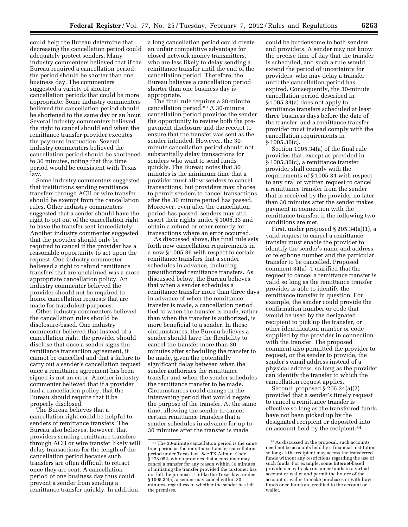could help the Bureau determine that decreasing the cancellation period could adequately protect senders. Many industry commenters believed that if the Bureau required a cancellation period, the period should be shorter than one business day. The commenters suggested a variety of shorter cancellation periods that could be more appropriate. Some industry commenters believed the cancellation period should be shortened to the same day or an hour. Several industry commenters believed the right to cancel should end when the remittance transfer provider executes the payment instruction. Several industry commenters believed the cancellation period should be shortened to 30 minutes, noting that this time period would be consistent with Texas law.

Some industry commenters suggested that institutions sending remittance transfers through ACH or wire transfer should be exempt from the cancellation rules. Other industry commenters suggested that a sender should have the right to opt out of the cancellation right to have the transfer sent immediately. Another industry commenter suggested that the provider should only be required to cancel if the provider has a reasonable opportunity to act upon the request. One industry commenter believed a right to refund remittance transfers that are unclaimed was a more appropriate cancellation policy. An industry commenter believed the provider should not be required to honor cancellation requests that are made for fraudulent purposes.

Other industry commenters believed the cancellation rules should be disclosure-based. One industry commenter believed that instead of a cancellation right, the provider should disclose that once a sender signs the remittance transaction agreement, it cannot be cancelled and that a failure to carry out a sender's cancellation request once a remittance agreement has been signed is not an error. Another industry commenter believed that if a provider had a cancellation policy, that the Bureau should require that it be properly disclosed.

The Bureau believes that a cancellation right could be helpful to senders of remittance transfers. The Bureau also believes, however, that providers sending remittance transfers through ACH or wire transfer likely will delay transactions for the length of the cancellation period because such transfers are often difficult to retract once they are sent. A cancellation period of one business day thus could prevent a sender from sending a remittance transfer quickly. In addition,

a long cancellation period could create an unfair competitive advantage for closed network money transmitters, who are less likely to delay sending a remittance transfer until the end of the cancellation period. Therefore, the Bureau believes a cancellation period shorter than one business day is appropriate.

The final rule requires a 30-minute cancellation period.83 A 30-minute cancellation period provides the sender the opportunity to review both the prepayment disclosure and the receipt to ensure that the transfer was sent as the sender intended. However, the 30 minute cancellation period should not substantially delay transactions for senders who want to send funds quickly. The Bureau notes that 30 minutes is the minimum time that a provider must allow senders to cancel transactions, but providers may choose to permit senders to cancel transactions after the 30 minute period has passed. Moreover, even after the cancellation period has passed, senders may still assert their rights under § 1005.33 and obtain a refund or other remedy for transactions where an error occurred.

As discussed above, the final rule sets forth new cancellation requirements in a new § 1005.36 with respect to certain remittance transfers that a sender schedules in advance, including preauthorized remittance transfers. As discussed below, the Bureau believes that when a sender schedules a remittance transfer more than three days in advance of when the remittance transfer is made, a cancellation period tied to when the transfer is made, rather than when the transfer is authorized, is more beneficial to a sender. In those circumstances, the Bureau believes a sender should have the flexibility to cancel the transfer more than 30 minutes after scheduling the transfer to be made, given the potentially significant delay between when the sender authorizes the remittance transfer and when the sender schedules the remittance transfer to be made. Circumstances could change in the intervening period that would negate the purpose of the transfer. At the same time, allowing the sender to cancel certain remittance transfers that a sender schedules in advance for up to 30 minutes after the transfer is made

could be burdensome to both senders and providers. A sender may not know the precise time of day that the transfer is scheduled, and such a rule would extend the period of uncertainty for providers, who may delay a transfer until the cancellation period has expired. Consequently, the 30-minute cancellation period described in § 1005.34(a) does not apply to remittance transfers scheduled at least three business days before the date of the transfer, and a remittance transfer provider must instead comply with the cancellation requirements in § 1005.36(c).

Section 1005.34(a) of the final rule provides that, except as provided in § 1005.36(c), a remittance transfer provider shall comply with the requirements of § 1005.34 with respect to any oral or written request to cancel a remittance transfer from the sender that is received by the provider no later than 30 minutes after the sender makes payment in connection with the remittance transfer, if the following two conditions are met.

First, under proposed § 205.34(a)(1), a valid request to cancel a remittance transfer must enable the provider to identify the sender's name and address or telephone number and the particular transfer to be cancelled. Proposed comment 34(a)–1 clarified that the request to cancel a remittance transfer is valid so long as the remittance transfer provider is able to identify the remittance transfer in question. For example, the sender could provide the confirmation number or code that would be used by the designated recipient to pick up the transfer, or other identification number or code supplied by the provider in connection with the transfer. The proposed comment also permitted the provider to request, or the sender to provide, the sender's email address instead of a physical address, so long as the provider can identify the transfer to which the cancellation request applies.

Second, proposed § 205.34(a)(2) provided that a sender's timely request to cancel a remittance transfer is effective so long as the transferred funds have not been picked up by the designated recipient or deposited into an account held by the recipient.84

<sup>83</sup>The 30-minute cancellation period is the same time period as the remittance transfer cancellation period under Texas law. *See* TX Admin. Code § 278.052, which provides that a consumer may cancel a transfer for any reason within 30 minutes of initiating the transfer provided the customer has not left the premises. Unlike the Texas law, under § 1005.34(a), a sender may cancel within 30 minutes, regardless of whether the sender has left the premises.

<sup>84</sup>As discussed in the proposal, such accounts need not be accounts held by a financial institution so long as the recipient may access the transferred funds without any restrictions regarding the use of such funds. For example, some Internet-based providers may track consumer funds in a virtual account or wallet and permit the holder of the account or wallet to make purchases or withdraw funds once funds are credited to the account or wallet.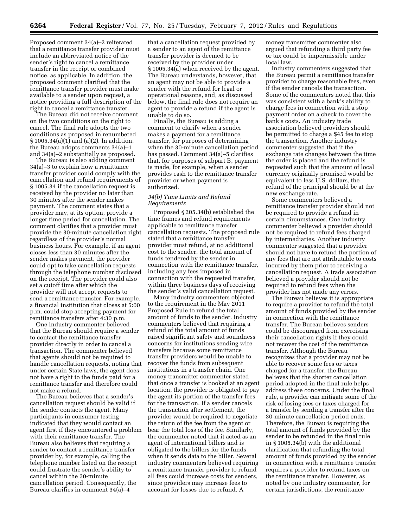Proposed comment 34(a)–2 reiterated that a remittance transfer provider must include an abbreviated notice of the sender's right to cancel a remittance transfer in the receipt or combined notice, as applicable. In addition, the proposed comment clarified that the remittance transfer provider must make available to a sender upon request, a notice providing a full description of the right to cancel a remittance transfer.

The Bureau did not receive comment on the two conditions on the right to cancel. The final rule adopts the two conditions as proposed in renumbered § 1005.34(a)(1) and (a)(2). In addition, the Bureau adopts comments 34(a)–1 and 34(a)–2 substantially as proposed.

The Bureau is also adding comment 34(a)–3 to explain how a remittance transfer provider could comply with the cancellation and refund requirements of § 1005.34 if the cancellation request is received by the provider no later than 30 minutes after the sender makes payment. The comment states that a provider may, at its option, provide a longer time period for cancellation. The comment clarifies that a provider must provide the 30-minute cancellation right regardless of the provider's normal business hours. For example, if an agent closes less than 30 minutes after the sender makes payment, the provider could opt to take cancellation requests through the telephone number disclosed on the receipt. The provider could also set a cutoff time after which the provider will not accept requests to send a remittance transfer. For example, a financial institution that closes at 5:00 p.m. could stop accepting payment for remittance transfers after 4:30 p.m.

One industry commenter believed that the Bureau should require a sender to contact the remittance transfer provider directly in order to cancel a transaction. The commenter believed that agents should not be required to handle cancellation requests, noting that under certain State laws, the agent does not have a right to the funds paid for a remittance transfer and therefore could not make a refund.

The Bureau believes that a sender's cancellation request should be valid if the sender contacts the agent. Many participants in consumer testing indicated that they would contact an agent first if they encountered a problem with their remittance transfer. The Bureau also believes that requiring a sender to contact a remittance transfer provider by, for example, calling the telephone number listed on the receipt could frustrate the sender's ability to cancel within the 30-minute cancellation period. Consequently, the Bureau clarifies in comment 34(a)–4

that a cancellation request provided by a sender to an agent of the remittance transfer provider is deemed to be received by the provider under § 1005.34(a) when received by the agent. The Bureau understands, however, that an agent may not be able to provide a sender with the refund for legal or operational reasons, and, as discussed below, the final rule does not require an agent to provide a refund if the agent is unable to do so.

Finally, the Bureau is adding a comment to clarify when a sender makes a payment for a remittance transfer, for purposes of determining when the 30-minute cancellation period has passed. Comment 34(a)–5 clarifies that, for purposes of subpart B, payment is made, for example, when a sender provides cash to the remittance transfer provider or when payment is authorized.

# *34(b) Time Limits and Refund Requirements*

Proposed § 205.34(b) established the time frames and refund requirements applicable to remittance transfer cancellation requests. The proposed rule stated that a remittance transfer provider must refund, at no additional cost to the sender, the total amount of funds tendered by the sender in connection with the remittance transfer, including any fees imposed in connection with the requested transfer, within three business days of receiving the sender's valid cancellation request.

Many industry commenters objected to the requirement in the May 2011 Proposed Rule to refund the total amount of funds to the sender. Industry commenters believed that requiring a refund of the total amount of funds raised significant safety and soundness concerns for institutions sending wire transfers because some remittance transfer providers would be unable to recover the funds from subsequent institutions in a transfer chain. One money transmitter commenter stated that once a transfer is booked at an agent location, the provider is obligated to pay the agent its portion of the transfer fees for the transaction. If a sender cancels the transaction after settlement, the provider would be required to negotiate the return of the fee from the agent or bear the total loss of the fee. Similarly, the commenter noted that it acted as an agent of international billers and is obligated to the billers for the funds when it sends data to the biller. Several industry commenters believed requiring a remittance transfer provider to refund all fees could increase costs for senders, since providers may increase fees to account for losses due to refund. A

money transmitter commenter also argued that refunding a third party fee or tax could be impermissible under local law.

Industry commenters suggested that the Bureau permit a remittance transfer provider to charge reasonable fees, even if the sender cancels the transaction. Some of the commenters noted that this was consistent with a bank's ability to charge fees in connection with a stop payment order on a check to cover the bank's costs. An industry trade association believed providers should be permitted to charge a \$45 fee to stop the transaction. Another industry commenter suggested that if the exchange rate changes between the time the order is placed and the refund is requested such that the amount of local currency originally promised would be equivalent to less U.S. dollars, the refund of the principal should be at the new exchange rate.

Some commenters believed a remittance transfer provider should not be required to provide a refund in certain circumstances. One industry commenter believed a provider should not be required to refund fees charged by intermediaries. Another industry commenter suggested that a provider should not have to refund the portion of any fees that are not attributable to costs incurred by them prior to receiving a cancellation request. A trade association believed a provider should not be required to refund fees when the provider has not made any errors.

The Bureau believes it is appropriate to require a provider to refund the total amount of funds provided by the sender in connection with the remittance transfer. The Bureau believes senders could be discouraged from exercising their cancellation rights if they could not recover the cost of the remittance transfer. Although the Bureau recognizes that a provider may not be able to recover some fees or taxes charged for a transfer, the Bureau believes that the shorter cancellation period adopted in the final rule helps address these concerns. Under the final rule, a provider can mitigate some of the risk of losing fees or taxes charged for a transfer by sending a transfer after the 30-minute cancellation period ends. Therefore, the Bureau is requiring the total amount of funds provided by the sender to be refunded in the final rule in § 1005.34(b) with the additional clarification that refunding the total amount of funds provided by the sender in connection with a remittance transfer requires a provider to refund taxes on the remittance transfer. However, as noted by one industry commenter, for certain jurisdictions, the remittance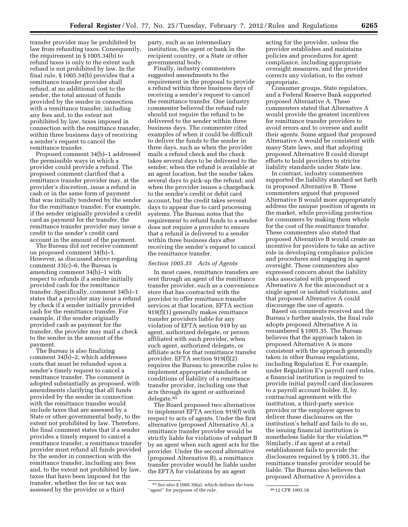transfer provider may be prohibited by law from refunding taxes. Consequently, the requirement in § 1005.34(b) to refund taxes is only to the extent such refund is not prohibited by law. In the final rule, § 1005.34(b) provides that a remittance transfer provider shall refund, at no additional cost to the sender, the total amount of funds provided by the sender in connection with a remittance transfer, including any fees and, to the extent not prohibited by law, taxes imposed in connection with the remittance transfer, within three business days of receiving a sender's request to cancel the remittance transfer.

Proposed comment 34(b)–1 addressed the permissible ways in which a provider could provide a refund. The proposed comment clarified that a remittance transfer provider may, at the provider's discretion, issue a refund in cash or in the same form of payment that was initially tendered by the sender for the remittance transfer. For example, if the sender originally provided a credit card as payment for the transfer, the remittance transfer provider may issue a credit to the sender's credit card account in the amount of the payment.

The Bureau did not receive comment on proposed comment 34(b)–1. However, as discussed above regarding comment 33(c)–6, the Bureau is amending comment 34(b)–1 with respect to refunds if a sender initially provided cash for the remittance transfer. Specifically, comment 34(b)–1 states that a provider may issue a refund by check if a sender initially provided cash for the remittance transfer. For example, if the sender originally provided cash as payment for the transfer, the provider may mail a check to the sender in the amount of the payment.

The Bureau is also finalizing comment 34(b)–2, which addresses costs that must be refunded upon a sender's timely request to cancel a remittance transfer. The comment is adopted substantially as proposed, with amendments clarifying that all funds provided by the sender in connection with the remittance transfer would include taxes that are assessed by a State or other governmental body, to the extent not prohibited by law. Therefore, the final comment states that if a sender provides a timely request to cancel a remittance transfer, a remittance transfer provider must refund all funds provided by the sender in connection with the remittance transfer, including any fees and, to the extent not prohibited by law, taxes that have been imposed for the transfer, whether the fee or tax was assessed by the provider or a third

party, such as an intermediary institution, the agent or bank in the recipient country, or a State or other governmental body.

Finally, industry commenters suggested amendments to the requirement in the proposal to provide a refund within three business days of receiving a sender's request to cancel the remittance transfer. One industry commenter believed the refund rule should not require the refund to be delivered to the sender within three business days. The commenter cited examples of when it could be difficult to deliver the funds to the sender in three days, such as when the provider mails a refund check and the check takes several days to be delivered to the sender; when the refund is available at an agent location, but the sender takes several days to pick-up the refund; and when the provider issues a chargeback to the sender's credit or debit card account, but the credit takes several days to appear due to card processing systems. The Bureau notes that the requirement to refund funds to a sender does not require a provider to ensure that a refund is delivered to a sender within three business days after receiving the sender's request to cancel the remittance transfer.

#### *Section 1005.35 Acts of Agents*

In most cases, remittance transfers are sent through an agent of the remittance transfer provider, such as a convenience store that has contracted with the provider to offer remittance transfer services at that location. EFTA section 919(f)(1) generally makes remittance transfer providers liable for any violation of EFTA section 919 by an agent, authorized delegate, or person affiliated with such provider, when such agent, authorized delegate, or affiliate acts for that remittance transfer provider. EFTA section 919(f)(2) requires the Bureau to prescribe rules to implement appropriate standards or conditions of liability of a remittance transfer provider, including one that acts through its agent or authorized delegate.85

The Board proposed two alternatives to implement EFTA section 919(f) with respect to acts of agents. Under the first alternative (proposed Alternative A), a remittance transfer provider would be strictly liable for violations of subpart B by an agent when such agent acts for the provider. Under the second alternative (proposed Alternative B), a remittance transfer provider would be liable under the EFTA for violations by an agent

acting for the provider, unless the provider establishes and maintains policies and procedures for agent compliance, including appropriate oversight measures, and the provider corrects any violation, to the extent appropriate.

Consumer groups, State regulators, and a Federal Reserve Bank supported proposed Alternative A. These commenters stated that Alternative A would provide the greatest incentives for remittance transfer providers to avoid errors and to oversee and audit their agents. Some argued that proposed Alternative A would be consistent with many State laws, and that adopting proposed Alternative B could disrupt efforts to hold providers to stricter liability standards under State law.

In contrast, industry commenters supported the liability standard set forth in proposed Alternative B. These commenters argued that proposed Alternative B would more appropriately address the unique position of agents in the market, while providing protection for consumers by making them whole for the cost of the remittance transfer. These commenters also stated that proposed Alternative B would create an incentive for providers to take an active role in developing compliance policies and procedures and engaging in agent oversight. These commenters also expressed concern about the liability risks associated with proposed Alternative A for the misconduct or a single agent or isolated violations, and that proposed Alternative A could discourage the use of agents.

Based on comments received and the Bureau's further analysis, the final rule adopts proposed Alternative A in renumbered § 1005.35. The Bureau believes that the approach taken in proposed Alternative A is more consistent with the approach generally taken in other Bureau regulations, including Regulation E. For example, under Regulation E's payroll card rules, a financial institution is required to provide initial payroll card disclosures to a payroll account holder. If, by contractual agreement with the institution, a third-party service provider or the employer agrees to deliver these disclosures on the institution's behalf and fails to do so, the issuing financial institution is nonetheless liable for the violation.86 Similarly, if an agent at a retail establishment fails to provide the disclosures required by § 1005.31, the remittance transfer provider would be liable. The Bureau also believes that proposed Alternative A provides a

<sup>85</sup>*See also* § 1005.30(a), which defines the term "agent" for purposes of the rule.  $86\ 12$  CFR 1005.18.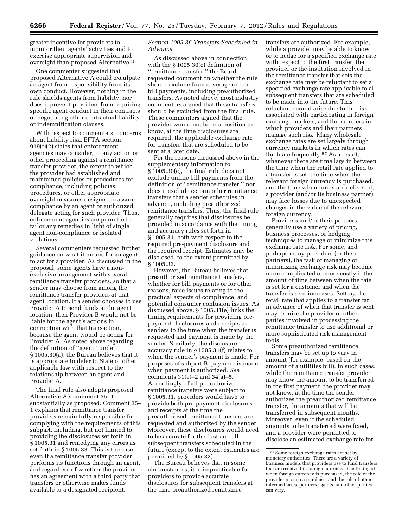greater incentive for providers to monitor their agents' activities and to exercise appropriate supervision and oversight than proposed Alternative B.

One commenter suggested that proposed Alternative A could exculpate an agent from responsibility from its own conduct. However, nothing in the rule shields agents from liability, nor does it prevent providers from requiring specific agent conduct in their contracts or negotiating other contractual liability or indemnification clauses.

With respect to commenters' concerns about liability risk, EFTA section 919(f)(2) states that enforcement agencies may consider, in any action or other proceeding against a remittance transfer provider, the extent to which the provider had established and maintained policies or procedures for compliance, including policies, procedures, or other appropriate oversight measures designed to assure compliance by an agent or authorized delegate acting for such provider. Thus, enforcement agencies are permitted to tailor any remedies in light of single agent non-compliance or isolated violations.

Several commenters requested further guidance on what it means for an agent to act for a provider. As discussed in the proposal, some agents have a nonexclusive arrangement with several remittance transfer providers, so that a sender may choose from among the remittance transfer providers at that agent location. If a sender chooses to use Provider A to send funds at the agent location, then Provider B would not be liable for the agent's actions in connection with that transaction, because the agent would be acting for Provider A. As noted above regarding the definition of ''agent'' under § 1005.30(a), the Bureau believes that it is appropriate to defer to State or other applicable law with respect to the relationship between an agent and Provider A.

The final rule also adopts proposed Alternative A's comment 35–1 substantially as proposed. Comment 35– 1 explains that remittance transfer providers remain fully responsible for complying with the requirements of this subpart, including, but not limited to, providing the disclosures set forth in § 1005.31 and remedying any errors as set forth in § 1005.33. This is the case even if a remittance transfer provider performs its functions through an agent, and regardless of whether the provider has an agreement with a third party that transfers or otherwise makes funds available to a designated recipient.

# *Section 1005.36 Transfers Scheduled in Advance*

As discussed above in connection with the § 1005.30(e) definition of ''remittance transfer,'' the Board requested comment on whether the rule should exclude from coverage online bill payments, including preauthorized transfers. As noted above, most industry commenters argued that these transfers should be excluded from the final rule. These commenters argued that the provider would not be in a position to know, at the time disclosures are required, the applicable exchange rate for transfers that are scheduled to be sent at a later date.

For the reasons discussed above in the supplementary information to § 1005.30(e), the final rule does not exclude online bill payments from the definition of ''remittance transfer,'' nor does it exclude certain other remittance transfers that a sender schedules in advance, including preauthorized remittance transfers. Thus, the final rule generally requires that disclosures be provided in accordance with the timing and accuracy rules set forth in § 1005.31, both with respect to the required pre-payment disclosure and the required receipt. Estimates may be disclosed, to the extent permitted by § 1005.32.

However, the Bureau believes that preauthorized remittance transfers, whether for bill payments or for other reasons, raise issues relating to the practical aspects of compliance, and potential consumer confusion issues. As discussed above, § 1005.31(e) links the timing requirements for providing prepayment disclosures and receipts to senders to the time when the transfer is requested and payment is made by the sender. Similarly, the disclosure accuracy rule in § 1005.31(f) relates to when the sender's payment is made. For purposes of subpart B, payment is made when payment is authorized. *See*  comments  $31(e)-2$  and  $34(a)-5$ . Accordingly, if all preauthorized remittance transfers were subject to § 1005.31, providers would have to provide both pre-payment disclosures and receipts at the time the preauthorized remittance transfers are requested and authorized by the sender. Moreover, these disclosures would need to be accurate for the first and all subsequent transfers scheduled in the future (except to the extent estimates are permitted by § 1005.32).

The Bureau believes that in some circumstances, it is impracticable for providers to provide accurate disclosures for subsequent transfers at the time preauthorized remittance

transfers are authorized. For example, while a provider may be able to know or to hedge for a specified exchange rate with respect to the first transfer, the provider or the institution involved in the remittance transfer that sets the exchange rate may be reluctant to set a specified exchange rate applicable to all subsequent transfers that are scheduled to be made into the future. This reluctance could arise due to the risk associated with participating in foreign exchange markets, and the manners in which providers and their partners manage such risk. Many wholesale exchange rates are set largely through currency markets in which rates can fluctuate frequently.87 As a result, whenever there are time lags in between the time when the retail rate applied to a transfer is set, the time when the relevant foreign currency is purchased, and the time when funds are delivered, a provider (and/or its business partner) may face losses due to unexpected changes in the value of the relevant foreign currency.

Providers and/or their partners generally use a variety of pricing, business processes, or hedging techniques to manage or minimize this exchange rate risk. For some, and perhaps many providers (or their partners), the task of managing or minimizing exchange risk may become more complicated or more costly if the amount of time between when the rate is set for a customer and when the transfer is sent increases. Setting the retail rate that applies to a transfer far in advance of when that transfer is sent may require the provider or other parties involved in processing the remittance transfer to use additional or more sophisticated risk management tools.

Some preauthorized remittance transfers may be set up to vary in amount (for example, based on the amount of a utilities bill). In such cases, while the remittance transfer provider may know the amount to be transferred in the first payment, the provider may not know, at the time the sender authorizes the preauthorized remittance transfer, the amounts that will be transferred in subsequent months. Moreover, even if the scheduled amounts to be transferred were fixed, and a provider were permitted to disclose an estimated exchange rate for

<sup>87</sup>Some foreign exchange rates are set by monetary authorities. There are a variety of business models that providers use to fund transfers that are received in foreign currency. The timing of when foreign currency is purchased, the role of the provider in such a purchase, and the role of other intermediaries, partners, agents, and other parties can vary.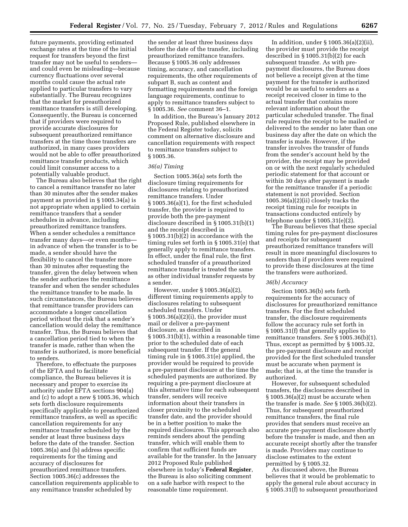future payments, providing estimated exchange rates at the time of the initial request for transfers beyond the first transfer may not be useful to senders and could even be misleading—because currency fluctuations over several months could cause the actual rate applied to particular transfers to vary substantially. The Bureau recognizes that the market for preauthorized remittance transfers is still developing. Consequently, the Bureau is concerned that if providers were required to provide accurate disclosures for subsequent preauthorized remittance transfers at the time those transfers are authorized, in many cases providers would not be able to offer preauthorized remittance transfer products, which could limit consumer access to a potentially valuable product.

The Bureau also believes that the right to cancel a remittance transfer no later than 30 minutes after the sender makes payment as provided in § 1005.34(a) is not appropriate when applied to certain remittance transfers that a sender schedules in advance, including preauthorized remittance transfers. When a sender schedules a remittance transfer many days—or even months in advance of when the transfer is to be made, a sender should have the flexibility to cancel the transfer more than 30 minutes after requesting the transfer, given the delay between when the sender authorizes the remittance transfer and when the sender schedules the remittance transfer to be made. In such circumstances, the Bureau believes that remittance transfer providers can accommodate a longer cancellation period without the risk that a sender's cancellation would delay the remittance transfer. Thus, the Bureau believes that a cancellation period tied to when the transfer is made, rather than when the transfer is authorized, is more beneficial to senders.

Therefore, to effectuate the purposes of the EFTA and to facilitate compliance, the Bureau believes it is necessary and proper to exercise its authority under EFTA sections 904(a) and (c) to adopt a new § 1005.36, which sets forth disclosure requirements specifically applicable to preauthorized remittance transfers, as well as specific cancellation requirements for any remittance transfer scheduled by the sender at least three business days before the date of the transfer. Section 1005.36(a) and (b) address specific requirements for the timing and accuracy of disclosures for preauthorized remittance transfers. Section 1005.36(c) addresses the cancellation requirements applicable to any remittance transfer scheduled by

the sender at least three business days before the date of the transfer, including preauthorized remittance transfers. Because § 1005.36 only addresses timing, accuracy, and cancellation requirements, the other requirements of subpart B, such as content and formatting requirements and the foreign language requirements, continue to apply to remittance transfers subject to § 1005.36. *See* comment 36–1.

In addition, the Bureau's January 2012 Proposed Rule, published elsewhere in the Federal Register today, solicits comment on alternative disclosure and cancellation requirements with respect to remittance transfers subject to § 1005.36.

#### *36(a) Timing*

Section 1005.36(a) sets forth the disclosure timing requirements for disclosures relating to preauthorized remittance transfers. Under § 1005.36(a)(1), for the first scheduled transfer, the provider is required to provide both the pre-payment disclosure described in § 1005.31(b)(1) and the receipt described in § 1005.31(b)(2) in accordance with the timing rules set forth in § 1005.31(e) that generally apply to remittance transfers. In effect, under the final rule, the first scheduled transfer of a preauthorized remittance transfer is treated the same as other individual transfer requests by a sender.

However, under § 1005.36(a)(2), different timing requirements apply to disclosures relating to subsequent scheduled transfers. Under § 1005.36(a)(2)(i), the provider must mail or deliver a pre-payment disclosure, as described in § 1005.31(b)(1), within a reasonable time prior to the scheduled date of each subsequent transfer. If the general timing rule in § 1005.31(e) applied, the provider would be required to provide a pre-payment disclosure at the time the scheduled payments are authorized. By requiring a pre-payment disclosure at this alternative time for each subsequent transfer, senders will receive information about their transfers in closer proximity to the scheduled transfer date, and the provider should be in a better position to make the required disclosures. This approach also reminds senders about the pending transfer, which will enable them to confirm that sufficient funds are available for the transfer. In the January 2012 Proposed Rule published elsewhere in today's **Federal Register**, the Bureau is also soliciting comment on a safe harbor with respect to the reasonable time requirement.

In addition, under § 1005.36(a)(2)(ii), the provider must provide the receipt described in § 1005.31(b)(2) for each subsequent transfer. As with prepayment disclosures, the Bureau does not believe a receipt given at the time payment for the transfer is authorized would be as useful to senders as a receipt received closer in time to the actual transfer that contains more relevant information about the particular scheduled transfer. The final rule requires the receipt to be mailed or delivered to the sender no later than one business day after the date on which the transfer is made. However, if the transfer involves the transfer of funds from the sender's account held by the provider, the receipt may be provided on or with the next regularly scheduled periodic statement for that account or within 30 days after payment is made for the remittance transfer if a periodic statement is not provided. Section 1005.36(a)(2)(ii) closely tracks the receipt timing rule for receipts in transactions conducted entirely by telephone under § 1005.31(e)(2).

The Bureau believes that these special timing rules for pre-payment disclosures and receipts for subsequent preauthorized remittance transfers will result in more meaningful disclosures to senders than if providers were required to provide these disclosures at the time the transfers were authorized.

#### *36(b) Accuracy*

Section 1005.36(b) sets forth requirements for the accuracy of disclosures for preauthorized remittance transfers. For the first scheduled transfer, the disclosure requirements follow the accuracy rule set forth in § 1005.31(f) that generally applies to remittance transfers. *See* § 1005.36(b)(1). Thus, except as permitted by § 1005.32, the pre-payment disclosure and receipt provided for the first scheduled transfer must be accurate when payment is made; that is, at the time the transfer is authorized.

However, for subsequent scheduled transfers, the disclosures described in § 1005.36(a)(2) must be accurate when the transfer is made. *See* § 1005.36(b)(2). Thus, for subsequent preauthorized remittance transfers, the final rule provides that senders must receive an accurate pre-payment disclosure shortly before the transfer is made, and then an accurate receipt shortly after the transfer is made. Providers may continue to disclose estimates to the extent permitted by § 1005.32.

As discussed above, the Bureau believes that it would be problematic to apply the general rule about accuracy in § 1005.31(f) to subsequent preauthorized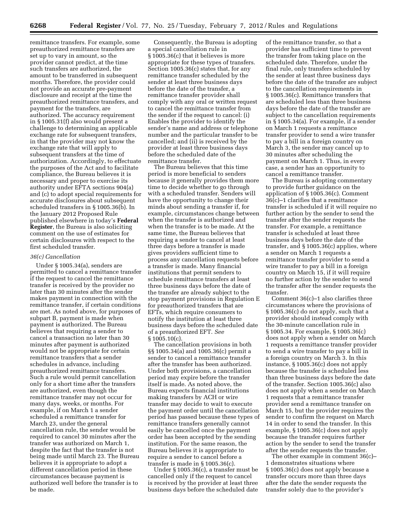remittance transfers. For example, some preauthorized remittance transfers are set up to vary in amount, so the provider cannot predict, at the time such transfers are authorized, the amount to be transferred in subsequent months. Therefore, the provider could not provide an accurate pre-payment disclosure and receipt at the time the preauthorized remittance transfers, and payment for the transfers, are authorized. The accuracy requirement in § 1005.31(f) also would present a challenge to determining an applicable exchange rate for subsequent transfers, in that the provider may not know the exchange rate that will apply to subsequent transfers at the time of authorization. Accordingly, to effectuate the purposes of the Act and to facilitate compliance, the Bureau believes it is necessary and proper to exercise its authority under EFTA sections 904(a) and (c) to adopt special requirements for accurate disclosures about subsequent scheduled transfers in § 1005.36(b). In the January 2012 Proposed Rule published elsewhere in today's **Federal Register**, the Bureau is also soliciting comment on the use of estimates for certain disclosures with respect to the first scheduled transfer.

#### *36(c) Cancellation*

Under § 1005.34(a), senders are permitted to cancel a remittance transfer if the request to cancel the remittance transfer is received by the provider no later than 30 minutes after the sender makes payment in connection with the remittance transfer, if certain conditions are met. As noted above, for purposes of subpart B, payment is made when payment is authorized. The Bureau believes that requiring a sender to cancel a transaction no later than 30 minutes after payment is authorized would not be appropriate for certain remittance transfers that a sender schedules in advance, including preauthorized remittance transfers. Such a rule would permit cancellation only for a short time after the transfers are authorized, even though the remittance transfer may not occur for many days, weeks, or months. For example, if on March 1 a sender scheduled a remittance transfer for March 23, under the general cancellation rule, the sender would be required to cancel 30 minutes after the transfer was authorized on March 1, despite the fact that the transfer is not being made until March 23. The Bureau believes it is appropriate to adopt a different cancellation period in these circumstances because payment is authorized well before the transfer is to be made.

Consequently, the Bureau is adopting a special cancellation rule in § 1005.36(c) that it believes is more appropriate for these types of transfers. Section 1005.36(c) states that, for any remittance transfer scheduled by the sender at least three business days before the date of the transfer, a remittance transfer provider shall comply with any oral or written request to cancel the remittance transfer from the sender if the request to cancel: (i) Enables the provider to identify the sender's name and address or telephone number and the particular transfer to be cancelled; and (ii) is received by the provider at least three business days before the scheduled date of the remittance transfer.

The Bureau believes that this time period is more beneficial to senders because it generally provides them more time to decide whether to go through with a scheduled transfer. Senders will have the opportunity to change their minds about sending a transfer if, for example, circumstances change between when the transfer is authorized and when the transfer is to be made. At the same time, the Bureau believes that requiring a sender to cancel at least three days before a transfer is made gives providers sufficient time to process any cancellation requests before a transfer is made. Many financial institutions that permit senders to schedule remittance transfers at least three business days before the date of the transfer are already subject to the stop payment provisions in Regulation E for preauthorized transfers that are EFTs, which require consumers to notify the institution at least three business days before the scheduled date of a preauthorized EFT. *See*  § 1005.10(c).

The cancellation provisions in both §§ 1005.34(a) and 1005.36(c) permit a sender to cancel a remittance transfer after the transfer has been authorized. Under both provisions, a cancellation period may expire before the transfer itself is made. As noted above, the Bureau expects financial institutions making transfers by ACH or wire transfer may decide to wait to execute the payment order until the cancellation period has passed because these types of remittance transfers generally cannot easily be cancelled once the payment order has been accepted by the sending institution. For the same reason, the Bureau believes it is appropriate to require a sender to cancel before a transfer is made in § 1005.36(c).

Under § 1005.36(c), a transfer must be cancelled only if the request to cancel is received by the provider at least three business days before the scheduled date

of the remittance transfer, so that a provider has sufficient time to prevent the transfer from taking place on the scheduled date. Therefore, under the final rule, only transfers scheduled by the sender at least three business days before the date of the transfer are subject to the cancellation requirements in § 1005.36(c). Remittance transfers that are scheduled less than three business days before the date of the transfer are subject to the cancellation requirements in § 1005.34(a). For example, if a sender on March 1 requests a remittance transfer provider to send a wire transfer to pay a bill in a foreign country on March 3, the sender may cancel up to 30 minutes after scheduling the payment on March 1. Thus, in every case, a sender has an opportunity to cancel a remittance transfer.

The Bureau is adopting commentary to provide further guidance on the application of § 1005.36(c). Comment 36(c)–1 clarifies that a remittance transfer is scheduled if it will require no further action by the sender to send the transfer after the sender requests the transfer. For example, a remittance transfer is scheduled at least three business days before the date of the transfer, and § 1005.36(c) applies, where a sender on March 1 requests a remittance transfer provider to send a wire transfer to pay a bill in a foreign country on March 15, if it will require no further action by the sender to send the transfer after the sender requests the transfer.

Comment 36(c)–1 also clarifies three circumstances where the provisions of § 1005.36(c) do not apply, such that a provider should instead comply with the 30-minute cancellation rule in § 1005.34. For example, § 1005.36(c) does not apply when a sender on March 1 requests a remittance transfer provider to send a wire transfer to pay a bill in a foreign country on March 3. In this instance, § 1005.36(c) does not apply because the transfer is scheduled less than three business days before the date of the transfer. Section 1005.36(c) also does not apply when a sender on March 1 requests that a remittance transfer provider send a remittance transfer on March 15, but the provider requires the sender to confirm the request on March 14 in order to send the transfer. In this example, § 1005.36(c) does not apply because the transfer requires further action by the sender to send the transfer after the sender requests the transfer.

The other example in comment 36(c)– 1 demonstrates situations where § 1005.36(c) does not apply because a transfer occurs more than three days after the date the sender requests the transfer solely due to the provider's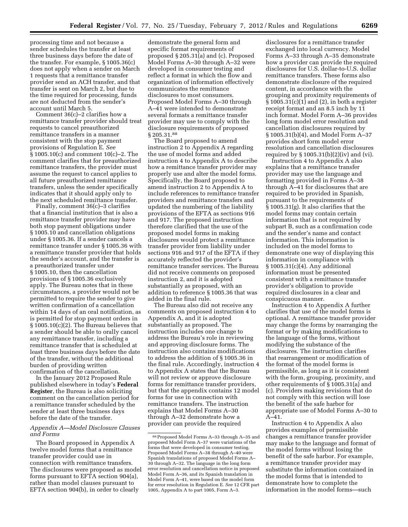processing time and not because a sender schedules the transfer at least three business days before the date of the transfer. For example, § 1005.36(c) does not apply when a sender on March 1 requests that a remittance transfer provider send an ACH transfer, and that transfer is sent on March 2, but due to the time required for processing, funds are not deducted from the sender's account until March 5.

Comment 36(c)–2 clarifies how a remittance transfer provider should treat requests to cancel preauthorized remittance transfers in a manner consistent with the stop payment provisions of Regulation E. *See*  § 1005.10(c) and comment 10(c)–2. The comment clarifies that for preauthorized remittance transfers, the provider must assume the request to cancel applies to all future preauthorized remittance transfers, unless the sender specifically indicates that it should apply only to the next scheduled remittance transfer.

Finally, comment 36(c)–3 clarifies that a financial institution that is also a remittance transfer provider may have both stop payment obligations under § 1005.10 and cancellation obligations under § 1005.36. If a sender cancels a remittance transfer under § 1005.36 with a remittance transfer provider that holds the sender's account, and the transfer is a preauthorized transfer under § 1005.10, then the cancellation provisions of § 1005.36 exclusively apply. The Bureau notes that in these circumstances, a provider would not be permitted to require the sender to give written confirmation of a cancellation within 14 days of an oral notification, as is permitted for stop payment orders in § 1005.10(c)(2). The Bureau believes that a sender should be able to orally cancel any remittance transfer, including a remittance transfer that is scheduled at least three business days before the date of the transfer, without the additional burden of providing written confirmation of the cancellation.

In the January 2012 Proposed Rule published elsewhere in today's **Federal Register**, the Bureau is also soliciting comment on the cancellation period for a remittance transfer scheduled by the sender at least three business days before the date of the transfer.

### *Appendix A—Model Disclosure Clauses and Forms*

The Board proposed in Appendix A twelve model forms that a remittance transfer provider could use in connection with remittance transfers. The disclosures were proposed as model forms pursuant to EFTA section 904(a), rather than model clauses pursuant to EFTA section 904(b), in order to clearly

demonstrate the general form and specific format requirements of proposed § 205.31(a) and (c). Proposed Model Forms A–30 through A–32 were developed in consumer testing and reflect a format in which the flow and organization of information effectively communicates the remittance disclosures to most consumers. Proposed Model Forms A–30 through A–41 were intended to demonstrate several formats a remittance transfer provider may use to comply with the disclosure requirements of proposed § 205.31.88

The Board proposed to amend instruction 2 to Appendix A regarding the use of model forms and added instruction 4 to Appendix A to describe how a remittance transfer provider may properly use and alter the model forms. Specifically, the Board proposed to amend instruction 2 to Appendix A to include references to remittance transfer providers and remittance transfers and updated the numbering of the liability provisions of the EFTA as sections 916 and 917. The proposed instruction therefore clarified that the use of the proposed model forms in making disclosures would protect a remittance transfer provider from liability under sections 916 and 917 of the EFTA if they accurately reflected the provider's remittance transfer services. The Bureau did not receive comments on proposed instruction 2, and it is adopted substantially as proposed, with an addition to reference § 1005.36 that was added in the final rule.

The Bureau also did not receive any comments on proposed instruction 4 to Appendix A, and it is adopted substantially as proposed. The instruction includes one change to address the Bureau's role in reviewing and approving disclosure forms. The instruction also contains modifications to address the addition of § 1005.36 in the final rule. Accordingly, instruction 4 to Appendix A states that the Bureau will not review or approve disclosure forms for remittance transfer providers, but that the appendix contains 12 model forms for use in connection with remittance transfers. The instruction explains that Model Forms A–30 through A–32 demonstrate how a provider can provide the required

disclosures for a remittance transfer exchanged into local currency. Model Forms A–33 through A–35 demonstrate how a provider can provide the required disclosures for U.S. dollar-to-U.S. dollar remittance transfers. These forms also demonstrate disclosure of the required content, in accordance with the grouping and proximity requirements of § 1005.31(c)(1) and (2), in both a register receipt format and an 8.5 inch by 11 inch format. Model Form A–36 provides long form model error resolution and cancellation disclosures required by § 1005.31(b)(4), and Model Form A–37 provides short form model error resolution and cancellation disclosures required by  $\S 1005.31(b)(2)(iv)$  and (vi).

Instruction 4 to Appendix A also explains that a remittance transfer provider may use the language and formatting provided in Forms A–38 through A–41 for disclosures that are required to be provided in Spanish, pursuant to the requirements of § 1005.31(g). It also clarifies that the model forms may contain certain information that is not required by subpart B, such as a confirmation code and the sender's name and contact information. This information is included on the model forms to demonstrate one way of displaying this information in compliance with § 1005.31(c)(4). Any additional information must be presented consistent with a remittance transfer provider's obligation to provide required disclosures in a clear and conspicuous manner.

Instruction 4 to Appendix A further clarifies that use of the model forms is optional. A remittance transfer provider may change the forms by rearranging the format or by making modifications to the language of the forms, without modifying the substance of the disclosures. The instruction clarifies that rearrangement or modification of the format of the model forms is permissible, as long as it is consistent with the form, grouping, proximity, and other requirements of § 1005.31(a) and (c). Providers making revisions that do not comply with this section will lose the benefit of the safe harbor for appropriate use of Model Forms A–30 to A–41.

Instruction 4 to Appendix A also provides examples of permissible changes a remittance transfer provider may make to the language and format of the model forms without losing the benefit of the safe harbor. For example, a remittance transfer provider may substitute the information contained in the model forms that is intended to demonstrate how to complete the information in the model forms—such

<sup>88</sup>Proposed Model Forms A–33 through A–35 and proposed Model Form A–37 were variations of the forms that were developed in consumer testing. Proposed Model Forms A–38 through A–40 were Spanish translations of proposed Model Forms A– 30 through A–32. The language in the long form error resolution and cancellation notice in proposed Model Form A–36, and its Spanish translation in Model Form A–41, were based on the model form for error resolution in Regulation E. *See* 12 CFR part 1005, Appendix A to part 1005, Form A–3.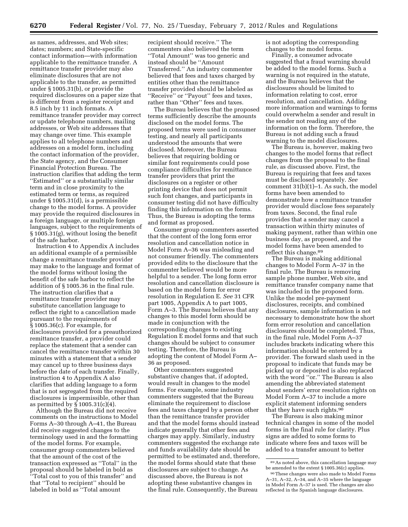as names, addresses, and Web sites; dates; numbers; and State-specific contact information—with information applicable to the remittance transfer. A remittance transfer provider may also eliminate disclosures that are not applicable to the transfer, as permitted under § 1005.31(b), or provide the required disclosures on a paper size that is different from a register receipt and 8.5 inch by 11 inch formats. A remittance transfer provider may correct or update telephone numbers, mailing addresses, or Web site addresses that may change over time. This example applies to all telephone numbers and addresses on a model form, including the contact information of the provider, the State agency, and the Consumer Financial Protection Bureau. The instruction clarifies that adding the term ''Estimated'' or a substantially similar term and in close proximity to the estimated term or terms, as required under § 1005.31(d), is a permissible change to the model forms. A provider may provide the required disclosures in a foreign language, or multiple foreign languages, subject to the requirements of § 1005.31(g), without losing the benefit of the safe harbor.

Instruction 4 to Appendix A includes an additional example of a permissible change a remittance transfer provider may make to the language and format of the model forms without losing the benefit of the safe harbor to reflect the addition of § 1005.36 in the final rule. The instruction clarifies that a remittance transfer provider may substitute cancellation language to reflect the right to a cancellation made pursuant to the requirements of § 1005.36(c). For example, for disclosures provided for a preauthorized remittance transfer, a provider could replace the statement that a sender can cancel the remittance transfer within 30 minutes with a statement that a sender may cancel up to three business days before the date of each transfer. Finally, instruction 4 to Appendix A also clarifies that adding language to a form that is not segregated from the required disclosures is impermissible, other than as permitted by § 1005.31(c)(4).

Although the Bureau did not receive comments on the instructions to Model Forms A–30 through A–41, the Bureau did receive suggested changes to the terminology used in and the formatting of the model forms. For example, consumer group commenters believed that the amount of the cost of the transaction expressed as ''Total'' in the proposal should be labeled in bold as ''Total cost to you of this transfer'' and that ''Total to recipient'' should be labeled in bold as ''Total amount

recipient should receive.'' The commenters also believed the term ''Total Amount'' was too generic and instead should be ''Amount Transferred.'' An industry commenter believed that fees and taxes charged by entities other than the remittance transfer provided should be labeled as "Receive" or "Payout" fees and taxes, rather than ''Other'' fees and taxes.

The Bureau believes that the proposed terms sufficiently describe the amounts disclosed on the model forms. The proposed terms were used in consumer testing, and nearly all participants understood the amounts that were disclosed. Moreover, the Bureau believes that requiring bolding or similar font requirements could pose compliance difficulties for remittance transfer providers that print the disclosures on a register or other printing device that does not permit such font changes, and participants in consumer testing did not have difficulty finding this information on the forms. Thus, the Bureau is adopting the terms and format as proposed.

Consumer group commenters asserted that the content of the long form error resolution and cancellation notice in Model Form A–36 was misleading and not consumer friendly. The commenters provided edits to the disclosure that the commenter believed would be more helpful to a sender. The long form error resolution and cancellation disclosure is based on the model form for error resolution in Regulation E. *See* 31 CFR part 1005, Appendix A to part 1005, Form A–3. The Bureau believes that any changes to this model form should be made in conjunction with the corresponding changes to existing Regulation E model forms and that such changes should be subject to consumer testing. Therefore, the Bureau is adopting the content of Model Form A– 36 as proposed.

Other commenters suggested substantive changes that, if adopted, would result in changes to the model forms. For example, some industry commenters suggested that the Bureau eliminate the requirement to disclose fees and taxes charged by a person other than the remittance transfer provider and that the model forms should instead indicate generally that other fees and charges may apply. Similarly, industry commenters suggested the exchange rate and funds availability date should be permitted to be estimated and, therefore, the model forms should state that these disclosures are subject to change. As discussed above, the Bureau is not adopting these substantive changes in the final rule. Consequently, the Bureau

is not adopting the corresponding changes to the model forms.

Finally, a consumer advocate suggested that a fraud warning should be added to the model forms. Such a warning is not required in the statute, and the Bureau believes that the disclosures should be limited to information relating to cost, error resolution, and cancellation. Adding more information and warnings to forms could overwhelm a sender and result in the sender not reading any of the information on the form. Therefore, the Bureau is not adding such a fraud warning to the model disclosures.

The Bureau is, however, making two changes to the model forms that reflect changes from the proposal to the final rule, as discussed above. First, the Bureau is requiring that fees and taxes must be disclosed separately. *See*  comment 31(b)(1)–1. As such, the model forms have been amended to demonstrate how a remittance transfer provider would disclose fees separately from taxes. Second, the final rule provides that a sender may cancel a transaction within thirty minutes of making payment, rather than within one business day, as proposed, and the model forms have been amended to reflect this change.89

The Bureau is making additional changes to Model Form A–37 in the final rule. The Bureau is removing sample phone number, Web site, and remittance transfer company name that was included in the proposed form. Unlike the model pre-payment disclosures, receipts, and combined disclosures, sample information is not necessary to demonstrate how the short form error resolution and cancellation disclosures should be completed. Thus, in the final rule, Model Form A–37 includes brackets indicating where this information should be entered by a provider. The forward slash used in the proposal to indicate that funds may be picked up or deposited is also replaced with the word "or." The Bureau is also amending the abbreviated statement about senders' error resolution rights on Model Form A–37 to include a more explicit statement informing senders that they have such rights.90

The Bureau is also making minor technical changes in some of the model forms in the final rule for clarity. Plus signs are added to some forms to indicate where fees and taxes will be added to a transfer amount to better

<sup>89</sup>As noted above, this cancellation language may be amended to the extent § 1005.36(c) applies.

<sup>90</sup>These changes were also made to Model Forms A–31, A–32, A–34, and A–35 where the language in Model Form A–37 is used. The changes are also reflected in the Spanish language disclosures.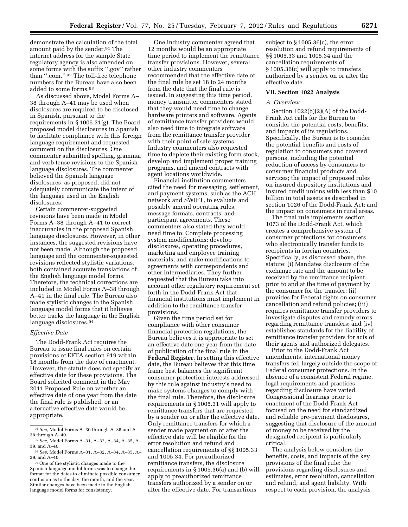demonstrate the calculation of the total amount paid by the sender.91 The internet address for the sample State regulatory agency is also amended on some forms with the suffix ''.gov'' rather than ''.com.'' 92 The toll-free telephone numbers for the Bureau have also been added to some forms.93

As discussed above, Model Forms A– 38 through A–41 may be used when disclosures are required to be disclosed in Spanish, pursuant to the requirements in § 1005.31(g). The Board proposed model disclosures in Spanish to facilitate compliance with this foreign language requirement and requested comment on the disclosures. One commenter submitted spelling, grammar and verb tense revisions to the Spanish language disclosures. The commenter believed the Spanish language disclosures, as proposed, did not adequately communicate the intent of the language used in the English disclosures.

Certain commenter-suggested revisions have been made in Model Forms A–38 through A–41 to correct inaccuracies in the proposed Spanish language disclosures. However, in other instances, the suggested revisions have not been made. Although the proposed language and the commenter-suggested revisions reflected stylistic variations, both contained accurate translations of the English language model forms. Therefore, the technical corrections are included in Model Forms A–38 through A–41 in the final rule. The Bureau also made stylistic changes to the Spanish language model forms that it believes better tracks the language in the English language disclosures.94

# *Effective Date*

The Dodd-Frank Act requires the Bureau to issue final rules on certain provisions of EFTA section 919 within 18 months from the date of enactment. However, the statute does not specify an effective date for these provisions. The Board solicited comment in the May 2011 Proposed Rule on whether an effective date of one year from the date the final rule is published, or an alternative effective date would be appropriate.

One industry commenter agreed that 12 months would be an appropriate time period to implement the remittance transfer provisions. However, several other industry commenters recommended that the effective date of the final rule be set 18 to 24 months from the date that the final rule is issued. In suggesting this time period, money transmitter commenters stated that they would need time to change hardware printers and software. Agents of remittance transfer providers would also need time to integrate software from the remittance transfer provider with their point of sale systems. Industry commenters also requested time to deplete their existing form stock, develop and implement proper training programs, and amend contracts with agent locations worldwide.

Financial institution commenters cited the need for messaging, settlement, and payment systems, such as the ACH network and SWIFT, to evaluate and possibly amend operating rules, message formats, contracts, and participant agreements. These commenters also stated they would need time to: Complete processing system modifications; develop disclosures, operating procedures, marketing and employee training materials; and make modifications to agreements with correspondents and other intermediaries. They further requested that the Bureau take into account other regulatory requirement set forth in the Dodd-Frank Act that financial institutions must implement in addition to the remittance transfer provisions.

Given the time period set for compliance with other consumer financial protection regulations, the Bureau believes it is appropriate to set an effective date one year from the date of publication of the final rule in the **Federal Register**. In setting this effective date, the Bureau believes that this time frame best balances the significant consumer protection interests addressed by this rule against industry's need to make systems changes to comply with the final rule. Therefore, the disclosure requirements in § 1005.31 will apply to remittance transfers that are requested by a sender on or after the effective date. Only remittance transfers for which a sender made payment on or after the effective date will be eligible for the error resolution and refund and cancellation requirements of §§ 1005.33 and 1005.34. For preauthorized remittance transfers, the disclosure requirements in § 1005.36(a) and (b) will apply to preauthorized remittance transfers authorized by a sender on or after the effective date. For transactions

subject to § 1005.36(c), the error resolution and refund requirements of §§ 1005.33 and 1005.34 and the cancellation requirements of § 1005.36(c) will apply to transfers authorized by a sender on or after the effective date.

#### **VII. Section 1022 Analysis**

#### *A. Overview*

Section 1022(b)(2)(A) of the Dodd-Frank Act calls for the Bureau to consider the potential costs, benefits, and impacts of its regulations. Specifically, the Bureau is to consider the potential benefits and costs of regulation to consumers and covered persons, including the potential reduction of access by consumers to consumer financial products and services; the impact of proposed rules on insured depository institutions and insured credit unions with less than \$10 billion in total assets as described in section 1026 of the Dodd-Frank Act; and the impact on consumers in rural areas.

The final rule implements section 1073 of the Dodd-Frank Act, which creates a comprehensive system of consumer protections for consumers who electronically transfer funds to recipients in foreign countries. Specifically, as discussed above, the statute: (i) Mandates disclosure of the exchange rate and the amount to be received by the remittance recipient, prior to and at the time of payment by the consumer for the transfer; (ii) provides for Federal rights on consumer cancellation and refund policies; (iii) requires remittance transfer providers to investigate disputes and remedy errors regarding remittance transfers; and (iv) establishes standards for the liability of remittance transfer providers for acts of their agents and authorized delegates.

Prior to the Dodd-Frank Act amendments, international money transfers fell largely outside the scope of Federal consumer protections. In the absence of a consistent Federal regime, legal requirements and practices regarding disclosure have varied. Congressional hearings prior to enactment of the Dodd-Frank Act focused on the need for standardized and reliable pre-payment disclosures, suggesting that disclosure of the amount of money to be received by the designated recipient is particularly critical.

The analysis below considers the benefits, costs, and impacts of the key provisions of the final rule: the provisions regarding disclosures and estimates, error resolution, cancellation and refund, and agent liability. With respect to each provision, the analysis

<sup>91</sup>*See,* Model Forms A–30 through A–35 and A– 38 through A–40.

<sup>92</sup>*See,* Model Forms A–31, A–32, A–34, A–35, A– 39, and A–40.

<sup>93</sup>*See,* Model Forms A–31, A–32, A–34, A–35, A– 39, and A–40.

<sup>94</sup>One of the stylistic changes made to the Spanish language model forms was to change the format for the dates to eliminate possible consumer confusion as to the day, the month, and the year. Similar changes have been made to the English language model forms for consistency.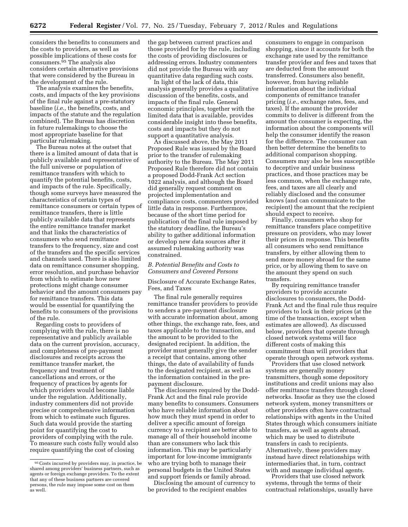considers the benefits to consumers and the costs to providers, as well as possible implications of these costs for consumers.<sup>95</sup> The analysis also considers certain alternative provisions that were considered by the Bureau in the development of the rule.

The analysis examines the benefits, costs, and impacts of the key provisions of the final rule against a pre-statutory baseline (*i.e.,* the benefits, costs, and impacts of the statute and the regulation combined). The Bureau has discretion in future rulemakings to choose the most appropriate baseline for that particular rulemaking.

The Bureau notes at the outset that there is a limited amount of data that is publicly available and representative of the full universe or population of remittance transfers with which to quantify the potential benefits, costs, and impacts of the rule. Specifically, though some surveys have measured the characteristics of certain types of remittance consumers or certain types of remittance transfers, there is little publicly available data that represents the entire remittance transfer market and that links the characteristics of consumers who send remittance transfers to the frequency, size and cost of the transfers and the specific services and channels used. There is also limited data on remittance consumer shopping, error resolution, and purchase behavior from which to estimate how new protections might change consumer behavior and the amount consumers pay for remittance transfers. This data would be essential for quantifying the benefits to consumers of the provisions of the rule.

Regarding costs to providers of complying with the rule, there is no representative and publicly available data on the current provision, accuracy, and completeness of pre-payment disclosures and receipts across the remittance transfer market, the frequency and treatment of cancellations and errors, or the frequency of practices by agents for which providers would become liable under the regulation. Additionally, industry commenters did not provide precise or comprehensive information from which to estimate such figures. Such data would provide the starting point for quantifying the cost to providers of complying with the rule. To measure such costs fully would also require quantifying the cost of closing

the gap between current practices and those provided for by the rule, including the costs of providing disclosures or addressing errors. Industry commenters did not provide the Bureau with any quantitative data regarding such costs.

In light of the lack of data, this analysis generally provides a qualitative discussion of the benefits, costs, and impacts of the final rule. General economic principles, together with the limited data that is available, provides considerable insight into these benefits, costs and impacts but they do not support a quantitative analysis.

As discussed above, the May 2011 Proposed Rule was issued by the Board prior to the transfer of rulemaking authority to the Bureau. The May 2011 Proposed Rule therefore did not contain a proposed Dodd-Frank Act section 1022 analysis, and although the Board did generally request comment on projected implementation and compliance costs, commenters provided little data in response. Furthermore, because of the short time period for publication of the final rule imposed by the statutory deadline, the Bureau's ability to gather additional information or develop new data sources after it assumed rulemaking authority was constrained.

# *B. Potential Benefits and Costs to Consumers and Covered Persons*

Disclosure of Accurate Exchange Rates, Fees, and Taxes

The final rule generally requires remittance transfer providers to provide to senders a pre-payment disclosure with accurate information about, among other things, the exchange rate, fees, and taxes applicable to the transaction, and the amount to be provided to the designated recipient. In addition, the provider must generally give the sender a receipt that contains, among other things, the date of availability of funds to the designated recipient, as well as the information contained in the prepayment disclosure.

The disclosures required by the Dodd-Frank Act and the final rule provide many benefits to consumers. Consumers who have reliable information about how much they must spend in order to deliver a specific amount of foreign currency to a recipient are better able to manage all of their household income than are consumers who lack this information. This may be particularly important for low-income immigrants who are trying both to manage their personal budgets in the United States and support friends or family abroad.

Disclosing the amount of currency to be provided to the recipient enables

consumers to engage in comparison shopping, since it accounts for both the exchange rate used by the remittance transfer provider and fees and taxes that are deducted from the amount transferred. Consumers also benefit, however, from having reliable information about the individual components of remittance transfer pricing (*i.e.,* exchange rates, fees, and taxes). If the amount the provider commits to deliver is different from the amount the consumer is expecting, the information about the components will help the consumer identify the reason for the difference. The consumer can then better determine the benefits to additional comparison shopping. Consumers may also be less susceptible to deceptive and unfair business practices, and those practices may be less common, when the exchange rate, fees, and taxes are all clearly and reliably disclosed and the consumer knows (and can communicate to the recipient) the amount that the recipient should expect to receive.

Finally, consumers who shop for remittance transfers place competitive pressure on providers, who may lower their prices in response. This benefits all consumers who send remittance transfers, by either allowing them to send more money abroad for the same price, or by allowing them to save on the amount they spend on such transfers.

By requiring remittance transfer providers to provide accurate disclosures to consumers, the Dodd-Frank Act and the final rule thus require providers to lock in their prices (at the time of the transaction, except when estimates are allowed). As discussed below, providers that operate through closed network systems will face different costs of making this commitment than will providers that operate through open network systems.

Providers that use closed network systems are generally money transmitters, though some depository institutions and credit unions may also offer remittance transfers through closed networks. Insofar as they use the closed network system, money transmitters or other providers often have contractual relationships with agents in the United States through which consumers initiate transfers, as well as agents abroad, which may be used to distribute transfers in cash to recipients. Alternatively, these providers may instead have direct relationships with intermediaries that, in turn, contract with and manage individual agents.

Providers that use closed network systems, through the terms of their contractual relationships, usually have

<sup>95</sup>Costs incurred by providers may, in practice, be shared among providers' business partners, such as agents or foreign exchange providers. To the extent that any of these business partners are covered persons, the rule may impose some cost on them as well.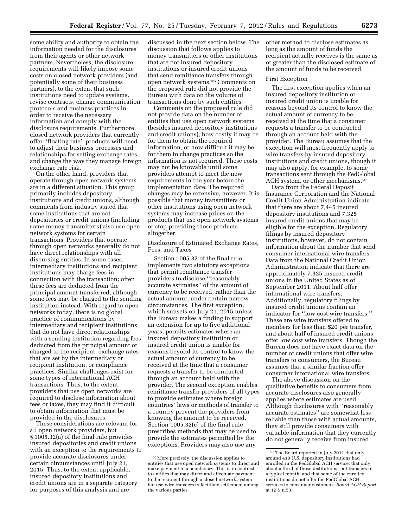some ability and authority to obtain the information needed for the disclosures from their agents or other network partners. Nevertheless, the disclosure requirements will likely impose some costs on closed network providers (and potentially some of their business partners), to the extent that such institutions need to update systems, revise contracts, change communication protocols and business practices in order to receive the necessary information and comply with the disclosure requirements. Furthermore, closed network providers that currently offer ''floating rate'' products will need to adjust their business processes and relationships for setting exchange rates, and change the way they manage foreign exchange rate risk.

On the other hand, providers that operate through open network systems are in a different situation. This group primarily includes depository institutions and credit unions, although comments from industry stated that some institutions that are not depositories or credit unions (including some money transmitters) also use open network systems for certain transactions. Providers that operate through open networks generally do not have direct relationships with all disbursing entities. In some cases, intermediary institutions and recipient institutions may charge fees in connection with the transaction; often these fees are deducted from the principal amount transferred, although some fees may be charged to the sending institution instead. With regard to open networks today, there is no global practice of communications by intermediary and recipient institutions that do not have direct relationships with a sending institution regarding fees deducted from the principal amount or charged to the recipient, exchange rates that are set by the intermediary or recipient institution, or compliance practices. Similar challenges exist for some types of international ACH transactions. Thus, to the extent providers that use open networks are required to disclose information about fees or taxes, they may find it difficult to obtain information that must be provided in the disclosures.

These considerations are relevant for all open network providers, but § 1005.32(a) of the final rule provides insured depositories and credit unions with an exception to the requirements to provide accurate disclosures under certain circumstances until July 21, 2015. Thus, to the extent applicable, insured depository institutions and credit unions are in a separate category for purposes of this analysis and are

discussed in the next section below. The discussion that follows applies to money transmitters or other institutions that are not insured depository institutions or insured credit unions that send remittance transfers through open network systems.96 Comments on the proposed rule did not provide the Bureau with data on the volume of transactions done by such entities.

Comments on the proposed rule did not provide data on the number of entities that use open network systems (besides insured depository institutions and credit unions), how costly it may be for them to obtain the required information, or how difficult it may be for them to change practices so the information is not required. These costs may not be knowable until some providers attempt to meet the new requirements in the year before the implementation date. The required changes may be extensive, however. It is possible that money transmitters or other institutions using open network systems may increase prices on the products that use open network systems or stop providing those products altogether.

Disclosure of Estimated Exchange Rates, Fees, and Taxes

Section 1005.32 of the final rule implements two statutory exceptions that permit remittance transfer providers to disclose ''reasonably accurate estimates'' of the amount of currency to be received, rather than the actual amount, under certain narrow circumstances. The first exception, which sunsets on July 21, 2015 unless the Bureau makes a finding to support an extension for up to five additional years, permits estimates where an insured depository institution or insured credit union is unable for reasons beyond its control to know the actual amount of currency to be received at the time that a consumer requests a transfer to be conducted through an account held with the provider. The second exception enables remittance transfer providers of all types to provide estimates where foreign countries' laws or methods of transfer to a country prevent the providers from knowing the amount to be received. Section 1005.32(c) of the final rule prescribes methods that may be used to provide the estimates permitted by the exceptions. Providers may also use any

other method to disclose estimates as long as the amount of funds the recipient actually receives is the same as or greater than the disclosed estimate of the amount of funds to be received.

#### First Exception

The first exception applies when an insured depository institution or insured credit union is unable for reasons beyond its control to know the actual amount of currency to be received at the time that a consumer requests a transfer to be conducted through an account held with the provider. The Bureau assumes that the exception will most frequently apply to wire transfers by insured depository institutions and credit unions, though it may also apply, for example, to some transactions sent through the FedGlobal ACH system, or other mechanisms.97

Data from the Federal Deposit Insurance Corporation and the National Credit Union Administration indicate that there are about 7,445 insured depository institutions and 7,325 insured credit unions that may be eligible for the exception. Regulatory filings by insured depository institutions, however, do not contain information about the number that send consumer international wire transfers. Data from the National Credit Union Administration indicate that there are approximately 7,325 insured credit unions in the United States as of September 2011. About half offer international wire transfers. Additionally, regulatory filings by insured credit unions contain an indicator for ''low cost wire transfers.'' These are wire transfers offered to members for less than \$20 per transfer, and about half of insured credit unions offer low cost wire transfers. Though the Bureau does not have exact data on the number of credit unions that offer wire transfers to consumers, the Bureau assumes that a similar fraction offer consumer international wire transfers.

The above discussion on the qualitative benefits to consumers from accurate disclosures also generally applies where estimates are used. Although disclosures with ''reasonably accurate estimates'' are somewhat less reliable than those with actual amounts, they still provide consumers with valuable information that they currently do not generally receive from insured

<sup>96</sup>More precisely, the discussion applies to entities that use open network systems to direct and make payment to a beneficiary. This is in contrast to entities that may direct and effectuate payment to the recipient through a closed network system but use wire transfers to facilitate settlement among the various parties.

<sup>&</sup>lt;sup>97</sup> The Board reported in July 2011 that only around 410 U.S. depository institutions had enrolled in the FedGlobal ACH service; that only about a third of those institutions sent transfers in a typical month; and that some of the enrolled institutions do not offer the FedGlobal ACH services to consumer customers. *Board ACH Report*  at 12 & n.53.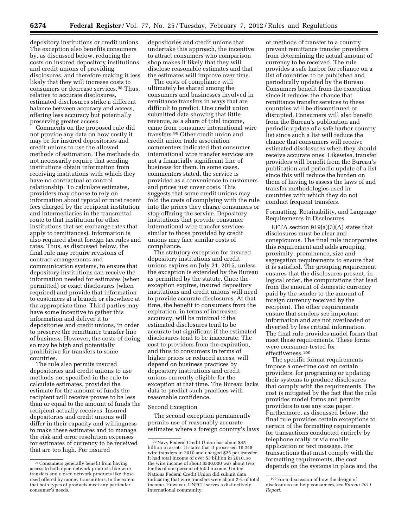depository institutions or credit unions. The exception also benefits consumers by, as discussed below, reducing the costs on insured depository institutions and credit unions of providing disclosures, and therefore making it less likely that they will increase costs to consumers or decrease services.98 Thus, relative to accurate disclosures, estimated disclosures strike a different balance between accuracy and access, offering less accuracy but potentially preserving greater access.

Comments on the proposed rule did not provide any data on how costly it may be for insured depositories and credit unions to use the allowed methods of estimation. The methods do not necessarily require that sending institutions obtain information from receiving institutions with which they have no contractual or control relationship. To calculate estimates, providers may choose to rely on information about typical or most recent fees charged by the recipient institution and intermediaries in the transmittal route to that institution (or other institutions that set exchange rates that apply to remittances). Information is also required about foreign tax rules and rates. Thus, as discussed below, the final rule may require revisions of contract arrangements and communication systems, to ensure that depository institutions can receive the information needed for estimates (when permitted) or exact disclosures (when required) and provide that information to customers at a branch or elsewhere at the appropriate time. Third parties may have some incentive to gather this information and deliver it to depositories and credit unions, in order to preserve the remittance transfer line of business. However, the costs of doing so may be high and potentially prohibitive for transfers to some countries.

The rule also permits insured depositories and credit unions to use methods not specified in the rule to calculate estimates, provided the estimate for the amount of funds the recipient will receive proves to be less than or equal to the amount of funds the recipient actually receives. Insured depositories and credit unions will differ in their capacity and willingness to make these estimates and to manage the risk and error resolution expenses for estimates of currency to be received that are too high. For insured

depositories and credit unions that undertake this approach, the incentive to attract consumers who comparison shop makes it likely that they will disclose reasonable estimates and that the estimates will improve over time.

The costs of compliance will ultimately be shared among the consumers and businesses involved in remittance transfers in ways that are difficult to predict. One credit union submitted data showing that little revenue, as a share of total income, came from consumer international wire transfers.99 Other credit union and credit union trade association commenters indicated that consumer international wire transfer services are not a financially significant line of business for them. In some cases, commenters stated, the service is provided as a convenience to customers and prices just cover costs. This suggests that some credit unions may fold the costs of complying with the rule into the prices they charge consumers or stop offering the service. Depository institutions that provide consumer international wire transfer services similar to those provided by credit unions may face similar costs of compliance.

The statutory exception for insured depository institutions and credit unions expires on July 21, 2015, unless the exception is extended by the Bureau as permitted by the statute. Once the exception expires, insured depository institutions and credit unions will need to provide accurate disclosures. At that time, the benefit to consumers from the expiration, in terms of increased accuracy, will be minimal if the estimated disclosures tend to be accurate but significant if the estimated disclosures tend to be inaccurate. The cost to providers from the expiration, and thus to consumers in terms of higher prices or reduced access, will depend on business practices by depository institutions and credit unions currently eligible for the exception at that time. The Bureau lacks data to predict such practices with reasonable confidence.

#### Second Exception

The second exception permanently permits use of reasonably accurate estimates where a foreign country's laws

or methods of transfer to a country prevent remittance transfer providers from determining the actual amount of currency to be received. The rule provides a safe harbor for reliance on a list of countries to be published and periodically updated by the Bureau. Consumers benefit from the exception since it reduces the chance that remittance transfer services to these countries will be discontinued or disrupted. Consumers will also benefit from the Bureau's publication and periodic update of a safe harbor country list since such a list will reduce the chance that consumers will receive estimated disclosures when they should receive accurate ones. Likewise, transfer providers will benefit from the Bureau's publication and periodic update of a list since this will reduce the burden on them of having to assess the laws of and transfer methodologies used in countries with which they do not conduct frequent transfers.

Formatting, Retainability, and Language Requirements in Disclosures

EFTA section 919(a)(3)(A) states that disclosures must be clear and conspicuous. The final rule incorporates this requirement and adds grouping, proximity, prominence, size and segregation requirements to ensure that it is satisfied. The grouping requirement ensures that the disclosures present, in logical order, the computations that lead from the amount of domestic currency paid by the sender to the amount of foreign currency received by the recipient. The other requirements ensure that senders see important information and are not overloaded or diverted by less critical information. The final rule provides model forms that meet these requirements. These forms were consumer-tested for effectiveness.100

The specific format requirements impose a one-time cost on certain providers, for programing or updating their systems to produce disclosures that comply with the requirements. The cost is mitigated by the fact that the rule provides model forms and permits providers to use any size paper. Furthermore, as discussed below, the final rule provides certain exceptions to certain of the formatting requirements for transactions conducted entirely by telephone orally or via mobile application or text message. For transactions that must comply with the formatting requirements, the cost depends on the systems in place and the

<sup>98</sup>Consumers generally benefit from having access to both open network products like wire transfers and closed network products like those used offered by money transmitters, to the extent that both types of products meet any particular consumer's needs.

<sup>99</sup>Navy Federal Credit Union has about \$45 billion in assets. It states that it processed 19,248 wire transfers in 2010 and charged \$25 per transfer. It had total income of over \$3 billion in 2010, so the wire income of about \$500,000 was about two tenths of one percent of total income. United Nations Federal Credit Union did submit data indicating that wire transfers were about 2% of total income. However, UNFCU serves a distinctively international community.

<sup>100</sup>For a discussion of how the design of disclosures can help consumers, *see Bureau 2011 Report.*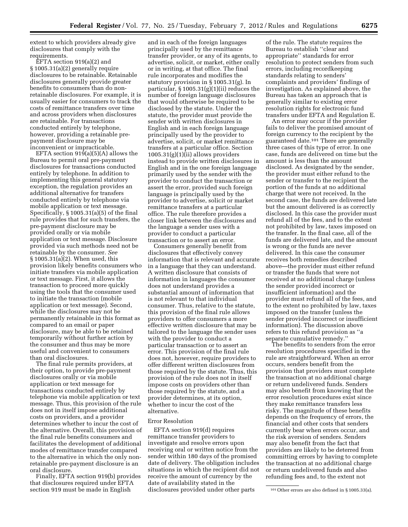extent to which providers already give disclosures that comply with the requirements.

EFTA section 919(a)(2) and § 1005.31(a)(2) generally require disclosures to be retainable. Retainable disclosures generally provide greater benefits to consumers than do nonretainable disclosures. For example, it is usually easier for consumers to track the costs of remittance transfers over time and across providers when disclosures are retainable. For transactions conducted entirely by telephone, however, providing a retainable prepayment disclosure may be inconvenient or impracticable.

EFTA section 919(a)(5)(A) allows the Bureau to permit oral pre-payment disclosures for transactions conducted entirely by telephone. In addition to implementing this general statutory exception, the regulation provides an additional alternative for transfers conducted entirely by telephone via mobile application or text message. Specifically, § 1005.31(a)(5) of the final rule provides that for such transfers, the pre-payment disclosure may be provided orally or via mobile application or text message. Disclosure provided via such methods need not be retainable by the consumer. *See*  § 1005.31(a)(2). When used, this provision likely benefits consumers who initiate transfers via mobile application or text message. First, it allows the transaction to proceed more quickly using the tools that the consumer used to initiate the transaction (mobile application or text message). Second, while the disclosures may not be permanently retainable in this format as compared to an email or paper disclosure, may be able to be retained temporarily without further action by the consumer and thus may be more useful and convenient to consumers than oral disclosures.

The final rule permits providers, at their option, to provide pre-payment disclosures orally or via mobile application or text message for transactions conducted entirely by telephone via mobile application or text message. Thus, this provision of the rule does not in itself impose additional costs on providers, and a provider determines whether to incur the cost of the alternative. Overall, this provision of the final rule benefits consumers and facilitates the development of additional modes of remittance transfer compared to the alternative in which the only nonretainable pre-payment disclosure is an oral disclosure.

Finally, EFTA section 919(b) provides that disclosures required under EFTA section 919 must be made in English

and in each of the foreign languages principally used by the remittance transfer provider, or any of its agents, to advertise, solicit, or market, either orally or in writing, at that office. The final rule incorporates and modifies the statutory provision in § 1005.31(g). In particular, § 1005.31(g)(1)(ii) reduces the number of foreign language disclosures that would otherwise be required to be disclosed by the statute. Under the statute, the provider must provide the sender with written disclosures in English and in each foreign language principally used by the provider to advertise, solicit, or market remittance transfers at a particular office. Section  $1005.31(g)(1)(ii)$  allows providers instead to provide written disclosures in English and in the one foreign language primarily used by the sender with the provider to conduct the transaction or assert the error, provided such foreign language is principally used by the provider to advertise, solicit or market remittance transfers at a particular office. The rule therefore provides a closer link between the disclosures and the language a sender uses with a provider to conduct a particular transaction or to assert an error.

Consumers generally benefit from disclosures that effectively convey information that is relevant and accurate in a language that they can understand. A written disclosure that consists of information in languages the consumer does not understand provides a substantial amount of information that is not relevant to that individual consumer. Thus, relative to the statute, this provision of the final rule allows providers to offer consumers a more effective written disclosure that may be tailored to the language the sender uses with the provider to conduct a particular transaction or to assert an error. This provision of the final rule does not, however, require providers to offer different written disclosures from those required by the statute. Thus, this provision of the rule does not in itself impose costs on providers other than those required by the statute, and a provider determines, at its option, whether to incur the cost of the alternative.

#### Error Resolution

EFTA section 919(d) requires remittance transfer providers to investigate and resolve errors upon receiving oral or written notice from the sender within 180 days of the promised date of delivery. The obligation includes situations in which the recipient did not receive the amount of currency by the date of availability stated in the disclosures provided under other parts

of the rule. The statute requires the Bureau to establish ''clear and appropriate'' standards for error resolution to protect senders from such errors, including recordkeeping standards relating to senders' complaints and providers' findings of investigation. As explained above, the Bureau has taken an approach that is generally similar to existing error resolution rights for electronic fund transfers under EFTA and Regulation E.

An error may occur if the provider fails to deliver the promised amount of foreign currency to the recipient by the guaranteed date.101 There are generally three cases of this type of error. In one case, funds are delivered on time but the amount is less than the amount disclosed. As designated by the sender, the provider must either refund to the sender or transfer to the recipient the portion of the funds at no additional charge that were not received. In the second case, the funds are delivered late but the amount delivered is as correctly disclosed. In this case the provider must refund all of the fees, and to the extent not prohibited by law, taxes imposed on the transfer. In the final case, all of the funds are delivered late, and the amount is wrong or the funds are never delivered. In this case the consumer receives both remedies described above—the provider must either refund or transfer the funds that were not received at no additional charge (unless the sender provided incorrect or insufficient information) and the provider must refund all of the fees, and to the extent no prohibited by law, taxes imposed on the transfer (unless the sender provided incorrect or insufficient information). The discussion above refers to this refund provision as ''a separate cumulative remedy.''

The benefits to senders from the error resolution procedures specified in the rule are straightforward. When an error occurs, senders benefit from the provision that providers must complete the transaction at no additional charge or return undelivered funds. Senders may also benefit from knowing that the error resolution procedures exist since they make remittance transfers less risky. The magnitude of these benefits depends on the frequency of errors, the financial and other costs that senders currently bear when errors occur, and the risk aversion of senders. Senders may also benefit from the fact that providers are likely to be deterred from committing errors by having to complete the transaction at no additional charge or return undelivered funds and also refunding fees and, to the extent not

<sup>101</sup>Other errors are also defined in § 1005.33(a).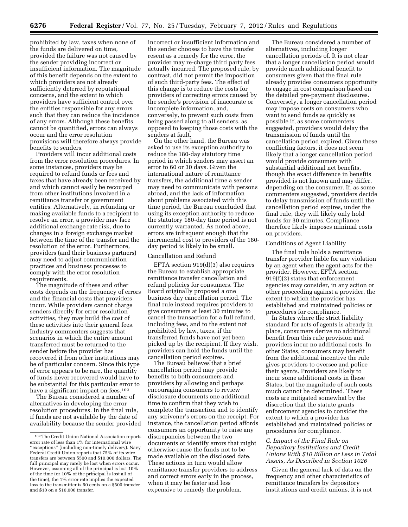prohibited by law, taxes when none of the funds are delivered on time, provided the failure was not caused by the sender providing incorrect or insufficient information. The magnitude of this benefit depends on the extent to which providers are not already sufficiently deterred by reputational concerns, and the extent to which providers have sufficient control over the entities responsible for any errors such that they can reduce the incidence of any errors. Although these benefits cannot be quantified, errors can always occur and the error resolution provisions will therefore always provide benefits to senders.

Providers will incur additional costs from the error resolution procedures. In some instances, providers may be required to refund funds or fees and taxes that have already been received by and which cannot easily be recouped from other institutions involved in a remittance transfer or government entities. Alternatively, in refunding or making available funds to a recipient to resolve an error, a provider may face additional exchange rate risk, due to changes in a foreign exchange market between the time of the transfer and the resolution of the error. Furthermore, providers (and their business partners) may need to adjust communication practices and business processes to comply with the error resolution requirements.

The magnitude of these and other costs depends on the frequency of errors and the financial costs that providers incur. While providers cannot charge senders directly for error resolution activities, they may build the cost of these activities into their general fees. Industry commenters suggests that scenarios in which the entire amount transferred must be returned to the sender before the provider has recovered it from other institutions may be of particular concern. Since this type of error appears to be rare, the quantity of funds never recovered would have to be substantial for this particular error to have a significant impact on fees.<sup>102</sup>

The Bureau considered a number of alternatives in developing the error resolution procedures. In the final rule, if funds are not available by the date of availability because the sender provided

incorrect or insufficient information and the sender chooses to have the transfer resent as a remedy for the error, the provider may re-charge third party fees actually incurred. The proposed rule, by contrast, did not permit the imposition of such third-party fees. The effect of this change is to reduce the costs for providers of correcting errors caused by the sender's provision of inaccurate or incomplete information, and, conversely, to prevent such costs from being passed along to all senders, as opposed to keeping those costs with the senders at fault.

On the other hand, the Bureau was asked to use its exception authority to reduce the 180-day statutory time period in which senders may assert an error to 60 or 30 days. Given the international nature of remittance transfers, the additional time a sender may need to communicate with persons abroad, and the lack of information about problems associated with this time period, the Bureau concluded that using its exception authority to reduce the statutory 180-day time period is not currently warranted. As noted above, errors are infrequent enough that the incremental cost to providers of the 180 day period is likely to be small.

### Cancellation and Refund

EFTA section 919(d)(3) also requires the Bureau to establish appropriate remittance transfer cancellation and refund policies for consumers. The Board originally proposed a one business day cancellation period. The final rule instead requires providers to give consumers at least 30 minutes to cancel the transaction for a full refund, including fees, and to the extent not prohibited by law, taxes, if the transferred funds have not yet been picked up by the recipient. If they wish, providers can hold the funds until the cancellation period expires.

The Bureau believes that a brief cancellation period may provide benefits to both consumers and providers by allowing and perhaps encouraging consumers to review disclosure documents one additional time to confirm that they wish to complete the transaction and to identify any scrivener's errors on the receipt. For instance, the cancellation period affords consumers an opportunity to raise any discrepancies between the two documents or identify errors that might otherwise cause the funds not to be made available on the disclosed date. These actions in turn would allow remittance transfer providers to address and correct errors early in the process, when it may be faster and less expensive to remedy the problem.

The Bureau considered a number of alternatives, including longer cancellation periods of. It is not clear that a longer cancellation period would provide much additional benefit to consumers given that the final rule already provides consumers opportunity to engage in cost comparison based on the detailed pre-payment disclosures. Conversely, a longer cancellation period may impose costs on consumers who want to send funds as quickly as possible if, as some commenters suggested, providers would delay the transmission of funds until the cancellation period expired. Given these conflicting factors, it does not seem likely that a longer cancellation period would provide consumers with substantial additional net benefits, though the exact difference in benefits provided is not known and may differ, depending on the consumer. If, as some commenters suggested, providers decide to delay transmission of funds until the cancellation period expires, under the final rule, they will likely only hold funds for 30 minutes. Compliance therefore likely imposes minimal costs on providers.

#### Conditions of Agent Liability

The final rule holds a remittance transfer provider liable for any violation by an agent when the agent acts for the provider. However, EFTA section 919(f)(2) states that enforcement agencies may consider, in any action or other proceeding against a provider, the extent to which the provider has established and maintained policies or procedures for compliance.

In States where the strict liability standard for acts of agents is already in place, consumers derive no additional benefit from this rule provision and providers incur no additional costs. In other States, consumers may benefit from the additional incentive the rule gives providers to oversee and police their agents. Providers are likely to incur some additional costs in these States, but the magnitude of such costs much cannot be determined. These costs are mitigated somewhat by the discretion that the statute grants enforcement agencies to consider the extent to which a provider has established and maintained policies or procedures for compliance.

# *C. Impact of the Final Rule on Depository Institutions and Credit Unions With \$10 Billion or Less in Total Assets, As Described in Section 1026*

Given the general lack of data on the frequency and other characteristics of remittance transfers by depository institutions and credit unions, it is not

<sup>102</sup>The Credit Union National Association reports error rate of less than 1% for international wire ''exceptions'' (including non-timely delivery). Navy Federal Credit Union reports that 75% of its wire transfers are between \$500 and \$10,000 dollars. The full principal may rarely be lost when errors occur. However, assuming all of the principal is lost 10% of the time (or 10% of the principal is lost all of the time), the 1% error rate implies the expected loss to the transmitter is 50 cents on a \$500 transfer and \$10 on a \$10,000 transfer.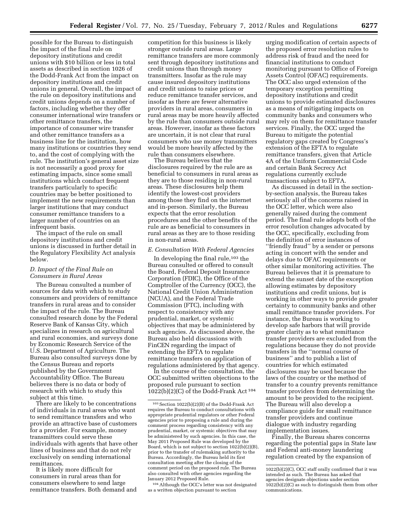possible for the Bureau to distinguish the impact of the final rule on depository institutions and credit unions with \$10 billion or less in total assets as described in section 1026 of the Dodd-Frank Act from the impact on depository institutions and credit unions in general. Overall, the impact of the rule on depository institutions and credit unions depends on a number of factors, including whether they offer consumer international wire transfers or other remittance transfers, the importance of consumer wire transfer and other remittance transfers as a business line for the institution, how many institutions or countries they send to, and the cost of complying with the rule. The institution's general asset size is not necessarily a good proxy for estimating impacts, since some small institutions which conduct frequent transfers particularly to specific countries may be better positioned to implement the new requirements than larger institutions that may conduct consumer remittance transfers to a

larger number of countries on an infrequent basis. The impact of the rule on small

depository institutions and credit unions is discussed in further detail in the Regulatory Flexibility Act analysis below.

# *D. Impact of the Final Rule on Consumers in Rural Areas*

The Bureau consulted a number of sources for data with which to study consumers and providers of remittance transfers in rural areas and to consider the impact of the rule. The Bureau consulted research done by the Federal Reserve Bank of Kansas City, which specializes in research on agricultural and rural economies, and surveys done by Economic Research Service of the U.S. Department of Agriculture. The Bureau also consulted surveys done by the Census Bureau and reports published by the Government Accountability Office. The Bureau believes there is no data or body of research with which to study this subject at this time.

There are likely to be concentrations of individuals in rural areas who want to send remittance transfers and who provide an attractive base of customers for a provider. For example, money transmitters could serve these individuals with agents that have other lines of business and that do not rely exclusively on sending international remittances.

It is likely more difficult for consumers in rural areas than for consumers elsewhere to send large remittance transfers. Both demand and

competition for this business is likely stronger outside rural areas. Large remittance transfers are more commonly sent through depository institutions and credit unions than through money transmitters. Insofar as the rule may cause insured depository institutions and credit unions to raise prices or reduce remittance transfer services, and insofar as there are fewer alternative providers in rural areas, consumers in rural areas may be more heavily affected by the rule than consumers outside rural areas. However, insofar as these factors are uncertain, it is not clear that rural consumers who use money transmitters would be more heavily affected by the rule than consumers elsewhere.

The Bureau believes that the disclosures required by the rule are as beneficial to consumers in rural areas as they are to those residing in non-rural areas. These disclosures help them identify the lowest-cost providers among those they find on the internet and in-person. Similarly, the Bureau expects that the error resolution procedures and the other benefits of the rule are as beneficial to consumers in rural areas as they are to those residing in non-rural areas.

#### *E. Consultation With Federal Agencies*

In developing the final rule,103 the Bureau consulted or offered to consult the Board, Federal Deposit Insurance Corporation (FDIC), the Office of the Comptroller of the Currency (OCC), the National Credit Union Administration (NCUA), and the Federal Trade Commission (FTC), including with respect to consistency with any prudential, market, or systemic objectives that may be administered by such agencies. As discussed above, the Bureau also held discussions with FinCEN regarding the impact of extending the EFTA to regulate remittance transfers on application of regulations administered by that agency.

In the course of the consultation, the OCC submitted written objections to the proposed rule pursuant to section 1022(b)(2)(C) of the Dodd-Frank Act 104

104Although the OCC's letter was not designated as a written objection pursuant to section

urging modification of certain aspects of the proposed error resolution rules to address risk of fraud and the need for financial institutions to conduct monitoring pursuant to Office of Foreign Assets Control (OFAC) requirements. The OCC also urged extension of the temporary exception permitting depository institutions and credit unions to provide estimated disclosures as a means of mitigating impacts on community banks and consumers who may rely on them for remittance transfer services. Finally, the OCC urged the Bureau to mitigate the potential regulatory gaps created by Congress's extension of the EFTA to regulate remittance transfers, given that Article 4A of the Uniform Commercial Code and certain Bank Secrecy Act regulations currently exclude transactions subject to EFTA.

As discussed in detail in the sectionby-section analysis, the Bureau takes seriously all of the concerns raised in the OCC letter, which were also generally raised during the comment period. The final rule adopts both of the error resolution changes advocated by the OCC, specifically, excluding from the definition of error instances of ''friendly fraud'' by a sender or persons acting in concert with the sender and delays due to OFAC requirements or other similar monitoring activities. The Bureau believes that it is premature to extend the sunset date of the exception allowing estimates by depository institutions and credit unions, but is working in other ways to provide greater certainty to community banks and other small remittance transfer providers. For instance, the Bureau is working to develop safe harbors that will provide greater clarity as to what remittance transfer providers are excluded from the regulations because they do not provide transfers in the ''normal course of business'' and to publish a list of countries for which estimated disclosures may be used because the laws of the country or the method of transfer to a country prevents remittance transfer providers from determining the amount to be provided to the recipient. The Bureau will also develop a compliance guide for small remittance transfer providers and continue dialogue with industry regarding implementation issues.

Finally, the Bureau shares concerns regarding the potential gaps in State law and Federal anti-money laundering regulation created by the expansion of

<sup>103</sup>Section 1022(b)(2)(B) of the Dodd-Frank Act requires the Bureau to conduct consultations with appropriate prudential regulators or other Federal agencies prior to proposing a rule and during the comment process regarding consistency with any prudential, market, or systemic objectives that may be administered by such agencies. In this case, the May 2011 Proposed Rule was developed by the Board, which is not subject to section 1022(b)(2)(B), prior to the transfer of rulemaking authority to the Bureau. Accordingly, the Bureau held its first consultation meeting after the closing of the comment period on the proposed rule. The Bureau also consulted with other agencies regarding the January 2012 Proposed Rule.

<sup>1022(</sup>b)(2)(C), OCC staff orally confirmed that it was intended as such. The Bureau has asked that agencies designate objections under section  $1022(b)(2)(C)$  as such to distinguish them from other communications.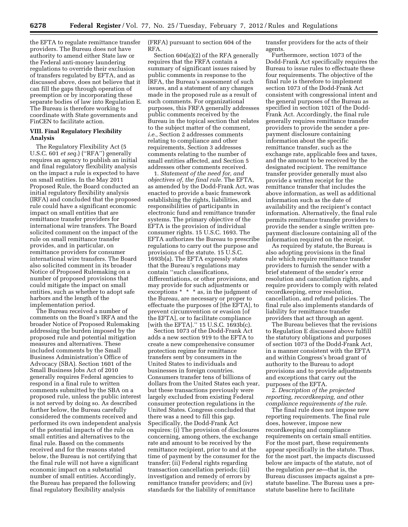the EFTA to regulate remittance transfer providers. The Bureau does not have authority to amend either State law or the Federal anti-money laundering regulations to override their exclusion of transfers regulated by EFTA, and as discussed above, does not believe that it can fill the gaps through operation of preemption or by incorporating these separate bodies of law into Regulation E. The Bureau is therefore working to coordinate with State governments and FinCEN to facilitate action.

# **VIII. Final Regulatory Flexibility Analysis**

The Regulatory Flexibility Act (5 U.S.C. 601 *et seq.*) (''RFA'') generally requires an agency to publish an initial and final regulatory flexibility analysis on the impact a rule is expected to have on small entities. In the May 2011 Proposed Rule, the Board conducted an initial regulatory flexibility analysis (IRFA) and concluded that the proposed rule could have a significant economic impact on small entities that are remittance transfer providers for international wire transfers. The Board solicited comment on the impact of the rule on small remittance transfer provides, and in particular, on remittance providers for consumer international wire transfers. The Board also solicited comment in its broader Notice of Proposed Rulemaking on a number of proposed provisions that could mitigate the impact on small entities, such as whether to adopt safe harbors and the length of the implementation period.

The Bureau received a number of comments on the Board's IRFA and the broader Notice of Proposed Rulemaking addressing the burden imposed by the proposed rule and potential mitigation measures and alternatives. These included comments by the Small Business Administration's Office of Advocacy (SBA). Section 1601 of the Small Business Jobs Act of 2010 generally requires Federal agencies to respond in a final rule to written comments submitted by the SBA on a proposed rule, unless the public interest is not served by doing so. As described further below, the Bureau carefully considered the comments received and performed its own independent analysis of the potential impacts of the rule on small entities and alternatives to the final rule. Based on the comments received and for the reasons stated below, the Bureau is not certifying that the final rule will not have a significant economic impact on a substantial number of small entities. Accordingly, the Bureau has prepared the following final regulatory flexibility analysis

(FRFA) pursuant to section 604 of the RFA.

Section 604(a)(2) of the RFA generally requires that the FRFA contain a summary of significant issues raised by public comments in response to the IRFA, the Bureau's assessment of such issues, and a statement of any changes made in the proposed rule as a result of such comments. For organizational purposes, this FRFA generally addresses public comments received by the Bureau in the topical section that relates to the subject matter of the comment, *i.e.,* Section 2 addresses comments relating to compliance and other requirements, Section 3 addresses comments relating to the number of small entities affected, and Section 5 addresses other comments received.

1. *Statement of the need for, and objectives of, the final rule.* The EFTA, as amended by the Dodd-Frank Act, was enacted to provide a basic framework establishing the rights, liabilities, and responsibilities of participants in electronic fund and remittance transfer systems. The primary objective of the EFTA is the provision of individual consumer rights. 15 U.S.C. 1693. The EFTA authorizes the Bureau to prescribe regulations to carry out the purpose and provisions of the statute. 15 U.S.C. 1693b(a). The EFTA expressly states that the Bureau's regulations may contain ''such classifications, differentiations, or other provisions, and may provide for such adjustments or exceptions \* \* \* as, in the judgment of the Bureau, are necessary or proper to effectuate the purposes of [the EFTA], to prevent circumvention or evasion [of the EFTA], or to facilitate compliance [with the EFTA]." 15 U.S.C. 1693b(c).

Section 1073 of the Dodd-Frank Act adds a new section 919 to the EFTA to create a new comprehensive consumer protection regime for remittance transfers sent by consumers in the United States to individuals and businesses in foreign countries. Consumers transfer tens of billions of dollars from the United States each year, but these transactions previously were largely excluded from existing Federal consumer protection regulations in the United States. Congress concluded that there was a need to fill this gap. Specifically, the Dodd-Frank Act requires: (i) The provision of disclosures concerning, among others, the exchange rate and amount to be received by the remittance recipient, prior to and at the time of payment by the consumer for the transfer; (ii) Federal rights regarding transaction cancellation periods; (iii) investigation and remedy of errors by remittance transfer providers; and (iv) standards for the liability of remittance

transfer providers for the acts of their agents.

Furthermore, section 1073 of the Dodd-Frank Act specifically requires the Bureau to issue rules to effectuate these four requirements. The objective of the final rule is therefore to implement section 1073 of the Dodd-Frank Act consistent with congressional intent and the general purposes of the Bureau as specified in section 1021 of the Dodd-Frank Act. Accordingly, the final rule generally requires remittance transfer providers to provide the sender a prepayment disclosure containing information about the specific remittance transfer, such as the exchange rate, applicable fees and taxes, and the amount to be received by the designated recipient. The remittance transfer provider generally must also provide a written receipt for the remittance transfer that includes the above information, as well as additional information such as the date of availability and the recipient's contact information. Alternatively, the final rule permits remittance transfer providers to provide the sender a single written prepayment disclosure containing all of the information required on the receipt.

As required by statute, the Bureau is also adopting provisions in the final rule which require remittance transfer providers to furnish the sender with a brief statement of the sender's error resolution and cancellation rights, and require providers to comply with related recordkeeping, error resolution, cancellation, and refund policies. The final rule also implements standards of liability for remittance transfer providers that act through an agent.

The Bureau believes that the revisions to Regulation E discussed above fulfill the statutory obligations and purposes of section 1073 of the Dodd-Frank Act, in a manner consistent with the EFTA and within Congress's broad grant of authority to the Bureau to adopt provisions and to provide adjustments and exceptions that carry out the purposes of the EFTA.

2. *Description of the projected reporting, recordkeeping, and other compliance requirements of the rule.* 

The final rule does not impose new reporting requirements. The final rule does, however, impose new recordkeeping and compliance requirements on certain small entities. For the most part, these requirements appear specifically in the statute. Thus, for the most part, the impacts discussed below are impacts of the statute, not of the regulation *per se*—that is, the Bureau discusses impacts against a prestatute baseline. The Bureau uses a prestatute baseline here to facilitate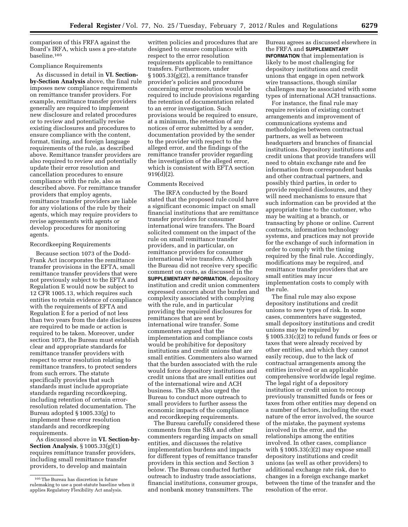comparison of this FRFA against the Board's IRFA, which uses a pre-statute baseline.105

#### Compliance Requirements

As discussed in detail in **VI. Sectionby-Section Analysis** above, the final rule imposes new compliance requirements on remittance transfer providers. For example, remittance transfer providers generally are required to implement new disclosure and related procedures or to review and potentially revise existing disclosures and procedures to ensure compliance with the content, format, timing, and foreign language requirements of the rule, as described above. Remittance transfer providers are also required to review and potentially update their error resolution and cancellation procedures to ensure compliance with the rule, also as described above. For remittance transfer providers that employ agents, remittance transfer providers are liable for any violations of the rule by their agents, which may require providers to revise agreements with agents or develop procedures for monitoring agents.

#### Recordkeeping Requirements

Because section 1073 of the Dodd-Frank Act incorporates the remittance transfer provisions in the EFTA, small remittance transfer providers that were not previously subject to the EFTA and Regulation E would now be subject to 12 CFR 1005.13, which requires such entities to retain evidence of compliance with the requirements of EFTA and Regulation E for a period of not less than two years from the date disclosures are required to be made or action is required to be taken. Moreover, under section 1073, the Bureau must establish clear and appropriate standards for remittance transfer providers with respect to error resolution relating to remittance transfers, to protect senders from such errors. The statute specifically provides that such standards must include appropriate standards regarding recordkeeping, including retention of certain errorresolution related documentation. The Bureau adopted § 1005.33(g) to implement these error resolution standards and recordkeeping requirements.

As discussed above in **VI. Section-by-Section Analysis**, § 1005.33(g)(1) requires remittance transfer providers, including small remittance transfer providers, to develop and maintain

written policies and procedures that are designed to ensure compliance with respect to the error resolution requirements applicable to remittance transfers. Furthermore, under  $\S 1005.33(g)(2)$ , a remittance transfer provider's policies and procedures concerning error resolution would be required to include provisions regarding the retention of documentation related to an error investigation. Such provisions would be required to ensure, at a minimum, the retention of any notices of error submitted by a sender, documentation provided by the sender to the provider with respect to the alleged error, and the findings of the remittance transfer provider regarding the investigation of the alleged error, which is consistent with EFTA section 919(d)(2).

#### Comments Received

The IRFA conducted by the Board stated that the proposed rule could have a significant economic impact on small financial institutions that are remittance transfer providers for consumer international wire transfers. The Board solicited comment on the impact of the rule on small remittance transfer providers, and in particular, on remittance providers for consumer international wire transfers. Although the Bureau did not receive very specific comment on costs, as discussed in the **SUPPLEMENTARY INFORMATION**, depository institution and credit union commenters expressed concern about the burden and complexity associated with complying with the rule, and in particular providing the required disclosures for remittances that are sent by international wire transfer. Some commenters argued that the implementation and compliance costs would be prohibitive for depository institutions and credit unions that are small entities. Commenters also warned that the burden associated with the rule would force depository institutions and credit unions that are small entities out of the international wire and ACH business. The SBA also urged the Bureau to conduct more outreach to small providers to further assess the economic impacts of the compliance and recordkeeping requirements.

The Bureau carefully considered these comments from the SBA and other commenters regarding impacts on small entities, and discusses the relative implementation burdens and impacts for different types of remittance transfer providers in this section and Section 3 below. The Bureau conducted further outreach to industry trade associations, financial institutions, consumer groups, and nonbank money transmitters. The

Bureau agrees as discussed elsewhere in the FRFA and **SUPPLEMENTARY INFORMATION** that implementation is likely to be most challenging for depository institutions and credit unions that engage in open network wire transactions, though similar challenges may be associated with some types of international ACH transactions.

For instance, the final rule may require revision of existing contract arrangements and improvement of communications systems and methodologies between contractual partners, as well as between headquarters and branches of financial institutions. Depository institutions and credit unions that provide transfers will need to obtain exchange rate and fee information from correspondent banks and other contractual partners, and possibly third parties, in order to provide required disclosures, and they will need mechanisms to ensure that such information can be provided at the appropriate time to the customer, who may be waiting at a branch, or transacting by phone or online. Current contracts, information technology systems, and practices may not provide for the exchange of such information in order to comply with the timing required by the final rule. Accordingly, modifications may be required, and remittance transfer providers that are small entities may incur implementation costs to comply with the rule.

The final rule may also expose depository institutions and credit unions to new types of risk. In some cases, commenters have suggested, small depository institutions and credit unions may be required by § 1005.33(c)(2) to refund funds or fees or taxes that were already received by other entities, and which they cannot easily recoup, due to the lack of contractual arrangements among the entities involved or an applicable comprehensive worldwide legal regime. The legal right of a depository institution or credit union to recoup previously transmitted funds or fees or taxes from other entities may depend on a number of factors, including the exact nature of the error involved, the source of the mistake, the payment systems involved in the error, and the relationships among the entities involved. In other cases, compliance with  $\S 1005.33(c)(2)$  may expose small depository institutions and credit unions (as well as other providers) to additional exchange rate risk, due to changes in a foreign exchange market between the time of the transfer and the resolution of the error.

<sup>105</sup>The Bureau has discretion in future rulemaking to use a post-statute baseline when it applies Regulatory Flexibility Act analysis.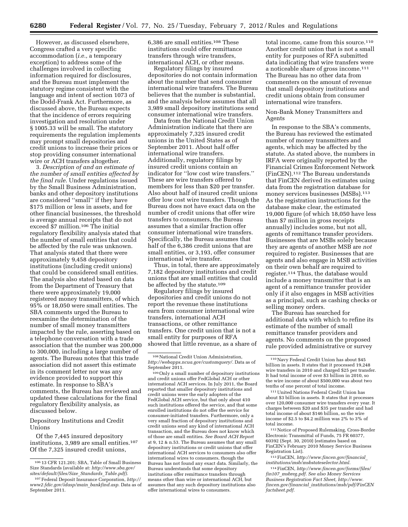However, as discussed elsewhere, Congress crafted a very specific accommodation (*i.e.,* a temporary exception) to address some of the challenges involved in collecting information required for disclosures, and the Bureau must implement the statutory regime consistent with the language and intent of section 1073 of the Dodd-Frank Act. Furthermore, as discussed above, the Bureau expects that the incidence of errors requiring investigation and resolution under § 1005.33 will be small. The statutory requirements the regulation implements may prompt small depositories and credit unions to increase their prices or stop providing consumer international wire or ACH transfers altogether.

3. *Description of and an estimate of the number of small entities affected by the final rule.* Under regulations issued by the Small Business Administration, banks and other depository institutions are considered ''small'' if they have \$175 million or less in assets, and for other financial businesses, the threshold is average annual receipts that do not exceed \$7 million.106 The initial regulatory flexibility analysis stated that the number of small entities that could be affected by the rule was unknown. That analysis stated that there were approximately 9,458 depository institutions (including credit unions) that could be considered small entities. The analysis also stated based on data from the Department of Treasury that there were approximately 19,000 registered money transmitters, of which 95% or 18,050 were small entities. The SBA comments urged the Bureau to reexamine the determination of the number of small money transmitters impacted by the rule, asserting based on a telephone conversation with a trade association that the number was 200,000 to 300,000, including a large number of agents. The Bureau notes that this trade association did not assert this estimate in its comment letter nor was any evidence provided to support this estimate. In response to SBA's comments, the Bureau has reviewed and updated these calculations for the final regulatory flexibility analysis, as discussed below.

# Depository Institutions and Credit Unions

Of the 7,445 insured depository institutions, 3,989 are small entities.107 Of the 7,325 insured credit unions,

6,386 are small entities.108 These institutions could offer remittance transfers through wire transfers, international ACH, or other means.

Regulatory filings by insured depositories do not contain information about the number that send consumer international wire transfers. The Bureau believes that the number is substantial, and the analysis below assumes that all 3,989 small depository institutions send consumer international wire transfers.

Data from the National Credit Union Administration indicate that there are approximately 7,325 insured credit unions in the United States as of September 2011. About half offer international wire transfers. Additionally, regulatory filings by insured credit unions contain an indicator for ''low cost wire transfers.'' These are wire transfers offered to members for less than \$20 per transfer. Also about half of insured credit unions offer low cost wire transfers. Though the Bureau does not have exact data on the number of credit unions that offer wire transfers to consumers, the Bureau assumes that a similar fraction offer consumer international wire transfers. Specifically, the Bureau assumes that half of the 6,386 credit unions that are small entities, or 3,193, offer consumer international wire transfer.

Thus, in total, there are approximately 7,182 depository institutions and credit unions that are small entities that could be affected by the statute.<sup>109</sup>

Regulatory filings by insured depositories and credit unions do not report the revenue these institutions earn from consumer international wire transfers, international ACH transactions, or other remittance transfers. One credit union that is not a small entity for purposes of RFA showed that little revenue, as a share of

109Only a small number of depository institutions and credit unions offer FedGlobal ACH or other international ACH services. In July 2011, the Board reported that smaller depository institutions and credit unions were the early adopters of the FedGlobal ACH service, but that only about 410 such institutions offered the service, and that some enrolled institutions do not offer the service for consumer-initiated transfers. Furthermore, only a very small fraction of depository institutions and credit unions send any kind of international ACH transaction, and the Bureau does not know which of those are small entities. *See Board ACH Report*  at 9, 12 & n.53. The Bureau assumes that any small depository institutions or credit unions that offer international ACH services to consumers also offer international wires to consumers, though the Bureau has not found any exact data. Similarly, the Bureau understands that some depository institutions offer remittance transfers through means other than wire or international ACH, but assumes that any such depository institutions also offer international wires to consumers.

total income, came from this source.110 Another credit union that is not a small entity for purposes of RFA submitted data indicating that wire transfers were a noticeable share of gross income.111 The Bureau has no other data from commenters on the amount of revenue that small depository institutions and credit unions obtain from consumer international wire transfers.

#### Non-Bank Money Transmitters and Agents

In response to the SBA's comments, the Bureau has reviewed the estimated number of money transmitters and agents, which may be affected by the statute. As stated above, the numbers in IRFA were originally reported by the Financial Crimes Enforcement Network (FinCEN).112 The Bureau understands that FinCEN derived its estimates using data from the registration database for money services businesses (MSBs).<sup>113</sup> As the registration instructions for the database make clear, the estimated 19,000 figure (of which 18,050 have less than \$7 million in gross receipts annually) includes some, but not all, agents of remittance transfer providers. Businesses that are MSBs solely because they are agents of another MSB are *not*  required to register. Businesses that are agents and also engage in MSB activities on their own behalf are required to register.114 Thus, the database would include a money transmitter that is an agent of a remittance transfer provider only if it also engages in MSB activities as a principal, such as cashing checks or selling money orders.

The Bureau has searched for additional data with which to refine its estimate of the number of small remittance transfer providers and agents. No comments on the proposed rule provided administrative or survey

112Notice of Proposed Rulemaking, Cross-Border Electronic Transmittal of Funds, 75 FR 60377, 60392 (Sept. 30, 2010) (estimates based on FinCEN's February 2010 Money Service Business Registration List).

113FinCEN, *[http://www.fincen.gov/financial](http://www.fincen.gov/financial_institutions/msb/msbstateselector.html)*\_ *[institutions/msb/msbstateselector.html.](http://www.fincen.gov/financial_institutions/msb/msbstateselector.html)* 

114FinCEN, *[http://www.fincen.gov/forms/files/](http://www.fincen.gov/forms/files/fin107_msbreg.pdf) fin107*\_*[msbreg.pdf.](http://www.fincen.gov/forms/files/fin107_msbreg.pdf) See also Money Services Business Registration Fact Sheet, http://www. fincen.gov/financial*\_*institutions/msb/pdf/FinCEN factsheet.pdf.* 

<sup>106</sup> 13 CFR 121.201; SBA, Table of Small Business Size Standards (available at: *[http://www.sba.gov/](http://www.sba.gov/sites/default/files/Size_Standards_Table.pdf)  [sites/default/files/Size](http://www.sba.gov/sites/default/files/Size_Standards_Table.pdf)*\_*Standards*\_*Table.pdf).* 

<sup>107</sup>Federal Deposit Insurance Corporation, *[http://](http://www2.fdic.gov/idasp/main_bankfind.asp) [www2.fdic.gov/idasp/main](http://www2.fdic.gov/idasp/main_bankfind.asp)*\_*bankfind.asp.* Data as of September 2011.

<sup>108</sup>National Credit Union Administration, *[http://webapps.ncua.gov/customquery/.](http://webapps.ncua.gov/customquery/)* Data as of September 2011.

<sup>110</sup>Navy Federal Credit Union has about \$45 billion in assets. It states that it processed 19,248 wire transfers in 2010 and charged \$25 per transfer. It had total income of over \$3 billion in 2010, so the wire income of about \$500,000 was about two tenths of one percent of total income.

<sup>111</sup>United Nations Federal Credit Union has about \$3 billion in assets. It states that it processes over 120,000 consumer wire transfers every year. It charges between \$20 and \$35 per transfer and had total income of about \$146 billion, so the wire income of \$2.5 to \$4.2 million was 2% to 3% of total income.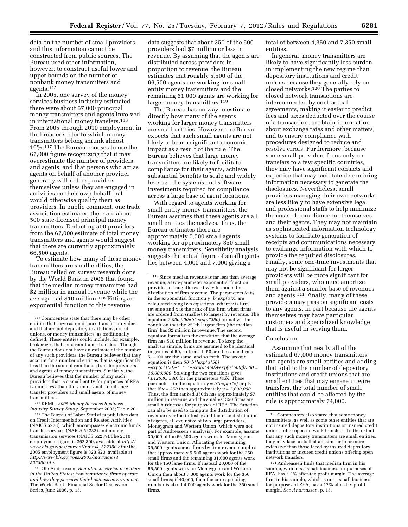data on the number of small providers, and this information cannot be constructed from public sources. The Bureau used other information, however, to construct useful lower and upper bounds on the number of nonbank money transmitters and agents.115

In 2005, one survey of the money services business industry estimated there were about 67,000 principal money transmitters and agents involved in international money transfers.116 From 2005 through 2010 employment in the broader sector to which money transmitters belong shrunk almost 19%.117 The Bureau chooses to use the 67,000 figure recognizing that it may overestimate the number of providers and agents, and that persons who act as agents on behalf of another provider generally will not be providers themselves unless they are engaged in activities on their own behalf that would otherwise qualify them as providers. In public comment, one trade association estimated there are about 500 state-licensed principal money transmitters. Deducting 500 providers from the 67,000 estimate of total money transmitters and agents would suggest that there are currently approximately 66,500 agents.

To estimate how many of these money transmitters are small entities, the Bureau relied on survey research done by the World Bank in 2006 that found that the median money transmitter had \$2 million in annual revenue while the average had \$10 million.118 Fitting an exponential function to this revenue

116 KPMG, *2005 Money Services Business Industry Survey Study,* September 2005; Table 20.

117The Bureau of Labor Statistics publishes data on Credit Intermediation and Related Activities (NAICS 5223), which encompasses electronic funds transfer services (NAICS 52232) and money transmission services (NAICS 52239).The 2010 employment figure is 262,300, available at *[http://](http://www.bls.gov/oes/current/naics4_522300.htm) [www.bls.gov/oes/current/naics4](http://www.bls.gov/oes/current/naics4_522300.htm)*\_*522300.htm;* the 2005 employment figure is 323,920, available at *[http://www.bls.gov/oes/2005/may/naics4](http://www.bls.gov/oes/2005/may/naics4_522300.htm)*\_ *[522300.htm.](http://www.bls.gov/oes/2005/may/naics4_522300.htm)* 

118Ole Andreassen, *Remittance service providers in the United States: how remittance firms operate and how they perceive their business environment,*  The World Bank, Financial Sector Discussion Series, June 2006, p. 15.

data suggests that about 350 of the 500 providers had \$7 million or less in revenue. By assuming that the agents are distributed across providers in proportion to revenue, the Bureau estimates that roughly 5,500 of the 66,500 agents are working for small entity money transmitters and the remaining 61,000 agents are working for larger money transmitters.<sup>119</sup>

The Bureau has no way to estimate directly how many of the agents working for larger money transmitters are small entities. However, the Bureau expects that such small agents are not likely to bear a significant economic impact as a result of the rule. The Bureau believes that large money transmitters are likely to facilitate compliance for their agents, achieve substantial benefits to scale and widely leverage the systems and software investments required for compliance across a large base of agent locations.

With regard to agents working for small entity money transmitters, the Bureau assumes that these agents are all small entities themselves. Thus, the Bureau estimates there are approximately 5,500 small agents working for approximately 350 small money transmitters. Sensitivity analysis suggests the actual figure of small agents lies between 4,000 and 7,000 giving a

119Since median revenue is far less than average revenue, a two-parameter exponential function provides a straightforward way to model the distribution of firm revenue. The parameters *(a,b)*  in the exponential function  $y=b*exp(a*x)$  are calculated using two equations, where *y* is firm revenue and *x* is the rank of the firm when firms are ordered from smallest to largest by revenue. The equation *2,000,000=b\*exp(a\*250)* formalizes the condition that the 250th largest firm (the median firm) has \$2 million in revenue. The second equation formalizes the condition that the average firm has \$10 million in revenue. To keep the analysis simple, firms are assumed to be identical in groups of 50, so firms 1–50 are the same, firms 51–100 are the same, and so forth. The second equation is then *50*\**b\*[exp(a\*50) +exp(a\*100)+\* \* \*+exp(a\*450)+exp(a\*500)]/500 = 10,000,000.* Solving the two equations gives *(.0126,85,340)* for the parameters *(a,b).* These parameters in the equation  $y = b * exp(a * x)$  imply that if *x = 350* then approximately *y = 7,000,000.*  Thus, the firm ranked 350th has approximately \$7 million in revenue and the smallest 350 firms are small businesses for purposes of RFA. The function can also be used to compute the distribution of revenue over the industry and then the distribution of agents, all exclusive of two large providers, Moneygram and Western Union (which were not part of Andreassen's analysis). For example, assume 30,000 of the 66,500 agents work for Moneygram and Western Union. Allocating the remaining 36,500 agents across firms by firm revenue implies that approximately 5,500 agents work for the 350 small firms and the remaining 31,000 agents work for the 150 large firms. If instead 20,000 of the 66,500 agents work for Moneygram and Western Union then about 7,000 agents work for the 350 small firms; if 40,000, then the corresponding number is about 4,000 agents work for the 350 small firms.

total of between 4,350 and 7,350 small entities.

In general, money transmitters are likely to have significantly less burden in implementing the new regime than depository institutions and credit unions because they generally rely on closed networks.120 The parties to closed network transactions are interconnected by contractual agreements, making it easier to predict fees and taxes deducted over the course of a transaction, to obtain information about exchange rates and other matters, and to ensure compliance with procedures designed to reduce and resolve errors. Furthermore, because some small providers focus only on transfers to a few specific countries, they may have significant contacts and expertise that may facilitate determining information necessary to generate the disclosures. Nevertheless, small providers managing their own networks are less likely to have extensive legal and professional staffs to help minimize the costs of compliance for themselves and their agents. They may not maintain as sophisticated information technology systems to facilitate generation of receipts and communications necessary to exchange information with which to provide the required disclosures. Finally, some one-time investments that may not be significant for larger providers will be more significant for small providers, who must amortize them against a smaller base of revenues and agents.121 Finally, many of these providers may pass on significant costs to any agents, in part because the agents themselves may have particular customers and specialized knowledge that is useful in serving them.

### Conclusion

Assuming that nearly all of the estimated 67,000 money transmitters and agents are small entities and adding that total to the number of depository institutions and credit unions that are small entities that may engage in wire transfers, the total number of small entities that could be affected by the rule is approximately 74,000.

<sup>115</sup>Commenters state that there may be other entities that serve as remittance transfer providers and that are not depository institutions, credit unions, or money transmitters, as traditionally defined. These entities could include, for example, brokerages that send remittance transfers. Though the Bureau does not have an estimate of the number of any such providers, the Bureau believes that they account for a number of entities that is significantly less than the sum of remittance transfer providers and agents of money transmitters. Similarly, the Bureau believes that the number of any such providers that is a small entity for purposes of RFA is much less than the sum of small remittance transfer providers and small agents of money transmitters.

<sup>120</sup>Commenters also stated that some money transmitters, as well as some other entities that are not insured depository institutions or insured credit unions, offer open network transfers. To the extent that any such money transmitters are small entities, they may face costs that are similar to or more extensive than those faced by insured depository institutions or insured credit unions offering open network transfers.

<sup>121</sup>Andreassen finds that median firm in his sample, which is a small business for purposes of RFA, has a 3% after-tax profit margin. The average firm in his sample, which is not a small business for purposes of RFA, has a 12% after-tax profit margin. *See Andreassen,* p. 15.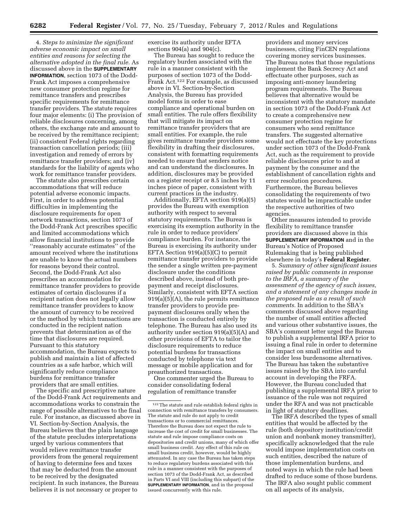4. *Steps to minimize the significant adverse economic impact on small entities and reasons for selecting the alternative adopted in the final rule.* As discussed above in the **SUPPLEMENTARY INFORMATION**, section 1073 of the Dodd-Frank Act imposes a comprehensive new consumer protection regime for remittance transfers and prescribes specific requirements for remittance transfer providers. The statute requires four major elements: (i) The provision of reliable disclosures concerning, among others, the exchange rate and amount to be received by the remittance recipient; (ii) consistent Federal rights regarding transaction cancellation periods; (iii) investigation and remedy of errors by remittance transfer providers; and (iv) standards for the liability of agents who work for remittance transfer providers.

The statute also prescribes certain accommodations that will reduce potential adverse economic impacts. First, in order to address potential difficulties in implementing the disclosure requirements for open network transactions, section 1073 of the Dodd-Frank Act prescribes specific and limited accommodations which allow financial institutions to provide ''reasonably accurate estimates'' of the amount received where the institutions are unable to know the actual numbers for reasons beyond their control. Second, the Dodd-Frank Act also prescribes an accommodation for remittance transfer providers to provide estimates of certain disclosures if a recipient nation does not legally allow remittance transfer providers to know the amount of currency to be received or the method by which transactions are conducted in the recipient nation prevents that determination as of the time that disclosures are required. Pursuant to this statutory accommodation, the Bureau expects to publish and maintain a list of affected countries as a safe harbor, which will significantly reduce compliance burdens for remittance transfer providers that are small entities.

The specific and prescriptive nature of the Dodd-Frank Act requirements and accommodations works to constrain the range of possible alternatives to the final rule. For instance, as discussed above in VI. Section-by-Section Analysis, the Bureau believes that the plain language of the statute precludes interpretations urged by various commenters that would relieve remittance transfer providers from the general requirement of having to determine fees and taxes that may be deducted from the amount to be received by the designated recipient. In such instances, the Bureau believes it is not necessary or proper to

exercise its authority under EFTA sections 904(a) and 904(c).

The Bureau has sought to reduce the regulatory burden associated with the rule in a manner consistent with the purposes of section 1073 of the Dodd-Frank Act.122 For example, as discussed above in VI. Section-by-Section Analysis, the Bureau has provided model forms in order to ease compliance and operational burden on small entities. The rule offers flexibility that will mitigate its impact on remittance transfer providers that are small entities. For example, the rule gives remittance transfer providers some flexibility in drafting their disclosures, consistent with formatting requirements needed to ensure that senders notice and can understand the disclosures. In addition, disclosures may be provided on a register receipt or 8.5 inches by 11 inches piece of paper, consistent with current practices in the industry.

Additionally, EFTA section 919(a)(5) provides the Bureau with exemption authority with respect to several statutory requirements. The Bureau is exercising its exemption authority in the rule in order to reduce providers' compliance burden. For instance, the Bureau is exercising its authority under EFTA Section 919(a)(5)(C) to permit remittance transfer providers to provide the sender a single written pre-payment disclosure under the conditions described above, instead of both prepayment and receipt disclosures. Similarly, consistent with EFTA section 919(a)(5)(A), the rule permits remittance transfer providers to provide prepayment disclosures orally when the transaction is conducted entirely by telephone. The Bureau has also used its authority under section 919(a)(5)(A) and other provisions of EFTA to tailor the disclosure requirements to reduce potential burdens for transactions conducted by telephone via text message or mobile application and for preauthorized transactions.

One commenter urged the Bureau to consider consolidating federal regulation of remittance transfer

providers and money services businesses, citing FinCEN regulations covering money services businesses. The Bureau notes that those regulations implement the Bank Secrecy Act and effectuate other purposes, such as imposing anti-money laundering program requirements. The Bureau believes that alternative would be inconsistent with the statutory mandate in section 1073 of the Dodd-Frank Act to create a comprehensive new consumer protection regime for consumers who send remittance transfers. The suggested alternative would not effectuate the key protections under section 1073 of the Dodd-Frank Act, such as the requirement to provide reliable disclosures prior to and at payment by the consumer and the establishment of cancellation rights and error resolution procedures. Furthermore, the Bureau believes consolidating the requirements of two statutes would be impracticable under the respective authorities of two agencies.

Other measures intended to provide flexibility to remittance transfer providers are discussed above in this **SUPPLEMENTARY INFORMATION** and in the Bureau's Notice of Proposed Rulemaking that is being published elsewhere in today's **Federal Register**.

5. *Summary of other significant issues raised by public comments in response to the IRFA, a summary of the assessment of the agency of such issues, and a statement of any changes made in the proposed rule as a result of such comments.* In addition to the SBA's comments discussed above regarding the number of small entities affected and various other substantive issues, the SBA's comment letter urged the Bureau to publish a supplemental IRFA prior to issuing a final rule in order to determine the impact on small entities and to consider less burdensome alternatives. The Bureau has taken the substantive issues raised by the SBA into careful account in developing the FRFA. However, the Bureau concluded that publishing a supplemental IRFA prior to issuance of the rule was not required under the RFA and was not practicable in light of statutory deadlines.

The IRFA described the types of small entities that would be affected by the rule (both depository institution/credit union and nonbank money transmitter), specifically acknowledged that the rule would impose implementation costs on such entities, described the nature of those implementation burdens, and noted ways in which the rule had been drafted to reduce some of those burdens. The IRFA also sought public comment on all aspects of its analysis,

 $^{\rm 122}$  The statute and rule establish federal rights in connection with remittance transfers by consumers. The statute and rule do not apply to credit transactions or to commercial remittances. Therefore the Bureau does not expect the rule to increase the cost of credit for small businesses. The statute and rule impose compliance costs on depositories and credit unions, many of which offer small business credit. Any effect of this rule on small business credit, however, would be highly attenuated. In any case the Bureau has taken steps to reduce regulatory burdens associated with this rule in a manner consistent with the purposes of section 1073 of the Dodd-Frank Act, as described in Parts VI and VIII (including this subpart) of the **SUPPLEMENTARY INFORMATION**, and in the proposal issued concurrently with this rule.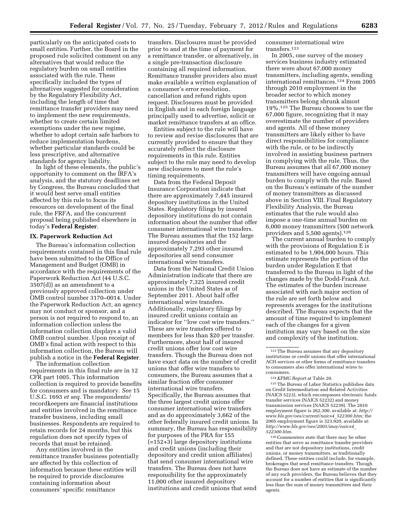particularly on the anticipated costs to small entities. Further, the Board in the proposed rule solicited comment on any alternatives that would reduce the regulatory burden on small entities associated with the rule. These specifically included the types of alternatives suggested for consideration by the Regulatory Flexibility Act, including the length of time that remittance transfer providers may need to implement the new requirements, whether to create certain limited exemptions under the new regime, whether to adopt certain safe harbors to reduce implementation burdens, whether particular standards could be less prescriptive, and alternative standards for agency liability.

In light of these elements, the public's opportunity to comment on the IRFA's analysis, and the statutory deadlines set by Congress, the Bureau concluded that it would best serve small entities affected by this rule to focus its resources on development of the final rule, the FRFA, and the concurrent proposal being published elsewhere in today's **Federal Register**.

#### **IX. Paperwork Reduction Act**

The Bureau's information collection requirements contained in this final rule have been submitted to the Office of Management and Budget (OMB) in accordance with the requirements of the Paperwork Reduction Act (44 U.S.C. 3507(d)) as an amendment to a previously approved collection under OMB control number 3170–0014. Under the Paperwork Reduction Act, an agency may not conduct or sponsor, and a person is not required to respond to, an information collection unless the information collection displays a valid OMB control number. Upon receipt of OMB's final action with respect to this information collection, the Bureau will publish a notice in the **Federal Register**.

The information collection requirements in this final rule are in 12 CFR part 1005. This information collection is required to provide benefits for consumers and is mandatory. *See* 15 U.S.C. 1693 *et seq.* The respondents/ recordkeepers are financial institutions and entities involved in the remittance transfer business, including small businesses. Respondents are required to retain records for 24 months, but this regulation does not specify types of records that must be retained.

Any entities involved in the remittance transfer business potentially are affected by this collection of information because these entities will be required to provide disclosures containing information about consumers' specific remittance

transfers. Disclosures must be provided prior to and at the time of payment for a remittance transfer, or alternatively, in a single pre-transaction disclosure containing all required information. Remittance transfer providers also must make available a written explanation of a consumer's error resolution, cancellation and refund rights upon request. Disclosures must be provided in English and in each foreign language principally used to advertise, solicit or market remittance transfers at an office.

Entities subject to the rule will have to review and revise disclosures that are currently provided to ensure that they accurately reflect the disclosure requirements in this rule. Entities subject to the rule may need to develop new disclosures to meet the rule's timing requirements.

Data from the Federal Deposit Insurance Corporation indicate that there are approximately 7,445 insured depository institutions in the United States. Regulatory filings by insured depository institutions do not contain information about the number that offer consumer international wire transfers. The Bureau assumes that the 152 large insured depositories and the approximately 7,293 other insured depositories all send consumer international wire transfers.

Data from the National Credit Union Administration indicate that there are approximately 7,325 insured credit unions in the United States as of September 2011. About half offer international wire transfers. Additionally, regulatory filings by insured credit unions contain an indicator for ''low cost wire transfers.'' These are wire transfers offered to members for less than \$20 per transfer. Furthermore, about half of insured credit unions offer low cost wire transfers. Though the Bureau does not have exact data on the number of credit unions that offer wire transfers to consumers, the Bureau assumes that a similar fraction offer consumer international wire transfers. Specifically, the Bureau assumes that the three largest credit unions offer consumer international wire transfers and as do approximately 3,662 of the other federally insured credit unions. In summary, the Bureau has responsibility for purposes of the PRA for 155 (=152+3) large depository institutions and credit unions (including their depository and credit union affiliates) that send consumer international wire transfers. The Bureau does not have responsibility for the approximately 11,000 other insured depository institutions and credit unions that send

consumer international wire transfers.123

In 2005, one survey of the money services business industry estimated there were about 67,000 money transmitters, including agents, sending international remittances.124 From 2005 through 2010 employment in the broader sector to which money transmitters belong shrunk almost 19%.125 The Bureau chooses to use the 67,000 figure, recognizing that it may overestimate the number of providers and agents. All of these money transmitters are likely either to have direct responsibilities for compliance with the rule, or to be indirectly involved in assisting business partners in complying with the rule. Thus, the Bureau assumes that all 67,000 money transmitters will have ongoing annual burden to comply with the rule. Based on the Bureau's estimate of the number of money transmitters as discussed above in Section VIII. Final Regulatory Flexibility Analysis, the Bureau estimates that the rule would also impose a one-time annual burden on 6,000 money transmitters (500 network providers and 5,500 agents).126

The current annual burden to comply with the provisions of Regulation E is estimated to be 1,904,000 hours. This estimate represents the portion of the burden under Regulation E that transferred to the Bureau in light of the changes made by the Dodd-Frank Act. The estimates of the burden increase associated with each major section of the rule are set forth below and represents averages for the institutions described. The Bureau expects that the amount of time required to implement each of the changes for a given institution may vary based on the size and complexity of the institution.

125The Bureau of Labor Statistics publishes data on Credit Intermediation and Related Activities (NAICS 5223), which encompasses electronic funds transfer services (NAICS 52232) and money transmission services (NAICS 52239). The 2010 employment figure is 262,300, available at: *[http://](http://www.bls.gov/oes/current/naics4_522300.htm)  [www.bls.gov/oes/current/naics4](http://www.bls.gov/oes/current/naics4_522300.htm)*\_*522300.htm;* the 2005 employment figure is  $323,\overline{9}20$ , available at: *[http://www.bls.gov/oes/2005/may/naics4](http://www.bls.gov/oes/2005/may/naics4_522300.htm)*\_ *[522300.htm.](http://www.bls.gov/oes/2005/may/naics4_522300.htm)* 

126 Commenters state that there may be other entities that serve as remittance transfer providers and that are not depository institutions, credit unions, or money transmitters, as traditionally defined. These entities could include, for example, brokerages that send remittance transfers. Though the Bureau does not have an estimate of the number of any such providers, the Bureau believes that they account for a number of entities that is significantly less than the sum of money transmitters and their agents.

<sup>123</sup>The Bureau assumes that any depository institutions or credit unions that offer international ACH services or other forms of remittance transfers to consumers also offer international wires to consumers.

<sup>124</sup>*KPMG Report* at Table 20.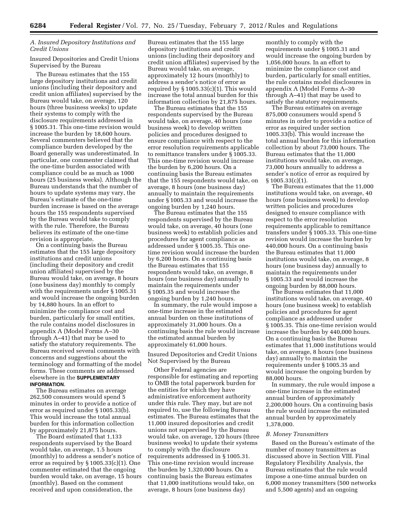# *A. Insured Depository Institutions and Credit Unions*

# Insured Depositories and Credit Unions Supervised by the Bureau

The Bureau estimates that the 155 large depository institutions and credit unions (including their depository and credit union affiliates) supervised by the Bureau would take, on average, 120 hours (three business weeks) to update their systems to comply with the disclosure requirements addressed in § 1005.31. This one-time revision would increase the burden by 18,600 hours. Several commenters believed that the compliance burden developed by the Board generally was underestimated. In particular, one commenter claimed that the one-time burden associated with compliance could be as much as 1000 hours (25 business weeks). Although the Bureau understands that the number of hours to update systems may vary, the Bureau's estimate of the one-time burden increase is based on the average hours the 155 respondents supervised by the Bureau would take to comply with the rule. Therefore, the Bureau believes its estimate of the one-time revision is appropriate.

On a continuing basis the Bureau estimates that the 155 large depository institutions and credit unions (including their depository and credit union affiliates) supervised by the Bureau would take, on average, 8 hours (one business day) monthly to comply with the requirements under § 1005.31 and would increase the ongoing burden by 14,880 hours. In an effort to minimize the compliance cost and burden, particularly for small entities, the rule contains model disclosures in appendix A (Model Forms A–30 through A–41) that may be used to satisfy the statutory requirements. The Bureau received several comments with concerns and suggestions about the terminology and formatting of the model forms. These comments are addressed elsewhere in the **SUPPLEMENTARY INFORMATION**.

The Bureau estimates on average 262,500 consumers would spend 5 minutes in order to provide a notice of error as required under § 1005.33(b). This would increase the total annual burden for this information collection by approximately 21,875 hours.

The Board estimated that 1,133 respondents supervised by the Board would take, on average, 1.5 hours (monthly) to address a sender's notice of error as required by § 1005.33(c)(1). One commenter estimated that the ongoing burden would take, on average, 15 hours (monthly). Based on the comment received and upon consideration, the

Bureau estimates that the 155 large depository institutions and credit unions (including their depository and credit union affiliates) supervised by the Bureau would take, on average, approximately 12 hours (monthly) to address a sender's notice of error as required by § 1005.33(c)(1). This would increase the total annual burden for this information collection by 21,875 hours.

The Bureau estimates that the 155 respondents supervised by the Bureau would take, on average, 40 hours (one business week) to develop written policies and procedures designed to ensure compliance with respect to the error resolution requirements applicable to remittance transfers under § 1005.33. This one-time revision would increase the burden by 6,200 hours. On a continuing basis the Bureau estimates that the 155 respondents would take, on average, 8 hours (one business day) annually to maintain the requirements under § 1005.33 and would increase the ongoing burden by 1,240 hours.

The Bureau estimates that the 155 respondents supervised by the Bureau would take, on average, 40 hours (one business week) to establish policies and procedures for agent compliance as addressed under § 1005.35. This onetime revision would increase the burden by 6,200 hours. On a continuing basis the Bureau estimates that 155 respondents would take, on average, 8 hours (one business day) annually to maintain the requirements under § 1005.35 and would increase the ongoing burden by 1,240 hours.

In summary, the rule would impose a one-time increase in the estimated annual burden on these institutions of approximately 31,000 hours. On a continuing basis the rule would increase the estimated annual burden by approximately 61,000 hours.

# Insured Depositories and Credit Unions Not Supervised by the Bureau

Other Federal agencies are responsible for estimating and reporting to OMB the total paperwork burden for the entities for which they have administrative enforcement authority under this rule. They may, but are not required to, use the following Bureau estimates. The Bureau estimates that the 11,000 insured depositories and credit unions not supervised by the Bureau would take, on average, 120 hours (three business weeks) to update their systems to comply with the disclosure requirements addressed in § 1005.31. This one-time revision would increase the burden by 1,320,000 hours. On a continuing basis the Bureau estimates that 11,000 institutions would take, on average, 8 hours (one business day)

monthly to comply with the requirements under § 1005.31 and would increase the ongoing burden by 1,056,000 hours. In an effort to minimize the compliance cost and burden, particularly for small entities, the rule contains model disclosures in appendix A (Model Forms A–30 through A–41) that may be used to satisfy the statutory requirements.

The Bureau estimates on average 875,000 consumers would spend 5 minutes in order to provide a notice of error as required under section 1005.33(b). This would increase the total annual burden for this information collection by about 73,000 hours. The Bureau estimates that the 11,000 institutions would take, on average, 73,000 hours annually to address a sender's notice of error as required by  $§ 1005.33(c)(1).$ 

The Bureau estimates that the 11,000 institutions would take, on average, 40 hours (one business week) to develop written policies and procedures designed to ensure compliance with respect to the error resolution requirements applicable to remittance transfers under § 1005.33. This one-time revision would increase the burden by 440,000 hours. On a continuing basis the Bureau estimates that 11,000 institutions would take, on average, 8 hours (one business day) annually to maintain the requirements under § 1005.33 and would increase the ongoing burden by 88,000 hours.

The Bureau estimates that 11,000 institutions would take, on average, 40 hours (one business week) to establish policies and procedures for agent compliance as addressed under § 1005.35. This one-time revision would increase the burden by 440,000 hours. On a continuing basis the Bureau estimates that 11,000 institutions would take, on average, 8 hours (one business day) annually to maintain the requirements under § 1005.35 and would increase the ongoing burden by 88,000 hours.

In summary, the rule would impose a one-time increase in the estimated annual burden of approximately 2,200,000 hours. On a continuing basis the rule would increase the estimated annual burden by approximately 1,378,000.

#### *B. Money Transmitters*

Based on the Bureau's estimate of the number of money transmitters as discussed above in Section VIII. Final Regulatory Flexibility Analysis, the Bureau estimates that the rule would impose a one-time annual burden on 6,000 money transmitters (500 networks and 5,500 agents) and an ongoing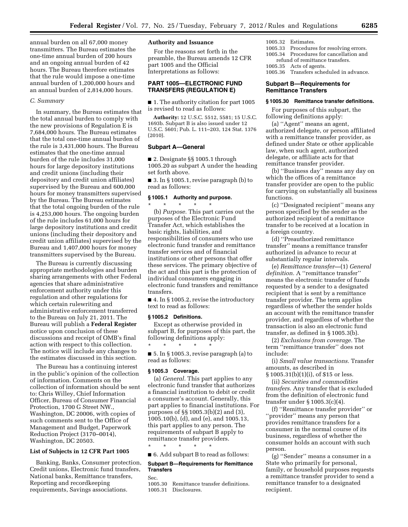annual burden on all 67,000 money transmitters. The Bureau estimates the one-time annual burden of 200 hours and an ongoing annual burden of 42 hours. The Bureau therefore estimates that the rule would impose a one-time annual burden of 1,200,000 hours and an annual burden of 2,814,000 hours.

#### *C. Summary*

In summary, the Bureau estimates that the total annual burden to comply with the new provisions of Regulation E is 7,684,000 hours. The Bureau estimates that the total one-time annual burden of the rule is 3,431,000 hours. The Bureau estimates that the one-time annual burden of the rule includes 31,000 hours for large depository institutions and credit unions (including their depository and credit union affiliates) supervised by the Bureau and 600,000 hours for money transmitters supervised by the Bureau. The Bureau estimates that the total ongoing burden of the rule is 4,253,000 hours. The ongoing burden of the rule includes 61,000 hours for large depository institutions and credit unions (including their depository and credit union affiliates) supervised by the Bureau and 1,407,000 hours for money transmitters supervised by the Bureau.

The Bureau is currently discussing appropriate methodologies and burden sharing arrangements with other Federal agencies that share administrative enforcement authority under this regulation and other regulations for which certain rulewriting and administrative enforcement transferred to the Bureau on July 21, 2011. The Bureau will publish a **Federal Register**  notice upon conclusion of these discussions and receipt of OMB's final action with respect to this collection. The notice will include any changes to the estimates discussed in this section.

The Bureau has a continuing interest in the public's opinion of the collection of information. Comments on the collection of information should be sent to: Chris Willey, Chief Information Officer, Bureau of Consumer Financial Protection, 1700 G Street NW., Washington, DC 20006, with copies of such comments sent to the Office of Management and Budget, Paperwork Reduction Project (3170–0014), Washington, DC 20503.

#### **List of Subjects in 12 CFR Part 1005**

Banking, Banks, Consumer protection, Credit unions, Electronic fund transfers, National banks, Remittance transfers, Reporting and recordkeeping requirements, Savings associations.

# **Authority and Issuance**

For the reasons set forth in the preamble, the Bureau amends 12 CFR part 1005 and the Official Interpretations as follows:

# **PART 1005—ELECTRONIC FUND TRANSFERS (REGULATION E)**

■ 1. The authority citation for part 1005 is revised to read as follows:

**Authority:** 12 U.S.C. 5512, 5581; 15 U.S.C. 1693b. Subpart B is also issued under 12 U.S.C. 5601; Pub. L. 111–203, 124 Stat. 1376 (2010).

#### **Subpart A—General**

■ 2. Designate §§ 1005.1 through 1005.20 as subpart A under the heading set forth above.

 $\blacksquare$  3. In § 1005.1, revise paragraph (b) to read as follows:

#### **§ 1005.1 Authority and purpose.**

\* \* \* \* \* (b) *Purpose.* This part carries out the purposes of the Electronic Fund Transfer Act, which establishes the basic rights, liabilities, and responsibilities of consumers who use electronic fund transfer and remittance transfer services and of financial institutions or other persons that offer these services. The primary objective of the act and this part is the protection of individual consumers engaging in electronic fund transfers and remittance transfers.

■ 4. In § 1005.2, revise the introductory text to read as follows:

#### **§ 1005.2 Definitions.**

Except as otherwise provided in subpart B, for purposes of this part, the following definitions apply:

■ 5. In § 1005.3, revise paragraph (a) to read as follows:

### **§ 1005.3 Coverage.**

\* \* \* \* \*

(a) *General.* This part applies to any electronic fund transfer that authorizes a financial institution to debit or credit a consumer's account. Generally, this part applies to financial institutions. For purposes of §§ 1005.3(b)(2) and (3), 1005.10(b), (d), and (e), and 1005.13, this part applies to any person. The requirements of subpart B apply to remittance transfer providers. \* \* \* \* \*

■ 6. Add subpart B to read as follows:

# **Subpart B—Requirements for Remittance Transfers**

Sec.

1005.30 Remittance transfer definitions. 1005.31 Disclosures.

1005.32 Estimates.

- 1005.33 Procedures for resolving errors. 1005.34 Procedures for cancellation and
- refund of remittance transfers. 1005.35 Acts of agents.
- 1005.36 Transfers scheduled in advance.

# **Subpart B—Requirements for Remittance Transfers**

#### **§ 1005.30 Remittance transfer definitions.**

For purposes of this subpart, the following definitions apply:

(a) ''Agent'' means an agent, authorized delegate, or person affiliated with a remittance transfer provider, as defined under State or other applicable law, when such agent, authorized delegate, or affiliate acts for that remittance transfer provider.

(b) ''Business day'' means any day on which the offices of a remittance transfer provider are open to the public for carrying on substantially all business functions.

(c) ''Designated recipient'' means any person specified by the sender as the authorized recipient of a remittance transfer to be received at a location in a foreign country.

(d) ''Preauthorized remittance transfer'' means a remittance transfer authorized in advance to recur at substantially regular intervals.

(e) *Remittance transfer—*(1) *General definition.* A ''remittance transfer'' means the electronic transfer of funds requested by a sender to a designated recipient that is sent by a remittance transfer provider. The term applies regardless of whether the sender holds an account with the remittance transfer provider, and regardless of whether the transaction is also an electronic fund transfer, as defined in § 1005.3(b).

(2) *Exclusions from coverage.* The term ''remittance transfer'' does not include:

(i) *Small value transactions.* Transfer amounts, as described in § 1005.31(b)(1)(i), of \$15 or less.

(ii) *Securities and commodities transfers.* Any transfer that is excluded from the definition of electronic fund transfer under § 1005.3(c)(4).

(f) ''Remittance transfer provider'' or ''provider'' means any person that provides remittance transfers for a consumer in the normal course of its business, regardless of whether the consumer holds an account with such person.

(g) ''Sender'' means a consumer in a State who primarily for personal, family, or household purposes requests a remittance transfer provider to send a remittance transfer to a designated recipient.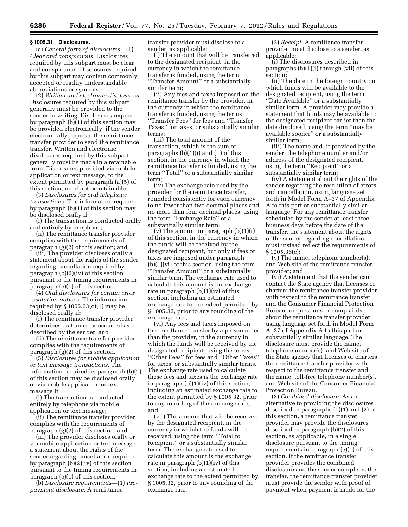#### **§ 1005.31 Disclosures.**

(a) *General form of disclosures—*(1) *Clear and conspicuous.* Disclosures required by this subpart must be clear and conspicuous. Disclosures required by this subpart may contain commonly accepted or readily understandable abbreviations or symbols.

(2) *Written and electronic disclosures.*  Disclosures required by this subpart generally must be provided to the sender in writing. Disclosures required by paragraph (b)(1) of this section may be provided electronically, if the sender electronically requests the remittance transfer provider to send the remittance transfer. Written and electronic disclosures required by this subpart generally must be made in a retainable form. Disclosures provided via mobile application or text message, to the extent permitted by paragraph (a)(5) of this section, need not be retainable.

(3) *Disclosures for oral telephone transactions.* The information required by paragraph (b)(1) of this section may be disclosed orally if:

(i) The transaction is conducted orally and entirely by telephone;

(ii) The remittance transfer provider complies with the requirements of paragraph (g)(2) of this section; and

(iii) The provider discloses orally a statement about the rights of the sender regarding cancellation required by paragraph (b)(2)(iv) of this section pursuant to the timing requirements in paragraph (e)(1) of this section.

(4) *Oral disclosures for certain error resolution notices.* The information required by § 1005.33(c)(1) may be disclosed orally if:

(i) The remittance transfer provider determines that an error occurred as described by the sender; and

(ii) The remittance transfer provider complies with the requirements of paragraph (g)(2) of this section.

(5) *Disclosures for mobile application or text message transactions.* The information required by paragraph (b)(1) of this section may be disclosed orally or via mobile application or text message if:

(i) The transaction is conducted entirely by telephone via mobile application or text message;

(ii) The remittance transfer provider complies with the requirements of paragraph (g)(2) of this section; and

(iii) The provider discloses orally or via mobile application or text message a statement about the rights of the sender regarding cancellation required by paragraph (b)(2)(iv) of this section pursuant to the timing requirements in paragraph (e)(1) of this section.

(b) *Disclosure requirements—*(1) *Prepayment disclosure.* A remittance

transfer provider must disclose to a sender, as applicable:

(i) The amount that will be transferred to the designated recipient, in the currency in which the remittance transfer is funded, using the term ''Transfer Amount'' or a substantially similar term;

(ii) Any fees and taxes imposed on the remittance transfer by the provider, in the currency in which the remittance transfer is funded, using the terms ''Transfer Fees'' for fees and ''Transfer Taxes'' for taxes, or substantially similar terms;

(iii) The total amount of the transaction, which is the sum of paragraphs (b)(1)(i) and (ii) of this section, in the currency in which the remittance transfer is funded, using the term ''Total'' or a substantially similar term;

(iv) The exchange rate used by the provider for the remittance transfer, rounded consistently for each currency to no fewer than two decimal places and no more than four decimal places, using the term ''Exchange Rate'' or a substantially similar term;

(v) The amount in paragraph (b)(1)(i) of this section, in the currency in which the funds will be received by the designated recipient, but only if fees or taxes are imposed under paragraph (b)(1)(vi) of this section, using the term ''Transfer Amount'' or a substantially similar term. The exchange rate used to calculate this amount is the exchange rate in paragraph (b)(1)(iv) of this section, including an estimated exchange rate to the extent permitted by § 1005.32, prior to any rounding of the exchange rate;

(vi) Any fees and taxes imposed on the remittance transfer by a person other than the provider, in the currency in which the funds will be received by the designated recipient, using the terms ''Other Fees'' for fees and ''Other Taxes'' for taxes, or substantially similar terms. The exchange rate used to calculate these fees and taxes is the exchange rate in paragraph (b)(1)(iv) of this section, including an estimated exchange rate to the extent permitted by § 1005.32, prior to any rounding of the exchange rate; and

(vii) The amount that will be received by the designated recipient, in the currency in which the funds will be received, using the term ''Total to Recipient'' or a substantially similar term. The exchange rate used to calculate this amount is the exchange rate in paragraph (b)(1)(iv) of this section, including an estimated exchange rate to the extent permitted by § 1005.32, prior to any rounding of the exchange rate.

(2) *Receipt.* A remittance transfer provider must disclose to a sender, as applicable:

(i) The disclosures described in paragraphs (b)(1)(i) through (vii) of this section;

(ii) The date in the foreign country on which funds will be available to the designated recipient, using the term ''Date Available'' or a substantially similar term. A provider may provide a statement that funds may be available to the designated recipient earlier than the date disclosed, using the term ''may be available sooner'' or a substantially similar term;

(iii) The name and, if provided by the sender, the telephone number and/or address of the designated recipient, using the term ''Recipient'' or a substantially similar term;

(iv) A statement about the rights of the sender regarding the resolution of errors and cancellation, using language set forth in Model Form A–37 of Appendix A to this part or substantially similar language. For any remittance transfer scheduled by the sender at least three business days before the date of the transfer, the statement about the rights of the sender regarding cancellation must instead reflect the requirements of § 1005.36(c);

(v) The name, telephone number(s), and Web site of the remittance transfer provider; and

(vi) A statement that the sender can contact the State agency that licenses or charters the remittance transfer provider with respect to the remittance transfer and the Consumer Financial Protection Bureau for questions or complaints about the remittance transfer provider, using language set forth in Model Form A–37 of Appendix A to this part or substantially similar language. The disclosure must provide the name, telephone number(s), and Web site of the State agency that licenses or charters the remittance transfer provider with respect to the remittance transfer and the name, toll-free telephone number(s), and Web site of the Consumer Financial Protection Bureau.

(3) *Combined disclosure.* As an alternative to providing the disclosures described in paragraphs (b)(1) and (2) of this section, a remittance transfer provider may provide the disclosures described in paragraph (b)(2) of this section, as applicable, in a single disclosure pursuant to the timing requirements in paragraph (e)(1) of this section. If the remittance transfer provider provides the combined disclosure and the sender completes the transfer, the remittance transfer provider must provide the sender with proof of payment when payment is made for the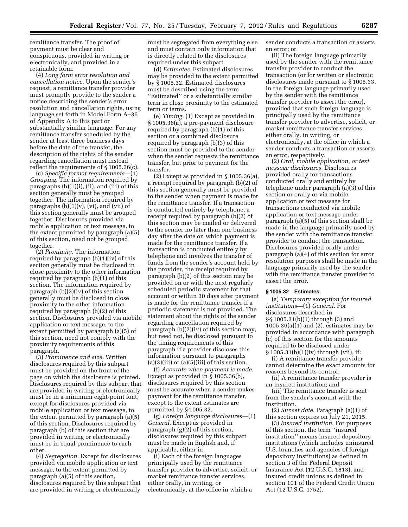remittance transfer. The proof of payment must be clear and conspicuous, provided in writing or electronically, and provided in a retainable form.

(4) *Long form error resolution and cancellation notice.* Upon the sender's request, a remittance transfer provider must promptly provide to the sender a notice describing the sender's error resolution and cancellation rights, using language set forth in Model Form A–36 of Appendix A to this part or substantially similar language. For any remittance transfer scheduled by the sender at least three business days before the date of the transfer, the description of the rights of the sender regarding cancellation must instead reflect the requirements of § 1005.36(c).

(c) *Specific format requirements—*(1) *Grouping.* The information required by paragraphs (b)(1)(i), (ii), and (iii) of this section generally must be grouped together. The information required by paragraphs  $(b)(1)(v)$ ,  $(vi)$ , and  $(vii)$  of this section generally must be grouped together. Disclosures provided via mobile application or text message, to the extent permitted by paragraph (a)(5) of this section, need not be grouped together.

(2) *Proximity.* The information required by paragraph (b)(1)(iv) of this section generally must be disclosed in close proximity to the other information required by paragraph (b)(1) of this section. The information required by paragraph (b)(2)(iv) of this section generally must be disclosed in close proximity to the other information required by paragraph (b)(2) of this section. Disclosures provided via mobile application or text message, to the extent permitted by paragraph (a)(5) of this section, need not comply with the proximity requirements of this paragraph.

(3) *Prominence and size.* Written disclosures required by this subpart must be provided on the front of the page on which the disclosure is printed. Disclosures required by this subpart that are provided in writing or electronically must be in a minimum eight-point font, except for disclosures provided via mobile application or text message, to the extent permitted by paragraph (a)(5) of this section. Disclosures required by paragraph (b) of this section that are provided in writing or electronically must be in equal prominence to each other.

(4) *Segregation.* Except for disclosures provided via mobile application or text message, to the extent permitted by paragraph (a)(5) of this section, disclosures required by this subpart that are provided in writing or electronically

must be segregated from everything else and must contain only information that is directly related to the disclosures required under this subpart.

(d) *Estimates.* Estimated disclosures may be provided to the extent permitted by § 1005.32. Estimated disclosures must be described using the term ''Estimated'' or a substantially similar term in close proximity to the estimated term or terms.

(e) *Timing.* (1) Except as provided in § 1005.36(a), a pre-payment disclosure required by paragraph (b)(1) of this section or a combined disclosure required by paragraph (b)(3) of this section must be provided to the sender when the sender requests the remittance transfer, but prior to payment for the transfer.

(2) Except as provided in § 1005.36(a), a receipt required by paragraph (b)(2) of this section generally must be provided to the sender when payment is made for the remittance transfer. If a transaction is conducted entirely by telephone, a receipt required by paragraph (b)(2) of this section may be mailed or delivered to the sender no later than one business day after the date on which payment is made for the remittance transfer. If a transaction is conducted entirely by telephone and involves the transfer of funds from the sender's account held by the provider, the receipt required by paragraph (b)(2) of this section may be provided on or with the next regularly scheduled periodic statement for that account or within 30 days after payment is made for the remittance transfer if a periodic statement is not provided. The statement about the rights of the sender regarding cancellation required by paragraph (b)(2)(iv) of this section may, but need not, be disclosed pursuant to the timing requirements of this paragraph if a provider discloses this information pursuant to paragraphs  $(a)(3)(iii)$  or  $(a)(5)(iii)$  of this section.

(f) *Accurate when payment is made.*  Except as provided in § 1005.36(b), disclosures required by this section must be accurate when a sender makes payment for the remittance transfer, except to the extent estimates are permitted by § 1005.32.

(g) *Foreign language disclosures—*(1) *General.* Except as provided in paragraph (g)(2) of this section, disclosures required by this subpart must be made in English and, if applicable, either in:

(i) Each of the foreign languages principally used by the remittance transfer provider to advertise, solicit, or market remittance transfer services, either orally, in writing, or electronically, at the office in which a

sender conducts a transaction or asserts an error; or

(ii) The foreign language primarily used by the sender with the remittance transfer provider to conduct the transaction (or for written or electronic disclosures made pursuant to § 1005.33, in the foreign language primarily used by the sender with the remittance transfer provider to assert the error), provided that such foreign language is principally used by the remittance transfer provider to advertise, solicit, or market remittance transfer services, either orally, in writing, or electronically, at the office in which a sender conducts a transaction or asserts an error, respectively.

(2) *Oral, mobile application, or text message disclosures.* Disclosures provided orally for transactions conducted orally and entirely by telephone under paragraph (a)(3) of this section or orally or via mobile application or text message for transactions conducted via mobile application or text message under paragraph (a)(5) of this section shall be made in the language primarily used by the sender with the remittance transfer provider to conduct the transaction. Disclosures provided orally under paragraph (a)(4) of this section for error resolution purposes shall be made in the language primarily used by the sender with the remittance transfer provider to assert the error.

# **§ 1005.32 Estimates.**

(a) *Temporary exception for insured institutions—*(1) *General.* For disclosures described in §§ 1005.31(b)(1) through (3) and  $1005.36(a)(1)$  and  $(2)$ , estimates may be provided in accordance with paragraph (c) of this section for the amounts required to be disclosed under § 1005.31(b)(1)(iv) through (vii), if:

(i) A remittance transfer provider cannot determine the exact amounts for reasons beyond its control;

(ii) A remittance transfer provider is an insured institution; and

(iii) The remittance transfer is sent from the sender's account with the institution.

(2) *Sunset date.* Paragraph (a)(1) of this section expires on July 21, 2015.

(3) *Insured institution.* For purposes of this section, the term ''insured institution'' means insured depository institutions (which includes uninsured U.S. branches and agencies of foreign depository institutions) as defined in section 3 of the Federal Deposit Insurance Act (12 U.S.C. 1813), and insured credit unions as defined in section 101 of the Federal Credit Union Act (12 U.S.C. 1752).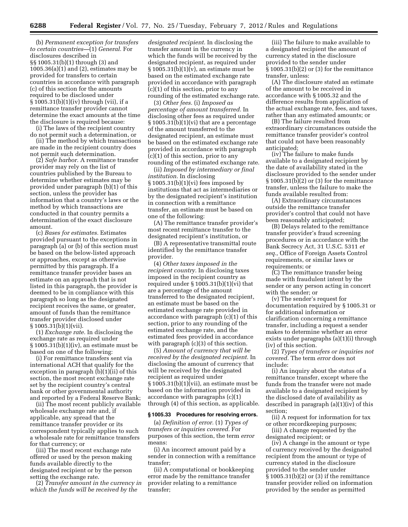(b) *Permanent exception for transfers to certain countries—*(1) *General.* For disclosures described in §§ 1005.31(b)(1) through (3) and 1005.36(a)(1) and (2), estimates may be provided for transfers to certain countries in accordance with paragraph (c) of this section for the amounts required to be disclosed under § 1005.31(b)(1)(iv) through (vii), if a remittance transfer provider cannot determine the exact amounts at the time the disclosure is required because:

(i) The laws of the recipient country do not permit such a determination, or

(ii) The method by which transactions are made in the recipient country does not permit such determination.

(2) *Safe harbor.* A remittance transfer provider may rely on the list of countries published by the Bureau to determine whether estimates may be provided under paragraph (b)(1) of this section, unless the provider has information that a country's laws or the method by which transactions are conducted in that country permits a determination of the exact disclosure amount.

(c) *Bases for estimates.* Estimates provided pursuant to the exceptions in paragraph (a) or (b) of this section must be based on the below-listed approach or approaches, except as otherwise permitted by this paragraph. If a remittance transfer provider bases an estimate on an approach that is not listed in this paragraph, the provider is deemed to be in compliance with this paragraph so long as the designated recipient receives the same, or greater, amount of funds than the remittance transfer provider disclosed under § 1005.31(b)(1)(vii).

(1) *Exchange rate.* In disclosing the exchange rate as required under § 1005.31(b)(1)(iv), an estimate must be based on one of the following:

(i) For remittance transfers sent via international ACH that qualify for the exception in paragraph (b)(1)(ii) of this section, the most recent exchange rate set by the recipient country's central bank or other governmental authority and reported by a Federal Reserve Bank;

(ii) The most recent publicly available wholesale exchange rate and, if applicable, any spread that the remittance transfer provider or its correspondent typically applies to such a wholesale rate for remittance transfers for that currency; or

(iii) The most recent exchange rate offered or used by the person making funds available directly to the designated recipient or by the person setting the exchange rate.

(2) *Transfer amount in the currency in which the funds will be received by the* 

*designated recipient.* In disclosing the transfer amount in the currency in which the funds will be received by the designated recipient, as required under § 1005.31(b)(1)(v), an estimate must be based on the estimated exchange rate provided in accordance with paragraph (c)(1) of this section, prior to any rounding of the estimated exchange rate.

(3) *Other fees.* (i) *Imposed as percentage of amount transferred.* In disclosing other fees as required under  $\S 1005.31(b)(1)(vi)$  that are a percentage of the amount transferred to the designated recipient, an estimate must be based on the estimated exchange rate provided in accordance with paragraph (c)(1) of this section, prior to any rounding of the estimated exchange rate.

(ii) *Imposed by intermediary or final institution.* In disclosing § 1005.31(b)(1)(vi) fees imposed by institutions that act as intermediaries or by the designated recipient's institution in connection with a remittance transfer, an estimate must be based on one of the following:

(A) The remittance transfer provider's most recent remittance transfer to the designated recipient's institution, or

(B) A representative transmittal route identified by the remittance transfer provider.

(4) *Other taxes imposed in the recipient country.* In disclosing taxes imposed in the recipient country as required under  $\S 1005.31(b)(1)(vi)$  that are a percentage of the amount transferred to the designated recipient, an estimate must be based on the estimated exchange rate provided in accordance with paragraph (c)(1) of this section, prior to any rounding of the estimated exchange rate, and the estimated fees provided in accordance with paragraph (c)(3) of this section.

(5) *Amount of currency that will be received by the designated recipient.* In disclosing the amount of currency that will be received by the designated recipient as required under § 1005.31(b)(1)(vii), an estimate must be based on the information provided in accordance with paragraphs (c)(1) through (4) of this section, as applicable.

#### **§ 1005.33 Procedures for resolving errors.**

(a) *Definition of error.* (1) *Types of transfers or inquiries covered.* For purposes of this section, the term *error*  means:

(i) An incorrect amount paid by a sender in connection with a remittance transfer;

(ii) A computational or bookkeeping error made by the remittance transfer provider relating to a remittance transfer;

(iii) The failure to make available to a designated recipient the amount of currency stated in the disclosure provided to the sender under § 1005.31(b)(2) or (3) for the remittance transfer, unless:

(A) The disclosure stated an estimate of the amount to be received in accordance with § 1005.32 and the difference results from application of the actual exchange rate, fees, and taxes, rather than any estimated amounts; or

(B) The failure resulted from extraordinary circumstances outside the remittance transfer provider's control that could not have been reasonably anticipated;

(iv) The failure to make funds available to a designated recipient by the date of availability stated in the disclosure provided to the sender under § 1005.31(b)(2) or (3) for the remittance transfer, unless the failure to make the funds available resulted from:

(A) Extraordinary circumstances outside the remittance transfer provider's control that could not have been reasonably anticipated;

(B) Delays related to the remittance transfer provider's fraud screening procedures or in accordance with the Bank Secrecy Act, 31 U.S.C. 5311 *et seq.,* Office of Foreign Assets Control requirements, or similar laws or requirements; or

(C) The remittance transfer being made with fraudulent intent by the sender or any person acting in concert with the sender; or

(v) The sender's request for documentation required by § 1005.31 or for additional information or clarification concerning a remittance transfer, including a request a sender makes to determine whether an error exists under paragraphs (a)(1)(i) through (iv) of this section.

(2) *Types of transfers or inquiries not covered.* The term *error* does not include:

(i) An inquiry about the status of a remittance transfer, except where the funds from the transfer were not made available to a designated recipient by the disclosed date of availability as described in paragraph (a)(1)(iv) of this section;

(ii) A request for information for tax or other recordkeeping purposes;

(iii) A change requested by the designated recipient; or

(iv) A change in the amount or type of currency received by the designated recipient from the amount or type of currency stated in the disclosure provided to the sender under § 1005.31(b)(2) or (3) if the remittance transfer provider relied on information provided by the sender as permitted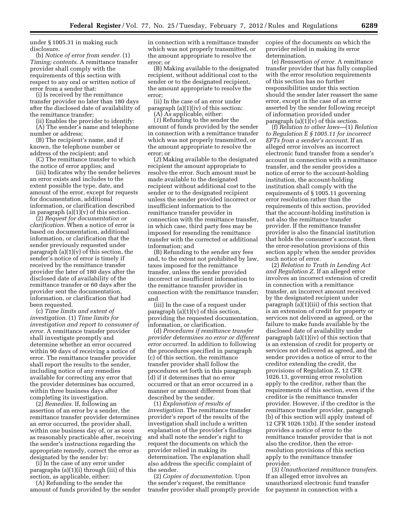under § 1005.31 in making such disclosure.

(b) *Notice of error from sender.* (1) *Timing; contents.* A remittance transfer provider shall comply with the requirements of this section with respect to any oral or written notice of error from a sender that:

(i) Is received by the remittance transfer provider no later than 180 days after the disclosed date of availability of the remittance transfer;

(ii) Enables the provider to identify:

(A) The sender's name and telephone number or address;

(B) The recipient's name, and if known, the telephone number or address of the recipient; and

(C) The remittance transfer to which the notice of error applies; and

(iii) Indicates why the sender believes an error exists and includes to the extent possible the type, date, and amount of the error, except for requests for documentation, additional information, or clarification described in paragraph  $(a)(1)(v)$  of this section.

(2) *Request for documentation or clarification.* When a notice of error is based on documentation, additional information, or clarification that the sender previously requested under paragraph  $(a)(1)(v)$  of this section, the sender's notice of error is timely if received by the remittance transfer provider the later of 180 days after the disclosed date of availability of the remittance transfer or 60 days after the provider sent the documentation, information, or clarification that had been requested.

(c) *Time limits and extent of investigation.* (1) *Time limits for investigation and report to consumer of error.* A remittance transfer provider shall investigate promptly and determine whether an error occurred within 90 days of receiving a notice of error. The remittance transfer provider shall report the results to the sender, including notice of any remedies available for correcting any error that the provider determines has occurred, within three business days after completing its investigation.

(2) *Remedies.* If, following an assertion of an error by a sender, the remittance transfer provider determines an error occurred, the provider shall, within one business day of, or as soon as reasonably practicable after, receiving the sender's instructions regarding the appropriate remedy, correct the error as designated by the sender by:

(i) In the case of any error under paragraphs (a)(1)(i) through (iii) of this section, as applicable, either:

(A) Refunding to the sender the amount of funds provided by the sender in connection with a remittance transfer which was not properly transmitted, or the amount appropriate to resolve the error; or

(B) Making available to the designated recipient, without additional cost to the sender or to the designated recipient, the amount appropriate to resolve the error;

(ii) In the case of an error under paragraph (a)(1)(iv) of this section: (A) As applicable, either:

(*1*) Refunding to the sender the amount of funds provided by the sender in connection with a remittance transfer which was not properly transmitted, or the amount appropriate to resolve the error; or

(*2*) Making available to the designated recipient the amount appropriate to resolve the error. Such amount must be made available to the designated recipient without additional cost to the sender or to the designated recipient unless the sender provided incorrect or insufficient information to the remittance transfer provider in connection with the remittance transfer, in which case, third party fees may be imposed for resending the remittance transfer with the corrected or additional information; and

(B) Refunding to the sender any fees and, to the extent not prohibited by law, taxes imposed for the remittance transfer, unless the sender provided incorrect or insufficient information to the remittance transfer provider in connection with the remittance transfer; and

(iii) In the case of a request under paragraph  $(a)(1)(v)$  of this section, providing the requested documentation, information, or clarification.

(d) *Procedures if remittance transfer provider determines no error or different error occurred.* In addition to following the procedures specified in paragraph (c) of this section, the remittance transfer provider shall follow the procedures set forth in this paragraph (d) if it determines that no error occurred or that an error occurred in a manner or amount different from that described by the sender.

(1) *Explanation of results of investigation.* The remittance transfer provider's report of the results of the investigation shall include a written explanation of the provider's findings and shall note the sender's right to request the documents on which the provider relied in making its determination. The explanation shall also address the specific complaint of the sender.

(2) *Copies of documentation.* Upon the sender's request, the remittance transfer provider shall promptly provide copies of the documents on which the provider relied in making its error determination.

(e) *Reassertion of error.* A remittance transfer provider that has fully complied with the error resolution requirements of this section has no further responsibilities under this section should the sender later reassert the same error, except in the case of an error asserted by the sender following receipt of information provided under paragraph  $(a)(1)(v)$  of this section.

(f) *Relation to other laws—*(1) *Relation to Regulation E § 1005.11 for incorrect EFTs from a sender's account.* If an alleged error involves an incorrect electronic fund transfer from a sender's account in connection with a remittance transfer, and the sender provides a notice of error to the account-holding institution, the account-holding institution shall comply with the requirements of § 1005.11 governing error resolution rather than the requirements of this section, provided that the account-holding institution is not also the remittance transfer provider. If the remittance transfer provider is also the financial institution that holds the consumer's account, then the error-resolution provisions of this section apply when the sender provides such notice of error.

(2) *Relation to Truth in Lending Act and Regulation Z.* If an alleged error involves an incorrect extension of credit in connection with a remittance transfer, an incorrect amount received by the designated recipient under paragraph (a)(1)(iii) of this section that is an extension of credit for property or services not delivered as agreed, or the failure to make funds available by the disclosed date of availability under paragraph (a)(1)(iv) of this section that is an extension of credit for property or services not delivered as agreed, and the sender provides a notice of error to the creditor extending the credit, the provisions of Regulation Z, 12 CFR 1026.13, governing error resolution apply to the creditor, rather than the requirements of this section, even if the creditor is the remittance transfer provider. However, if the creditor is the remittance transfer provider, paragraph (b) of this section will apply instead of 12 CFR 1026.13(b). If the sender instead provides a notice of error to the remittance transfer provider that is not also the creditor, then the errorresolution provisions of this section apply to the remittance transfer provider.

(3) *Unauthorized remittance transfers.*  If an alleged error involves an unauthorized electronic fund transfer for payment in connection with a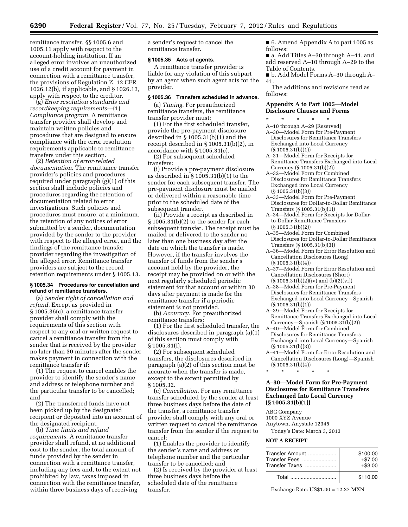**6290 Federal Register** / Vol. 77, No. 25 / Tuesday, February 7, 2012 / Rules and Regulations

remittance transfer, §§ 1005.6 and 1005.11 apply with respect to the account-holding institution. If an alleged error involves an unauthorized use of a credit account for payment in connection with a remittance transfer, the provisions of Regulation Z, 12 CFR 1026.12(b), if applicable, and § 1026.13, apply with respect to the creditor.

(g) *Error resolution standards and recordkeeping requirements—*(1) *Compliance program.* A remittance transfer provider shall develop and maintain written policies and procedures that are designed to ensure compliance with the error resolution requirements applicable to remittance transfers under this section.

(2) *Retention of error-related documentation.* The remittance transfer provider's policies and procedures required under paragraph (g)(1) of this section shall include policies and procedures regarding the retention of documentation related to error investigations. Such policies and procedures must ensure, at a minimum, the retention of any notices of error submitted by a sender, documentation provided by the sender to the provider with respect to the alleged error, and the findings of the remittance transfer provider regarding the investigation of the alleged error. Remittance transfer providers are subject to the record retention requirements under § 1005.13.

# **§ 1005.34 Procedures for cancellation and refund of remittance transfers.**

(a) *Sender right of cancellation and refund.* Except as provided in § 1005.36(c), a remittance transfer provider shall comply with the requirements of this section with respect to any oral or written request to cancel a remittance transfer from the sender that is received by the provider no later than 30 minutes after the sender makes payment in connection with the remittance transfer if:

(1) The request to cancel enables the provider to identify the sender's name and address or telephone number and the particular transfer to be cancelled; and

(2) The transferred funds have not been picked up by the designated recipient or deposited into an account of the designated recipient.

(b) *Time limits and refund requirements.* A remittance transfer provider shall refund, at no additional cost to the sender, the total amount of funds provided by the sender in connection with a remittance transfer, including any fees and, to the extent not prohibited by law, taxes imposed in connection with the remittance transfer, within three business days of receiving

a sender's request to cancel the remittance transfer.

#### **§ 1005.35 Acts of agents.**

A remittance transfer provider is liable for any violation of this subpart by an agent when such agent acts for the provider.

# **§ 1005.36 Transfers scheduled in advance.**

(a) *Timing.* For preauthorized remittance transfers, the remittance transfer provider must:

(1) For the first scheduled transfer, provide the pre-payment disclosure described in § 1005.31(b)(1) and the receipt described in § 1005.31(b)(2), in accordance with § 1005.31(e).

(2) For subsequent scheduled transfers:

(i) Provide a pre-payment disclosure as described in § 1005.31(b)(1) to the sender for each subsequent transfer. The pre-payment disclosure must be mailed or delivered within a reasonable time prior to the scheduled date of the subsequent transfer.

(ii) Provide a receipt as described in § 1005.31(b)(2) to the sender for each subsequent transfer. The receipt must be mailed or delivered to the sender no later than one business day after the date on which the transfer is made. However, if the transfer involves the transfer of funds from the sender's account held by the provider, the receipt may be provided on or with the next regularly scheduled periodic statement for that account or within 30 days after payment is made for the remittance transfer if a periodic statement is not provided.

(b) *Accuracy.* For preauthorized remittance transfers:

(1) For the first scheduled transfer, the disclosures described in paragraph (a)(1) of this section must comply with § 1005.31(f).

(2) For subsequent scheduled transfers, the disclosures described in paragraph (a)(2) of this section must be accurate when the transfer is made, except to the extent permitted by § 1005.32.

(c) *Cancellation.* For any remittance transfer scheduled by the sender at least three business days before the date of the transfer, a remittance transfer provider shall comply with any oral or written request to cancel the remittance transfer from the sender if the request to cancel:

(1) Enables the provider to identify the sender's name and address or telephone number and the particular transfer to be cancelled; and

(2) Is received by the provider at least three business days before the scheduled date of the remittance transfer.

■ 6. Amend Appendix A to part 1005 as follows:

■ a. Add Titles A–30 through A–41, and add reserved A–10 through A–29 to the Table of Contents.

■ b. Add Model Forms A–30 through A– 41.

The additions and revisions read as follows:

## **Appendix A to Part 1005—Model Disclosure Clauses and Forms**

- \* \* \* \* \*
- A–10 through A–29 [Reserved] A–30—Model Form for Pre-Payment Disclosures for Remittance Transfers Exchanged into Local Currency (§ 1005.31(b)(1))
- A–31—Model Form for Receipts for Remittance Transfers Exchanged into Local Currency (§ 1005.31(b)(2))
- A–32—Model Form for Combined Disclosures for Remittance Transfers Exchanged into Local Currency  $(S1005.31(b)(3))$
- A–33—Model Form for Pre-Payment Disclosures for Dollar-to-Dollar Remittance Transfers (§ 1005.31(b)(1))
- A–34—Model Form for Receipts for Dollarto-Dollar Remittance Transfers (§ 1005.31(b)(2))
- A–35—Model Form for Combined Disclosures for Dollar-to-Dollar Remittance Transfers (§ 1005.31(b)(3))
- A–36—Model Form for Error Resolution and Cancellation Disclosures (Long) (§ 1005.31(b)(4))
- A–37—Model Form for Error Resolution and Cancellation Disclosures (Short)  $(\S 1005.31(b)(2)(iv)$  and  $(b)(2)(vi))$
- A–38—Model Form for Pre-Payment Disclosures for Remittance Transfers Exchanged into Local Currency—Spanish (§ 1005.31(b)(1))
- A–39—Model Form for Receipts for Remittance Transfers Exchanged into Local Currency—Spanish (§ 1005.31(b)(2))
- A–40—Model Form for Combined Disclosures for Remittance Transfers Exchanged into Local Currency—Spanish (§ 1005.31(b)(3))
- A–41—Model Form for Error Resolution and Cancellation Disclosures (Long)—Spanish  $({\S 1005.31(b)(4)})$

\* \* \* \* \*

#### **A–30—Model Form for Pre-Payment Disclosures for Remittance Transfers Exchanged Into Local Currency (§ 1005.31(b)(1))**

ABC Company 1000 XYZ Avenue Anytown, Anystate 12345

Today's Date: March 3, 2013

#### **NOT A RECEIPT**

| Transfer Amount | \$100.00  |
|-----------------|-----------|
| Transfer Fees   | $+ $7.00$ |
| Transfer Taxes  | $+ $3.00$ |
| Total           | \$110.00  |

Exchange Rate: US\$1.00 = 12.27 MXN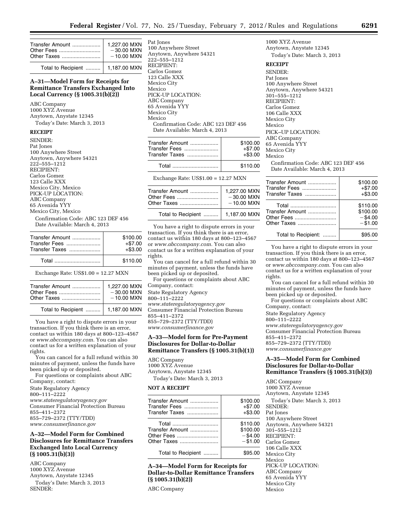|                                    | 1,227.00 MXN |
|------------------------------------|--------------|
|                                    | $-30.00$ MXN |
|                                    | $-10.00$ MXN |
| Total to Recipient    1,187.00 MXN |              |

# **A–31—Model Form for Receipts for Remittance Transfers Exchanged Into Local Currency (§ 1005.31(b)(2))**

ABC Company 1000 XYZ Avenue Anytown, Anystate 12345 Today's Date: March 3, 2013

#### **RECEIPT**

| <b>SENDER:</b>                     |
|------------------------------------|
| Pat Jones                          |
| 100 Anywhere Street                |
| Anytown, Anywhere 54321            |
| 222-555-1212                       |
| RECIPIENT:                         |
| Carlos Gomez                       |
| 123 Calle XXX                      |
| Mexico City, Mexico                |
| PICK-UP LOCATION:                  |
| <b>ABC Company</b>                 |
| 65 Avenida YYY                     |
| Mexico City, Mexico                |
| Confirmation Code: ABC 123 DEF 456 |
|                                    |

Date Available: March 4, 2013

| Transfer Amount<br>Transfer Fees<br>Transfer Taxes | \$100.00<br>$+ $7.00$<br>$+ $3.00$           |  |
|----------------------------------------------------|----------------------------------------------|--|
| Total                                              | \$110.00                                     |  |
| Exchange Rate: $US$1.00 = 12.27$ MXN               |                                              |  |
| Transfer Amount<br>Other Fees<br>Other Taxes       | 1.227.00 MXN<br>$-30.00$ MXN<br>$-10.00$ MXN |  |
| Total to Recipient                                 | 1,187.00 MXN                                 |  |

You have a right to dispute errors in your transaction. If you think there is an error, contact us within 180 days at 800–123–4567 or *[www.abccompany.com.](http://www.abccompany.com)* You can also contact us for a written explanation of your rights.

You can cancel for a full refund within 30 minutes of payment, unless the funds have been picked up or deposited.

For questions or complaints about ABC Company, contact:

State Regulatory Agency 800–111–2222 *[www.stateregulatoryagency.gov](http://www.stateregulatoryagency.gov)*  Consumer Financial Protection Bureau 855–411–2372 855–729–2372 (TTY/TDD) *[www.consumerfinance.gov](http://www.consumerfinance.gov)* 

# **A–32—Model Form for Combined Disclosures for Remittance Transfers Exchanged Into Local Currency (§ 1005.31(b)(3))**

ABC Company 1000 XYZ Avenue Anytown, Anystate 12345 Today's Date: March 3, 2013 SENDER:

Pat Jones 100 Anywhere Street Anytown, Anywhere 54321 222–555–1212 RECIPIENT: Carlos Gomez 123 Calle XXX Mexico City Mexico PICK-UP LOCATION: ABC Company 65 Avenida YYY Mexico City Mexico Confirmation Code: ABC 123 DEF 456 Date Available: March 4, 2013 Transfer Amount ................... \$100.00

| <b>ITAILSIEL AITIOUIII</b> | <b>DU.UU</b> |
|----------------------------|--------------|
| Transfer Fees              | $+ $7.00$    |
| Transfer Taxes             | $+ $3.00$    |
| Total                      | \$110.00     |

Exchange Rate: US\$1.00 = 12.27 MXN

| Transfer Amount                    | 1.227.00 MXN |
|------------------------------------|--------------|
| Other Fees                         | $-30.00$ MXN |
| Other Taxes                        | $-10.00$ MXN |
| Total to Recipient    1,187.00 MXN |              |

You have a right to dispute errors in your transaction. If you think there is an error, contact us within 180 days at 800–123–4567 or *[www.abccompany.com.](http://www.abccompany.com)* You can also contact us for a written explanation of your rights.

You can cancel for a full refund within 30 minutes of payment, unless the funds have been picked up or deposited.

For questions or complaints about ABC Company, contact:

State Regulatory Agency

800–111–2222

*[www.stateregulatoryagency.gov](http://www.stateregulatoryagency.gov)*  Consumer Financial Protection Bureau 855–411–2372 855–729–2372 (TTY/TDD) *[www.consumerfinance.gov](http://www.consumerfinance.gov)* 

#### **A–33—Model form for Pre-Payment Disclosures for Dollar-to-Dollar Remittance Transfers (§ 1005.31(b)(1))**

ABC Company 1000 XYZ Avenue Anytown, Anystate 12345 Today's Date: March 3, 2013

#### **NOT A RECEIPT**

| Transfer Amount    | \$100.00  |
|--------------------|-----------|
| Transfer Fees      | $+ $7.00$ |
| Transfer Taxes     | $+ $3.00$ |
| Total              | \$110.00  |
| Transfer Amount    | \$100.00  |
| Other Fees         | $- $4.00$ |
| Other Taxes        | $- $1.00$ |
| Total to Recipient | \$95.00   |

**A–34—Model Form for Receipts for Dollar-to-Dollar Remittance Transfers (§ 1005.31(b)(2))** 

ABC Company

1000 XYZ Avenue Anytown, Anystate 12345 Today's Date: March 3, 2013

# **RECEIPT**

SENDER: Pat Jones 100 Anywhere Street Anytown, Anywhere 54321 301–555–1212 RECIPIENT: Carlos Gomez 106 Calle XXX Mexico City Mexico PICK–UP LOCATION: ABC Company 65 Avenida YYY Mexico City Mexico Confirmation Code: ABC 123 DEF 456

Date Available: March 4, 2013

| Transfer Amount     | \$100.00   |
|---------------------|------------|
| Transfer Fees       | $+ $7.00$  |
| Transfer Taxes      | $+ $3.00$  |
| Total               | \$110.00   |
| Transfer Amount     | \$100.00   |
| Other Fees          | $-$ \$4.00 |
| Other Taxes         | $- $1.00$  |
| Total to Recipient: |            |

You have a right to dispute errors in your transaction. If you think there is an error, contact us within 180 days at 800–123–4567 or *[www.abccompany.com.](http://www.abccompany.com)* You can also contact us for a written explanation of your rights.

You can cancel for a full refund within 30 minutes of payment, unless the funds have been picked up or deposited.

For questions or complaints about ABC Company, contact:

State Regulatory Agency

800–111–2222

*[www.stateregulatoryagency.gov](http://www.stateregulatoryagency.gov)*  Consumer Financial Protection Bureau 855–411–2372

855–729–2372 (TTY/TDD)

*[www.consumerfinance.gov](http://www.consumerfinance.gov)* 

# **A–35—Model Form for Combined Disclosures for Dollar-to-Dollar Remittance Transfers (§ 1005.31(b)(3))**

ABC Company 1000 XYZ Avenue Anytown, Anystate 12345 Today's Date: March 3, 2013 SENDER: Pat Jones 100 Anywhere Street Anytown, Anywhere 54321 301–555–1212 RECIPIENT: Carlos Gomez 106 Calle XXX Mexico City Mexico PICK-UP LOCATION: ABC Company 65 Avenida YYY Mexico City Mexico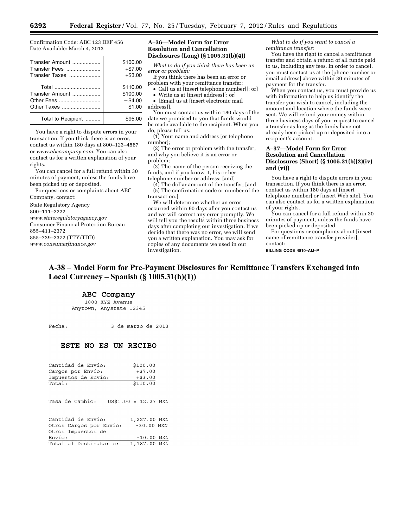Confirmation Code: ABC 123 DEF 456 Date Available: March 4, 2013

| Transfer Amount    | \$100.00   |
|--------------------|------------|
| Transfer Fees      | $+ $7.00$  |
| Transfer Taxes     | $+ $3.00$  |
| Total              | \$110.00   |
| Transfer Amount    | \$100.00   |
| Other Fees         | $- $4.00$  |
| Other Taxes        | $-$ \$1.00 |
| Total to Recipient | \$95.00    |

You have a right to dispute errors in your transaction. If you think there is an error, contact us within 180 days at 800–123–4567 or *[www.abccompany.com.](http://www.abccompany.com)* You can also contact us for a written explanation of your rights.

You can cancel for a full refund within 30 minutes of payment, unless the funds have been picked up or deposited.

For questions or complaints about ABC Company, contact:

State Regulatory Agency

800–111–2222

*[www.stateregulatoryagency.gov](http://www.stateregulatoryagency.gov)* 

Consumer Financial Protection Bureau 855–411–2372

855–729–2372 (TTY/TDD)

*[www.consumerfinance.gov](http://www.consumerfinance.gov)* 

# **A–36—Model Form for Error Resolution and Cancellation Disclosures (Long) (§ 1005.31(b)(4))**

*What to do if you think there has been an error or problem:* 

If you think there has been an error or problem with your remittance transfer:

• Call us at [insert telephone number][; or]

- Write us at [insert address][; or]
- [Email us at [insert electronic mail

address]].

You must contact us within 180 days of the date we promised to you that funds would be made available to the recipient. When you do, please tell us:

(1) Your name and address [or telephone number];

(2) The error or problem with the transfer, and why you believe it is an error or problem;

(3) The name of the person receiving the funds, and if you know it, his or her telephone number or address; [and]

(4) The dollar amount of the transfer; [and (5) The confirmation code or number of the transaction.]

We will determine whether an error occurred within 90 days after you contact us and we will correct any error promptly. We will tell you the results within three business days after completing our investigation. If we decide that there was no error, we will send you a written explanation. You may ask for copies of any documents we used in our investigation.

*What to do if you want to cancel a remittance transfer:* 

You have the right to cancel a remittance transfer and obtain a refund of all funds paid to us, including any fees. In order to cancel, you must contact us at the [phone number or email address] above within 30 minutes of payment for the transfer.

When you contact us, you must provide us with information to help us identify the transfer you wish to cancel, including the amount and location where the funds were sent. We will refund your money within three business days of your request to cancel a transfer as long as the funds have not already been picked up or deposited into a recipient's account.

# **A–37—Model Form for Error Resolution and Cancellation Disclosures (Short) (§ 1005.31(b)(2)(iv) and (vi))**

You have a right to dispute errors in your transaction. If you think there is an error, contact us within 180 days at [insert telephone number] or [insert Web site]. You can also contact us for a written explanation of your rights.

You can cancel for a full refund within 30 minutes of payment, unless the funds have been picked up or deposited.

For questions or complaints about [insert name of remittance transfer provider], contact:

**BILLING CODE 4810–AM–P** 

# A-38 – Model Form for Pre-Payment Disclosures for Remittance Transfers Exchanged into Local Currency – Spanish  $(\S 1005.31(b)(1))$

# ABC Company

1000 XYZ Avenue Anytown, Anystate 12345

Fecha:

3 de marzo de 2013

# ESTE NO ES UN RECIBO

| Cantidad de Envío:<br>Cargos por Envío:<br>Impuestos de Envío:<br>Total: | \$100.00<br>$+57.00$<br>$+ $3.00$<br>\$110.00 |  |
|--------------------------------------------------------------------------|-----------------------------------------------|--|
| Tasa de Cambio:                                                          | US\$1.00 = 12.27 MXN                          |  |
| Cantidad de Envío:<br>Otros Cargos por Envío:<br>Otros Impuestos de      | 1,227.00 MXN<br>$-30.00$ MXN                  |  |
| Envío:<br>Total al Destinatario:                                         | $-10.00$ MXN<br>1,187.00 MXN                  |  |
|                                                                          |                                               |  |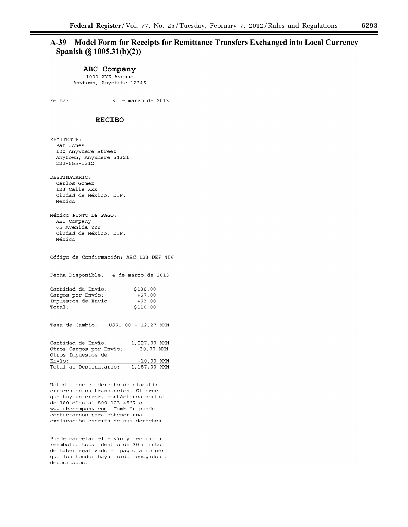# A-39 – Model Form for Receipts for Remittance Transfers Exchanged into Local Currency  $-$  Spanish (§ 1005.31(b)(2))

# ABC Company

1000 XYZ Avenue Anytown, Anystate 12345

3 de marzo de 2013 Fecha:

# **RECIBO**

REMITENTE:

Pat Jones 100 Anywhere Street Anytown, Anywhere 54321  $222 - 555 - 1212$ DESTINATARIO: Carlos Gomez 123 Calle XXX Ciudad de México, D.F. Mexico México PUNTO DE PAGO: ABC Company 65 Avenida YYY Ciudad de México, D.F. México Código de Confirmación: ABC 123 DEF 456 Fecha Disponible: 4 de marzo de 2013 Cantidad de Envío:  $$100.00$ Cargos por Envío:  $+ $7.00$ Impuestos de Envío:  $+ $3.00$ Total:  $$110.00$ Tasa de Cambio: US\$1.00 = 12.27 MXN Cantidad de Envío: 1,227.00 MXN Otros Cargos por Envío:  $-30.00$  MXN Otros Impuestos de Envío:  $-10.00$  MXN Total al Destinatario: 1,187.00 MXN

Usted tiene el derecho de discutir errores en su transaccion. Si cree que hay un error, contáctenos dentro de 180 días al 800-123-4567 o www.abccompany.com. También puede contactarnos para obtener una explicación escrita de sus derechos.

Puede cancelar el envío y recibir un reembolso total dentro de 30 minutos de haber realizado el pago, a no ser que los fondos hayan sido recogidos o depositados.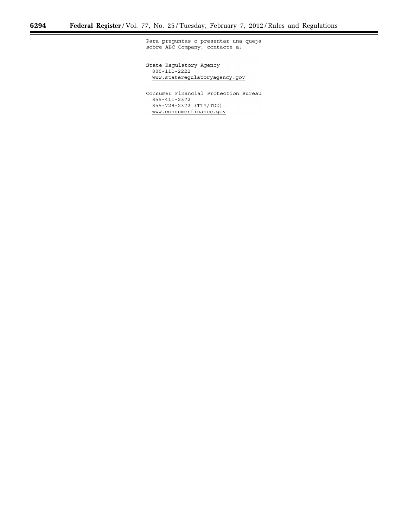Para preguntas o presentar una queja sobre ABC Company, contacte a:

State Regulatory Agency  $800 - 111 - 2222$ www.stateregulatoryagency.gov

Consumer Financial Protection Bureau  $855 - 411 - 2372$ 855-729-2372 (TTY/TDD) www.consumerfinance.gov

۳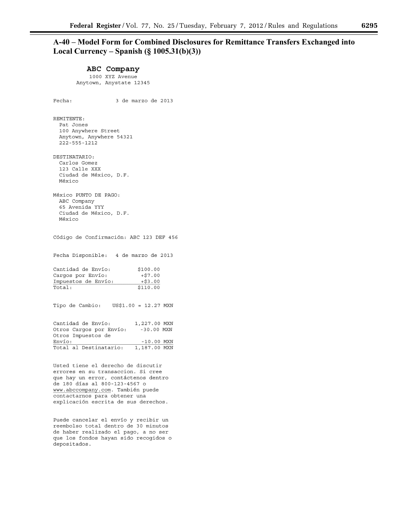# A-40 – Model Form for Combined Disclosures for Remittance Transfers Exchanged into Local Currency – Spanish  $(\S 1005.31(b)(3))$

ABC Company 1000 XYZ Avenue Anytown, Anystate 12345 Fecha: 3 de marzo de 2013 REMITENTE: Pat Jones 100 Anywhere Street Anytown, Anywhere 54321  $222 - 555 - 1212$ DESTINATARIO: Carlos Gomez 123 Calle XXX Ciudad de México, D.F. México México PUNTO DE PAGO: ABC Company 65 Avenida YYY Ciudad de México, D.F. México Código de Confirmación: ABC 123 DEF 456 Fecha Disponible: 4 de marzo de 2013 Cantidad de Envío:  $$100.00$ Cargos por Envío:  $+ $7.00$ Impuestos de Envío:  $+ $3.00$ Total:  $$110.00$ Tipo de Cambio:  $US$1.00 = 12.27$  MXN Cantidad de Envío: 1,227.00 MXN Otros Cargos por Envío:  $-30.00$   $MXN$ Otros Impuestos de  $-10.00$  MXN  $Env$ ío: Total al Destinatario: 1,187.00 MXN Usted tiene el derecho de discutir errores en su transaccion. Si cree

que hay un error, contáctenos dentro de 180 días al 800-123-4567 o www.abccompany.com. También puede contactarnos para obtener una explicación escrita de sus derechos.

Puede cancelar el envío y recibir un reembolso total dentro de 30 minutos de haber realizado el pago, a no ser que los fondos hayan sido recogidos o depositados.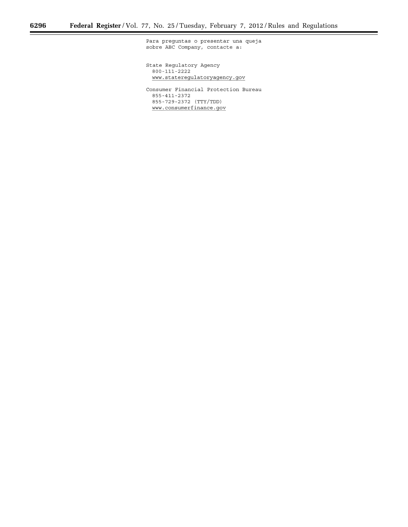Para preguntas o presentar una queja sobre ABC Company, contacte a:

State Regulatory Agency  $800 - 111 - 2222$ www.stateregulatoryagency.gov Consumer Financial Protection Bureau

 $855 - 411 - 2372$ 855-729-2372 (TTY/TDD) www.consumerfinance.gov

۳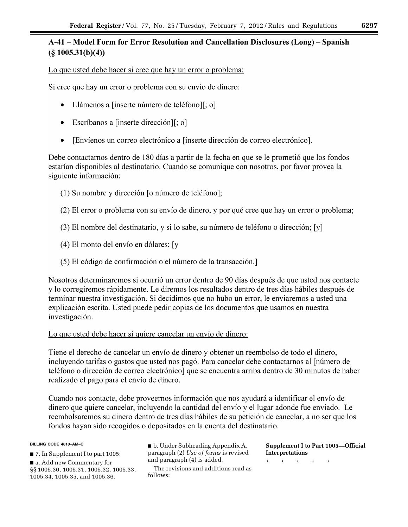# A-41 – Model Form for Error Resolution and Cancellation Disclosures (Long) – Spanish  $(S 1005.31(b)(4))$

# Lo que usted debe hacer si cree que hay un error o problema:

Si cree que hay un error o problema con su envío de dinero:

- Llámenos a [inserte número de teléfono][; o]  $\bullet$
- Escríbanos a [inserte dirección][; o]
- [Envíenos un correo electrónico a [inserte dirección de correo electrónico].  $\bullet$

Debe contactarnos dentro de 180 días a partir de la fecha en que se le prometió que los fondos estarían disponibles al destinatario. Cuando se comunique con nosotros, por favor provea la siguiente información:

- (1) Su nombre y dirección [o número de teléfono];
- (2) El error o problema con su envío de dinero, y por qué cree que hay un error o problema;
- (3) El nombre del destinatario, y si lo sabe, su número de teléfono o dirección; [y]
- (4) El monto del envío en dólares; [y
- (5) El código de confirmación o el número de la transacción.

Nosotros determinaremos si ocurrió un error dentro de 90 días después de que usted nos contacte y lo corregiremos rápidamente. Le diremos los resultados dentro de tres días hábiles después de terminar nuestra investigación. Si decidimos que no hubo un error, le enviaremos a usted una explicación escrita. Usted puede pedir copias de los documentos que usamos en nuestra investigación.

# Lo que usted debe hacer si quiere cancelar un envío de dinero:

Tiene el derecho de cancelar un envío de dinero y obtener un reembolso de todo el dinero, incluyendo tarifas o gastos que usted nos pagó. Para cancelar debe contactarnos al [número de teléfono o dirección de correo electrónico] que se encuentra arriba dentro de 30 minutos de haber realizado el pago para el envío de dinero.

Cuando nos contacte, debe proveernos información que nos ayudará a identificar el envío de dinero que quiere cancelar, incluyendo la cantidad del envío y el lugar adonde fue enviado. Le reembolsaremos su dinero dentro de tres días hábiles de su petición de cancelar, a no ser que los fondos hayan sido recogidos o depositados en la cuenta del destinatario.

# **BILLING CODE 4810–AM–C**

■ 7. In Supplement I to part 1005: ■ a. Add new Commentary for §§ 1005.30, 1005.31, 1005.32, 1005.33, 1005.34, 1005.35, and 1005.36.

■ b. Under Subheading Appendix A, paragraph (2) *Use of forms* is revised and paragraph (4) is added.

The revisions and additions read as follows:

**Supplement I to Part 1005—Official Interpretations** 

\* \* \* \* \*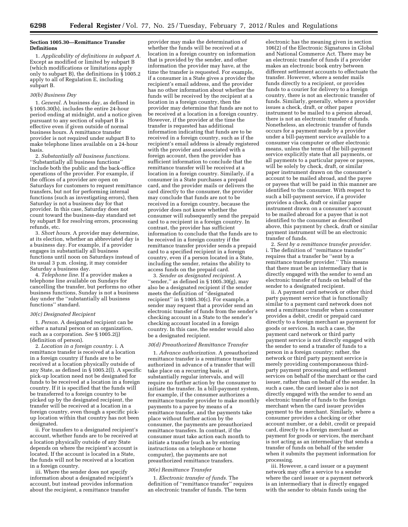#### **Section 1005.30—Remittance Transfer Definitions**

1. *Applicability of definitions in subpart A.*  Except as modified or limited by subpart B (which modifications or limitations apply only to subpart B), the definitions in  $\S 1005.2$ apply to all of Regulation E, including subpart B.

#### *30(b) Business Day*

1. *General.* A business day, as defined in § 1005.30(b), includes the entire 24-hour period ending at midnight, and a notice given pursuant to any section of subpart B is effective even if given outside of normal business hours. A remittance transfer provider is not required under subpart B to make telephone lines available on a 24-hour basis.

2. *Substantially all business functions.*  ''Substantially all business functions'' include both the public and the back-office operations of the provider. For example, if the offices of a provider are open on Saturdays for customers to request remittance transfers, but not for performing internal functions (such as investigating errors), then Saturday is not a business day for that provider. In this case, Saturday does not count toward the business-day standard set by subpart B for resolving errors, processing refunds, etc.

3. *Short hours.* A provider may determine, at its election, whether an abbreviated day is a business day. For example, if a provider engages in substantially all business functions until noon on Saturdays instead of its usual 3 p.m. closing, it may consider Saturday a business day.

4. *Telephone line.* If a provider makes a telephone line available on Sundays for cancelling the transfer, but performs no other business functions, Sunday is not a business day under the ''substantially all business functions'' standard.

#### *30(c) Designated Recipient*

1. *Person.* A designated recipient can be either a natural person or an organization, such as a corporation. *See* § 1005.2(j) (definition of person).

2. *Location in a foreign country.* i. A remittance transfer is received at a location in a foreign country if funds are to be received at a location physically outside of any State, as defined in § 1005.2(l). A specific pick-up location need not be designated for funds to be received at a location in a foreign country. If it is specified that the funds will be transferred to a foreign country to be picked up by the designated recipient, the transfer will be received at a location in a foreign country, even though a specific pickup location within that country has not been designated.

ii. For transfers to a designated recipient's account, whether funds are to be received at a location physically outside of any State depends on where the recipient's account is located. If the account is located in a State, the funds will not be received at a location in a foreign country.

iii. Where the sender does not specify information about a designated recipient's account, but instead provides information about the recipient, a remittance transfer

provider may make the determination of whether the funds will be received at a location in a foreign country on information that is provided by the sender, and other information the provider may have, at the time the transfer is requested. For example, if a consumer in a State gives a provider the recipient's email address, and the provider has no other information about whether the funds will be received by the recipient at a location in a foreign country, then the provider may determine that funds are not to be received at a location in a foreign country. However, if the provider at the time the transfer is requested has additional information indicating that funds are to be received in a foreign country, such as if the recipient's email address is already registered with the provider and associated with a foreign account, then the provider has sufficient information to conclude that the remittance transfer will be received at a location in a foreign country. Similarly, if a consumer in a State purchases a prepaid card, and the provider mails or delivers the card directly to the consumer, the provider may conclude that funds are not to be received in a foreign country, because the provider does not know whether the consumer will subsequently send the prepaid card to a recipient in a foreign country. In contrast, the provider has sufficient information to conclude that the funds are to be received in a foreign country if the remittance transfer provider sends a prepaid card to a specified recipient in a foreign country, even if a person located in a State, including the sender, retains the ability to access funds on the prepaid card.

3. *Sender as designated recipient.* A ''sender,'' as defined in § 1005.30(g), may also be a designated recipient if the sender meets the definition of ''designated recipient'' in § 1005.30(c). For example, a sender may request that a provider send an electronic transfer of funds from the sender's checking account in a State to the sender's checking account located in a foreign country. In this case, the sender would also be a designated recipient.

#### *30(d) Preauthorized Remittance Transfer*

1. *Advance authorization.* A preauthorized remittance transfer is a remittance transfer authorized in advance of a transfer that will take place on a recurring basis, at substantially regular intervals, and will require no further action by the consumer to initiate the transfer. In a bill-payment system, for example, if the consumer authorizes a remittance transfer provider to make monthly payments to a payee by means of a remittance transfer, and the payments take place without further action by the consumer, the payments are preauthorized remittance transfers. In contrast, if the consumer must take action each month to initiate a transfer (such as by entering instructions on a telephone or home computer), the payments are not preauthorized remittance transfers.

#### *30(e) Remittance Transfer*

1. *Electronic transfer of funds.* The definition of ''remittance transfer'' requires an electronic transfer of funds. The term

electronic has the meaning given in section 106(2) of the Electronic Signatures in Global and National Commerce Act. There may be an electronic transfer of funds if a provider makes an electronic book entry between different settlement accounts to effectuate the transfer. However, where a sender mails funds directly to a recipient, or provides funds to a courier for delivery to a foreign country, there is not an electronic transfer of funds. Similarly, generally, where a provider issues a check, draft, or other paper instrument to be mailed to a person abroad, there is not an electronic transfer of funds. Nonetheless, an electronic transfer of funds occurs for a payment made by a provider under a bill-payment service available to a consumer via computer or other electronic means, unless the terms of the bill-payment service explicitly state that all payments, or all payments to a particular payee or payees, will be solely by check, draft, or similar paper instrument drawn on the consumer's account to be mailed abroad, and the payee or payees that will be paid in this manner are identified to the consumer. With respect to such a bill-payment service, if a provider provides a check, draft or similar paper instrument drawn on a consumer's account to be mailed abroad for a payee that is not identified to the consumer as described above, this payment by check, draft or similar payment instrument will be an electronic transfer of funds.

2. *Sent by a remittance transfer provider.*  i. The definition of ''remittance transfer'' requires that a transfer be ''sent by a remittance transfer provider.'' This means that there must be an intermediary that is directly engaged with the sender to send an electronic transfer of funds on behalf of the sender to a designated recipient.

ii. A payment card network or other third party payment service that is functionally similar to a payment card network does not send a remittance transfer when a consumer provides a debit, credit or prepaid card directly to a foreign merchant as payment for goods or services. In such a case, the payment card network or third party payment service is not directly engaged with the sender to send a transfer of funds to a person in a foreign country; rather, the network or third party payment service is merely providing contemporaneous thirdparty payment processing and settlement services on behalf of the merchant or the card issuer, rather than on behalf of the sender. In such a case, the card issuer also is not directly engaged with the sender to send an electronic transfer of funds to the foreign merchant when the card issuer provides payment to the merchant. Similarly, where a consumer provides a checking or other account number, or a debit, credit or prepaid card, directly to a foreign merchant as payment for goods or services, the merchant is not acting as an intermediary that sends a transfer of funds on behalf of the sender when it submits the payment information for processing.

iii. However, a card issuer or a payment network may offer a service to a sender where the card issuer or a payment network is an intermediary that is directly engaged with the sender to obtain funds using the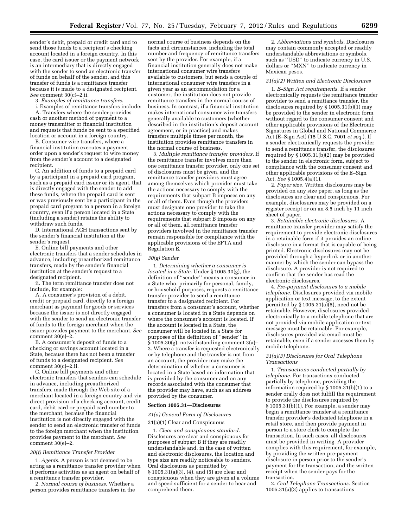sender's debit, prepaid or credit card and to send those funds to a recipient's checking account located in a foreign country. In this case, the card issuer or the payment network is an intermediary that is directly engaged with the sender to send an electronic transfer of funds on behalf of the sender, and this transfer of funds is a remittance transfer because it is made to a designated recipient. *See* comment 30(c)–2.ii.

3. *Examples of remittance transfers.* 

i. Examples of remittance transfers include:

A. Transfers where the sender provides cash or another method of payment to a money transmitter or financial institution and requests that funds be sent to a specified location or account in a foreign country.

B. Consumer wire transfers, where a financial institution executes a payment order upon a sender's request to wire money from the sender's account to a designated recipient.

C. An addition of funds to a prepaid card by a participant in a prepaid card program, such as a prepaid card issuer or its agent, that is directly engaged with the sender to add these funds, where the prepaid card is sent or was previously sent by a participant in the prepaid card program to a person in a foreign country, even if a person located in a State (including a sender) retains the ability to withdraw such funds.

D. International ACH transactions sent by the sender's financial institution at the sender's request.

E. Online bill payments and other electronic transfers that a sender schedules in advance, including preauthorized remittance transfers, made by the sender's financial institution at the sender's request to a designated recipient.

ii. The term remittance transfer does not include, for example:

A. A consumer's provision of a debit, credit or prepaid card, directly to a foreign merchant as payment for goods or services because the issuer is not directly engaged with the sender to send an electronic transfer of funds to the foreign merchant when the issuer provides payment to the merchant. *See*  comment 30(e)–2.

B. A consumer's deposit of funds to a checking or savings account located in a State, because there has not been a transfer of funds to a designated recipient. *See*  comment  $30(c)-2.ii$ .

C. Online bill payments and other electronic transfers that senders can schedule in advance, including preauthorized transfers, made through the Web site of a merchant located in a foreign country and via direct provision of a checking account, credit card, debit card or prepaid card number to the merchant, because the financial institution is not directly engaged with the sender to send an electronic transfer of funds to the foreign merchant when the institution provides payment to the merchant. *See*  comment 30(e)–2.

#### *30(f) Remittance Transfer Provider*

1. *Agents.* A person is not deemed to be acting as a remittance transfer provider when it performs activities as an agent on behalf of a remittance transfer provider.

2. *Normal course of business.* Whether a person provides remittance transfers in the

normal course of business depends on the facts and circumstances, including the total number and frequency of remittance transfers sent by the provider. For example, if a financial institution generally does not make international consumer wire transfers available to customers, but sends a couple of international consumer wire transfers in a given year as an accommodation for a customer, the institution does not provide remittance transfers in the normal course of business. In contrast, if a financial institution makes international consumer wire transfers generally available to customers (whether described in the institution's deposit account agreement, or in practice) and makes transfers multiple times per month, the institution provides remittance transfers in the normal course of business.

3. *Multiple remittance transfer providers.* If the remittance transfer involves more than one remittance transfer provider, only one set of disclosures must be given, and the remittance transfer providers must agree among themselves which provider must take the actions necessary to comply with the requirements that subpart B imposes on any or all of them. Even though the providers must designate one provider to take the actions necessary to comply with the requirements that subpart B imposes on any or all of them, all remittance transfer providers involved in the remittance transfer remain responsible for compliance with the applicable provisions of the EFTA and Regulation E.

#### *30(g) Sender*

1. *Determining whether a consumer is located in a State.* Under § 1005.30(g), the definition of ''sender'' means a consumer in a State who, primarily for personal, family, or household purposes, requests a remittance transfer provider to send a remittance transfer to a designated recipient. For transfers from a consumer's account, whether a consumer is located in a State depends on where the consumer's account is located. If the account is located in a State, the consumer will be located in a State for purposes of the definition of ''sender'' in § 1005.30(g), notwithstanding comment 3(a)-3. Where a transfer is requested electronically or by telephone and the transfer is not from an account, the provider may make the determination of whether a consumer is located in a State based on information that is provided by the consumer and on any records associated with the consumer that the provider may have, such as an address provided by the consumer.

## **Section 1005.31—Disclosures**

# *31(a) General Form of Disclosures*

# 31(a)(1) Clear and Conspicuous

1. *Clear and conspicuous standard.*  Disclosures are clear and conspicuous for purposes of subpart B if they are readily understandable and, in the case of written and electronic disclosures, the location and type size are readily noticeable to senders. Oral disclosures as permitted by § 1005.31(a)(3), (4), and (5) are clear and conspicuous when they are given at a volume and speed sufficient for a sender to hear and comprehend them.

2. *Abbreviations and symbols.* Disclosures may contain commonly accepted or readily understandable abbreviations or symbols, such as ''USD'' to indicate currency in U.S. dollars or ''MXN'' to indicate currency in Mexican pesos.

# *31(a)(2) Written and Electronic Disclosures*

1. *E–Sign Act requirements.* If a sender electronically requests the remittance transfer provider to send a remittance transfer, the disclosures required by § 1005.31(b)(1) may be provided to the sender in electronic form without regard to the consumer consent and other applicable provisions of the Electronic Signatures in Global and National Commerce Act (E–Sign Act) (15 U.S.C. 7001 *et seq.*). If a sender electronically requests the provider to send a remittance transfer, the disclosures required by § 1005.31(b)(2) may be provided to the sender in electronic form, subject to compliance with the consumer consent and other applicable provisions of the E–Sign Act. *See* § 1005.4(a)(1).

2. *Paper size.* Written disclosures may be provided on any size paper, as long as the disclosures are clear and conspicuous. For example, disclosures may be provided on a register receipt or on an 8.5 inch by 11 inch sheet of paper.

3. *Retainable electronic disclosures.* A remittance transfer provider may satisfy the requirement to provide electronic disclosures in a retainable form if it provides an online disclosure in a format that is capable of being printed. Electronic disclosures may not be provided through a hyperlink or in another manner by which the sender can bypass the disclosure. A provider is not required to confirm that the sender has read the electronic disclosures.

4. *Pre-payment disclosures to a mobile telephone.* Disclosures provided via mobile application or text message, to the extent permitted by § 1005.31(a)(5), need not be retainable. However, disclosures provided electronically to a mobile telephone that are not provided via mobile application or text message must be retainable. For example, disclosures provided via email must be retainable, even if a sender accesses them by mobile telephone.

#### *31(a)(3) Disclosures for Oral Telephone Transactions*

1. *Transactions conducted partially by telephone.* For transactions conducted partially by telephone, providing the information required by § 1005.31(b)(1) to a sender orally does not fulfill the requirement to provide the disclosures required by § 1005.31(b)(1). For example, a sender may begin a remittance transfer at a remittance transfer provider's dedicated telephone in a retail store, and then provide payment in person to a store clerk to complete the transaction. In such cases, all disclosures must be provided in writing. A provider complies with this requirement, for example, by providing the written pre-payment disclosure in person prior to the sender's payment for the transaction, and the written receipt when the sender pays for the transaction.

2. *Oral Telephone Transactions.* Section 1005.31(a)(3) applies to transactions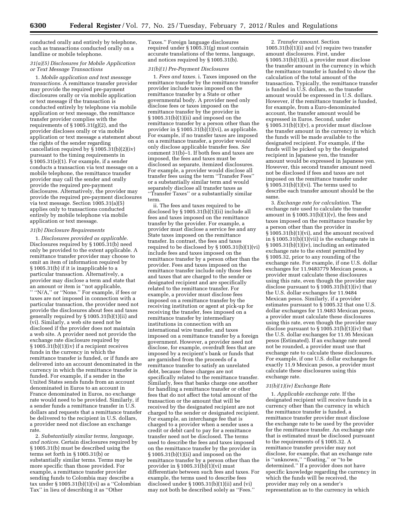conducted orally and entirely by telephone, such as transactions conducted orally on a landline or mobile telephone.

## *31(a)(5) Disclosures for Mobile Application or Text Message Transactions*

1. *Mobile application and text message transactions.* A remittance transfer provider may provide the required pre-payment disclosures orally or via mobile application or text message if the transaction is conducted entirely by telephone via mobile application or text message, the remittance transfer provider complies with the requirements of § 1005.31(g)(2), and the provider discloses orally or via mobile application or text message a statement about the rights of the sender regarding cancellation required by  $\S$  1005.31(b)(2)(iv) pursuant to the timing requirements in § 1005.31(e)(1). For example, if a sender conducts a transaction via text message on a mobile telephone, the remittance transfer provider may call the sender and orally provide the required pre-payment disclosures. Alternatively, the provider may provide the required pre-payment disclosures via text message. Section 1005.31(a)(5) applies only to transactions conducted entirely by mobile telephone via mobile application or text message.

# *31(b) Disclosure Requirements*

1. *Disclosures provided as applicable.*  Disclosures required by § 1005.31(b) need only be provided to the extent applicable. A remittance transfer provider may choose to omit an item of information required by § 1005.31(b) if it is inapplicable to a particular transaction. Alternatively, a provider may disclose a term and state that an amount or item is ''not applicable, '' ''N/A,'' or ''None.'' For example, if fees or taxes are not imposed in connection with a particular transaction, the provider need not provide the disclosures about fees and taxes generally required by § 1005.31(b)(1)(ii) and (vi). Similarly, a web site need not be disclosed if the provider does not maintain a web site. A provider need not provide the exchange rate disclosure required by § 1005.31(b)(1)(iv) if a recipient receives funds in the currency in which the remittance transfer is funded, or if funds are delivered into an account denominated in the currency in which the remittance transfer is funded. For example, if a sender in the United States sends funds from an account denominated in Euros to an account in France denominated in Euros, no exchange rate would need to be provided. Similarly, if a sender funds a remittance transfer in U.S. dollars and requests that a remittance transfer be delivered to the recipient in U.S. dollars, a provider need not disclose an exchange rate.

2. *Substantially similar terms, language, and notices.* Certain disclosures required by § 1005.31(b) must be described using the terms set forth in § 1005.31(b) or substantially similar terms. Terms may be more specific than those provided. For example, a remittance transfer provider sending funds to Colombia may describe a tax under § 1005.31(b)(1)(vi) as a ''Colombian Tax'' in lieu of describing it as ''Other

Taxes.'' Foreign language disclosures required under § 1005.31(g) must contain accurate translations of the terms, language, and notices required by § 1005.31(b).

#### *31(b)(1) Pre-Payment Disclosures*

1. *Fees and taxes.* i. Taxes imposed on the remittance transfer by the remittance transfer provider include taxes imposed on the remittance transfer by a State or other governmental body. A provider need only disclose fees or taxes imposed on the remittance transfer by the provider in § 1005.31(b)(1)(ii) and imposed on the remittance transfer by a person other than the provider in § 1005.31(b)(1)(vi), as applicable. For example, if no transfer taxes are imposed on a remittance transfer, a provider would only disclose applicable transfer fees. *See*  comment 31(b)–1. If both fees and taxes are imposed, the fees and taxes must be disclosed as separate, itemized disclosures. For example, a provider would disclose all transfer fees using the term ''Transfer Fees'' or a substantially similar term and would separately disclose all transfer taxes as ''Transfer Taxes'' or a substantially similar term.

ii. The fees and taxes required to be disclosed by  $\S 1005.31(b)(1)(ii)$  include all fees and taxes imposed on the remittance transfer by the provider. For example, a provider must disclose a service fee and any State taxes imposed on the remittance transfer. In contrast, the fees and taxes required to be disclosed by  $\S 1005.31(b)(1)(vi)$ include fees and taxes imposed on the remittance transfer by a person other than the provider. Fees and taxes imposed on the remittance transfer include only those fees and taxes that are charged to the sender or designated recipient and are specifically related to the remittance transfer. For example, a provider must disclose fees imposed on a remittance transfer by the receiving institution or agent at pick-up for receiving the transfer, fees imposed on a remittance transfer by intermediary institutions in connection with an international wire transfer, and taxes imposed on a remittance transfer by a foreign government. However, a provider need not disclose, for example, overdraft fees that are imposed by a recipient's bank or funds that are garnished from the proceeds of a remittance transfer to satisfy an unrelated debt, because these charges are not specifically related to the remittance transfer. Similarly, fees that banks charge one another for handling a remittance transfer or other fees that do not affect the total amount of the transaction or the amount that will be received by the designated recipient are not charged to the sender or designated recipient. For example, an interchange fee that is charged to a provider when a sender uses a credit or debit card to pay for a remittance transfer need not be disclosed. The terms used to describe the fees and taxes imposed on the remittance transfer by the provider in § 1005.31(b)(1)(ii) and imposed on the remittance transfer by a person other than the provider in § 1005.31(b)(1)(vi) must differentiate between such fees and taxes. For example, the terms used to describe fees disclosed under § 1005.31(b)(1)(ii) and (vi) may not both be described solely as ''Fees.''

2. *Transfer amount.* Section  $1005.31(b)(1)(i)$  and (v) require two transfer amount disclosures. First, under § 1005.31(b)(1)(i), a provider must disclose the transfer amount in the currency in which the remittance transfer is funded to show the calculation of the total amount of the transaction. Typically, the remittance transfer is funded in U.S. dollars, so the transfer amount would be expressed in U.S. dollars. However, if the remittance transfer is funded, for example, from a Euro-denominated account, the transfer amount would be expressed in Euros. Second, under  $\frac{1005.31(b)(1)(v)}{2}$ , a provider must disclose the transfer amount in the currency in which the funds will be made available to the designated recipient. For example, if the funds will be picked up by the designated recipient in Japanese yen, the transfer amount would be expressed in Japanese yen. However, this second transfer amount need not be disclosed if fees and taxes are not imposed on the remittance transfer under § 1005.31(b)(1)(vi). The terms used to describe each transfer amount should be the same.

3. *Exchange rate for calculation.* The exchange rate used to calculate the transfer amount in  $\S 1005.31(b)(1)(v)$ , the fees and taxes imposed on the remittance transfer by a person other than the provider in  $\frac{1}{2}$  1005.31(b)(1)(vi), and the amount received in  $\S 1005.31(b)(1)(vii)$  is the exchange rate in § 1005.31(b)(1)(iv), including an estimated exchange rate to the extent permitted by § 1005.32, prior to any rounding of the exchange rate. For example, if one U.S. dollar exchanges for 11.9483779 Mexican pesos, a provider must calculate these disclosures using this rate, even though the provider may disclose pursuant to § 1005.31(b)(1)(iv) that the U.S. dollar exchanges for 11.9484 Mexican pesos. Similarly, if a provider estimates pursuant to § 1005.32 that one U.S. dollar exchanges for 11.9483 Mexican pesos, a provider must calculate these disclosures using this rate, even though the provider may disclose pursuant to  $\S 1005.31(b)(1)(iv)$  that the U.S. dollar exchanges for 11.95 Mexican pesos (Estimated). If an exchange rate need not be rounded, a provider must use that exchange rate to calculate these disclosures. For example, if one U.S. dollar exchanges for exactly 11.9 Mexican pesos, a provider must calculate these disclosures using this exchange rate.

#### *31(b)(1)(iv) Exchange Rate*

1. *Applicable exchange rate.* If the designated recipient will receive funds in a currency other than the currency in which the remittance transfer is funded, a remittance transfer provider must disclose the exchange rate to be used by the provider for the remittance transfer. An exchange rate that is estimated must be disclosed pursuant to the requirements of § 1005.32. A remittance transfer provider may not disclose, for example, that an exchange rate is ''unknown,'' ''floating,'' or ''to be determined.'' If a provider does not have specific knowledge regarding the currency in which the funds will be received, the provider may rely on a sender's representation as to the currency in which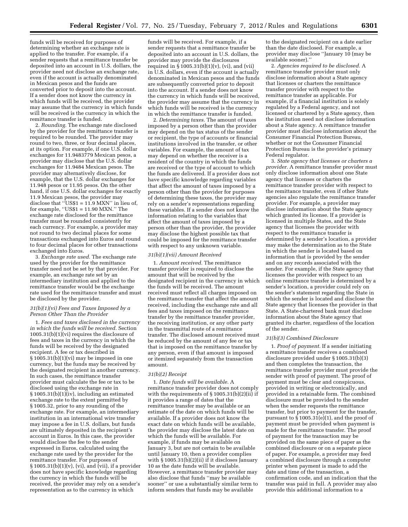funds will be received for purposes of determining whether an exchange rate is applied to the transfer. For example, if a sender requests that a remittance transfer be deposited into an account in U.S. dollars, the provider need not disclose an exchange rate, even if the account is actually denominated in Mexican pesos and the funds are converted prior to deposit into the account. If a sender does not know the currency in which funds will be received, the provider may assume that the currency in which funds will be received is the currency in which the remittance transfer is funded.

2. *Rounding.* The exchange rate disclosed by the provider for the remittance transfer is required to be rounded. The provider may round to two, three, or four decimal places, at its option. For example, if one U.S. dollar exchanges for 11.9483779 Mexican pesos, a provider may disclose that the U.S. dollar exchanges for 11.9484 Mexican pesos. The provider may alternatively disclose, for example, that the U.S. dollar exchanges for 11.948 pesos or 11.95 pesos. On the other hand, if one U.S. dollar exchanges for exactly 11.9 Mexican pesos, the provider may disclose that ''US\$1 = 11.9 MXN'' in lieu of, for example, ''US\$1 = 11.90 MXN.'' The exchange rate disclosed for the remittance transfer must be rounded consistently for each currency. For example, a provider may not round to two decimal places for some transactions exchanged into Euros and round to four decimal places for other transactions exchanged into Euros.

3. *Exchange rate used.* The exchange rate used by the provider for the remittance transfer need not be set by that provider. For example, an exchange rate set by an intermediary institution and applied to the remittance transfer would be the exchange rate used for the remittance transfer and must be disclosed by the provider.

### *31(b)(1)(vi) Fees and Taxes Imposed by a Person Other Than the Provider*

1. *Fees and taxes disclosed in the currency in which the funds will be received.* Section  $1005.31(b)(1)(vi)$  requires the disclosure of fees and taxes in the currency in which the funds will be received by the designated recipient. A fee or tax described in  $§ 1005.31(b)(1)(vi)$  may be imposed in one currency, but the funds may be received by the designated recipient in another currency. In such cases, the remittance transfer provider must calculate the fee or tax to be disclosed using the exchange rate in  $§ 1005.31(b)(1)(iv)$ , including an estimated exchange rate to the extent permitted by § 1005.32, prior to any rounding of the exchange rate. For example, an intermediary institution in an international wire transfer may impose a fee in U.S. dollars, but funds are ultimately deposited in the recipient's account in Euros. In this case, the provider would disclose the fee to the sender expressed in Euros, calculated using the exchange rate used by the provider for the remittance transfer. For purposes of  $\S 1005.31(b)(1)(v)$ , (vi), and (vii), if a provider does not have specific knowledge regarding the currency in which the funds will be received, the provider may rely on a sender's representation as to the currency in which

funds will be received. For example, if a sender requests that a remittance transfer be deposited into an account in U.S. dollars, the provider may provide the disclosures required in  $\S 1005.31(b)(1)(v)$ , (vi), and (vii) in U.S. dollars, even if the account is actually denominated in Mexican pesos and the funds are subsequently converted prior to deposit into the account. If a sender does not know the currency in which funds will be received, the provider may assume that the currency in which funds will be received is the currency in which the remittance transfer is funded.

2. *Determining taxes.* The amount of taxes imposed by a person other than the provider may depend on the tax status of the sender or recipient, the type of accounts or financial institutions involved in the transfer, or other variables. For example, the amount of tax may depend on whether the receiver is a resident of the country in which the funds are received or the type of account to which the funds are delivered. If a provider does not have specific knowledge regarding variables that affect the amount of taxes imposed by a person other than the provider for purposes of determining these taxes, the provider may rely on a sender's representations regarding these variables. If a sender does not know the information relating to the variables that affect the amount of taxes imposed by a person other than the provider, the provider may disclose the highest possible tax that could be imposed for the remittance transfer with respect to any unknown variable.

## *31(b)(1)(vii) Amount Received*

1. *Amount received.* The remittance transfer provider is required to disclose the amount that will be received by the designated recipient in the currency in which the funds will be received. The amount received must reflect all charges imposed on the remittance transfer that affect the amount received, including the exchange rate and all fees and taxes imposed on the remittance transfer by the remittance transfer provider, the receiving institution, or any other party in the transmittal route of a remittance transfer. The disclosed amount received must be reduced by the amount of any fee or tax that is imposed on the remittance transfer by any person, even if that amount is imposed or itemized separately from the transaction amount.

### *31(b)(2) Receipt*

1. *Date funds will be available.* A remittance transfer provider does not comply with the requirements of  $\S 1005.31(b)(2)(ii)$  if it provides a range of dates that the remittance transfer may be available or an estimate of the date on which funds will be available. If a provider does not know the exact date on which funds will be available, the provider may disclose the latest date on which the funds will be available. For example, if funds may be available on January 3, but are not certain to be available until January 10, then a provider complies with  $\S 1005.31(b)(2)(ii)$  if it discloses January 10 as the date funds will be available. However, a remittance transfer provider may also disclose that funds ''may be available sooner'' or use a substantially similar term to inform senders that funds may be available

to the designated recipient on a date earlier than the date disclosed. For example, a provider may disclose ''January 10 (may be available sooner).''

2. *Agencies required to be disclosed.* A remittance transfer provider must only disclose information about a State agency that licenses or charters the remittance transfer provider with respect to the remittance transfer as applicable. For example, if a financial institution is solely regulated by a Federal agency, and not licensed or chartered by a State agency, then the institution need not disclose information about a State agency. A remittance transfer provider must disclose information about the Consumer Financial Protection Bureau, whether or not the Consumer Financial Protection Bureau is the provider's primary Federal regulator.

3. *State agency that licenses or charters a provider.* A remittance transfer provider must only disclose information about one State agency that licenses or charters the remittance transfer provider with respect to the remittance transfer, even if other State agencies also regulate the remittance transfer provider. For example, a provider may disclose information about the State agency which granted its license. If a provider is licensed in multiple States, and the State agency that licenses the provider with respect to the remittance transfer is determined by a sender's location, a provider may make the determination as to the State in which the sender is located based on information that is provided by the sender and on any records associated with the sender. For example, if the State agency that licenses the provider with respect to an online remittance transfer is determined by a sender's location, a provider could rely on the sender's statement regarding the State in which the sender is located and disclose the State agency that licenses the provider in that State. A State-chartered bank must disclose information about the State agency that granted its charter, regardless of the location of the sender.

### *31(b)(3) Combined Disclosure*

1. *Proof of payment.* If a sender initiating a remittance transfer receives a combined disclosure provided under § 1005.31(b)(3) and then completes the transaction, the remittance transfer provider must provide the sender with proof of payment. The proof of payment must be clear and conspicuous, provided in writing or electronically, and provided in a retainable form. The combined disclosure must be provided to the sender when the sender requests the remittance transfer, but prior to payment for the transfer, pursuant to  $\hat{\S}$  1005.31(e)(1), and the proof of payment must be provided when payment is made for the remittance transfer. The proof of payment for the transaction may be provided on the same piece of paper as the combined disclosure or on a separate piece of paper. For example, a provider may feed a combined disclosure through a computer printer when payment is made to add the date and time of the transaction, a confirmation code, and an indication that the transfer was paid in full. A provider may also provide this additional information to a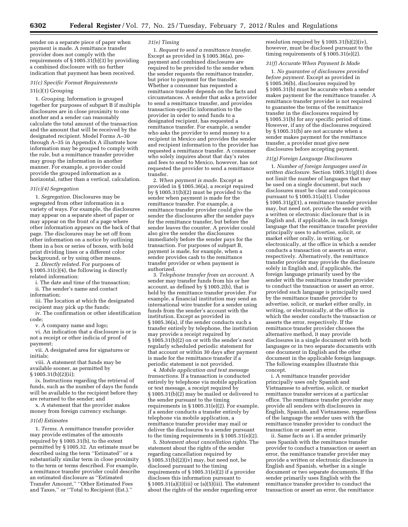sender on a separate piece of paper when payment is made. A remittance transfer provider does not comply with the requirements of § 1005.31(b)(3) by providing a combined disclosure with no further indication that payment has been received.

### *31(c) Specific Format Requirements*

## 31(c)(1) Grouping

1. *Grouping.* Information is grouped together for purposes of subpart B if multiple disclosures are in close proximity to one another and a sender can reasonably calculate the total amount of the transaction and the amount that will be received by the designated recipient. Model Forms A–30 through A–35 in Appendix A illustrate how information may be grouped to comply with the rule, but a remittance transfer provider may group the information in another manner. For example, a provider could provide the grouped information as a horizontal, rather than a vertical, calculation.

### *31(c)(4) Segregation*

1. *Segregation.* Disclosures may be segregated from other information in a variety of ways. For example, the disclosures may appear on a separate sheet of paper or may appear on the front of a page where other information appears on the back of that page. The disclosures may be set off from other information on a notice by outlining them in a box or series of boxes, with bold print dividing lines or a different color background, or by using other means.

2. *Directly related.* For purposes of  $§ 1005.31(c)(4)$ , the following is directly related information:

i. The date and time of the transaction; ii. The sender's name and contact

information;

iii. The location at which the designated recipient may pick up the funds;

iv. The confirmation or other identification code;

v. A company name and logo;

vi. An indication that a disclosure is or is not a receipt or other indicia of proof of payment;

vii. A designated area for signatures or initials;

viii. A statement that funds may be available sooner, as permitted by § 1005.31(b)(2)(ii);

ix. Instructions regarding the retrieval of funds, such as the number of days the funds will be available to the recipient before they are returned to the sender; and

x. A statement that the provider makes money from foreign currency exchange.

### *31(d) Estimates*

1. *Terms.* A remittance transfer provider may provide estimates of the amounts required by § 1005.31(b), to the extent permitted by § 1005.32. An estimate must be described using the term ''Estimated'' or a substantially similar term in close proximity to the term or terms described. For example, a remittance transfer provider could describe an estimated disclosure as ''Estimated Transfer Amount,'' ''Other Estimated Fees and Taxes,'' or ''Total to Recipient (Est.).''

#### *31(e) Timing*

1. *Request to send a remittance transfer.*  Except as provided in § 1005.36(a), prepayment and combined disclosures are required to be provided to the sender when the sender requests the remittance transfer, but prior to payment for the transfer. Whether a consumer has requested a remittance transfer depends on the facts and circumstances. A sender that asks a provider to send a remittance transfer, and provides transaction-specific information to the provider in order to send funds to a designated recipient, has requested a remittance transfer. For example, a sender who asks the provider to send money to a recipient in Mexico and provides the sender and recipient information to the provider has requested a remittance transfer. A consumer who solely inquires about that day's rates and fees to send to Mexico, however, has not requested the provider to send a remittance transfer.

2. *When payment is made.* Except as provided in § 1005.36(a), a receipt required by § 1005.31(b)(2) must be provided to the sender when payment is made for the remittance transfer. For example, a remittance transfer provider could give the sender the disclosures after the sender pays for the remittance transfer, but before the sender leaves the counter. A provider could also give the sender the disclosures immediately before the sender pays for the transaction. For purposes of subpart B, payment is made, for example, when a sender provides cash to the remittance transfer provider or when payment is authorized.

3. *Telephone transfer from an account.* A sender may transfer funds from his or her account, as defined by § 1005.2(b), that is held by the remittance transfer provider. For example, a financial institution may send an international wire transfer for a sender using funds from the sender's account with the institution. Except as provided in § 1005.36(a), if the sender conducts such a transfer entirely by telephone, the institution may provide a receipt required by § 1005.31(b)(2) on or with the sender's next regularly scheduled periodic statement for that account or within 30 days after payment is made for the remittance transfer if a periodic statement is not provided.

4. *Mobile application and text message transactions.* If a transaction is conducted entirely by telephone via mobile application or text message, a receipt required by § 1005.31(b)(2) may be mailed or delivered to the sender pursuant to the timing requirements in § 1005.31(e)(2). For example, if a sender conducts a transfer entirely by telephone via mobile application, a remittance transfer provider may mail or deliver the disclosures to a sender pursuant to the timing requirements in § 1005.31(e)(2).

5. *Statement about cancellation rights.* The statement about the rights of the sender regarding cancellation required by § 1005.31(b)(2)(iv) may, but need not, be disclosed pursuant to the timing requirements of § 1005.31(e)(2) if a provider discloses this information pursuant to § 1005.31(a)(3)(iii) or (a)(5)(iii). The statement about the rights of the sender regarding error

resolution required by § 1005.31(b)(2)(iv), however, must be disclosed pursuant to the timing requirements of § 1005.31(e)(2).

## *31(f) Accurate When Payment Is Made*

1. *No guarantee of disclosures provided before payment.* Except as provided in § 1005.36(b), disclosures required by § 1005.31(b) must be accurate when a sender makes payment for the remittance transfer. A remittance transfer provider is not required to guarantee the terms of the remittance transfer in the disclosures required by § 1005.31(b) for any specific period of time. However, if any of the disclosures required by § 1005.31(b) are not accurate when a sender makes payment for the remittance transfer, a provider must give new disclosures before accepting payment.

# *31(g) Foreign Language Disclosures*

1. *Number of foreign languages used in written disclosure.* Section 1005.31(g)(1) does not limit the number of languages that may be used on a single document, but such disclosures must be clear and conspicuous pursuant to § 1005.31(a)(1). Under § 1005.31(g)(1), a remittance transfer provider may, but need not, provide the sender with a written or electronic disclosure that is in English and, if applicable, in each foreign language that the remittance transfer provider principally uses to advertise, solicit, or market either orally, in writing, or electronically, at the office in which a sender conducts a transaction or asserts an error, respectively. Alternatively, the remittance transfer provider may provide the disclosure solely in English and, if applicable, the foreign language primarily used by the sender with the remittance transfer provider to conduct the transaction or assert an error, provided such language is principally used by the remittance transfer provider to advertise, solicit, or market either orally, in writing, or electronically, at the office in which the sender conducts the transaction or asserts the error, respectively. If the remittance transfer provider chooses the alternative method, it may provide disclosures in a single document with both languages or in two separate documents with one document in English and the other document in the applicable foreign language. The following examples illustrate this concept.

i. A remittance transfer provider principally uses only Spanish and Vietnamese to advertise, solicit, or market remittance transfer services at a particular office. The remittance transfer provider may provide all senders with disclosures in English, Spanish, and Vietnamese, regardless of the language the sender uses with the remittance transfer provider to conduct the transaction or assert an error.

ii. Same facts as i. If a sender primarily uses Spanish with the remittance transfer provider to conduct a transaction or assert an error, the remittance transfer provider may provide a written or electronic disclosure in English and Spanish, whether in a single document or two separate documents. If the sender primarily uses English with the remittance transfer provider to conduct the transaction or assert an error, the remittance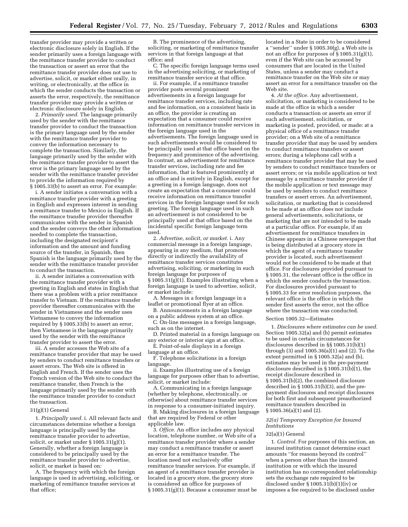transfer provider may provide a written or electronic disclosure solely in English. If the sender primarily uses a foreign language with the remittance transfer provider to conduct the transaction or assert an error that the remittance transfer provider does not use to advertise, solicit, or market either orally, in writing, or electronically, at the office in which the sender conducts the transaction or asserts the error, respectively, the remittance transfer provider may provide a written or electronic disclosure solely in English.

2. *Primarily used.* The language primarily used by the sender with the remittance transfer provider to conduct the transaction is the primary language used by the sender with the remittance transfer provider to convey the information necessary to complete the transaction. Similarly, the language primarily used by the sender with the remittance transfer provider to assert the error is the primary language used by the sender with the remittance transfer provider to provide the information required by § 1005.33(b) to assert an error. For example:

i. A sender initiates a conversation with a remittance transfer provider with a greeting in English and expresses interest in sending a remittance transfer to Mexico in English. If the remittance transfer provider thereafter communicates with the sender in Spanish and the sender conveys the other information needed to complete the transaction, including the designated recipient's information and the amount and funding source of the transfer, in Spanish, then Spanish is the language primarily used by the sender with the remittance transfer provider to conduct the transaction.

ii. A sender initiates a conversation with the remittance transfer provider with a greeting in English and states in English that there was a problem with a prior remittance transfer to Vietnam. If the remittance transfer provider thereafter communicates with the sender in Vietnamese and the sender uses Vietnamese to convey the information required by § 1005.33(b) to assert an error, then Vietnamese is the language primarily used by the sender with the remittance transfer provider to assert the error.

iii. A sender accesses the Web site of a remittance transfer provider that may be used by senders to conduct remittance transfers or assert errors. The Web site is offered in English and French. If the sender uses the French version of the Web site to conduct the remittance transfer, then French is the language primarily used by the sender with the remittance transfer provider to conduct the transaction.

#### 31(g)(1) General

1. *Principally used.* i. All relevant facts and circumstances determine whether a foreign language is principally used by the remittance transfer provider to advertise, solicit, or market under § 1005.31(g)(1). Generally, whether a foreign language is considered to be principally used by the remittance transfer provider to advertise, solicit, or market is based on:

A. The frequency with which the foreign language is used in advertising, soliciting, or marketing of remittance transfer services at that office;

B. The prominence of the advertising, soliciting, or marketing of remittance transfer services in that foreign language at that office; and

C. The specific foreign language terms used in the advertising soliciting, or marketing of remittance transfer service at that office.

ii. For example, if a remittance transfer provider posts several prominent advertisements in a foreign language for remittance transfer services, including rate and fee information, on a consistent basis in an office, the provider is creating an expectation that a consumer could receive information on remittance transfer services in the foreign language used in the advertisements. The foreign language used in such advertisements would be considered to be principally used at that office based on the frequency and prominence of the advertising. In contrast, an advertisement for remittance transfer services, including rate and fee information, that is featured prominently at an office and is entirely in English, except for a greeting in a foreign language, does not create an expectation that a consumer could receive information on remittance transfer services in the foreign language used for such greeting. The foreign language used in such an advertisement is not considered to be principally used at that office based on the incidental specific foreign language term used.

2. *Advertise, solicit, or market.* i. Any commercial message in a foreign language, appearing in any medium, that promotes directly or indirectly the availability of remittance transfer services constitutes advertising, soliciting, or marketing in such foreign language for purposes of § 1005.31(g)(1). Examples illustrating when a foreign language is used to advertise, solicit, or market include:

A. Messages in a foreign language in a leaflet or promotional flyer at an office.

B. Announcements in a foreign language on a public address system at an office.

C. On-line messages in a foreign language, such as on the internet.

D. Printed material in a foreign language on any exterior or interior sign at an office.

E. Point-of-sale displays in a foreign language at an office.

F. Telephone solicitations in a foreign language.

ii. Examples illustrating use of a foreign language for purposes other than to advertise, solicit, or market include:

A. Communicating in a foreign language (whether by telephone, electronically, or otherwise) about remittance transfer services in response to a consumer-initiated inquiry.

B. Making disclosures in a foreign language that are required by Federal or other applicable law.

3. *Office.* An office includes any physical location, telephone number, or Web site of a remittance transfer provider where a sender may conduct a remittance transfer or assert an error for a remittance transfer. The location need not exclusively offer remittance transfer services. For example, if an agent of a remittance transfer provider is located in a grocery store, the grocery store is considered an office for purposes of § 1005.31(g)(1). Because a consumer must be located in a State in order to be considered a ''sender'' under § 1005.30(g), a Web site is not an office for purposes of § 1005.31(g)(1), even if the Web site can be accessed by consumers that are located in the United States, unless a sender may conduct a remittance transfer on the Web site or may assert an error for a remittance transfer on the Web site.

4. *At the office.* Any advertisement, solicitation, or marketing is considered to be made at the office in which a sender conducts a transaction or asserts an error if such advertisement, solicitation, or marketing is posted, provided, or made: at a physical office of a remittance transfer provider; on a Web site of a remittance transfer provider that may be used by senders to conduct remittance transfers or assert errors; during a telephone call with a remittance transfer provider that may be used by senders to conduct remittance transfers or assert errors; or via mobile application or text message by a remittance transfer provider if the mobile application or text message may be used by senders to conduct remittance transfers or assert errors. An advertisement, solicitation, or marketing that is considered to be made at an office does not include general advertisements, solicitations, or marketing that are not intended to be made at a particular office. For example, if an advertisement for remittance transfers in Chinese appears in a Chinese newspaper that is being distributed at a grocery store in which the agent of a remittance transfer provider is located, such advertisement would not be considered to be made at that office. For disclosures provided pursuant to § 1005.31, the relevant office is the office in which the sender conducts the transaction. For disclosures provided pursuant to § 1005.33 for error resolution purposes, the relevant office is the office in which the sender first asserts the error, not the office where the transaction was conducted.

Section 1005.32—Estimates

1. *Disclosures where estimates can be used.*  Section 1005.32(a) and (b) permit estimates to be used in certain circumstances for disclosures described in §§ 1005.31(b)(1) through (3) and 1005.36(a)(1) and (2). To the extent permitted in § 1005.32(a) and (b), estimates may be used in the pre-payment disclosure described in § 1005.31(b)(1), the receipt disclosure described in § 1005.31(b)(2), the combined disclosure described in § 1005.31(b)(3), and the prepayment disclosures and receipt disclosures for both first and subsequent preauthorized remittance transfers described in § 1005.36(a)(1) and (2).

## *32(a) Temporary Exception for Insured Institutions*

#### 32(a)(1) General

1. *Control.* For purposes of this section, an insured institution cannot determine exact amounts ''for reasons beyond its control'' when a person other than the insured institution or with which the insured institution has no correspondent relationship sets the exchange rate required to be disclosed under § 1005.31(b)(1)(iv) or imposes a fee required to be disclosed under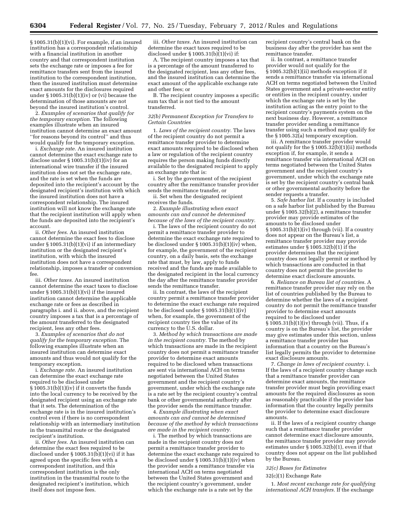§ 1005.31(b)(1)(vi). For example, if an insured institution has a correspondent relationship with a financial institution in another country and that correspondent institution sets the exchange rate or imposes a fee for remittance transfers sent from the insured institution to the correspondent institution, then the insured institution must determine exact amounts for the disclosures required under  $\S 1005.31(b)(1)(iv)$  or (vi) because the determination of those amounts are not beyond the insured institution's control.

2. *Examples of scenarios that qualify for the temporary exception.* The following examples illustrate when an insured institution cannot determine an exact amount ''for reasons beyond its control'' and thus would qualify for the temporary exception.

i. *Exchange rate.* An insured institution cannot determine the exact exchange rate to disclose under § 1005.31(b)(1)(iv) for an international wire transfer if the insured institution does not set the exchange rate, and the rate is set when the funds are deposited into the recipient's account by the designated recipient's institution with which the insured institution does not have a correspondent relationship. The insured institution will not know the exchange rate that the recipient institution will apply when the funds are deposited into the recipient's account.

ii. *Other fees.* An insured institution cannot determine the exact fees to disclose under § 1005.31(b)(1)(vi) if an intermediary institution or the designated recipient's institution, with which the insured institution does not have a correspondent relationship, imposes a transfer or conversion fee.

iii. *Other taxes.* An insured institution cannot determine the exact taxes to disclose under  $\S 1005.31(b)(1)(vi)$  if the insured institution cannot determine the applicable exchange rate or fees as described in paragraphs i. and ii. above, and the recipient country imposes a tax that is a percentage of the amount transferred to the designated recipient, less any other fees.

3. *Examples of scenarios that do not qualify for the temporary exception.* The following examples illustrate when an insured institution can determine exact amounts and thus would not qualify for the temporary exception.

i. *Exchange rate.* An insured institution can determine the exact exchange rate required to be disclosed under § 1005.31(b)(1)(iv) if it converts the funds into the local currency to be received by the designated recipient using an exchange rate that it sets. The determination of the exchange rate is in the insured institution's control even if there is no correspondent relationship with an intermediary institution in the transmittal route or the designated recipient's institution.

ii. *Other fees.* An insured institution can determine the exact fees required to be disclosed under  $\S 1005.31(b)(1)(vi)$  if it has agreed upon the specific fees with a correspondent institution, and this correspondent institution is the only institution in the transmittal route to the designated recipient's institution, which itself does not impose fees.

iii. *Other taxes.* An insured institution can determine the exact taxes required to be disclosed under  $\S 1005.31(b)(i)$  if:

A. The recipient country imposes a tax that is a percentage of the amount transferred to the designated recipient, less any other fees, and the insured institution can determine the exact amount of the applicable exchange rate and other fees; or

B. The recipient country imposes a specific sum tax that is not tied to the amount transferred.

### *32(b) Permanent Exception for Transfers to Certain Countries*

1. *Laws of the recipient country.* The laws of the recipient country do not permit a remittance transfer provider to determine exact amounts required to be disclosed when a law or regulation of the recipient country requires the person making funds directly available to the designated recipient to apply an exchange rate that is:

i. Set by the government of the recipient country after the remittance transfer provider sends the remittance transfer, or

ii. Set when the designated recipient receives the funds.

2. *Example illustrating when exact amounts can and cannot be determined because of the laws of the recipient country.* 

i. The laws of the recipient country do not permit a remittance transfer provider to determine the exact exchange rate required to be disclosed under § 1005.31(b)(1)(iv) when, for example, the government of the recipient country, on a daily basis, sets the exchange rate that must, by law, apply to funds received and the funds are made available to the designated recipient in the local currency the day after the remittance transfer provider sends the remittance transfer.

ii. In contrast, the laws of the recipient country permit a remittance transfer provider to determine the exact exchange rate required to be disclosed under § 1005.31(b)(1)(iv) when, for example, the government of the recipient country ties the value of its currency to the U.S. dollar.

3. *Method by which transactions are made in the recipient country.* The method by which transactions are made in the recipient country does not permit a remittance transfer provider to determine exact amounts required to be disclosed when transactions are sent via international ACH on terms negotiated between the United States government and the recipient country's government, under which the exchange rate is a rate set by the recipient country's central bank or other governmental authority after the provider sends the remittance transfer.

4. *Example illustrating when exact amounts can and cannot be determined because of the method by which transactions are made in the recipient country.* 

i. The method by which transactions are made in the recipient country does not permit a remittance transfer provider to determine the exact exchange rate required to be disclosed under § 1005.31(b)(1)(iv) when the provider sends a remittance transfer via international ACH on terms negotiated between the United States government and the recipient country's government, under which the exchange rate is a rate set by the

recipient country's central bank on the business day after the provider has sent the remittance transfer.

ii. In contrast, a remittance transfer provider would not qualify for the § 1005.32(b)(1)(ii) methods exception if it sends a remittance transfer via international ACH on terms negotiated between the United States government and a private-sector entity or entities in the recipient country, under which the exchange rate is set by the institution acting as the entry point to the recipient country's payments system on the next business day. However, a remittance transfer provider sending a remittance transfer using such a method may qualify for the § 1005.32(a) temporary exception.

iii. A remittance transfer provider would not qualify for the  $\S 1005.32(b)(1)(ii)$  methods exception if, for example, it sends a remittance transfer via international ACH on terms negotiated between the United States government and the recipient country's government, under which the exchange rate is set by the recipient country's central bank or other governmental authority before the sender requests a transfer.

5. *Safe harbor list.* If a country is included on a safe harbor list published by the Bureau under § 1005.32(b)(2), a remittance transfer provider may provide estimates of the amounts to be disclosed under § 1005.31(b)(1)(iv) through (vii). If a country does not appear on the Bureau's list, a remittance transfer provider may provide estimates under § 1005.32(b)(1) if the provider determines that the recipient country does not legally permit or method by which transactions are conducted in that country does not permit the provider to determine exact disclosure amounts.

6. *Reliance on Bureau list of countries.* A remittance transfer provider may rely on the list of countries published by the Bureau to determine whether the laws of a recipient country do not permit the remittance transfer provider to determine exact amounts required to be disclosed under § 1005.31(b)(1)(iv) through (vii). Thus, if a country is on the Bureau's list, the provider may give estimates under this section, unless a remittance transfer provider has information that a country on the Bureau's list legally permits the provider to determine exact disclosure amounts.

7. *Change in laws of recipient country.* i. If the laws of a recipient country change such that a remittance transfer provider can determine exact amounts, the remittance transfer provider must begin providing exact amounts for the required disclosures as soon as reasonably practicable if the provider has information that the country legally permits the provider to determine exact disclosure amounts.

ii. If the laws of a recipient country change such that a remittance transfer provider cannot determine exact disclosure amounts, the remittance transfer provider may provide estimates under § 1005.32(b)(1), even if that country does not appear on the list published by the Bureau.

# *32(c) Bases for Estimates*

### 32(c)(1) Exchange Rate

1. *Most recent exchange rate for qualifying international ACH transfers.* If the exchange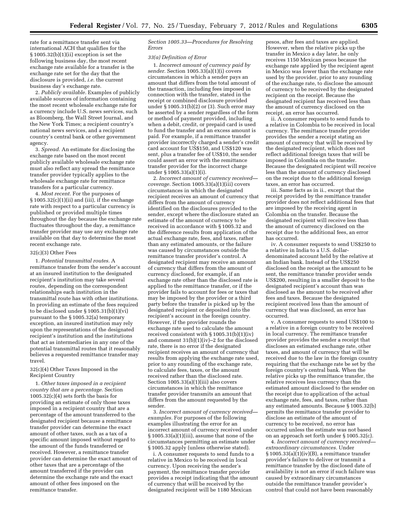rate for a remittance transfer sent via international ACH that qualifies for the § 1005.32(b)(1)(ii) exception is set the following business day, the most recent exchange rate available for a transfer is the exchange rate set for the day that the disclosure is provided, *i.e.* the current business day's exchange rate.

2. *Publicly available.* Examples of publicly available sources of information containing the most recent wholesale exchange rate for a currency include U.S. news services, such as Bloomberg, the Wall Street Journal, and the New York Times; a recipient country's national news services, and a recipient country's central bank or other government agency.

3. *Spread.* An estimate for disclosing the exchange rate based on the most recent publicly available wholesale exchange rate must also reflect any spread the remittance transfer provider typically applies to the wholesale exchange rate for remittance transfers for a particular currency.

4. *Most recent.* For the purposes of  $§ 1005.32(c)(1)(ii)$  and (iii), if the exchange rate with respect to a particular currency is published or provided multiple times throughout the day because the exchange rate fluctuates throughout the day, a remittance transfer provider may use any exchange rate available on that day to determine the most recent exchange rate.

## 32(c)(3) Other Fees

1. *Potential transmittal routes.* A remittance transfer from the sender's account at an insured institution to the designated recipient's institution may take several routes, depending on the correspondent relationships each institution in the transmittal route has with other institutions. In providing an estimate of the fees required to be disclosed under § 1005.31(b)(1)(vi) pursuant to the § 1005.32(a) temporary exception, an insured institution may rely upon the representations of the designated recipient's institution and the institutions that act as intermediaries in any one of the potential transmittal routes that it reasonably believes a requested remittance transfer may travel.

## 32(c)(4) Other Taxes Imposed in the Recipient Country

1. *Other taxes imposed in a recipient country that are a percentage.* Section 1005.32(c)(4) sets forth the basis for providing an estimate of only those taxes imposed in a recipient country that are a percentage of the amount transferred to the designated recipient because a remittance transfer provider can determine the exact amount of other taxes, such as a tax of a specific amount imposed without regard to the amount of the funds transferred or received. However, a remittance transfer provider can determine the exact amount of other taxes that are a percentage of the amount transferred if the provider can determine the exchange rate and the exact amount of other fees imposed on the remittance transfer.

*Section 1005.33—Procedures for Resolving Errors* 

### *33(a) Definition of Error*

1. *Incorrect amount of currency paid by sender.* Section 1005.33(a)(1)(i) covers circumstances in which a sender pays an amount that differs from the total amount of the transaction, including fees imposed in connection with the transfer, stated in the receipt or combined disclosure provided under § 1005.31(b)(2) or (3). Such error may be asserted by a sender regardless of the form or method of payment provided, including when a debit, credit, or prepaid card is used to fund the transfer and an excess amount is paid. For example, if a remittance transfer provider incorrectly charged a sender's credit card account for US\$150, and US\$120 was sent, plus a transfer fee of US\$10, the sender could assert an error with the remittance transfer provider for the incorrect charge under § 1005.33(a)(1)(i).

2. *Incorrect amount of currency received coverage.* Section 1005.33(a)(1)(iii) covers circumstances in which the designated recipient receives an amount of currency that differs from the amount of currency identified on the disclosures provided to the sender, except where the disclosure stated an estimate of the amount of currency to be received in accordance with § 1005.32 and the difference results from application of the actual exchange rate, fees, and taxes, rather than any estimated amounts, or the failure was caused by circumstances outside the remittance transfer provider's control. A designated recipient may receive an amount of currency that differs from the amount of currency disclosed, for example, if an exchange rate other than the disclosed rate is applied to the remittance transfer, or if the provider fails to account for fees or taxes that may be imposed by the provider or a third party before the transfer is picked up by the designated recipient or deposited into the recipient's account in the foreign country. However, if the provider rounds the exchange rate used to calculate the amount received consistent with § 1005.31(b)(1)(iv) and comment 31(b)(1)(iv)–2 for the disclosed rate, there is no error if the designated recipient receives an amount of currency that results from applying the exchange rate used, prior to any rounding of the exchange rate, to calculate fees, taxes, or the amount received rather than the disclosed rate. Section 1005.33(a)(1)(iii) also covers circumstances in which the remittance transfer provider transmits an amount that differs from the amount requested by the sender.

3. *Incorrect amount of currency received examples.* For purposes of the following examples illustrating the error for an incorrect amount of currency received under § 1005.33(a)(1)(iii), assume that none of the circumstances permitting an estimate under § 1005.32 apply (unless otherwise stated).

i. A consumer requests to send funds to a relative in Mexico to be received in local currency. Upon receiving the sender's payment, the remittance transfer provider provides a receipt indicating that the amount of currency that will be received by the designated recipient will be 1180 Mexican

pesos, after fees and taxes are applied. However, when the relative picks up the transfer in Mexico a day later, he only receives 1150 Mexican pesos because the exchange rate applied by the recipient agent in Mexico was lower than the exchange rate used by the provider, prior to any rounding of the exchange rate, to disclose the amount of currency to be received by the designated recipient on the receipt. Because the designated recipient has received less than the amount of currency disclosed on the receipt, an error has occurred.

ii. A consumer requests to send funds to a relative in Colombia to be received in local currency. The remittance transfer provider provides the sender a receipt stating an amount of currency that will be received by the designated recipient, which does not reflect additional foreign taxes that will be imposed in Colombia on the transfer. Because the designated recipient will receive less than the amount of currency disclosed on the receipt due to the additional foreign taxes, an error has occurred.

iii. Same facts as in ii., except that the receipt provided by the remittance transfer provider does not reflect additional fees that are imposed by the receiving agent in Colombia on the transfer. Because the designated recipient will receive less than the amount of currency disclosed on the receipt due to the additional fees, an error has occurred.

iv. A consumer requests to send US\$250 to a relative in India to a U.S. dollardenominated account held by the relative at an Indian bank. Instead of the US\$250 disclosed on the receipt as the amount to be sent, the remittance transfer provider sends US\$200, resulting in a smaller deposit to the designated recipient's account than was disclosed as the amount to be received after fees and taxes. Because the designated recipient received less than the amount of currency that was disclosed, an error has occurred.

v. A consumer requests to send US\$100 to a relative in a foreign country to be received in local currency. The remittance transfer provider provides the sender a receipt that discloses an estimated exchange rate, other taxes, and amount of currency that will be received due to the law in the foreign country requiring that the exchange rate be set by the foreign country's central bank. When the relative picks up the remittance transfer, the relative receives less currency than the estimated amount disclosed to the sender on the receipt due to application of the actual exchange rate, fees, and taxes, rather than any estimated amounts. Because § 1005.32(b) permits the remittance transfer provider to disclose an estimate of the amount of currency to be received, no error has occurred unless the estimate was not based on an approach set forth under § 1005.32(c).

4. *Incorrect amount of currency received extraordinary circumstances.* Under § 1005.33(a)(1)(iv)(B), a remittance transfer provider's failure to deliver or transmit a remittance transfer by the disclosed date of availability is not an error if such failure was caused by extraordinary circumstances outside the remittance transfer provider's control that could not have been reasonably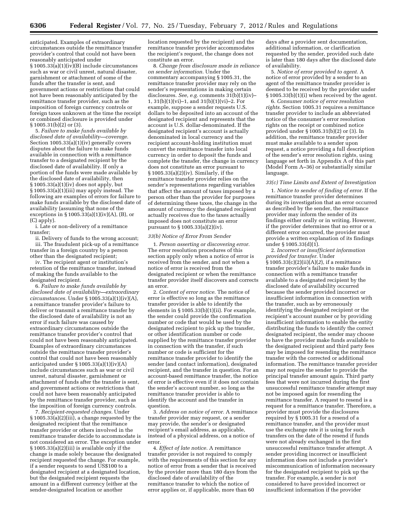anticipated. Examples of extraordinary circumstances outside the remittance transfer provider's control that could not have been reasonably anticipated under  $§ 1005.33(a)(1)(iv)(B)$  include circumstances such as war or civil unrest, natural disaster, garnishment or attachment of some of the funds after the transfer is sent, and government actions or restrictions that could not have been reasonably anticipated by the remittance transfer provider, such as the imposition of foreign currency controls or foreign taxes unknown at the time the receipt or combined disclosure is provided under § 1005.31(b)(2) or (3).

5. *Failure to make funds available by disclosed date of availability—coverage.*  Section 1005.33(a)(1)(iv) generally covers disputes about the failure to make funds available in connection with a remittance transfer to a designated recipient by the disclosed date of availability. If only a portion of the funds were made available by the disclosed date of availability, then  $§ 1005.33(a)(1)(iv)$  does not apply, but § 1005.33(a)(1)(iii) may apply instead. The following are examples of errors for failure to make funds available by the disclosed date of availability (assuming that none of the exceptions in  $\S 1005.33(a)(1)(iv)(A)$ , (B), or (C) apply).

i. Late or non-delivery of a remittance transfer;

ii. Delivery of funds to the wrong account; iii. The fraudulent pick-up of a remittance transfer in a foreign country by a person other than the designated recipient;

iv. The recipient agent or institution's retention of the remittance transfer, instead of making the funds available to the designated recipient.

6. *Failure to make funds available by disclosed date of availability—extraordinary circumstances.* Under § 1005.33(a)(1)(iv)(A), a remittance transfer provider's failure to deliver or transmit a remittance transfer by the disclosed date of availability is not an error if such failure was caused by extraordinary circumstances outside the remittance transfer provider's control that could not have been reasonably anticipated. Examples of extraordinary circumstances outside the remittance transfer provider's control that could not have been reasonably anticipated under § 1005.33(a)(1)(iv)(A) include circumstances such as war or civil unrest, natural disaster, garnishment or attachment of funds after the transfer is sent, and government actions or restrictions that could not have been reasonably anticipated by the remittance transfer provider, such as the imposition of foreign currency controls.

7. *Recipient-requested changes.* Under § 1005.33(a)(2)(iii), a change requested by the designated recipient that the remittance transfer provider or others involved in the remittance transfer decide to accommodate is not considered an error. The exception under  $\S 1005.33(a)(2)(iii)$  is available only if the change is made solely because the designated recipient requested the change. For example, if a sender requests to send US\$100 to a designated recipient at a designated location, but the designated recipient requests the amount in a different currency (either at the sender-designated location or another

location requested by the recipient) and the remittance transfer provider accommodates the recipient's request, the change does not constitute an error.

8. *Change from disclosure made in reliance on sender information.* Under the commentary accompanying § 1005.31, the remittance transfer provider may rely on the sender's representations in making certain disclosures. *See, e.g.* comments 31(b)(1)(iv)– 1, 31(b)(1)(vi)–1, and 31(b)(1)(vi)–2. For example, suppose a sender requests U.S. dollars to be deposited into an account of the designated recipient and represents that the account is U.S. dollar-denominated. If the designated recipient's account is actually denominated in local currency and the recipient account-holding institution must convert the remittance transfer into local currency in order to deposit the funds and complete the transfer, the change in currency does not constitute an error pursuant to § 1005.33(a)(2)(iv). Similarly, if the remittance transfer provider relies on the sender's representations regarding variables that affect the amount of taxes imposed by a person other than the provider for purposes of determining these taxes, the change in the amount of currency the designated recipient actually receives due to the taxes actually imposed does not constitute an error pursuant to § 1005.33(a)(2)(iv).

#### *33(b) Notice of Error From Sender*

1. *Person asserting or discovering error.*  The error resolution procedures of this section apply only when a notice of error is received from the sender, and not when a notice of error is received from the designated recipient or when the remittance transfer provider itself discovers and corrects an error.

2. *Content of error notice.* The notice of error is effective so long as the remittance transfer provider is able to identify the elements in § 1005.33(b)(1)(ii). For example, the sender could provide the confirmation number or code that would be used by the designated recipient to pick up the transfer, or other identification number or code supplied by the remittance transfer provider in connection with the transfer, if such number or code is sufficient for the remittance transfer provider to identify the sender (and contact information), designated recipient, and the transfer in question. For an account-based remittance transfer, the notice of error is effective even if it does not contain the sender's account number, so long as the remittance transfer provider is able to identify the account and the transfer in question.

3. *Address on notice of error.* A remittance transfer provider may request, or a sender may provide, the sender's or designated recipient's email address, as applicable, instead of a physical address, on a notice of error.

4. *Effect of late notice.* A remittance transfer provider is not required to comply with the requirements of this section for any notice of error from a sender that is received by the provider more than 180 days from the disclosed date of availability of the remittance transfer to which the notice of error applies or, if applicable, more than 60

days after a provider sent documentation, additional information, or clarification requested by the sender, provided such date is later than 180 days after the disclosed date of availability.

5. *Notice of error provided to agent.* A notice of error provided by a sender to an agent of the remittance transfer provider is deemed to be received by the provider under § 1005.33(b)(1)(i) when received by the agent.

6. *Consumer notice of error resolution rights.* Section 1005.31 requires a remittance transfer provider to include an abbreviated notice of the consumer's error resolution rights on the receipt or combined notice provided under § 1005.31(b)(2) or (3). In addition, the remittance transfer provider must make available to a sender upon request, a notice providing a full description of the sender's error resolution rights, using language set forth in Appendix A of this part (Model Form A–36) or substantially similar language.

## *33(c) Time Limits and Extent of Investigation*

1. *Notice to sender of finding of error.* If the remittance transfer provider determines during its investigation that an error occurred as described by the sender, the remittance provider may inform the sender of its findings either orally or in writing. However, if the provider determines that no error or a different error occurred, the provider must provide a written explanation of its findings under § 1005.33(d)(1).

2. *Incorrect or insufficient information provided for transfer.* Under § 1005.33(c)(2)(ii)(A)(*2*), if a remittance transfer provider's failure to make funds in connection with a remittance transfer available to a designated recipient by the disclosed date of availability occurred because the sender provided incorrect or insufficient information in connection with the transfer, such as by erroneously identifying the designated recipient or the recipient's account number or by providing insufficient information to enable the entity distributing the funds to identify the correct designated recipient, the sender may choose to have the provider make funds available to the designated recipient and third party fees may be imposed for resending the remittance transfer with the corrected or additional information. The remittance transfer provider may not require the sender to provide the principal transfer amount again. Third party fees that were not incurred during the first unsuccessful remittance transfer attempt may not be imposed again for resending the remittance transfer. A request to resend is a request for a remittance transfer. Therefore, a provider must provide the disclosures required by § 1005.31 for a resend of a remittance transfer, and the provider must use the exchange rate it is using for such transfers on the date of the resend if funds were not already exchanged in the first unsuccessful remittance transfer attempt. A sender providing incorrect or insufficient information does not include a provider's miscommunication of information necessary for the designated recipient to pick up the transfer. For example, a sender is not considered to have provided incorrect or insufficient information if the provider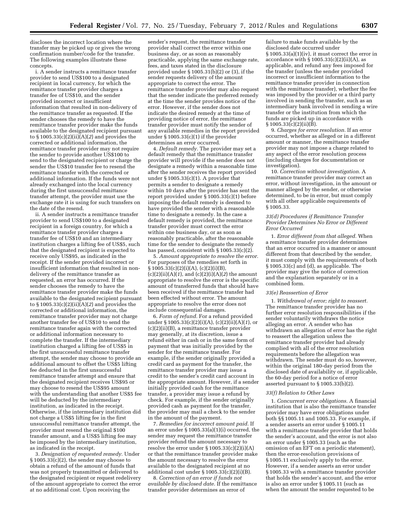discloses the incorrect location where the transfer may be picked up or gives the wrong confirmation number/code for the transfer. The following examples illustrate these concepts.

i. A sender instructs a remittance transfer provider to send US\$100 to a designated recipient in local currency, for which the remittance transfer provider charges a transfer fee of US\$10, and the sender provided incorrect or insufficient information that resulted in non-delivery of the remittance transfer as requested. If the sender chooses the remedy to have the remittance transfer provider make the funds available to the designated recipient pursuant to  $\S 1005.33(c)(2)(ii)(A)(2)$  and provides the corrected or additional information, the remittance transfer provider may not require the sender to provide another US\$100 to send to the designated recipient or charge the sender the US\$10 transfer fee to resend the remittance transfer with the corrected or additional information. If the funds were not already exchanged into the local currency during the first unsuccessful remittance transfer attempt, the provider must use the exchange rate it is using for such transfers on the date of the resend.

ii. A sender instructs a remittance transfer provider to send US\$100 to a designated recipient in a foreign country, for which a remittance transfer provider charges a transfer fee of US\$10 and an intermediary institution charges a lifting fee of US\$5, such that the designated recipient is expected to receive only US\$95, as indicated in the receipt. If the sender provided incorrect or insufficient information that resulted in nondelivery of the remittance transfer as requested, an error has occurred. If the sender chooses the remedy to have the remittance transfer provider make the funds available to the designated recipient pursuant to  $\S 1005.33(c)(2)(ii)(A)(2)$  and provides the corrected or additional information, the remittance transfer provider may not charge another transfer fee of US\$10 to send the remittance transfer again with the corrected or additional information necessary to complete the transfer. If the intermediary institution charged a lifting fee of US\$5 in the first unsuccessful remittance transfer attempt, the sender may choose to provide an additional amount to offset the US\$5 lifting fee deducted in the first unsuccessful remittance transfer attempt and ensure that the designated recipient receives US\$95 or may choose to resend the US\$95 amount with the understanding that another US\$5 fee will be deducted by the intermediary institution, as indicated in the receipt. Otherwise, if the intermediary institution did not charge a US\$5 lifting fee in the first unsuccessful remittance transfer attempt, the provider must resend the original \$100 transfer amount, and a US\$5 lifting fee may be imposed by the intermediary institution, as indicated in the receipt.

3. *Designation of requested remedy.* Under § 1005.33(c)(2), the sender may choose to obtain a refund of the amount of funds that was not properly transmitted or delivered to the designated recipient or request redelivery of the amount appropriate to correct the error at no additional cost. Upon receiving the

sender's request, the remittance transfer provider shall correct the error within one business day, or as soon as reasonably practicable, applying the same exchange rate, fees, and taxes stated in the disclosure provided under § 1005.31(b)(2) or (3), if the sender requests delivery of the amount appropriate to correct the error. The remittance transfer provider may also request that the sender indicate the preferred remedy at the time the sender provides notice of the error. However, if the sender does not indicate the desired remedy at the time of providing notice of error, the remittance transfer provider must notify the sender of any available remedies in the report provided under § 1005.33(c)(1) if the provider determines an error occurred.

4. *Default remedy.* The provider may set a default remedy that the remittance transfer provider will provide if the sender does not designate a remedy within a reasonable time after the sender receives the report provided under § 1005.33(c)(1). A provider that permits a sender to designate a remedy within 10 days after the provider has sent the report provided under § 1005.33(c)(1) before imposing the default remedy is deemed to have provided the sender with a reasonable time to designate a remedy. In the case a default remedy is provided, the remittance transfer provider must correct the error within one business day, or as soon as reasonably practicable, after the reasonable time for the sender to designate the remedy has passed, consistent with § 1005.33(c)(2).

5. *Amount appropriate to resolve the error.*  For purposes of the remedies set forth in  $\S 1005.33(c)(2)(i)(A), (c)(2)(i)(B),$ (c)(2)(ii)(A)(*1*), and (c)(2)(i)(A)(*2*) the amount appropriate to resolve the error is the specific amount of transferred funds that should have been received if the remittance transfer had been effected without error. The amount appropriate to resolve the error does not include consequential damages.

6. *Form of refund.* For a refund provided under § 1005.33(c)(2)(i)(A), (c)(2)(ii)(A)(*1*), or (c)(2)(ii)(B), a remittance transfer provider may generally, at its discretion, issue a refund either in cash or in the same form of payment that was initially provided by the sender for the remittance transfer. For example, if the sender originally provided a credit card as payment for the transfer, the remittance transfer provider may issue a credit to the sender's credit card account in the appropriate amount. However, if a sender initially provided cash for the remittance transfer, a provider may issue a refund by check. For example, if the sender originally provided cash as payment for the transfer, the provider may mail a check to the sender in the amount of the payment.

7. *Remedies for incorrect amount paid.* If an error under § 1005.33(a)(1)(i) occurred, the sender may request the remittance transfer provider refund the amount necessary to resolve the error under § 1005.33(c)(2)(i)(A) or that the remittance transfer provider make the amount necessary to resolve the error available to the designated recipient at no additional cost under § 1005.33(c)(2)(i)(B).

8. *Correction of an error if funds not available by disclosed date.* If the remittance transfer provider determines an error of

failure to make funds available by the disclosed date occurred under § 1005.33(a)(1)(iv), it must correct the error in accordance with  $\S 1005.33(c)(2)(ii)(A)$ , as applicable, and refund any fees imposed for the transfer (unless the sender provided incorrect or insufficient information to the remittance transfer provider in connection with the remittance transfer), whether the fee was imposed by the provider or a third party involved in sending the transfer, such as an intermediary bank involved in sending a wire transfer or the institution from which the funds are picked up in accordance with  $§ 1005.33(c)(2)(ii)(B).$ 

9. *Charges for error resolution.* If an error occurred, whether as alleged or in a different amount or manner, the remittance transfer provider may not impose a charge related to any aspect of the error resolution process (including charges for documentation or investigation).

10. *Correction without investigation.* A remittance transfer provider may correct an error, without investigation, in the amount or manner alleged by the sender, or otherwise determined, to be in error, but must comply with all other applicable requirements of § 1005.33.

### *33(d) Procedures if Remittance Transfer Provider Determines No Error or Different Error Occurred*

1. *Error different from that alleged.* When a remittance transfer provider determines that an error occurred in a manner or amount different from that described by the sender, it must comply with the requirements of both § 1005.33(c) and (d), as applicable. The provider may give the notice of correction and the explanation separately or in a combined form.

## *33(e) Reassertion of Error*

1. *Withdrawal of error; right to reassert.*  The remittance transfer provider has no further error resolution responsibilities if the sender voluntarily withdraws the notice alleging an error. A sender who has withdrawn an allegation of error has the right to reassert the allegation unless the remittance transfer provider had already complied with all of the error resolution requirements before the allegation was withdrawn. The sender must do so, however, within the original 180-day period from the disclosed date of availability or, if applicable, the 60-day period for a notice of error asserted pursuant to § 1005.33(b)(2).

### *33(f) Relation to Other Laws*

1. *Concurrent error obligations.* A financial institution that is also the remittance transfer provider may have error obligations under both §§ 1005.11 and 1005.33. For example, if a sender asserts an error under § 1005.11 with a remittance transfer provider that holds the sender's account, and the error is not also an error under § 1005.33 (such as the omission of an EFT on a periodic statement), then the error-resolution provisions of § 1005.11 exclusively apply to the error. However, if a sender asserts an error under § 1005.33 with a remittance transfer provider that holds the sender's account, and the error is also an error under § 1005.11 (such as when the amount the sender requested to be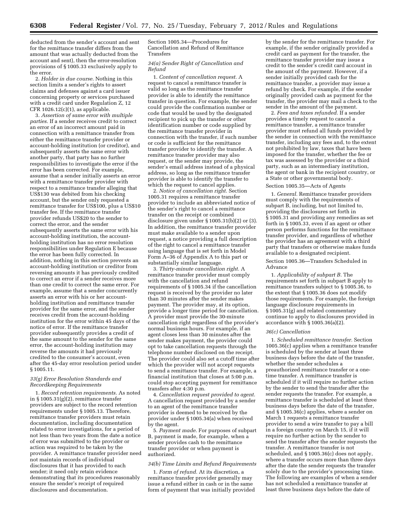deducted from the sender's account and sent for the remittance transfer differs from the amount that was actually deducted from the account and sent), then the error-resolution provisions of § 1005.33 exclusively apply to the error.

2. *Holder in due course.* Nothing in this section limits a sender's rights to assert claims and defenses against a card issuer concerning property or services purchased with a credit card under Regulation Z, 12 CFR 1026.12(c)(1), as applicable.

3. *Assertion of same error with multiple parties.* If a sender receives credit to correct an error of an incorrect amount paid in connection with a remittance transfer from either the remittance transfer provider or account-holding institution (or creditor), and subsequently asserts the same error with another party, that party has no further responsibilities to investigate the error if the error has been corrected. For example, assume that a sender initially asserts an error with a remittance transfer provider with respect to a remittance transfer alleging that US\$130 was debited from his checking account, but the sender only requested a remittance transfer for US\$100, plus a US\$10 transfer fee. If the remittance transfer provider refunds US\$20 to the sender to correct the error, and the sender subsequently asserts the same error with his account-holding institution, the accountholding institution has no error resolution responsibilities under Regulation E because the error has been fully corrected. In addition, nothing in this section prevents an account-holding institution or creditor from reversing amounts it has previously credited to correct an error if a sender receives more than one credit to correct the same error. For example, assume that a sender concurrently asserts an error with his or her accountholding institution and remittance transfer provider for the same error, and the sender receives credit from the account-holding institution for the error within 45 days of the notice of error. If the remittance transfer provider subsequently provides a credit of the same amount to the sender for the same error, the account-holding institution may reverse the amounts it had previously credited to the consumer's account, even after the 45-day error resolution period under § 1005.11.

### *33(g) Error Resolution Standards and Recordkeeping Requirements*

1. *Record retention requirements.* As noted in § 1005.31(g)(2), remittance transfer providers are subject to the record retention requirements under § 1005.13. Therefore, remittance transfer providers must retain documentation, including documentation related to error investigations, for a period of not less than two years from the date a notice of error was submitted to the provider or action was required to be taken by the provider. A remittance transfer provider need not maintain records of individual disclosures that it has provided to each sender; it need only retain evidence demonstrating that its procedures reasonably ensure the sender's receipt of required disclosures and documentation.

## Section 1005.34—Procedures for Cancellation and Refund of Remittance Transfers

### *34(a) Sender Right of Cancellation and Refund*

1. *Content of cancellation request.* A request to cancel a remittance transfer is valid so long as the remittance transfer provider is able to identify the remittance transfer in question. For example, the sender could provide the confirmation number or code that would be used by the designated recipient to pick up the transfer or other identification number or code supplied by the remittance transfer provider in connection with the transfer, if such number or code is sufficient for the remittance transfer provider to identify the transfer. A remittance transfer provider may also request, or the sender may provide, the sender's email address instead of a physical address, so long as the remittance transfer provider is able to identify the transfer to which the request to cancel applies.

2. *Notice of cancellation right.* Section 1005.31 requires a remittance transfer provider to include an abbreviated notice of the sender's right to cancel a remittance transfer on the receipt or combined disclosure given under § 1005.31(b)(2) or (3). In addition, the remittance transfer provider must make available to a sender upon request, a notice providing a full description of the right to cancel a remittance transfer using language that is set forth in Model Form A–36 of Appendix A to this part or substantially similar language.

3. *Thirty-minute cancellation right.* A remittance transfer provider must comply with the cancellation and refund requirements of § 1005.34 if the cancellation request is received by the provider no later than 30 minutes after the sender makes payment. The provider may, at its option, provide a longer time period for cancellation. A provider must provide the 30-minute cancellation right regardless of the provider's normal business hours. For example, if an agent closes less than 30 minutes after the sender makes payment, the provider could opt to take cancellation requests through the telephone number disclosed on the receipt. The provider could also set a cutoff time after which the provider will not accept requests to send a remittance transfer. For example, a financial institution that closes at 5:00 p.m. could stop accepting payment for remittance transfers after 4:30 p.m.

4. *Cancellation request provided to agent.*  A cancellation request provided by a sender to an agent of the remittance transfer provider is deemed to be received by the provider under § 1005.34(a) when received by the agent.

5. *Payment made.* For purposes of subpart B, payment is made, for example, when a sender provides cash to the remittance transfer provider or when payment is authorized.

## *34(b) Time Limits and Refund Requirements*

1. *Form of refund.* At its discretion, a remittance transfer provider generally may issue a refund either in cash or in the same form of payment that was initially provided

by the sender for the remittance transfer. For example, if the sender originally provided a credit card as payment for the transfer, the remittance transfer provider may issue a credit to the sender's credit card account in the amount of the payment. However, if a sender initially provided cash for the remittance transfer, a provider may issue a refund by check. For example, if the sender originally provided cash as payment for the transfer, the provider may mail a check to the sender in the amount of the payment.

2. *Fees and taxes refunded.* If a sender provides a timely request to cancel a remittance transfer, a remittance transfer provider must refund all funds provided by the sender in connection with the remittance transfer, including any fees and, to the extent not prohibited by law, taxes that have been imposed for the transfer, whether the fee or tax was assessed by the provider or a third party, such as an intermediary institution, the agent or bank in the recipient country, or a State or other governmental body.

## Section 1005.35—Acts of Agents

1. *General.* Remittance transfer providers must comply with the requirements of subpart B, including, but not limited to, providing the disclosures set forth in § 1005.31 and providing any remedies as set forth in § 1005.33, even if an agent or other person performs functions for the remittance transfer provider, and regardless of whether the provider has an agreement with a third party that transfers or otherwise makes funds available to a designated recipient.

Section 1005.36—Transfers Scheduled in Advance

1. *Applicability of subpart B.* The requirements set forth in subpart B apply to remittance transfers subject to § 1005.36, to the extent that § 1005.36 does not modify those requirements. For example, the foreign language disclosure requirements in § 1005.31(g) and related commentary continue to apply to disclosures provided in accordance with § 1005.36(a)(2).

### *36(c) Cancellation*

1. *Scheduled remittance transfer.* Section 1005.36(c) applies when a remittance transfer is scheduled by the sender at least three business days before the date of the transfer, whether the sender schedules a preauthorized remittance transfer or a onetime transfer. A remittance transfer is scheduled if it will require no further action by the sender to send the transfer after the sender requests the transfer. For example, a remittance transfer is scheduled at least three business days before the date of the transfer, and § 1005.36(c) applies, where a sender on March 1 requests a remittance transfer provider to send a wire transfer to pay a bill in a foreign country on March 15, if it will require no further action by the sender to send the transfer after the sender requests the transfer. A remittance transfer is not scheduled, and § 1005.36(c) does not apply, where a transfer occurs more than three days after the date the sender requests the transfer solely due to the provider's processing time. The following are examples of when a sender has not scheduled a remittance transfer at least three business days before the date of